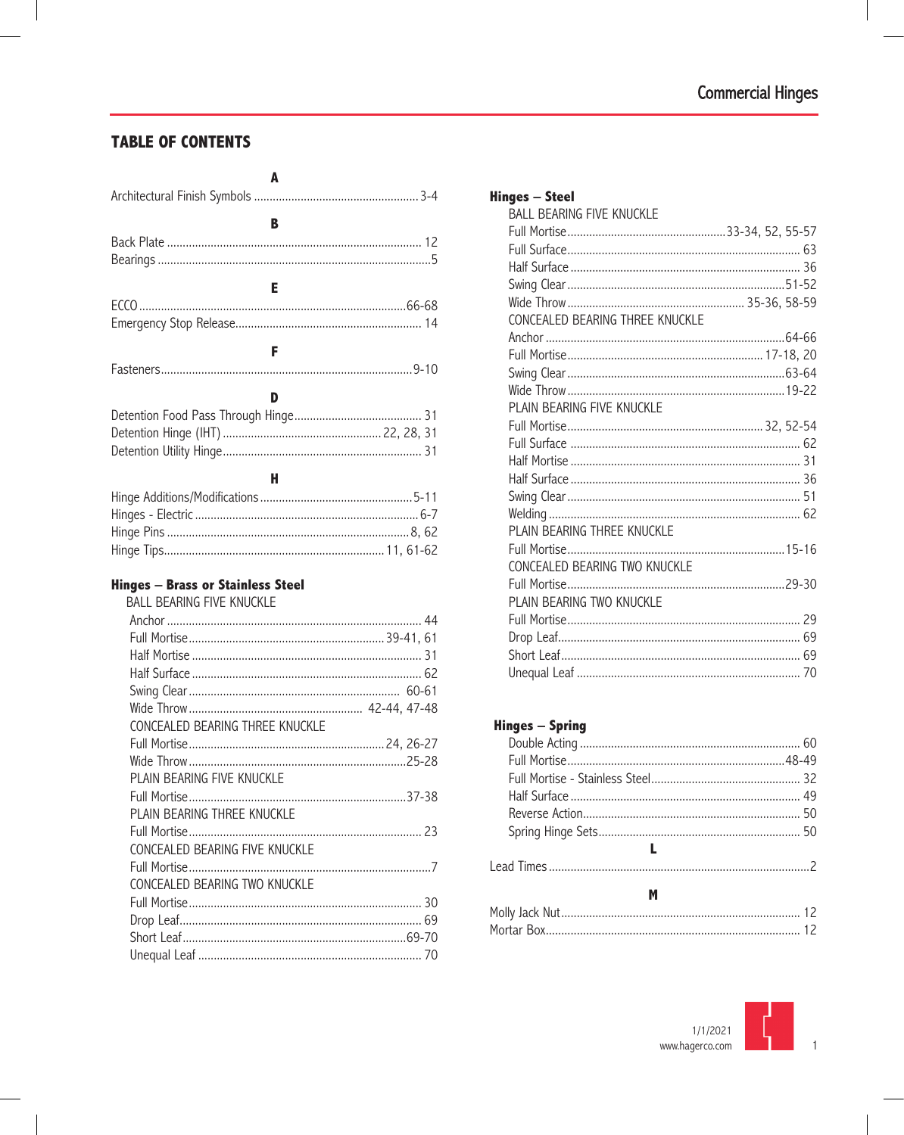#### **TABLE OF CONTENTS**

| в |  |  |  |
|---|--|--|--|
|   |  |  |  |
| Е |  |  |  |
|   |  |  |  |
|   |  |  |  |
| F |  |  |  |
|   |  |  |  |
| D |  |  |  |
|   |  |  |  |
|   |  |  |  |
|   |  |  |  |
| н |  |  |  |
|   |  |  |  |
|   |  |  |  |
|   |  |  |  |
|   |  |  |  |

#### **Hinges - Brass or Stainless Steel**

| <b>BALL BEARING FIVE KNUCKLE</b> |  |
|----------------------------------|--|
|                                  |  |
|                                  |  |
|                                  |  |
|                                  |  |
|                                  |  |
|                                  |  |
| CONCEALED BEARING THREE KNUCKLE  |  |
|                                  |  |
|                                  |  |
| PLAIN BEARING FIVE KNUCKLE       |  |
|                                  |  |
| PLAIN BEARING THREE KNUCKLE      |  |
|                                  |  |
| CONCEALED BEARING FIVE KNUCKLE   |  |
|                                  |  |
| CONCEALED BEARING TWO KNUCKLE    |  |
|                                  |  |
|                                  |  |
|                                  |  |
|                                  |  |

| <b>Hinges - Steel</b>            |  |
|----------------------------------|--|
| <b>BALL BEARING FIVE KNUCKLE</b> |  |
|                                  |  |
|                                  |  |
|                                  |  |
|                                  |  |
|                                  |  |
| CONCEALED BEARING THREE KNUCKLE  |  |
|                                  |  |
|                                  |  |
|                                  |  |
|                                  |  |
| PLAIN BEARING FIVE KNUCKLE       |  |
|                                  |  |
|                                  |  |
|                                  |  |
|                                  |  |
|                                  |  |
|                                  |  |
| PLAIN BEARING THREE KNUCKLE      |  |
|                                  |  |
| CONCEALED BEARING TWO KNUCKLE    |  |
|                                  |  |
| PLAIN BEARING TWO KNUCKLE        |  |
|                                  |  |
|                                  |  |
|                                  |  |
|                                  |  |
|                                  |  |

#### **Hinges - Spring**

| ш. |  |
|----|--|
|    |  |
|    |  |
| м  |  |
|    |  |
|    |  |
|    |  |

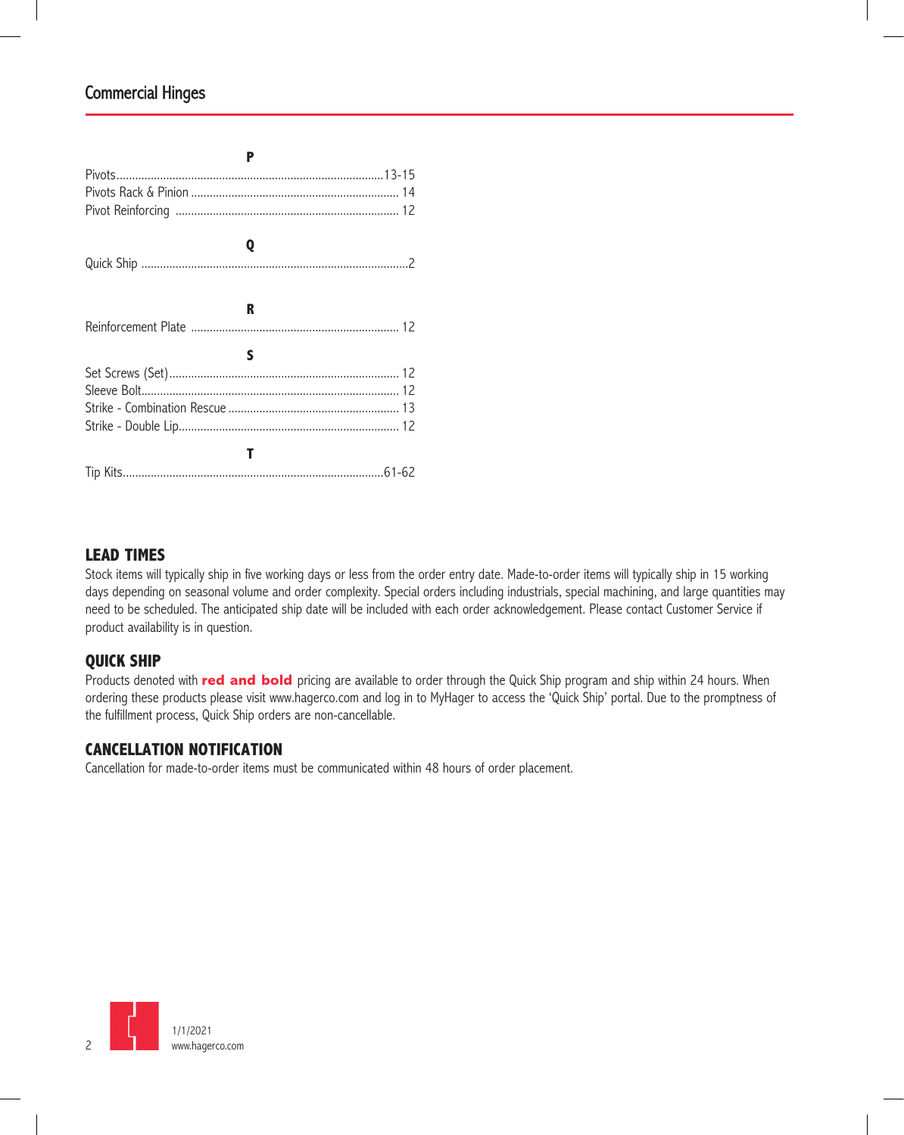| P |
|---|
|   |
|   |
|   |
|   |
| Q |
|   |
|   |
| R |
|   |
| s |
|   |
|   |
|   |
|   |
|   |
|   |
|   |

#### **LEAD TIMES**

Stock items will typically ship in five working days or less from the order entry date. Made-to-order items will typically ship in 15 working days depending on seasonal volume and order complexity. Special orders including industrials, special machining, and large quantities may need to be scheduled. The anticipated ship date will be included with each order acknowledgement. Please contact Customer Service if product availability is in question.

#### **QUICK SHIP**

Products denoted with **red and bold** pricing are available to order through the Quick Ship program and ship within 24 hours. When ordering these products please visit www.hagerco.com and log in to MyHager to access the 'Quick Ship' portal. Due to the promptness of the fulfillment process, Quick Ship orders are non-cancellable.

#### **CANCELLATION NOTIFICATION**

Cancellation for made-to-order items must be communicated within 48 hours of order placement.

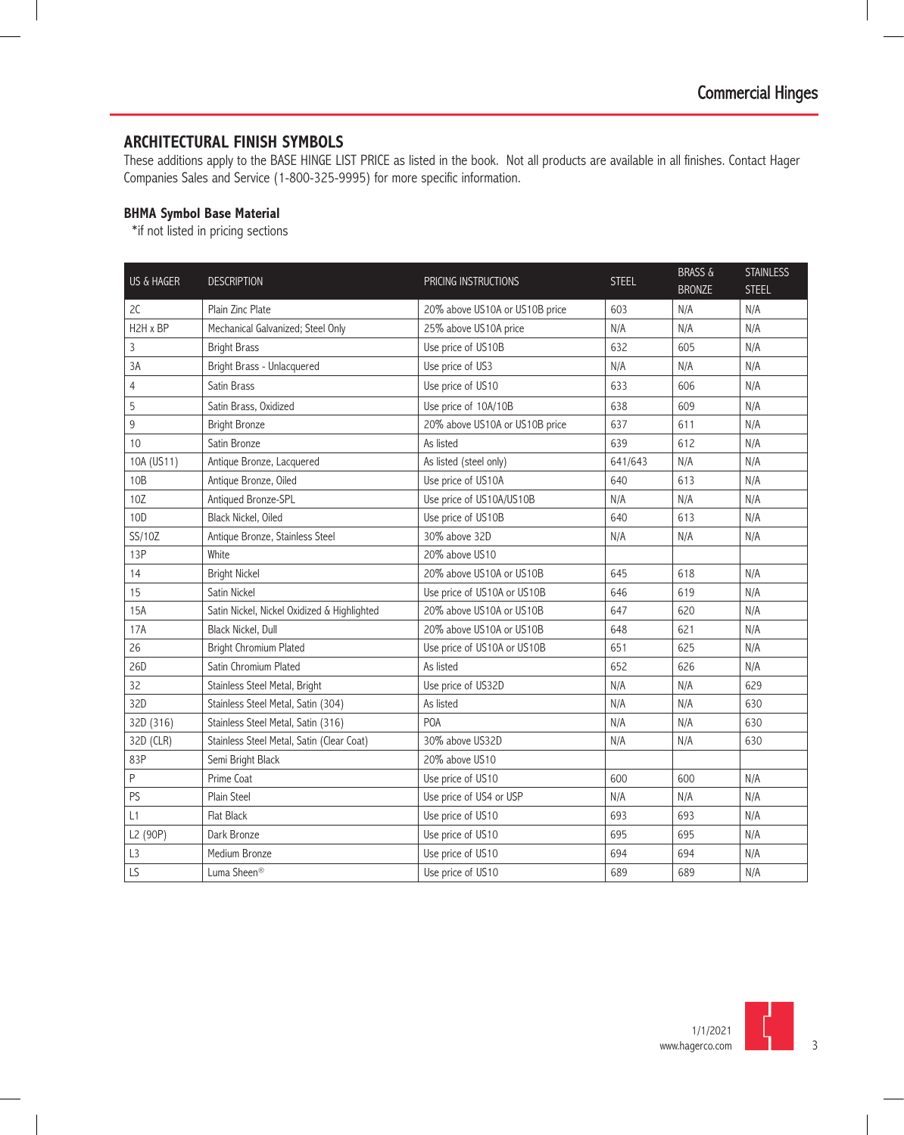#### **ARCHITECTURAL FINISH SYMBOLS**

These additions apply to the BASE HINGE LIST PRICE as listed in the book. Not all products are available in all finishes. Contact Hager Companies Sales and Service (1-800-325-9995) for more specific information.

#### **BHMA Symbol Base Material**

\*if not listed in pricing sections

| <b>US &amp; HAGER</b> | <b>DESCRIPTION</b>                          | PRICING INSTRUCTIONS           | <b>STEEL</b> | <b>BRASS &amp;</b> | <b>STAINLESS</b> |
|-----------------------|---------------------------------------------|--------------------------------|--------------|--------------------|------------------|
|                       |                                             |                                |              | <b>BRONZE</b>      | <b>STEEL</b>     |
| 2C                    | Plain Zinc Plate                            | 20% above US10A or US10B price | 603          | N/A                | N/A              |
| H2H x BP              | Mechanical Galvanized; Steel Only           | 25% above US10A price          | N/A          | N/A                | N/A              |
| 3                     | <b>Bright Brass</b>                         | Use price of US10B             | 632          | 605                | N/A              |
| 3A                    | Bright Brass - Unlacquered                  | Use price of US3               | N/A          | N/A                | N/A              |
| 4                     | Satin Brass                                 | Use price of US10              | 633          | 606                | N/A              |
| 5                     | Satin Brass, Oxidized                       | Use price of 10A/10B           | 638          | 609                | N/A              |
| 9                     | <b>Bright Bronze</b>                        | 20% above US10A or US10B price | 637          | 611                | N/A              |
| 10                    | Satin Bronze                                | As listed                      | 639          | 612                | N/A              |
| 10A (US11)            | Antique Bronze, Lacquered                   | As listed (steel only)         | 641/643      | N/A                | N/A              |
| 10B                   | Antique Bronze, Oiled                       | Use price of US10A             | 640          | 613                | N/A              |
| 10Z                   | Antiqued Bronze-SPL                         | Use price of US10A/US10B       | N/A          | N/A                | N/A              |
| 10D                   | Black Nickel, Oiled                         | Use price of US10B             | 640          | 613                | N/A              |
| SS/10Z                | Antique Bronze, Stainless Steel             | 30% above 32D                  | N/A          | N/A                | N/A              |
| 13P                   | White                                       | 20% above US10                 |              |                    |                  |
| 14                    | <b>Bright Nickel</b>                        | 20% above US10A or US10B       | 645          | 618                | N/A              |
| 15                    | Satin Nickel                                | Use price of US10A or US10B    | 646          | 619                | N/A              |
| 15A                   | Satin Nickel, Nickel Oxidized & Highlighted | 20% above US10A or US10B       | 647          | 620                | N/A              |
| 17A                   | Black Nickel, Dull                          | 20% above US10A or US10B       | 648          | 621                | N/A              |
| 26                    | <b>Bright Chromium Plated</b>               | Use price of US10A or US10B    | 651          | 625                | N/A              |
| 26D                   | Satin Chromium Plated                       | As listed                      | 652          | 626                | N/A              |
| 32                    | Stainless Steel Metal, Bright               | Use price of US32D             | N/A          | N/A                | 629              |
| 32D                   | Stainless Steel Metal, Satin (304)          | As listed                      | N/A          | N/A                | 630              |
| 32D (316)             | Stainless Steel Metal, Satin (316)          | <b>POA</b>                     | N/A          | N/A                | 630              |
| 32D (CLR)             | Stainless Steel Metal, Satin (Clear Coat)   | 30% above US32D                | N/A          | N/A                | 630              |
| 83P                   | Semi Bright Black                           | 20% above US10                 |              |                    |                  |
| $\sf P$               | Prime Coat                                  | Use price of US10              | 600          | 600                | N/A              |
| PS                    | Plain Steel                                 | Use price of US4 or USP        | N/A          | N/A                | N/A              |
| L1                    | Flat Black                                  | Use price of US10              | 693          | 693                | N/A              |
| L2 (90P)              | Dark Bronze                                 | Use price of US10              | 695          | 695                | N/A              |
| L3                    | Medium Bronze                               | Use price of US10              | 694          | 694                | N/A              |
| LS                    | Luma Sheen <sup>®</sup>                     | Use price of US10              | 689          | 689                | N/A              |

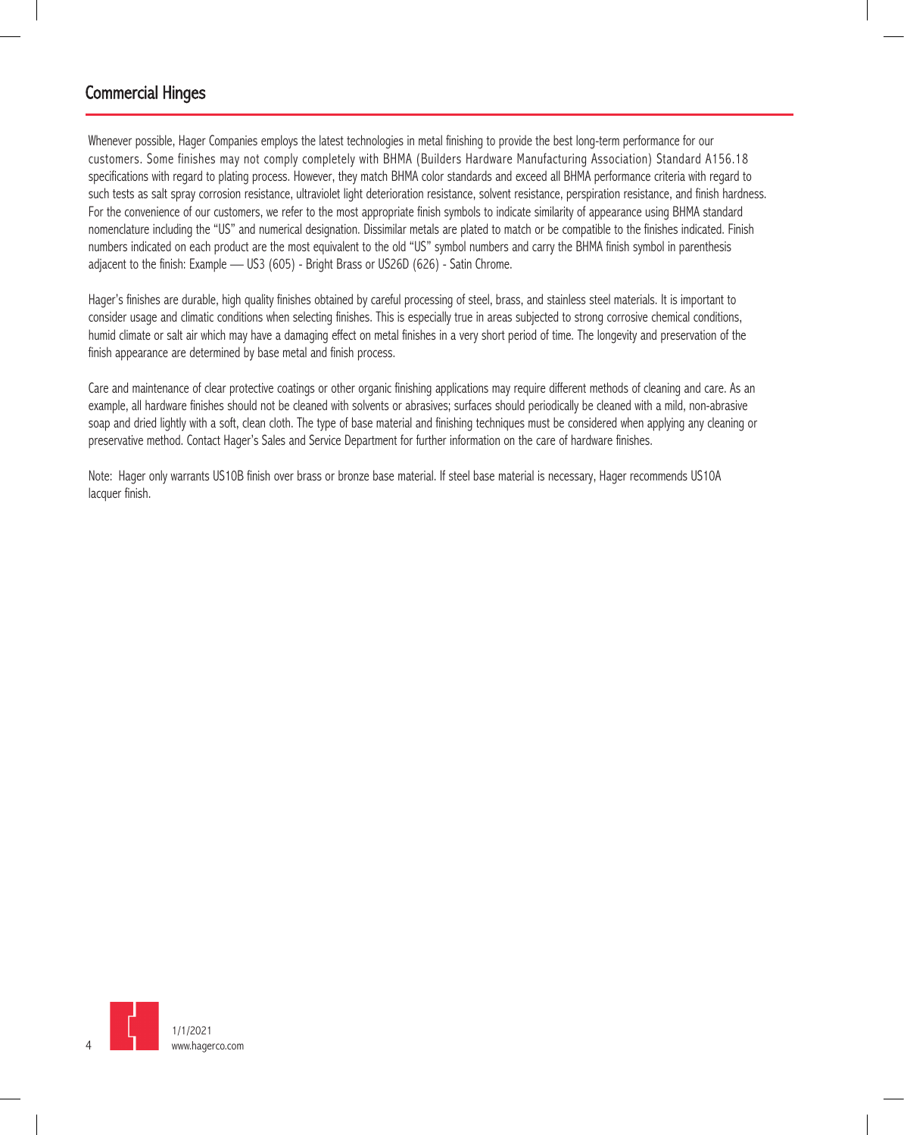Whenever possible, Hager Companies employs the latest technologies in metal finishing to provide the best long-term performance for our customers. Some finishes may not comply completely with BHMA (Builders Hardware Manufacturing Association) Standard A156.18 specifications with regard to plating process. However, they match BHMA color standards and exceed all BHMA performance criteria with regard to such tests as salt spray corrosion resistance, ultraviolet light deterioration resistance, solvent resistance, perspiration resistance, and finish hardness. For the convenience of our customers, we refer to the most appropriate finish symbols to indicate similarity of appearance using BHMA standard nomenclature including the "US" and numerical designation. Dissimilar metals are plated to match or be compatible to the finishes indicated. Finish numbers indicated on each product are the most equivalent to the old "US" symbol numbers and carry the BHMA finish symbol in parenthesis adjacent to the finish: Example — US3 (605) - Bright Brass or US26D (626) - Satin Chrome.

Hager's finishes are durable, high quality finishes obtained by careful processing of steel, brass, and stainless steel materials. It is important to consider usage and climatic conditions when selecting finishes. This is especially true in areas subjected to strong corrosive chemical conditions, humid climate or salt air which may have a damaging effect on metal finishes in a very short period of time. The longevity and preservation of the finish appearance are determined by base metal and finish process.

Care and maintenance of clear protective coatings or other organic finishing applications may require different methods of cleaning and care. As an example, all hardware finishes should not be cleaned with solvents or abrasives; surfaces should periodically be cleaned with a mild, non-abrasive soap and dried lightly with a soft, clean cloth. The type of base material and finishing techniques must be considered when applying any cleaning or preservative method. Contact Hager's Sales and Service Department for further information on the care of hardware finishes.

Note: Hager only warrants US10B finish over brass or bronze base material. If steel base material is necessary, Hager recommends US10A lacquer finish.

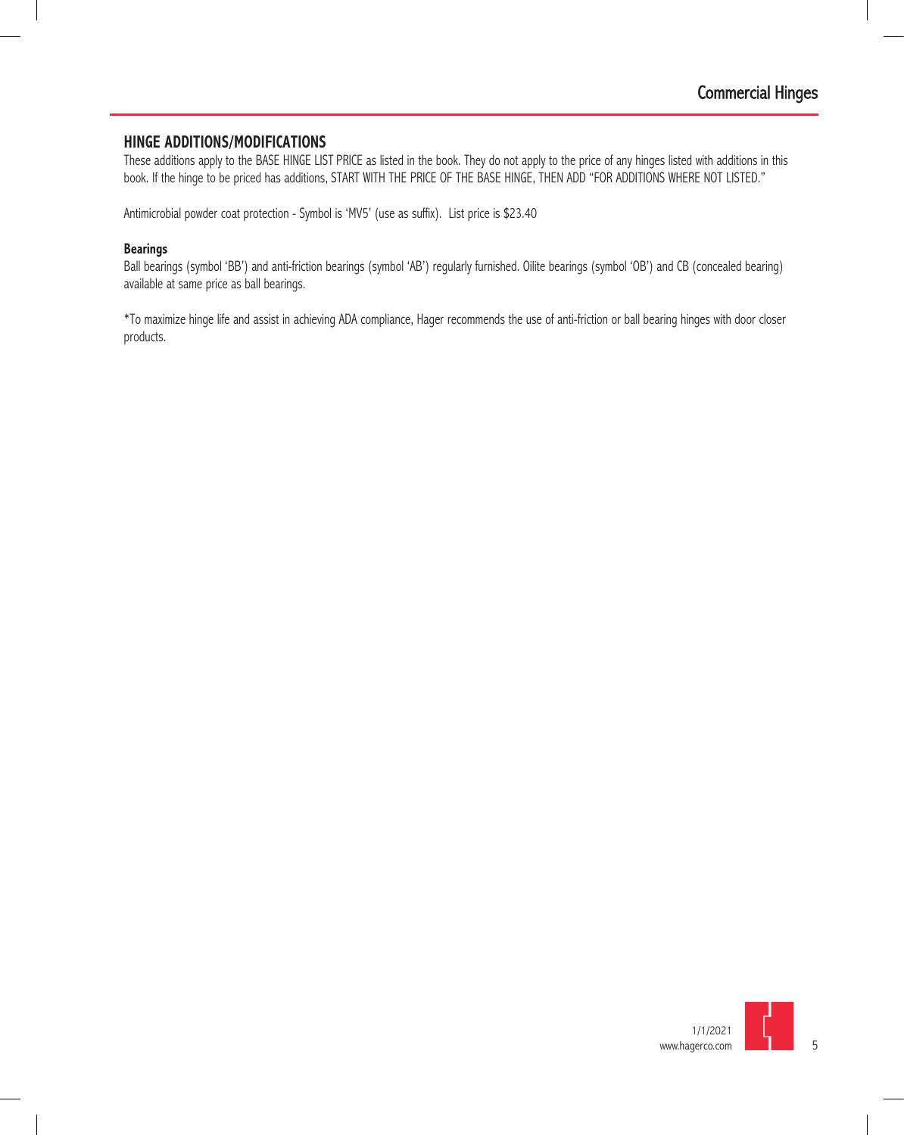#### **HINGE ADDITIONS/MODIFICATIONS**

These additions apply to the BASE HINGE LIST PRICE as listed in the book. They do not apply to the price of any hinges listed with additions in this book. If the hinge to be priced has additions, START WITH THE PRICE OF THE BASE HINGE, THEN ADD "FOR ADDITIONS WHERE NOT LISTED."

Antimicrobial powder coat protection - Symbol is 'MV5' (use as suffix). List price is \$23.40

#### **Bearings**

Ball bearings (symbol 'BB') and anti-friction bearings (symbol 'AB') regularly furnished. Oilite bearings (symbol 'OB') and CB (concealed bearing) available at same price as ball bearings.

\*To maximize hinge life and assist in achieving ADA compliance, Hager recommends the use of anti-friction or ball bearing hinges with door closer products.

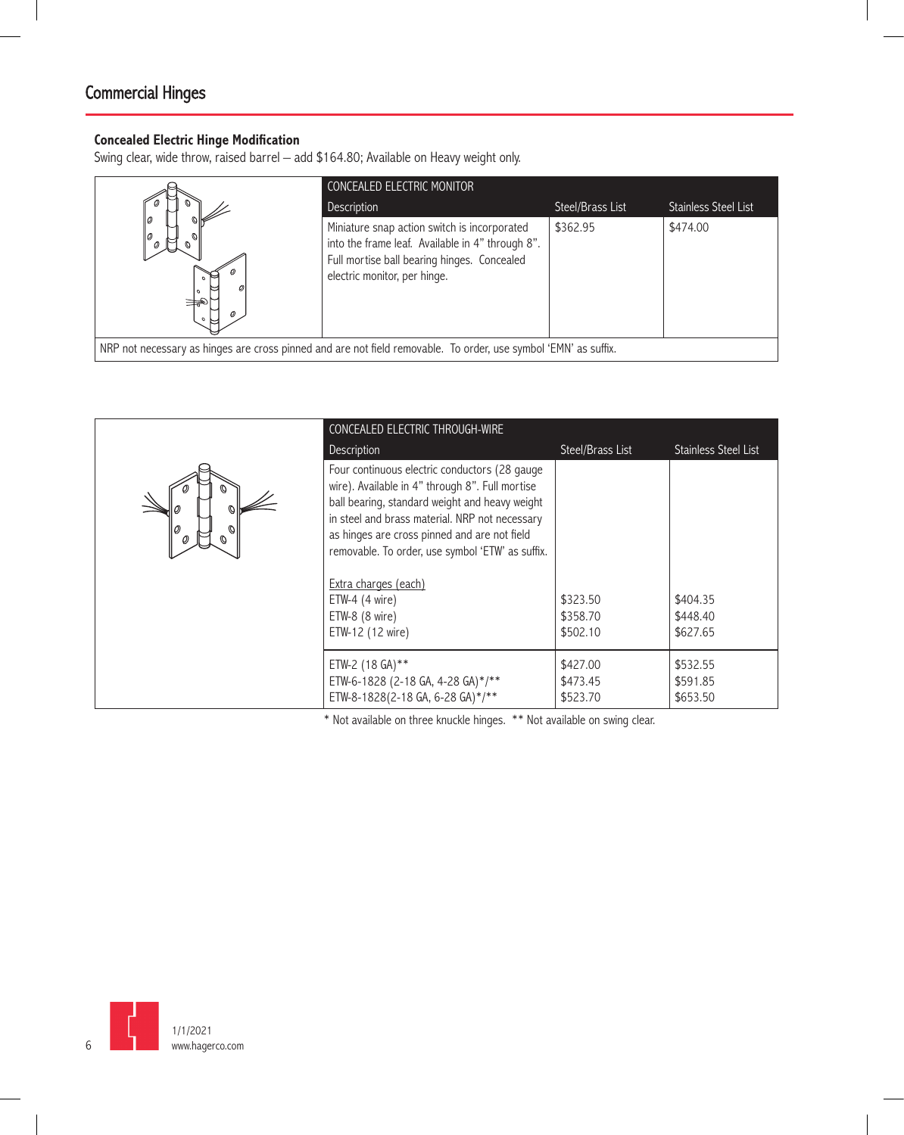#### **Concealed Electric Hinge Modification**

Swing clear, wide throw, raised barrel – add \$164.80; Available on Heavy weight only.

|                                                                                                                 | <b>CONCEALED ELECTRIC MONITOR</b>                                                                                                                                               |                  |                      |
|-----------------------------------------------------------------------------------------------------------------|---------------------------------------------------------------------------------------------------------------------------------------------------------------------------------|------------------|----------------------|
|                                                                                                                 | Description                                                                                                                                                                     | Steel/Brass List | Stainless Steel List |
| O)<br>未                                                                                                         | Miniature snap action switch is incorporated<br>into the frame leaf. Available in 4" through 8".<br>Full mortise ball bearing hinges. Concealed<br>electric monitor, per hinge. | \$362.95         | \$474.00             |
| NRP not necessary as hinges are cross pinned and are not field removable. To order, use symbol 'EMN' as suffix. |                                                                                                                                                                                 |                  |                      |

|                                    | CONCEALED ELECTRIC THROUGH-WIRE                                                                                                                                                                                                                                                                          |                  |                             |
|------------------------------------|----------------------------------------------------------------------------------------------------------------------------------------------------------------------------------------------------------------------------------------------------------------------------------------------------------|------------------|-----------------------------|
|                                    | Description                                                                                                                                                                                                                                                                                              | Steel/Brass List | <b>Stainless Steel List</b> |
| O)<br>Ø<br>Ø<br>Ø<br>$\mathcal{O}$ | Four continuous electric conductors (28 gauge<br>wire). Available in 4" through 8". Full mortise<br>ball bearing, standard weight and heavy weight<br>in steel and brass material. NRP not necessary<br>as hinges are cross pinned and are not field<br>removable. To order, use symbol 'ETW' as suffix. |                  |                             |
|                                    | Extra charges (each)                                                                                                                                                                                                                                                                                     |                  |                             |
|                                    | ETW-4 $(4 \text{ wire})$                                                                                                                                                                                                                                                                                 | \$323.50         | \$404.35                    |
|                                    | ETW-8 (8 wire)                                                                                                                                                                                                                                                                                           | \$358.70         | \$448.40                    |
|                                    | ETW-12 (12 wire)                                                                                                                                                                                                                                                                                         | \$502.10         | \$627.65                    |
|                                    | ETW-2 (18 GA)**                                                                                                                                                                                                                                                                                          | \$427.00         | \$532.55                    |
|                                    | ETW-6-1828 (2-18 GA, 4-28 GA)*/**                                                                                                                                                                                                                                                                        | \$473.45         | \$591.85                    |
|                                    | ETW-8-1828(2-18 GA, 6-28 GA)*/**                                                                                                                                                                                                                                                                         | \$523.70         | \$653.50                    |

\* Not available on three knuckle hinges. \*\* Not available on swing clear.

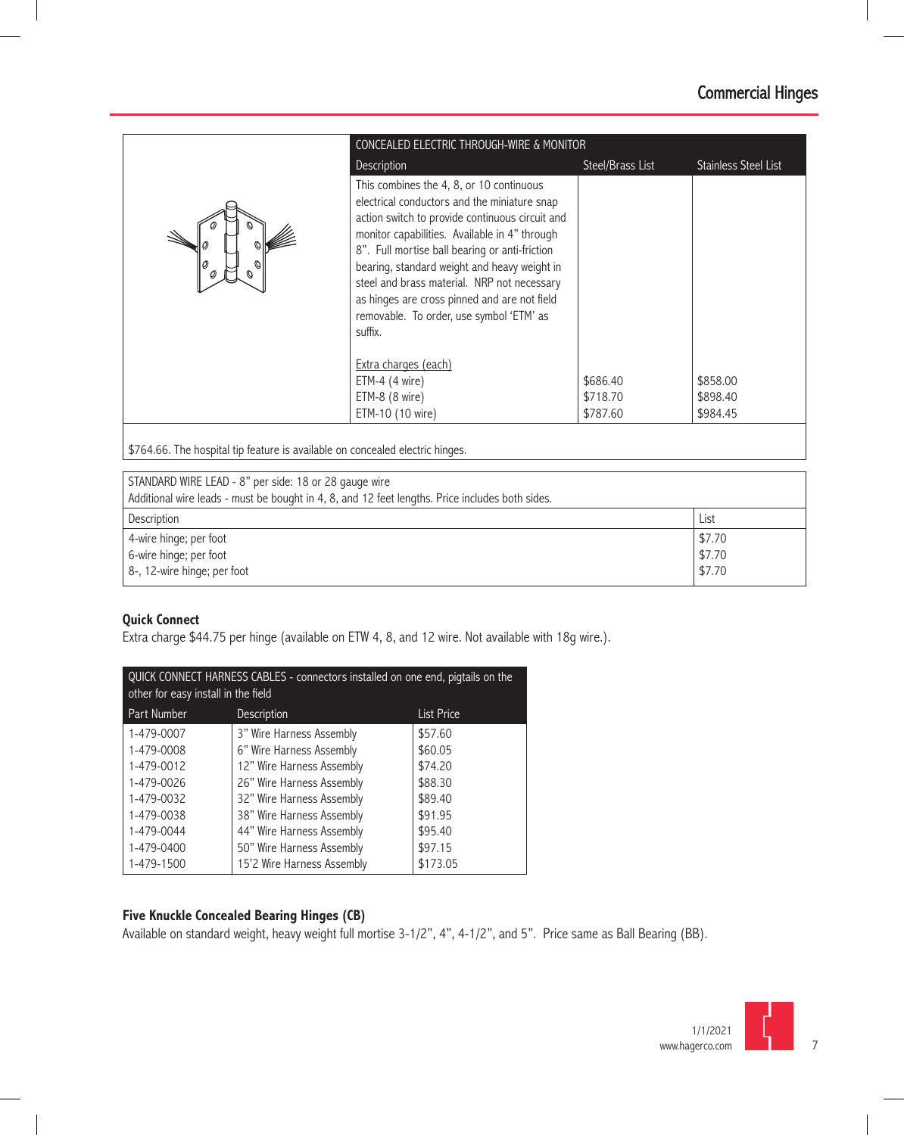| CONCEALED ELECTRIC THROUGH-WIRE & MONITOR |                                                                                                                                                                                                                                                                                                                                                                                                                                                      |                  |                             |
|-------------------------------------------|------------------------------------------------------------------------------------------------------------------------------------------------------------------------------------------------------------------------------------------------------------------------------------------------------------------------------------------------------------------------------------------------------------------------------------------------------|------------------|-----------------------------|
|                                           | Description                                                                                                                                                                                                                                                                                                                                                                                                                                          | Steel/Brass List | <b>Stainless Steel List</b> |
|                                           | This combines the 4, 8, or 10 continuous<br>electrical conductors and the miniature snap<br>action switch to provide continuous circuit and<br>monitor capabilities. Available in 4" through<br>8". Full mortise ball bearing or anti-friction<br>bearing, standard weight and heavy weight in<br>steel and brass material. NRP not necessary<br>as hinges are cross pinned and are not field<br>removable. To order, use symbol 'ETM' as<br>suffix. |                  |                             |
|                                           | Extra charges (each)<br>ETM-4 $(4 \text{ wire})$                                                                                                                                                                                                                                                                                                                                                                                                     | \$686.40         | \$858.00                    |
|                                           | ETM-8 (8 wire)                                                                                                                                                                                                                                                                                                                                                                                                                                       | \$718.70         | \$898.40                    |
|                                           | ETM-10 (10 wire)                                                                                                                                                                                                                                                                                                                                                                                                                                     | \$787.60         | \$984.45                    |

\$764.66. The hospital tip feature is available on concealed electric hinges.

| STANDARD WIRE LEAD - 8" per side: 18 or 28 gauge wire                                           |        |  |
|-------------------------------------------------------------------------------------------------|--------|--|
| Additional wire leads - must be bought in 4, 8, and 12 feet lengths. Price includes both sides. |        |  |
| Description                                                                                     | List   |  |
| 4-wire hinge; per foot                                                                          | \$7.70 |  |
| 6-wire hinge; per foot                                                                          | \$7.70 |  |
| 8-, 12-wire hinge; per foot                                                                     | \$7.70 |  |

#### **Quick Connect**

Extra charge \$44.75 per hinge (available on ETW 4, 8, and 12 wire. Not available with 18g wire.).

| QUICK CONNECT HARNESS CABLES - connectors installed on one end, pigtails on the<br>other for easy install in the field |                            |                   |
|------------------------------------------------------------------------------------------------------------------------|----------------------------|-------------------|
| Part Number                                                                                                            | <b>Description</b>         | <b>List Price</b> |
| 1-479-0007                                                                                                             | 3" Wire Harness Assembly   | \$57.60           |
| 1-479-0008                                                                                                             | 6" Wire Harness Assembly   | \$60.05           |
| 1-479-0012                                                                                                             | 12" Wire Harness Assembly  | \$74.20           |
| 1-479-0026                                                                                                             | 26" Wire Harness Assembly  | \$88.30           |
| 1-479-0032                                                                                                             | 32" Wire Harness Assembly  | \$89.40           |
| 1-479-0038                                                                                                             | 38" Wire Harness Assembly  | \$91.95           |
| 1-479-0044                                                                                                             | 44" Wire Harness Assembly  | \$95.40           |
| 1-479-0400                                                                                                             | 50" Wire Harness Assembly  | \$97.15           |
| 1-479-1500                                                                                                             | 15'2 Wire Harness Assembly | \$173.05          |

#### **Five Knuckle Concealed Bearing Hinges (CB)**

Available on standard weight, heavy weight full mortise 3-1/2", 4", 4-1/2", and 5". Price same as Ball Bearing (BB).

7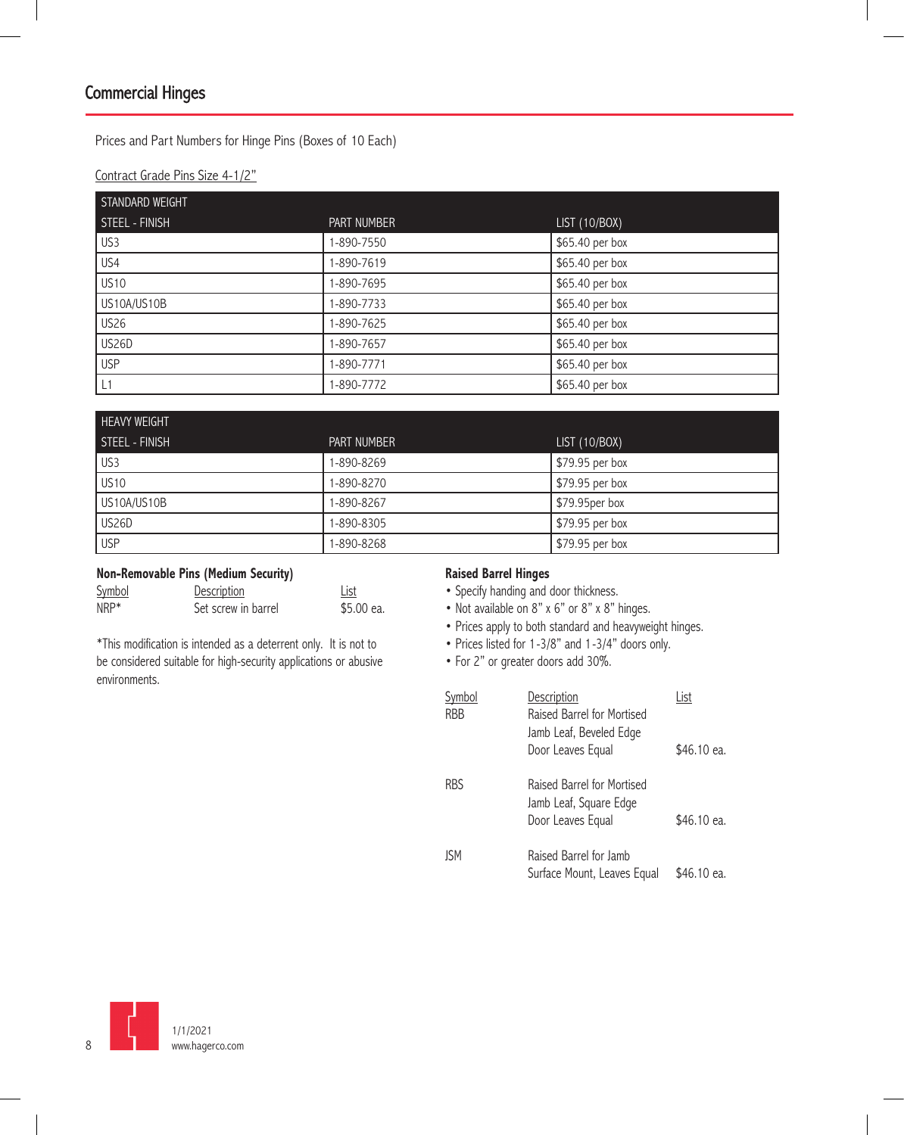Prices and Part Numbers for Hinge Pins (Boxes of 10 Each)

Contract Grade Pins Size 4-1/2"

| STANDARD WEIGHT |             |                 |
|-----------------|-------------|-----------------|
| STEEL - FINISH  | PART NUMBER | LIST (10/BOX)   |
| US3             | 1-890-7550  | \$65.40 per box |
| US4             | 1-890-7619  | \$65.40 per box |
| <b>US10</b>     | 1-890-7695  | \$65.40 per box |
| US10A/US10B     | 1-890-7733  | \$65.40 per box |
| <b>US26</b>     | 1-890-7625  | \$65.40 per box |
| US26D           | 1-890-7657  | \$65.40 per box |
| <b>USP</b>      | 1-890-7771  | \$65.40 per box |
| L1              | 1-890-7772  | \$65.40 per box |

| <b>HEAVY WEIGHT</b> |                    |                 |
|---------------------|--------------------|-----------------|
| STEEL - FINISH      | <b>PART NUMBER</b> | LIST (10/BOX)   |
| US <sub>3</sub>     | 1-890-8269         | \$79.95 per box |
| US <sub>10</sub>    | 1-890-8270         | \$79.95 per box |
| US10A/US10B         | 1-890-8267         | \$79.95per box  |
| <b>US26D</b>        | 1-890-8305         | \$79.95 per box |
| <b>USP</b>          | 1-890-8268         | \$79.95 per box |

#### **Non-Removable Pins (Medium Security)**

| Symbol | Description         | List       |
|--------|---------------------|------------|
| $NRP*$ | Set screw in barrel | \$5.00 ea. |

\*This modification is intended as a deterrent only. It is not to be considered suitable for high-security applications or abusive environments.

#### **Raised Barrel Hinges**

- Specify handing and door thickness.
- Not available on 8" x 6" or 8" x 8" hinges.
- Prices apply to both standard and heavyweight hinges.
- Prices listed for 1-3/8" and 1-3/4" doors only.
- For 2" or greater doors add 30%.

| <u>Symbol</u><br><b>RBB</b> | <b>Description</b><br>Raised Barrel for Mortised<br>Jamb Leaf, Beveled Edge | List        |
|-----------------------------|-----------------------------------------------------------------------------|-------------|
|                             | Door Leaves Equal                                                           | \$46.10 ea. |
| <b>RBS</b>                  | Raised Barrel for Mortised<br>Jamb Leaf, Square Edge<br>Door Leaves Equal   | \$46.10 ea. |
| JSM                         | Raised Barrel for lamb<br>Surface Mount, Leaves Equal                       | \$46.10 ea. |

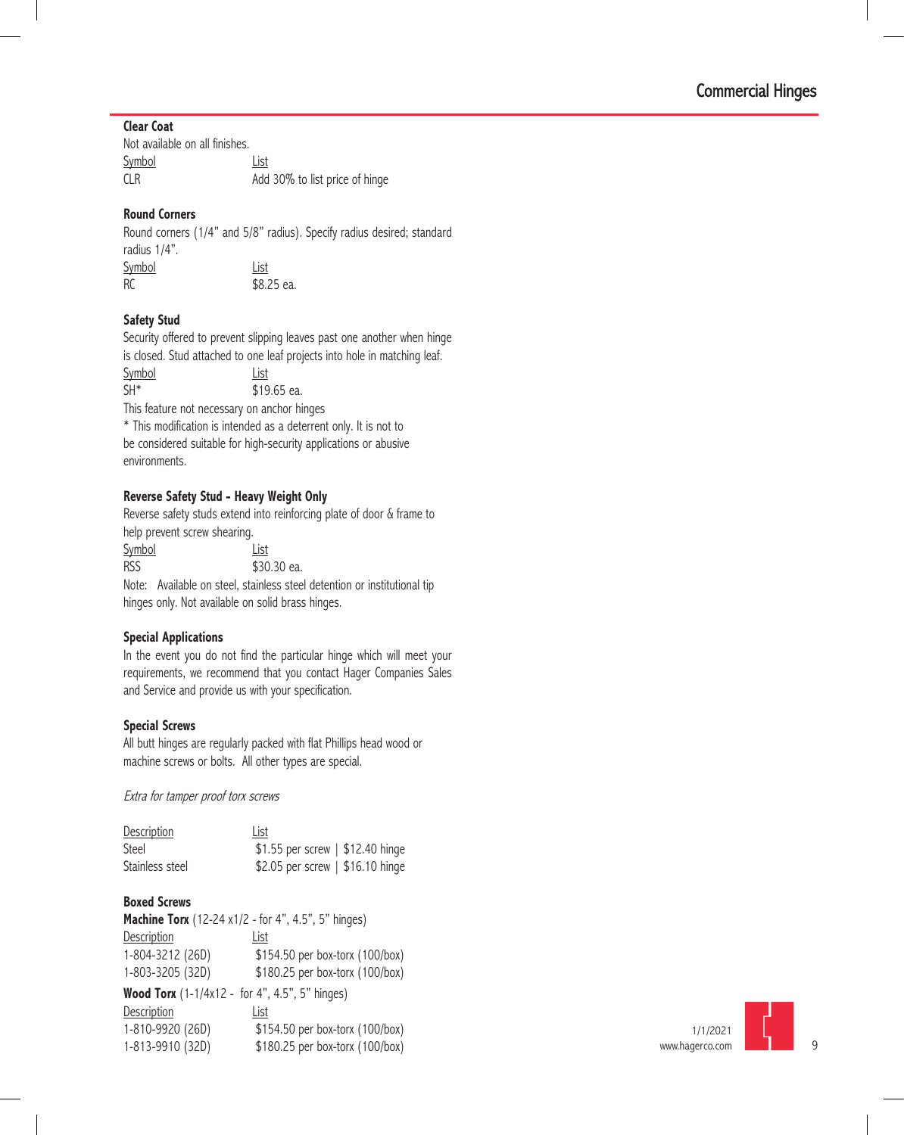#### **Clear Coat**

| Not available on all finishes. |                                |
|--------------------------------|--------------------------------|
| <b>Symbol</b>                  | List                           |
| CLR.                           | Add 30% to list price of hinge |

#### **Round Corners**

Round corners (1/4" and 5/8" radius). Specify radius desired; standard radius 1/4". Symbol List RC \$8.25 ea.

#### **Safety Stud**

Security offered to prevent slipping leaves past one another when hinge is closed. Stud attached to one leaf projects into hole in matching leaf.

| Symbol | List                                               |
|--------|----------------------------------------------------|
| $SH^*$ | \$19.65 ea.                                        |
|        | This factors with a corresponding the stability of |

This feature not necessary on anchor hinges

\* This modification is intended as a deterrent only. It is not to be considered suitable for high-security applications or abusive environments.

#### **Reverse Safety Stud - Heavy Weight Only**

Reverse safety studs extend into reinforcing plate of door & frame to help prevent screw shearing. Symbol List RSS \$30.30 ea.

Note: Available on steel, stainless steel detention or institutional tip hinges only. Not available on solid brass hinges.

#### **Special Applications**

In the event you do not find the particular hinge which will meet your requirements, we recommend that you contact Hager Companies Sales and Service and provide us with your specification.

#### **Special Screws**

All butt hinges are regularly packed with flat Phillips head wood or machine screws or bolts. All other types are special.

Extra for tamper proof torx screws

| <b>Description</b> | List                             |
|--------------------|----------------------------------|
| Steel              | \$1.55 per screw   \$12.40 hinge |
| Stainless steel    | \$2.05 per screw   \$16.10 hinge |

#### **Boxed Screws**

**Machine Torx** (12-24 x1/2 - for 4", 4.5", 5" hinges) Description **List** 1-804-3212 (26D) \$154.50 per box-torx (100/box) 1-803-3205 (32D) \$180.25 per box-torx (100/box) **Wood Torx** (1-1/4x12 - for 4", 4.5", 5" hinges) Description List 1-810-9920 (26D) \$154.50 per box-torx (100/box) 1-813-9910 (32D) \$180.25 per box-torx (100/box)

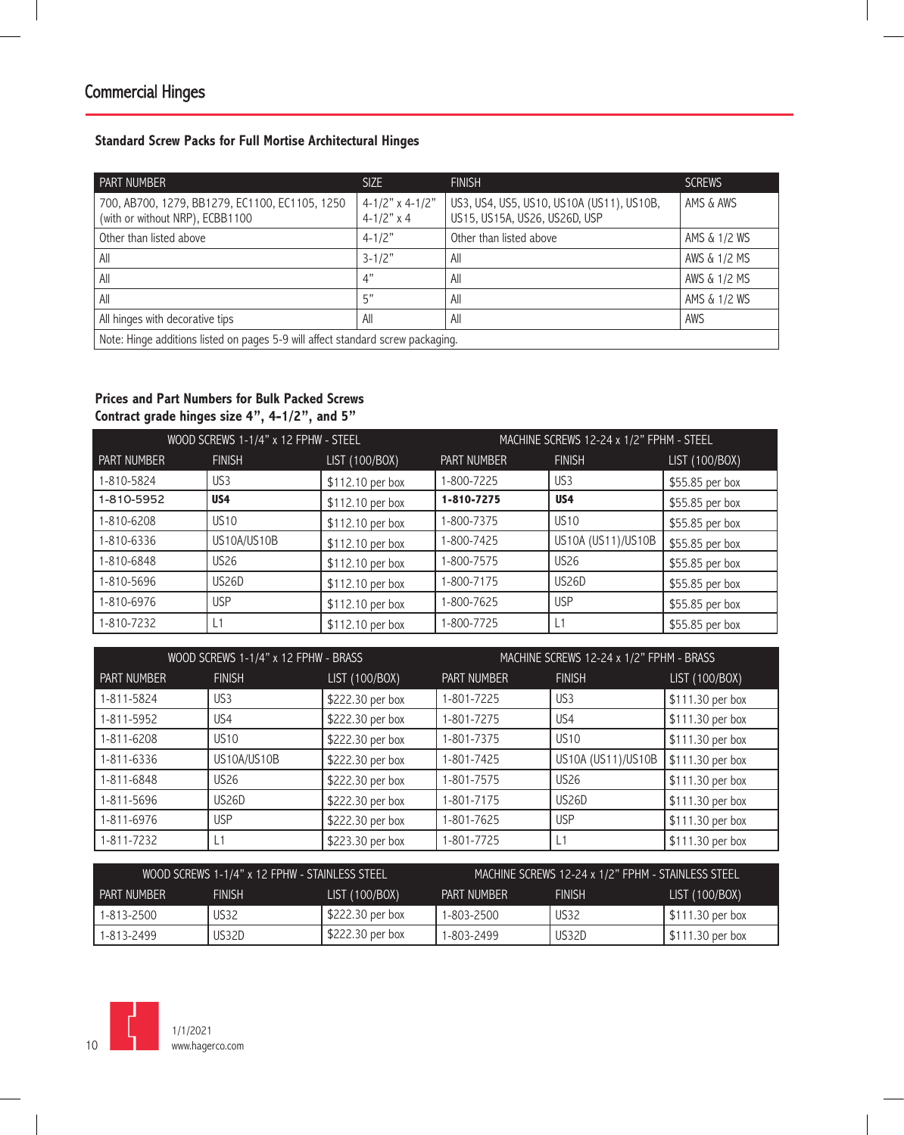#### **Standard Screw Packs for Full Mortise Architectural Hinges**

| I PART NUMBER                                                                     | SIZE                                      | <b>FINISH</b>                                                              | <b>SCREWS</b> |  |
|-----------------------------------------------------------------------------------|-------------------------------------------|----------------------------------------------------------------------------|---------------|--|
| 700, AB700, 1279, BB1279, EC1100, EC1105, 1250<br>(with or without NRP), ECBB1100 | $4-1/2$ " x 4-1/2"<br>$4 - 1/2" \times 4$ | US3, US4, US5, US10, US10A (US11), US10B,<br>US15, US15A, US26, US26D, USP | AMS & AWS     |  |
| Other than listed above                                                           | $4 - 1/2"$                                | Other than listed above                                                    | AMS & 1/2 WS  |  |
| All                                                                               | $3 - 1/2"$                                | All                                                                        | AWS & 1/2 MS  |  |
| All                                                                               | 4"                                        | All                                                                        | AWS & 1/2 MS  |  |
| All                                                                               | 5"                                        | All                                                                        | AMS & 1/2 WS  |  |
| All hinges with decorative tips                                                   | All                                       | All                                                                        | AWS           |  |
| Note: Hinge additions listed on pages 5-9 will affect standard screw packaging.   |                                           |                                                                            |               |  |

#### **Prices and Part Numbers for Bulk Packed Screws Contract grade hinges size 4", 4-1/2", and 5"**

| WOOD SCREWS 1-1/4" x 12 FPHW - STEEL |                 | MACHINE SCREWS 12-24 x 1/2" FPHM - STEEL |                    |                    |                 |
|--------------------------------------|-----------------|------------------------------------------|--------------------|--------------------|-----------------|
| <b>PART NUMBER</b>                   | <b>FINISH</b>   | LIST (100/BOX)                           | <b>PART NUMBER</b> | <b>FINISH</b>      | LIST (100/BOX)  |
| 1-810-5824                           | US <sub>3</sub> | \$112.10 per box                         | 1-800-7225         | US3                | \$55.85 per box |
| 1-810-5952                           | US4             | \$112.10 per box                         | 1-810-7275         | US4                | \$55.85 per box |
| 1-810-6208                           | <b>US10</b>     | \$112.10 per box                         | 1-800-7375         | <b>US10</b>        | \$55.85 per box |
| 1-810-6336                           | US10A/US10B     | \$112.10 per box                         | 1-800-7425         | US10A (US11)/US10B | \$55.85 per box |
| 1-810-6848                           | <b>US26</b>     | \$112.10 per box                         | 1-800-7575         | <b>US26</b>        | \$55.85 per box |
| 1-810-5696                           | US26D           | \$112.10 per box                         | 1-800-7175         | US26D              | \$55.85 per box |
| 1-810-6976                           | <b>USP</b>      | \$112.10 per box                         | 1-800-7625         | <b>USP</b>         | \$55.85 per box |
| 1-810-7232                           |                 | \$112.10 per box                         | 1-800-7725         |                    | \$55.85 per box |

| WOOD SCREWS 1-1/4" x 12 FPHW - BRASS |                 | MACHINE SCREWS 12-24 x 1/2" FPHM - BRASS |             |                    |                  |
|--------------------------------------|-----------------|------------------------------------------|-------------|--------------------|------------------|
| <b>PART NUMBER</b>                   | <b>FINISH</b>   | LIST (100/BOX)                           | PART NUMBER | <b>FINISH</b>      | LIST (100/B0X)   |
| 1-811-5824                           | US <sub>3</sub> | \$222.30 per box                         | 1-801-7225  | US <sub>3</sub>    | \$111.30 per box |
| 1-811-5952                           | US <sub>4</sub> | \$222.30 per box                         | 1-801-7275  | US <sub>4</sub>    | \$111.30 per box |
| 1-811-6208                           | <b>US10</b>     | \$222.30 per box                         | 1-801-7375  | <b>US10</b>        | \$111.30 per box |
| 1-811-6336                           | US10A/US10B     | \$222.30 per box                         | 1-801-7425  | US10A (US11)/US10B | \$111.30 per box |
| 1-811-6848                           | <b>US26</b>     | \$222.30 per box                         | 1-801-7575  | <b>US26</b>        | \$111.30 per box |
| 1-811-5696                           | US26D           | \$222.30 per box                         | 1-801-7175  | US <sub>26</sub> D | \$111.30 per box |
| 1-811-6976                           | <b>USP</b>      | \$222.30 per box                         | 1-801-7625  | <b>USP</b>         | \$111.30 per box |
| 1-811-7232                           |                 | \$223.30 per box                         | 1-801-7725  |                    | \$111.30 per box |

| WOOD SCREWS 1-1/4" x 12 FPHW - STAINLESS STEEL |               |                                                       | MACHINE SCREWS 12-24 x 1/2" FPHM - STAINLESS STEEL |             |                   |
|------------------------------------------------|---------------|-------------------------------------------------------|----------------------------------------------------|-------------|-------------------|
| <b>PART NUMBER</b>                             | <b>FINISH</b> | LIST (100/BOX)<br><b>FINISH</b><br><b>PART NUMBER</b> |                                                    |             | LIST (100/BOX)    |
| 1-813-2500                                     | US32          | $$222.30$ per box                                     | 1-803-2500                                         | <b>US32</b> | $$111.30$ per box |
| 1-813-2499                                     | US32D         | $$222.30$ per box                                     | 1-803-2499                                         | US32D       | $$111.30$ per box |

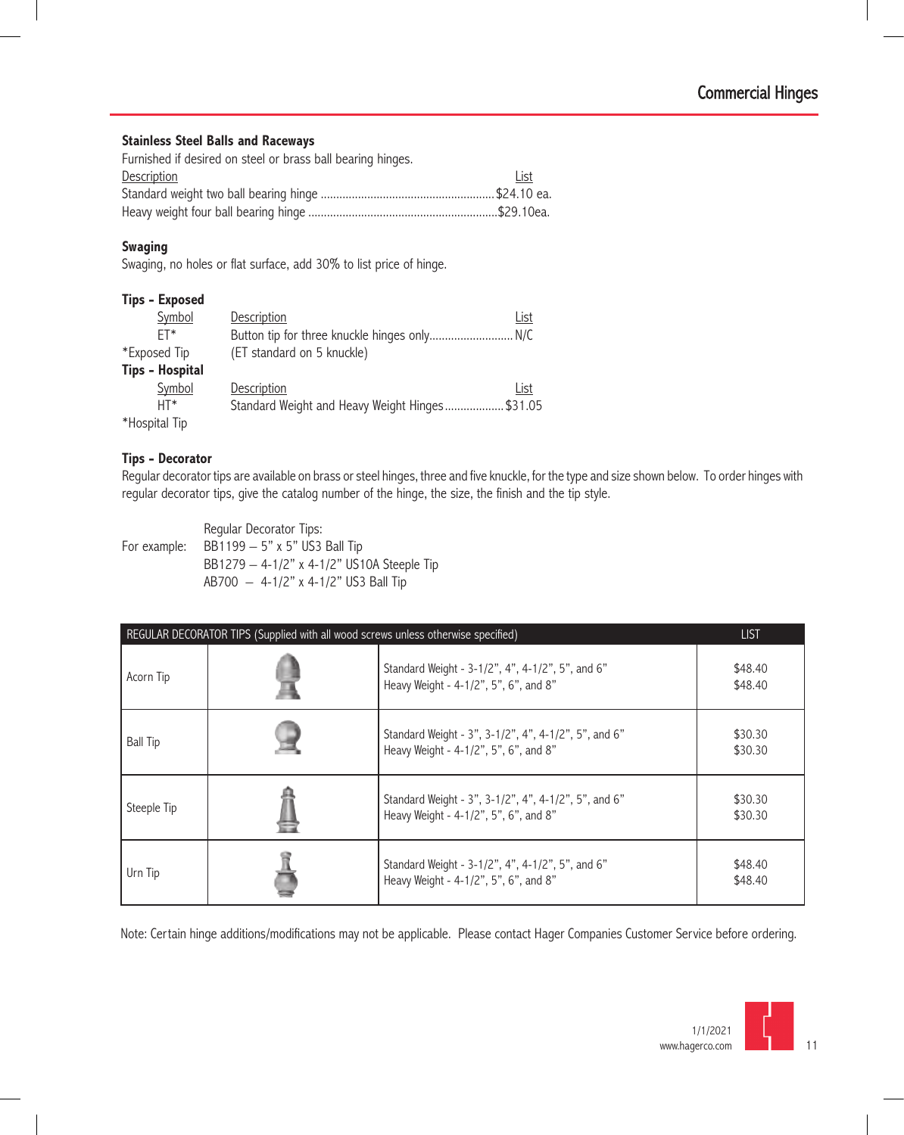#### **Stainless Steel Balls and Raceways**

| Furnished if desired on steel or brass ball bearing hinges. |      |
|-------------------------------------------------------------|------|
| Description                                                 | List |
|                                                             |      |
|                                                             |      |

#### **Swaging**

Swaging, no holes or flat surface, add 30% to list price of hinge.

| Symbol                 | <b>Description</b>                             | List |
|------------------------|------------------------------------------------|------|
| FT*                    | Button tip for three knuckle hinges only N/C   |      |
| *Exposed Tip           | (ET standard on 5 knuckle)                     |      |
| <b>Tips - Hospital</b> |                                                |      |
| Symbol                 | Description                                    | List |
| $HT*$                  | Standard Weight and Heavy Weight Hinges\$31.05 |      |
| *Hospital Tip          |                                                |      |

#### **Tips - Decorator**

Regular decorator tips are available on brass or steel hinges, three and five knuckle, for the type and size shown below. To order hinges with regular decorator tips, give the catalog number of the hinge, the size, the finish and the tip style.

Regular Decorator Tips: For example: BB1199 – 5" x 5" US3 Ball Tip BB1279 – 4-1/2" x 4-1/2" US10A Steeple Tip AB700 – 4-1/2" x 4-1/2" US3 Ball Tip

| REGULAR DECORATOR TIPS (Supplied with all wood screws unless otherwise specified) | <b>LIST</b>                                                                                   |                    |
|-----------------------------------------------------------------------------------|-----------------------------------------------------------------------------------------------|--------------------|
| Acorn Tip                                                                         | Standard Weight - 3-1/2", 4", 4-1/2", 5", and 6"<br>Heavy Weight - 4-1/2", 5", 6", and 8"     | \$48.40<br>\$48.40 |
| <b>Ball Tip</b>                                                                   | Standard Weight - 3", 3-1/2", 4", 4-1/2", 5", and 6"<br>Heavy Weight - 4-1/2", 5", 6", and 8" | \$30.30<br>\$30.30 |
| Steeple Tip                                                                       | Standard Weight - 3", 3-1/2", 4", 4-1/2", 5", and 6"<br>Heavy Weight - 4-1/2", 5", 6", and 8" | \$30.30<br>\$30.30 |
| Urn Tip                                                                           | Standard Weight - 3-1/2", 4", 4-1/2", 5", and 6"<br>Heavy Weight - 4-1/2", 5", 6", and 8"     | \$48.40<br>\$48.40 |

Note: Certain hinge additions/modifications may not be applicable. Please contact Hager Companies Customer Service before ordering.

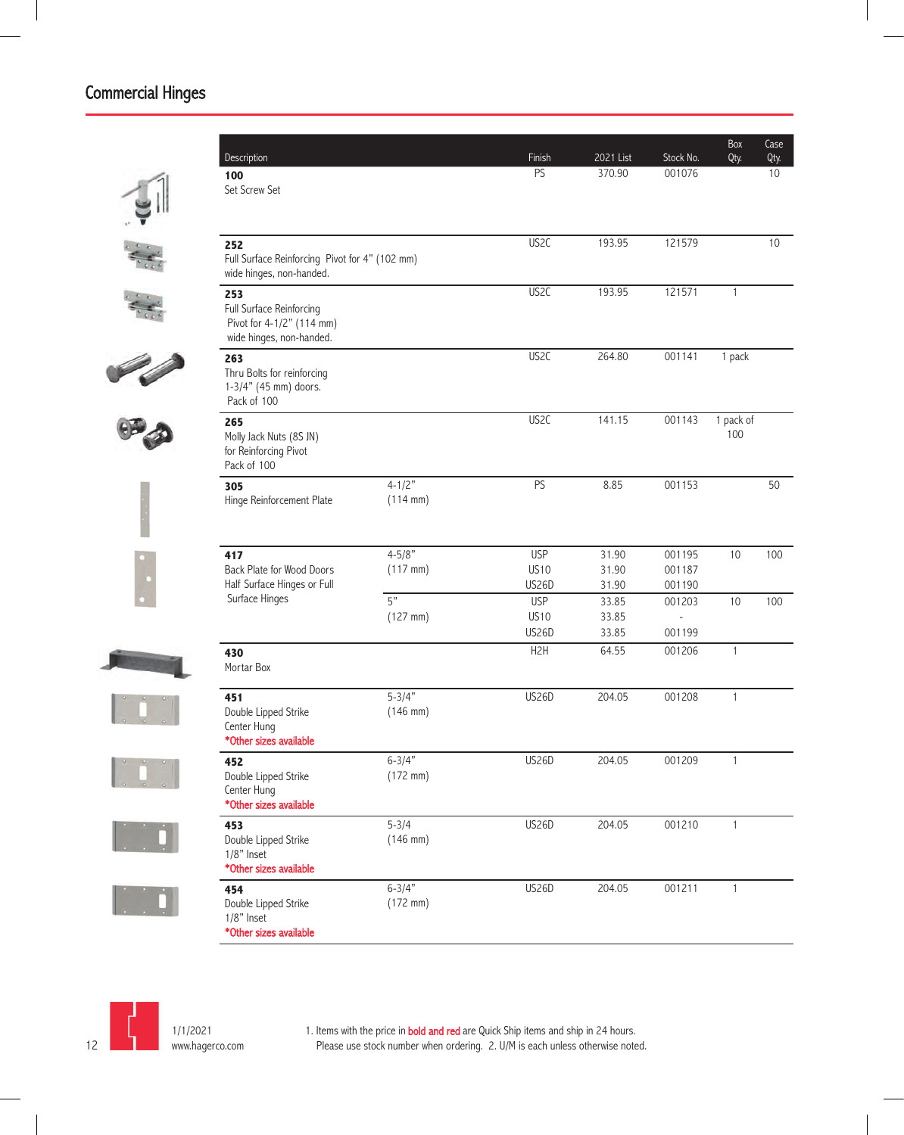| Description                                                                              |                                    | Finish            | 2021 List | Stock No. | Box<br>Qty.      | Case<br>Qty. |
|------------------------------------------------------------------------------------------|------------------------------------|-------------------|-----------|-----------|------------------|--------------|
| 100<br>Set Screw Set                                                                     |                                    | PS                | 370.90    | 001076    |                  | $10$         |
| 252<br>Full Surface Reinforcing Pivot for 4" (102 mm)<br>wide hinges, non-handed.        |                                    | US <sub>2C</sub>  | 193.95    | 121579    |                  | 10           |
| 253<br>Full Surface Reinforcing<br>Pivot for 4-1/2" (114 mm)<br>wide hinges, non-handed. |                                    | US <sub>2</sub> C | 193.95    | 121571    | $\mathbf{1}$     |              |
| 263<br>Thru Bolts for reinforcing<br>1-3/4" (45 mm) doors.<br>Pack of 100                |                                    | US <sub>2</sub> C | 264.80    | 001141    | 1 pack           |              |
| 265<br>Molly Jack Nuts (8S JN)<br>for Reinforcing Pivot<br>Pack of 100                   |                                    | US <sub>2</sub> C | 141.15    | 001143    | 1 pack of<br>100 |              |
| 305<br>Hinge Reinforcement Plate                                                         | $4 - 1/2"$<br>$(114 \, \text{mm})$ | PS                | 8.85      | 001153    |                  | 50           |
| 417                                                                                      | $4 - 5/8"$                         | <b>USP</b>        | 31.90     | 001195    | 10               | 100          |
| Back Plate for Wood Doors                                                                | $(117$ mm)                         | <b>US10</b>       | 31.90     | 001187    |                  |              |
| Half Surface Hinges or Full                                                              |                                    | US26D             | 31.90     | 001190    |                  |              |
| Surface Hinges                                                                           | 5"                                 | <b>USP</b>        | 33.85     | 001203    | 10               | 100          |
|                                                                                          | $(127 \, \text{mm})$               | <b>US10</b>       | 33.85     | $\sim$    |                  |              |
|                                                                                          |                                    | US26D             | 33.85     | 001199    |                  |              |
| 430<br>Mortar Box                                                                        |                                    | H2H               | 64.55     | 001206    | $\mathbf{1}$     |              |
| 451<br>Double Lipped Strike<br>Center Hung<br>*Other sizes available                     | $5 - 3/4"$<br>$(146$ mm)           | <b>US26D</b>      | 204.05    | 001208    | $\mathbf{1}$     |              |
| 452<br>Double Lipped Strike<br>Center Hung<br>*Other sizes available                     | $6 - 3/4"$<br>$(172$ mm)           | US26D             | 204.05    | 001209    | 1                |              |
| 453<br>Double Lipped Strike<br>1/8" Inset<br>*Other sizes available                      | $5 - 3/4$<br>$(146$ mm)            | US26D             | 204.05    | 001210    | $\mathbf{1}$     |              |
| 454<br>Double Lipped Strike<br>1/8" Inset<br>*Other sizes available                      | $6 - 3/4"$<br>$(172$ mm)           | <b>US26D</b>      | 204.05    | 001211    | $\mathbf{1}$     |              |

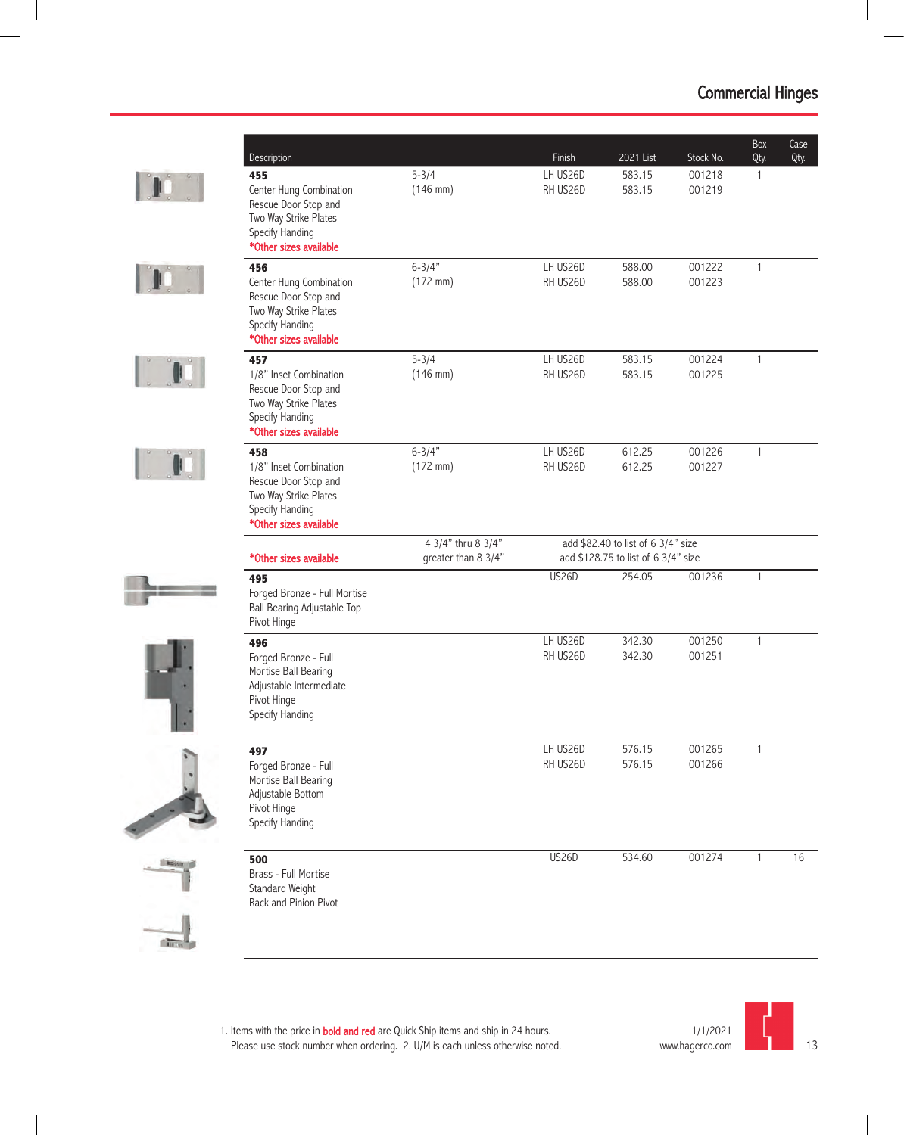











| Description                                                                                                                  |                                           | Finish               | 2021 List                                                                 | Stock No.        | Box<br>Qty.  | Case<br>Qty. |
|------------------------------------------------------------------------------------------------------------------------------|-------------------------------------------|----------------------|---------------------------------------------------------------------------|------------------|--------------|--------------|
| 455<br>Center Hung Combination<br>Rescue Door Stop and<br>Two Way Strike Plates<br>Specify Handing<br>*Other sizes available | $5 - 3/4$<br>$(146$ mm)                   | LH US26D<br>RH US26D | 583.15<br>583.15                                                          | 001218<br>001219 | 1            |              |
| 456<br>Center Hung Combination<br>Rescue Door Stop and<br>Two Way Strike Plates<br>Specify Handing<br>*Other sizes available | $6 - 3/4"$<br>$(172 \, \text{mm})$        | LH US26D<br>RH US26D | 588.00<br>588.00                                                          | 001222<br>001223 | 1            |              |
| 457<br>1/8" Inset Combination<br>Rescue Door Stop and<br>Two Way Strike Plates<br>Specify Handing<br>*Other sizes available  | $5 - 3/4$<br>$(146$ mm)                   | LH US26D<br>RH US26D | 583.15<br>583.15                                                          | 001224<br>001225 | 1            |              |
| 458<br>1/8" Inset Combination<br>Rescue Door Stop and<br>Two Way Strike Plates<br>Specify Handing<br>*Other sizes available  | $6 - 3/4$<br>$(172 \, \text{mm})$         | LH US26D<br>RH US26D | 612.25<br>612.25                                                          | 001226<br>001227 | 1            |              |
| *Other sizes available                                                                                                       | 4 3/4" thru 8 3/4"<br>greater than 8 3/4" |                      | add \$82.40 to list of 6 3/4" size<br>add \$128.75 to list of 6 3/4" size |                  |              |              |
| 495<br>Forged Bronze - Full Mortise<br>Ball Bearing Adjustable Top<br>Pivot Hinge                                            |                                           | US26D                | 254.05                                                                    | 001236           | 1            |              |
| 496<br>Forged Bronze - Full<br>Mortise Ball Bearing<br>Adjustable Intermediate<br>Pivot Hinge<br>Specify Handing             |                                           | LH US26D<br>RH US26D | 342.30<br>342.30                                                          | 001250<br>001251 | 1            |              |
| 497<br>Forged Bronze - Full<br>Mortise Ball Bearing<br>Adjustable Bottom<br>Pivot Hinge<br>Specify Handing                   |                                           | LH US26D<br>RH US26D | 576.15<br>576.15                                                          | 001265<br>001266 | 1            |              |
| 500<br>Brass - Full Mortise<br>Standard Weight<br>Rack and Pinion Pivot                                                      |                                           | <b>US26D</b>         | 534.60                                                                    | 001274           | $\mathbf{1}$ | 16           |

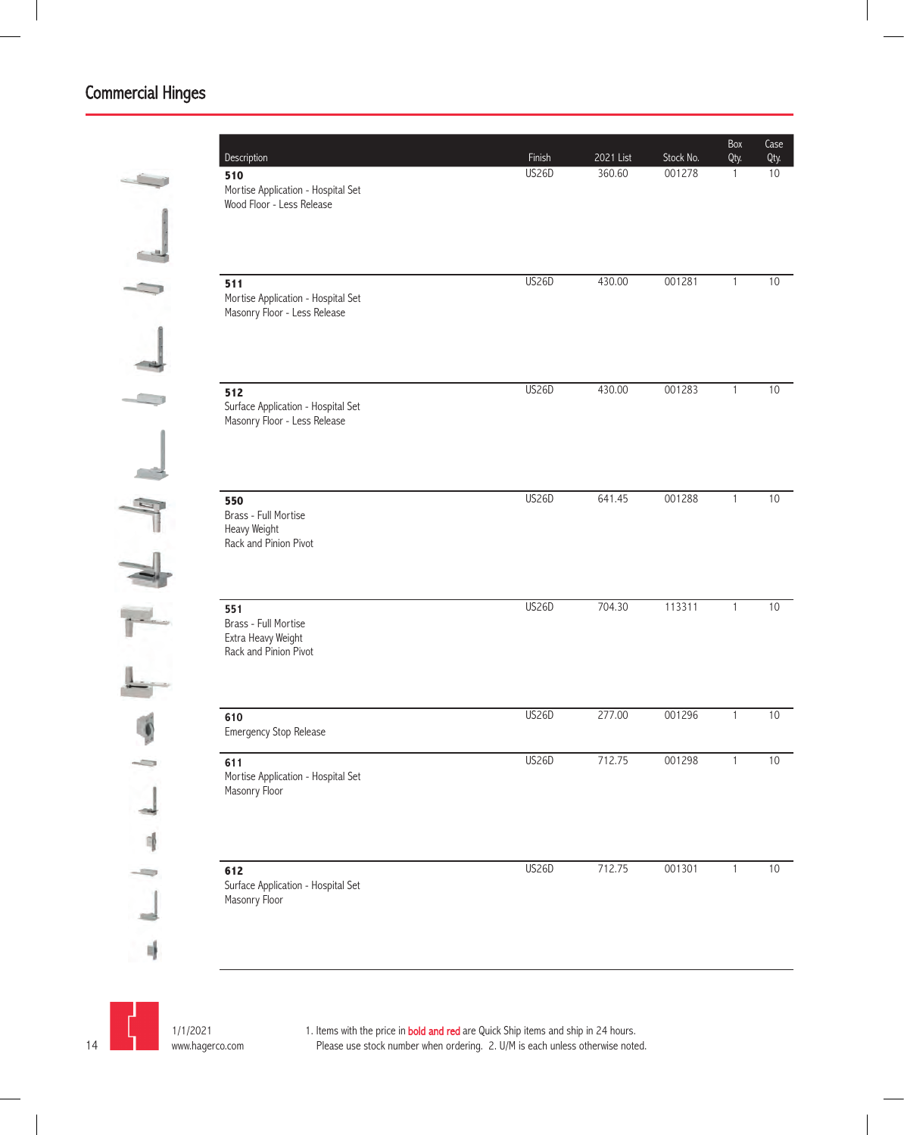| Description<br>510<br>Mortise Application - Hospital Set                   | Finish<br><b>US26D</b> | 2021 List<br>360.60 | Stock No.<br>001278 | Box<br>Qty.<br>$\mathbf{1}$ | Case<br>Qty.<br>10 |
|----------------------------------------------------------------------------|------------------------|---------------------|---------------------|-----------------------------|--------------------|
| Wood Floor - Less Release                                                  |                        |                     |                     |                             |                    |
| 511<br>Mortise Application - Hospital Set<br>Masonry Floor - Less Release  | US26D                  | 430.00              | 001281              | $\mathbf{1}$                | 10                 |
| 512<br>Surface Application - Hospital Set<br>Masonry Floor - Less Release  | <b>US26D</b>           | 430.00              | 001283              | $\mathbf{1}$                | 10                 |
| 550<br>Brass - Full Mortise<br>Heavy Weight<br>Rack and Pinion Pivot       | <b>US26D</b>           | 641.45              | 001288              | $\mathbf{1}$                | 10                 |
| 551<br>Brass - Full Mortise<br>Extra Heavy Weight<br>Rack and Pinion Pivot | <b>US26D</b>           | 704.30              | 113311              | $\mathbf{1}$                | 10                 |
| 610<br>Emergency Stop Release                                              | US26D                  | 277.00              | 001296              | $\mathbf{1}$                | 10                 |
| 611<br>Mortise Application - Hospital Set<br>Masonry Floor                 | US26D                  | 712.75              | 001298              | $\mathbf{1}$                | 10                 |
| 612<br>Surface Application - Hospital Set<br>Masonry Floor                 | <b>US26D</b>           | 712.75              | 001301              | $\mathbf{1}$                | $10$               |

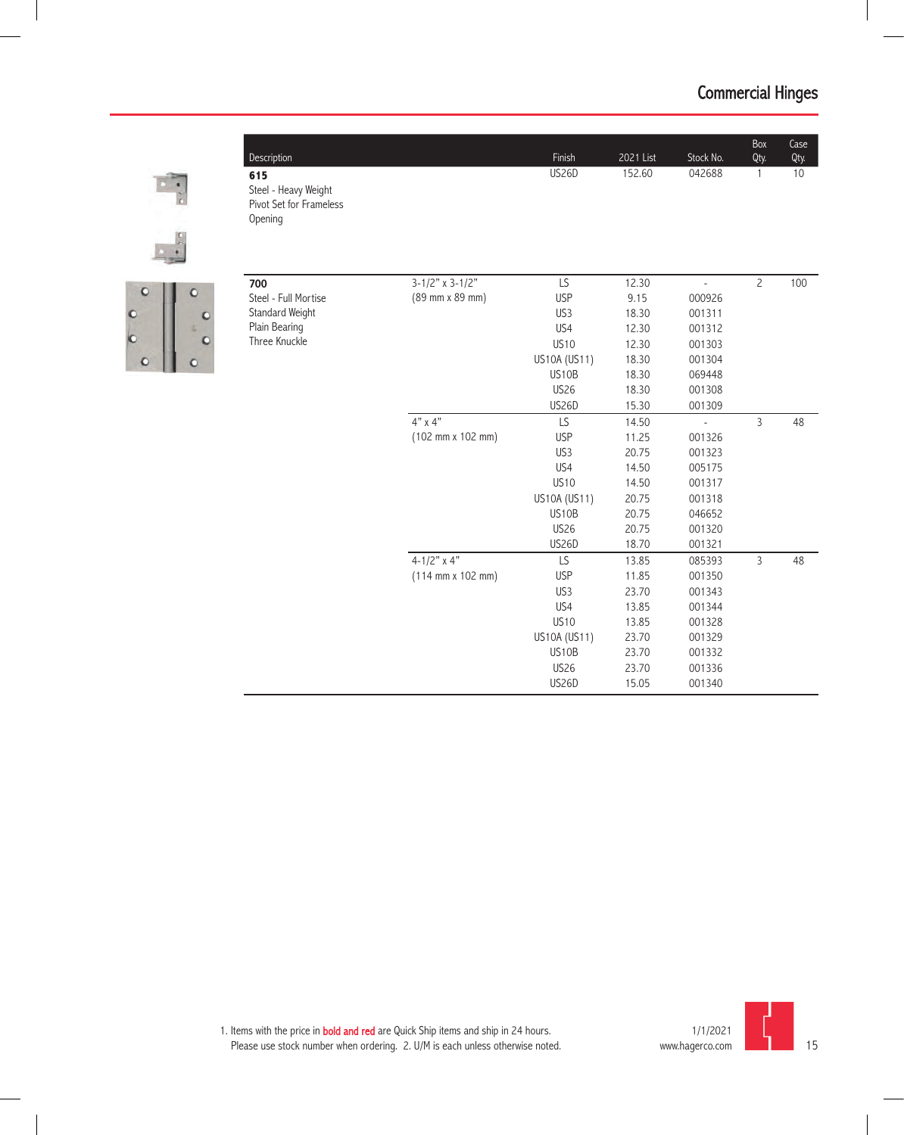Box Qty.

US26D 152.60 042688 1 10

Case Qty.



**615**

Opening

Steel - Heavy Weight Pivot Set for Frameless



| 700                  | $3 - 1/2" \times 3 - 1/2"$                   | LS              | 12.30 | $\overline{a}$ | $\overline{c}$ | 100 |
|----------------------|----------------------------------------------|-----------------|-------|----------------|----------------|-----|
| Steel - Full Mortise | (89 mm x 89 mm)                              | <b>USP</b>      | 9.15  | 000926         |                |     |
| Standard Weight      |                                              | US3             | 18.30 | 001311         |                |     |
| Plain Bearing        |                                              | US4             | 12.30 | 001312         |                |     |
| Three Knuckle        |                                              | <b>US10</b>     | 12.30 | 001303         |                |     |
|                      |                                              | US10A (US11)    | 18.30 | 001304         |                |     |
|                      |                                              | US10B           | 18.30 | 069448         |                |     |
|                      |                                              | <b>US26</b>     | 18.30 | 001308         |                |     |
|                      |                                              | <b>US26D</b>    | 15.30 | 001309         |                |     |
|                      | $4" \times 4"$                               | LS              | 14.50 | L              | 3              | 48  |
|                      | (102 mm x 102 mm)                            | <b>USP</b>      | 11.25 | 001326         |                |     |
|                      |                                              | US <sub>3</sub> | 20.75 | 001323         |                |     |
|                      |                                              | US4             | 14.50 | 005175         |                |     |
|                      |                                              | <b>US10</b>     | 14.50 | 001317         |                |     |
|                      |                                              | US10A (US11)    | 20.75 | 001318         |                |     |
|                      |                                              | US10B           | 20.75 | 046652         |                |     |
|                      |                                              | <b>US26</b>     | 20.75 | 001320         |                |     |
|                      |                                              | <b>US26D</b>    | 18.70 | 001321         |                |     |
|                      | $4 - 1/2"$ x 4"                              | LS              | 13.85 | 085393         | 3              | 48  |
|                      | $(114 \, \text{mm} \times 102 \, \text{mm})$ | <b>USP</b>      | 11.85 | 001350         |                |     |
|                      |                                              | US3             | 23.70 | 001343         |                |     |
|                      |                                              | US4             | 13.85 | 001344         |                |     |
|                      |                                              | <b>US10</b>     | 13.85 | 001328         |                |     |
|                      |                                              | US10A (US11)    | 23.70 | 001329         |                |     |
|                      |                                              | US10B           | 23.70 | 001332         |                |     |
|                      |                                              | <b>US26</b>     | 23.70 | 001336         |                |     |
|                      |                                              | <b>US26D</b>    | 15.05 | 001340         |                |     |

Description Finish 2021 List Stock No.

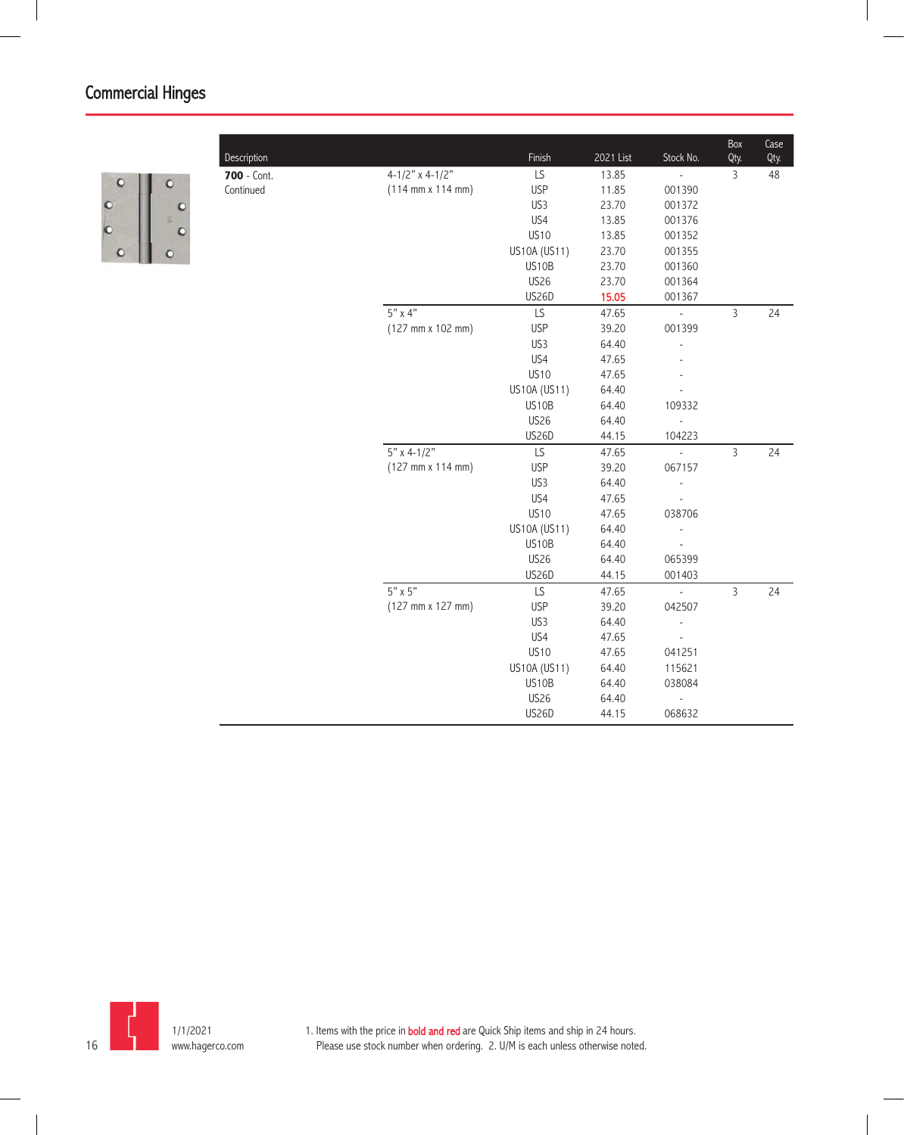

| Description |                                              | Finish       | 2021 List | Stock No.                | Box<br>Qty.    | Case<br>Qty. |
|-------------|----------------------------------------------|--------------|-----------|--------------------------|----------------|--------------|
| 700 - Cont. | $4 - 1/2"$ x 4-1/2"                          | LS           | 13.85     | $\overline{a}$           | $\overline{3}$ | 48           |
| Continued   | $(114 \, \text{mm} \times 114 \, \text{mm})$ | <b>USP</b>   | 11.85     | 001390                   |                |              |
|             |                                              | US3          | 23.70     | 001372                   |                |              |
|             |                                              | US4          | 13.85     | 001376                   |                |              |
|             |                                              | <b>US10</b>  | 13.85     | 001352                   |                |              |
|             |                                              | US10A (US11) | 23.70     | 001355                   |                |              |
|             |                                              | US10B        | 23.70     | 001360                   |                |              |
|             |                                              | <b>US26</b>  | 23.70     | 001364                   |                |              |
|             |                                              | <b>US26D</b> | 15.05     | 001367                   |                |              |
|             | $5"$ x 4"                                    | LS           | 47.65     | $\overline{\phantom{a}}$ | $\overline{3}$ | 24           |
|             | $(127 \, \text{mm} \times 102 \, \text{mm})$ | <b>USP</b>   | 39.20     | 001399                   |                |              |
|             |                                              | US3          | 64.40     |                          |                |              |
|             |                                              | US4          | 47.65     |                          |                |              |
|             |                                              | <b>US10</b>  | 47.65     |                          |                |              |
|             |                                              | US10A (US11) | 64.40     |                          |                |              |
|             |                                              | US10B        | 64.40     | 109332                   |                |              |
|             |                                              | <b>US26</b>  | 64.40     | $\overline{\phantom{a}}$ |                |              |
|             |                                              | US26D        | 44.15     | 104223                   |                |              |
|             | $5" \times 4-1/2"$                           | LS           | 47.65     | $\Box$                   | $\overline{3}$ | 24           |
|             | $(127 \, \text{mm} \times 114 \, \text{mm})$ | <b>USP</b>   | 39.20     | 067157                   |                |              |
|             |                                              | US3          | 64.40     | ÷,                       |                |              |
|             |                                              | US4          | 47.65     |                          |                |              |
|             |                                              | <b>US10</b>  | 47.65     | 038706                   |                |              |
|             |                                              | US10A (US11) | 64.40     | $\overline{a}$           |                |              |
|             |                                              | US10B        | 64.40     |                          |                |              |
|             |                                              | <b>US26</b>  | 64.40     | 065399                   |                |              |
|             |                                              | US26D        | 44.15     | 001403                   |                |              |
|             | $5" \times 5"$                               | LS           | 47.65     | $\frac{1}{2}$            | $\overline{3}$ | 24           |
|             | (127 mm x 127 mm)                            | <b>USP</b>   | 39.20     | 042507                   |                |              |
|             |                                              | US3          | 64.40     |                          |                |              |
|             |                                              | US4          | 47.65     |                          |                |              |
|             |                                              | <b>US10</b>  | 47.65     | 041251                   |                |              |
|             |                                              | US10A (US11) | 64.40     | 115621                   |                |              |
|             |                                              | US10B        | 64.40     | 038084                   |                |              |
|             |                                              | <b>US26</b>  | 64.40     |                          |                |              |
|             |                                              | US26D        | 44.15     | 068632                   |                |              |
|             |                                              |              |           |                          |                |              |

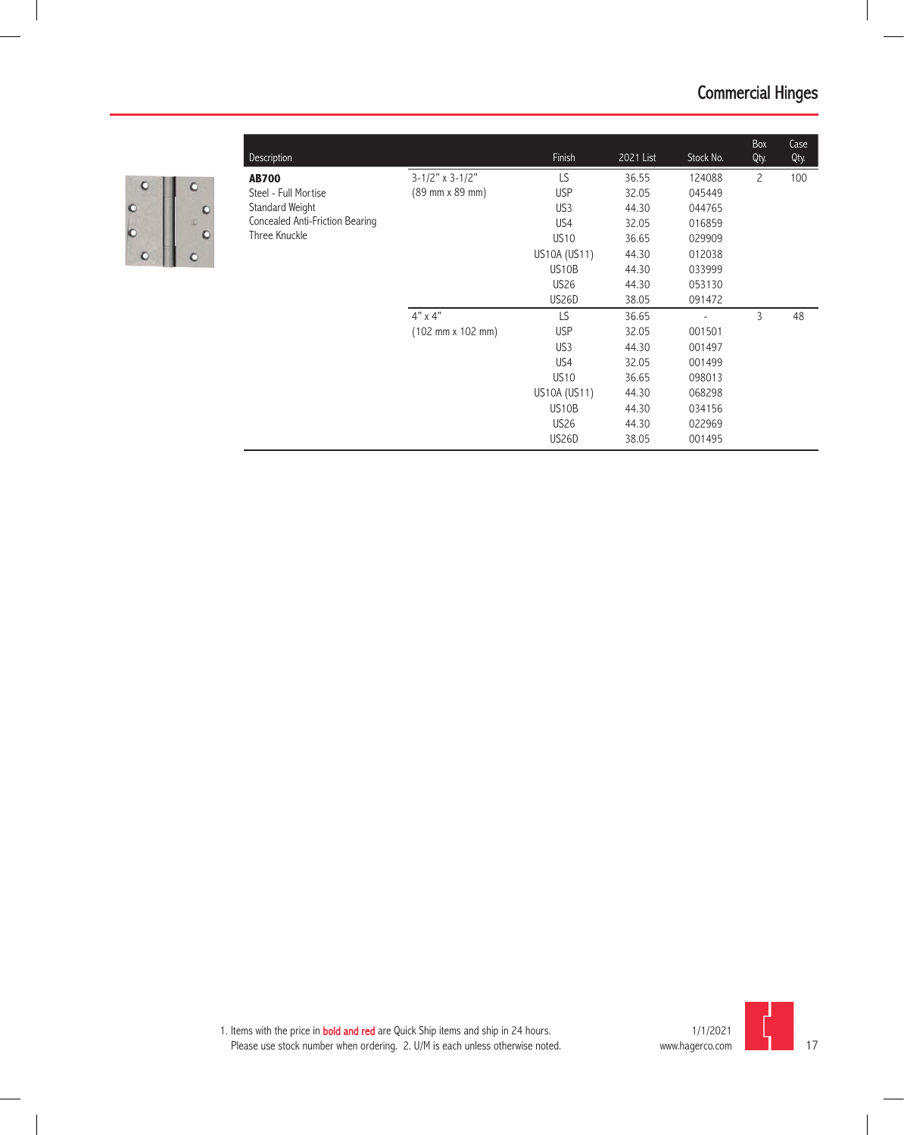

 $\overline{\phantom{a}}$ 

| <b>Description</b>              |                                              | Finish             | 2021 List | Stock No. | Box<br>Qty.    | Case<br>Qty. |
|---------------------------------|----------------------------------------------|--------------------|-----------|-----------|----------------|--------------|
| <b>AB700</b>                    | $3 - 1/2"$ x 3-1/2"                          | LS                 | 36.55     | 124088    | $\overline{c}$ | 100          |
| Steel - Full Mortise            | (89 mm x 89 mm)                              | <b>USP</b>         | 32.05     | 045449    |                |              |
| Standard Weight                 |                                              | US3                | 44.30     | 044765    |                |              |
| Concealed Anti-Friction Bearing |                                              | US4                | 32.05     | 016859    |                |              |
| Three Knuckle                   |                                              | <b>US10</b>        | 36.65     | 029909    |                |              |
|                                 |                                              | US10A (US11)       | 44.30     | 012038    |                |              |
|                                 |                                              | US10B              | 44.30     | 033999    |                |              |
|                                 |                                              | <b>US26</b>        | 44.30     | 053130    |                |              |
|                                 |                                              | US <sub>26</sub> D | 38.05     | 091472    |                |              |
|                                 | $4" \times 4"$                               | LS                 | 36.65     |           | 3              | 48           |
|                                 | $(102 \, \text{mm} \times 102 \, \text{mm})$ | <b>USP</b>         | 32.05     | 001501    |                |              |
|                                 |                                              | US3                | 44.30     | 001497    |                |              |
|                                 |                                              | US4                | 32.05     | 001499    |                |              |
|                                 |                                              | <b>US10</b>        | 36.65     | 098013    |                |              |
|                                 |                                              | US10A (US11)       | 44.30     | 068298    |                |              |
|                                 |                                              | US <sub>10</sub> B | 44.30     | 034156    |                |              |
|                                 |                                              | <b>US26</b>        | 44.30     | 022969    |                |              |
|                                 |                                              | US26D              | 38.05     | 001495    |                |              |

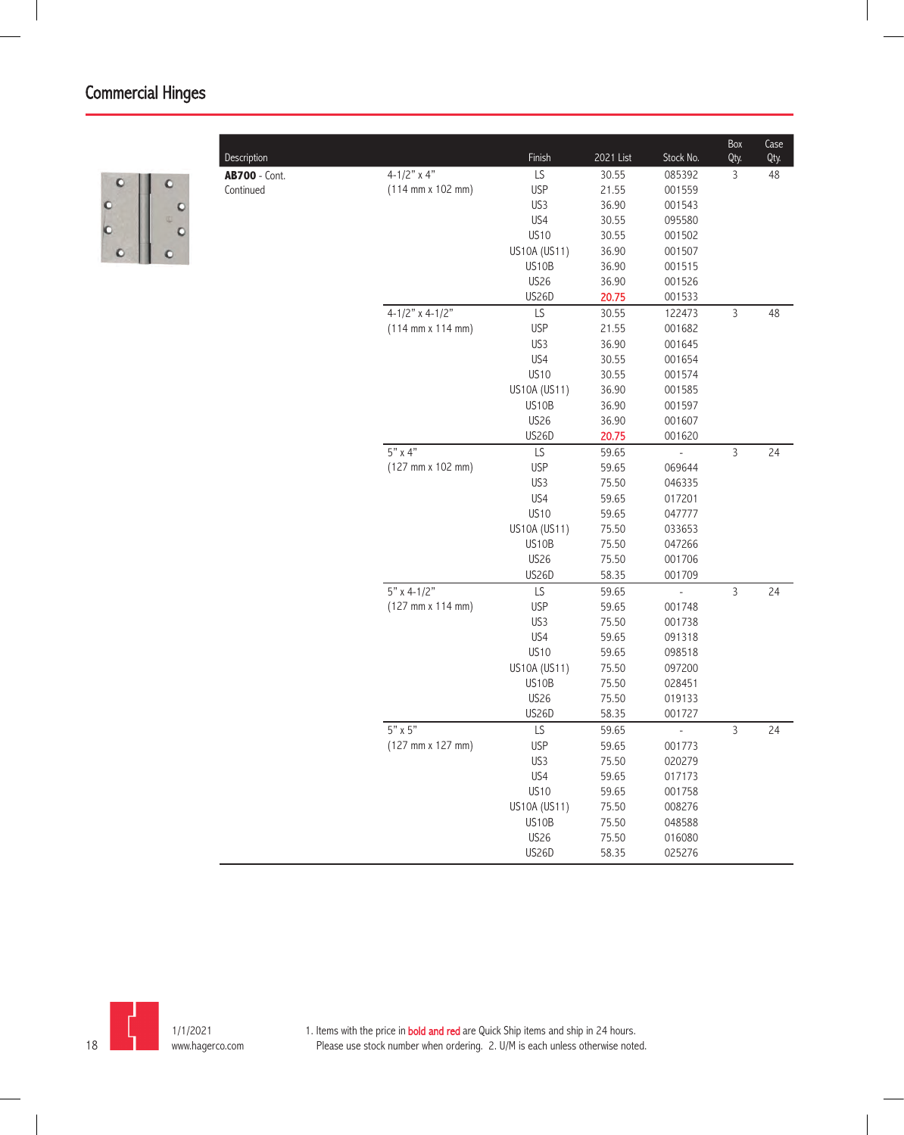

|                      |                                              |              |           |                          | Box            | Case |
|----------------------|----------------------------------------------|--------------|-----------|--------------------------|----------------|------|
| Description          |                                              | Finish       | 2021 List | Stock No.                | Qty.           | Qty. |
| <b>AB700 - Cont.</b> | $4 - 1/2"$ x 4"                              | LS           | 30.55     | 085392                   | 3              | 48   |
| Continued            | $(114 \, \text{mm} \times 102 \, \text{mm})$ | <b>USP</b>   | 21.55     | 001559                   |                |      |
|                      |                                              | US3          | 36.90     | 001543                   |                |      |
|                      |                                              | US4          | 30.55     | 095580                   |                |      |
|                      |                                              | <b>US10</b>  | 30.55     | 001502                   |                |      |
|                      |                                              | US10A (US11) | 36.90     | 001507                   |                |      |
|                      |                                              | US10B        | 36.90     | 001515                   |                |      |
|                      |                                              | <b>US26</b>  | 36.90     | 001526                   |                |      |
|                      |                                              | US26D        | 20.75     | 001533                   |                |      |
|                      | $4-1/2"$ x 4-1/2"                            | LS           | 30.55     | 122473                   | $\mathsf 3$    | 48   |
|                      | $(114 \, \text{mm} \times 114 \, \text{mm})$ | <b>USP</b>   | 21.55     | 001682                   |                |      |
|                      |                                              | US3          | 36.90     | 001645                   |                |      |
|                      |                                              | US4          | 30.55     | 001654                   |                |      |
|                      |                                              | <b>US10</b>  | 30.55     | 001574                   |                |      |
|                      |                                              | US10A (US11) | 36.90     | 001585                   |                |      |
|                      |                                              | US10B        | 36.90     | 001597                   |                |      |
|                      |                                              | <b>US26</b>  | 36.90     | 001607                   |                |      |
|                      |                                              | US26D        | 20.75     | 001620                   |                |      |
|                      | $5" \times 4"$                               | LS           | 59.65     |                          | $\mathsf{3}$   | 24   |
|                      | (127 mm x 102 mm)                            | <b>USP</b>   | 59.65     | 069644                   |                |      |
|                      |                                              | US3          | 75.50     | 046335                   |                |      |
|                      |                                              | US4          | 59.65     | 017201                   |                |      |
|                      |                                              | <b>US10</b>  | 59.65     | 047777                   |                |      |
|                      |                                              | US10A (US11) | 75.50     | 033653                   |                |      |
|                      |                                              | US10B        | 75.50     | 047266                   |                |      |
|                      |                                              | <b>US26</b>  | 75.50     | 001706                   |                |      |
|                      |                                              | US26D        | 58.35     | 001709                   |                |      |
|                      | $5"$ x 4-1/2"                                | LS           | 59.65     | $\overline{a}$           | $\overline{3}$ | 24   |
|                      | $(127 \, \text{mm} \times 114 \, \text{mm})$ | <b>USP</b>   | 59.65     | 001748                   |                |      |
|                      |                                              | US3          | 75.50     | 001738                   |                |      |
|                      |                                              | US4          | 59.65     | 091318                   |                |      |
|                      |                                              | <b>US10</b>  | 59.65     | 098518                   |                |      |
|                      |                                              | US10A (US11) | 75.50     | 097200                   |                |      |
|                      |                                              | US10B        | 75.50     | 028451                   |                |      |
|                      |                                              | <b>US26</b>  | 75.50     | 019133                   |                |      |
|                      |                                              | <b>US26D</b> | 58.35     | 001727                   |                |      |
|                      | $5" \times 5"$                               | LS           | 59.65     | $\overline{\phantom{a}}$ | $\overline{3}$ | 24   |
|                      | $(127 \, \text{mm} \times 127 \, \text{mm})$ | <b>USP</b>   | 59.65     | 001773                   |                |      |
|                      |                                              | US3          | 75.50     | 020279                   |                |      |
|                      |                                              | US4          | 59.65     | 017173                   |                |      |
|                      |                                              | <b>US10</b>  | 59.65     | 001758                   |                |      |
|                      |                                              | US10A (US11) | 75.50     | 008276                   |                |      |
|                      |                                              | US10B        | 75.50     | 048588                   |                |      |
|                      |                                              | <b>US26</b>  | 75.50     | 016080                   |                |      |
|                      |                                              | US26D        | 58.35     | 025276                   |                |      |

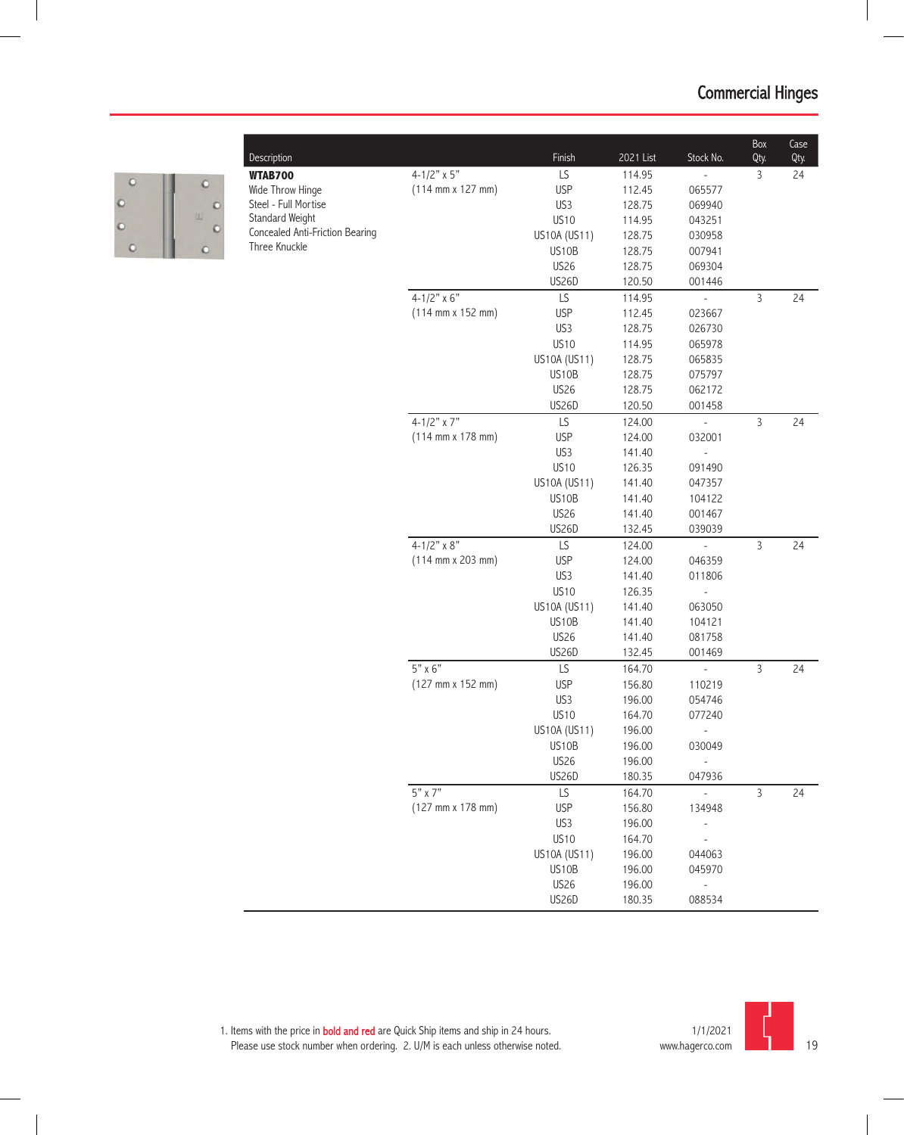

| Description                     |                                              | Finish       | 2021 List | Stock No.      | Box<br>Qty.    | Case<br>Qty. |
|---------------------------------|----------------------------------------------|--------------|-----------|----------------|----------------|--------------|
| <b>WTAB700</b>                  | $4 - 1/2" \times 5"$                         | LS           | 114.95    |                | 3              | 24           |
| Wide Throw Hinge                | $(114 \, \text{mm} \times 127 \, \text{mm})$ | <b>USP</b>   | 112.45    | 065577         |                |              |
| Steel - Full Mortise            |                                              | US3          | 128.75    | 069940         |                |              |
| Standard Weight                 |                                              | <b>US10</b>  | 114.95    | 043251         |                |              |
| Concealed Anti-Friction Bearing |                                              | US10A (US11) | 128.75    | 030958         |                |              |
| Three Knuckle                   |                                              | US10B        | 128.75    | 007941         |                |              |
|                                 |                                              | <b>US26</b>  | 128.75    | 069304         |                |              |
|                                 |                                              | US26D        | 120.50    | 001446         |                |              |
|                                 | $4 - 1/2" \times 6"$                         | LS           | 114.95    | $\overline{a}$ | $\mathsf{3}$   | 24           |
|                                 | $(114 \, \text{mm} \times 152 \, \text{mm})$ | <b>USP</b>   | 112.45    | 023667         |                |              |
|                                 |                                              | US3          | 128.75    | 026730         |                |              |
|                                 |                                              | <b>US10</b>  | 114.95    | 065978         |                |              |
|                                 |                                              | US10A (US11) | 128.75    | 065835         |                |              |
|                                 |                                              | US10B        | 128.75    | 075797         |                |              |
|                                 |                                              | <b>US26</b>  | 128.75    | 062172         |                |              |
|                                 |                                              | US26D        | 120.50    | 001458         |                |              |
|                                 | 4-1/2" $\times$ 7"                           | LS           | 124.00    | ÷,             | 3              | 24           |
|                                 | $(114 \, \text{mm} \times 178 \, \text{mm})$ | <b>USP</b>   | 124.00    | 032001         |                |              |
|                                 |                                              | US3          | 141.40    |                |                |              |
|                                 |                                              | <b>US10</b>  | 126.35    | 091490         |                |              |
|                                 |                                              | US10A (US11) | 141.40    | 047357         |                |              |
|                                 |                                              | US10B        | 141.40    | 104122         |                |              |
|                                 |                                              | <b>US26</b>  | 141.40    | 001467         |                |              |
|                                 |                                              | US26D        | 132.45    | 039039         |                |              |
|                                 | $4 - 1/2" \times 8"$                         | LS           | 124.00    |                | $\overline{3}$ | 24           |
|                                 | $(114 \, \text{mm} \times 203 \, \text{mm})$ | <b>USP</b>   | 124.00    | 046359         |                |              |
|                                 |                                              | US3          | 141.40    | 011806         |                |              |
|                                 |                                              | <b>US10</b>  | 126.35    |                |                |              |
|                                 |                                              | US10A (US11) | 141.40    | 063050         |                |              |
|                                 |                                              | US10B        | 141.40    | 104121         |                |              |
|                                 |                                              | <b>US26</b>  | 141.40    | 081758         |                |              |
|                                 |                                              | US26D        | 132.45    | 001469         |                |              |
|                                 | $5" \times 6"$                               | LS           | 164.70    | ÷,             | 3              | 24           |
|                                 | (127 mm x 152 mm)                            | <b>USP</b>   | 156.80    | 110219         |                |              |
|                                 |                                              | US3          | 196.00    | 054746         |                |              |
|                                 |                                              | <b>US10</b>  | 164.70    | 077240         |                |              |
|                                 |                                              | US10A (US11) | 196.00    | -              |                |              |
|                                 |                                              | US10B        | 196.00    | 030049         |                |              |
|                                 |                                              | <b>US26</b>  | 196.00    |                |                |              |
|                                 |                                              | <b>US26D</b> | 180.35    | 047936         |                |              |
|                                 | 5" x 7"                                      | LS           | 164.70    | $\Box$         | $\mathsf{3}$   | 24           |
|                                 | $(127 \, \text{mm} \times 178 \, \text{mm})$ | <b>USP</b>   | 156.80    | 134948         |                |              |
|                                 |                                              | US3          | 196.00    |                |                |              |
|                                 |                                              | <b>US10</b>  | 164.70    |                |                |              |
|                                 |                                              | US10A (US11) | 196.00    | 044063         |                |              |
|                                 |                                              | US10B        | 196.00    | 045970         |                |              |
|                                 |                                              | <b>US26</b>  | 196.00    |                |                |              |
|                                 |                                              | <b>US26D</b> | 180.35    | 088534         |                |              |

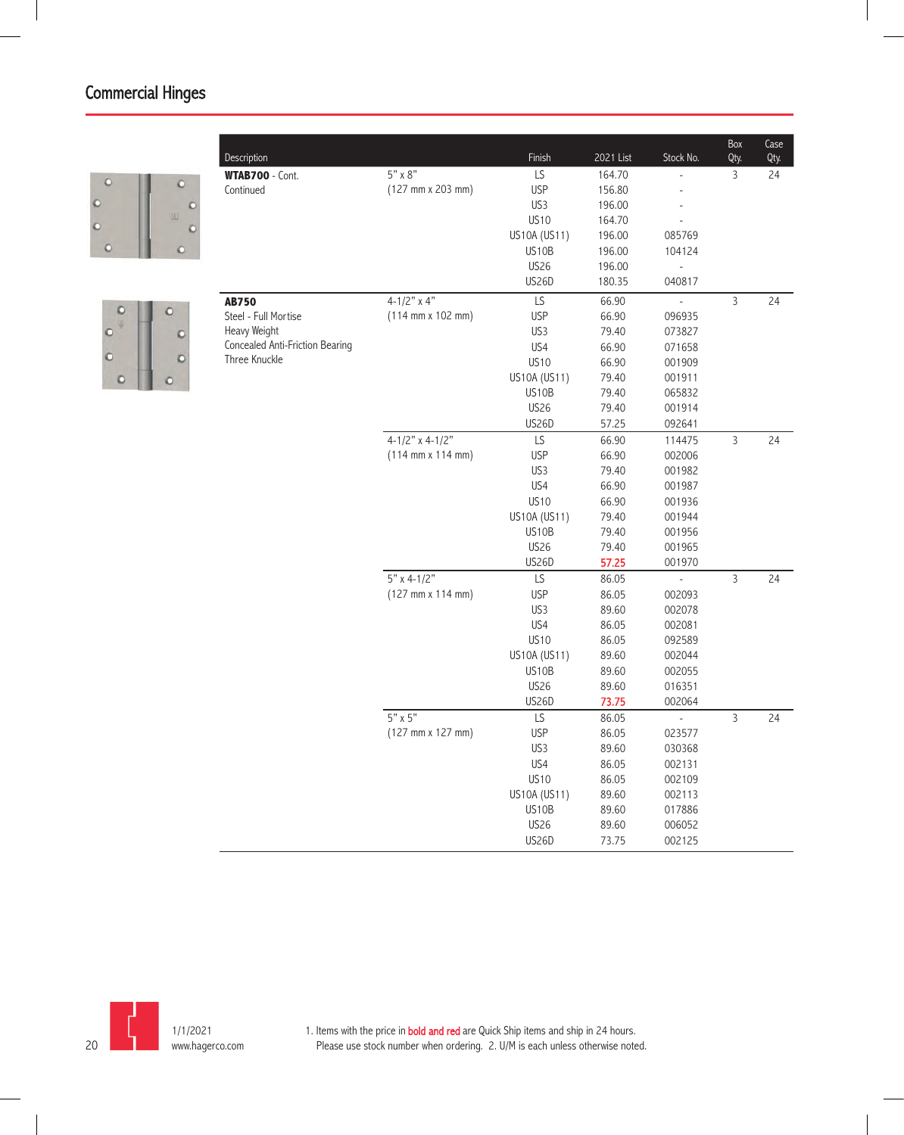



| Description                     |                                              | Finish       | 2021 List      | Stock No.                | Box<br>Qty.    | Case<br>Qty. |
|---------------------------------|----------------------------------------------|--------------|----------------|--------------------------|----------------|--------------|
| WTAB700 - Cont.                 | $5" \times 8"$                               | LS           | 164.70         |                          | 3              | 24           |
| Continued                       | (127 mm x 203 mm)                            | <b>USP</b>   | 156.80         |                          |                |              |
|                                 |                                              | US3          | 196.00         |                          |                |              |
|                                 |                                              | <b>US10</b>  | 164.70         |                          |                |              |
|                                 |                                              | US10A (US11) | 196.00         | 085769                   |                |              |
|                                 |                                              | US10B        | 196.00         | 104124                   |                |              |
|                                 |                                              | <b>US26</b>  | 196.00         |                          |                |              |
|                                 |                                              | US26D        | 180.35         | 040817                   |                |              |
| <b>AB750</b>                    | $4 - 1/2" \times 4"$                         | LS           | 66.90          | $\frac{1}{2}$            | $\overline{3}$ | 24           |
| Steel - Full Mortise            | $(114 \, \text{mm} \times 102 \, \text{mm})$ | <b>USP</b>   | 66.90          | 096935                   |                |              |
| Heavy Weight                    |                                              | US3          | 79.40          | 073827                   |                |              |
| Concealed Anti-Friction Bearing |                                              | US4          | 66.90          | 071658                   |                |              |
| Three Knuckle                   |                                              | <b>US10</b>  | 66.90          | 001909                   |                |              |
|                                 |                                              | US10A (US11) | 79.40          | 001911                   |                |              |
|                                 |                                              | US10B        | 79.40          | 065832                   |                |              |
|                                 |                                              | <b>US26</b>  | 79.40          | 001914                   |                |              |
|                                 |                                              | <b>US26D</b> | 57.25          | 092641                   |                |              |
|                                 | $4 - 1/2"$ x 4-1/2"                          | LS           | 66.90          | 114475                   | $\overline{3}$ | 24           |
|                                 | $(114 \, \text{mm} \times 114 \, \text{mm})$ | <b>USP</b>   | 66.90          | 002006                   |                |              |
|                                 |                                              | US3          | 79.40          | 001982                   |                |              |
|                                 |                                              | US4          | 66.90          | 001987                   |                |              |
|                                 |                                              | <b>US10</b>  | 66.90          | 001936                   |                |              |
|                                 |                                              | US10A (US11) | 79.40          | 001944                   |                |              |
|                                 |                                              | US10B        | 79.40          | 001956                   |                |              |
|                                 |                                              | <b>US26</b>  | 79.40          | 001965                   |                |              |
|                                 |                                              | US26D        | 57.25          | 001970                   |                |              |
|                                 | $5"$ x 4-1/2"                                | LS           | 86.05          | L,                       | $\overline{3}$ | 24           |
|                                 | (127 mm x 114 mm)                            | <b>USP</b>   | 86.05          | 002093                   |                |              |
|                                 |                                              | US3          | 89.60          | 002078                   |                |              |
|                                 |                                              | US4          | 86.05          | 002081                   |                |              |
|                                 |                                              | <b>US10</b>  | 86.05          | 092589                   |                |              |
|                                 |                                              | US10A (US11) | 89.60          | 002044                   |                |              |
|                                 |                                              | US10B        | 89.60          | 002055                   |                |              |
|                                 |                                              | <b>US26</b>  | 89.60          | 016351                   |                |              |
|                                 | $5" \times 5"$                               | US26D<br>LS  | 73.75          | 002064<br>$\overline{a}$ | $\overline{3}$ | 24           |
|                                 |                                              | <b>USP</b>   | 86.05          |                          |                |              |
|                                 | $(127 \, \text{mm} \times 127 \, \text{mm})$ | US3          | 86.05<br>89.60 | 023577<br>030368         |                |              |
|                                 |                                              | US4          | 86.05          | 002131                   |                |              |
|                                 |                                              | <b>US10</b>  | 86.05          | 002109                   |                |              |
|                                 |                                              | US10A (US11) | 89.60          | 002113                   |                |              |
|                                 |                                              | US10B        | 89.60          | 017886                   |                |              |
|                                 |                                              | <b>US26</b>  | 89.60          | 006052                   |                |              |
|                                 |                                              | US26D        | 73.75          | 002125                   |                |              |
|                                 |                                              |              |                |                          |                |              |

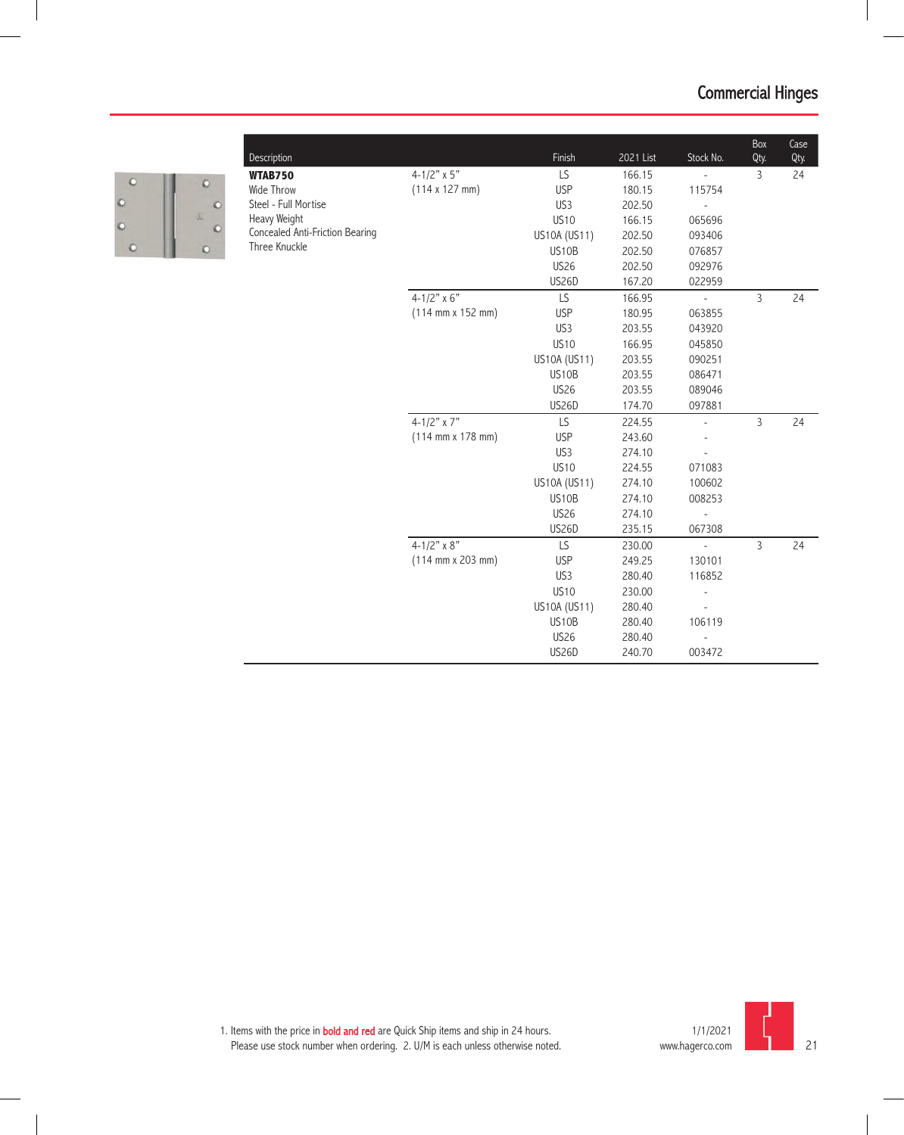

|                                                                                                                                         |                                              | Finish          | 2021 List | Stock No.     | Box<br>Qty.    | Case<br>Qty. |
|-----------------------------------------------------------------------------------------------------------------------------------------|----------------------------------------------|-----------------|-----------|---------------|----------------|--------------|
|                                                                                                                                         | $4 - 1/2" \times 5"$                         | LS              | 166.15    |               | 3              | 24           |
|                                                                                                                                         | $(114 \times 127 \text{ mm})$                | <b>USP</b>      | 180.15    | 115754        |                |              |
|                                                                                                                                         |                                              | US3             | 202.50    |               |                |              |
|                                                                                                                                         |                                              | <b>US10</b>     | 166.15    | 065696        |                |              |
|                                                                                                                                         |                                              | US10A (US11)    | 202.50    | 093406        |                |              |
|                                                                                                                                         |                                              | US10B           | 202.50    | 076857        |                |              |
|                                                                                                                                         |                                              | <b>US26</b>     | 202.50    | 092976        |                |              |
| Description<br><b>WTAB750</b><br>Wide Throw<br>Steel - Full Mortise<br>Heavy Weight<br>Concealed Anti-Friction Bearing<br>Three Knuckle |                                              | <b>US26D</b>    | 167.20    | 022959        |                |              |
|                                                                                                                                         | $4 - 1/2" \times 6"$                         | LS              | 166.95    | $\frac{1}{2}$ | $\overline{3}$ | 24           |
|                                                                                                                                         | $(114 \, \text{mm} \times 152 \, \text{mm})$ | <b>USP</b>      | 180.95    | 063855        |                |              |
|                                                                                                                                         |                                              | US3             | 203.55    | 043920        |                |              |
|                                                                                                                                         |                                              | <b>US10</b>     | 166.95    | 045850        |                |              |
|                                                                                                                                         |                                              | US10A (US11)    | 203.55    | 090251        |                |              |
|                                                                                                                                         |                                              | US10B           | 203.55    | 086471        |                |              |
|                                                                                                                                         |                                              | <b>US26</b>     | 203.55    | 089046        |                |              |
|                                                                                                                                         |                                              | <b>US26D</b>    | 174.70    | 097881        |                |              |
|                                                                                                                                         | 4-1/2" $\times$ 7"                           | LS              | 224.55    |               | 3              | 24           |
|                                                                                                                                         | $(114 \, \text{mm} \times 178 \, \text{mm})$ | <b>USP</b>      | 243.60    |               |                |              |
|                                                                                                                                         |                                              | US <sub>3</sub> | 274.10    |               |                |              |
|                                                                                                                                         |                                              | <b>US10</b>     | 224.55    | 071083        |                |              |
|                                                                                                                                         |                                              | US10A (US11)    | 274.10    | 100602        |                |              |
|                                                                                                                                         |                                              | US10B           | 274.10    | 008253        |                |              |
|                                                                                                                                         |                                              | <b>US26</b>     | 274.10    |               |                |              |
|                                                                                                                                         |                                              | US26D           | 235.15    | 067308        |                |              |
|                                                                                                                                         | 4-1/2" $\times$ 8"                           | LS.             | 230.00    | L.            | $\overline{3}$ | 24           |
|                                                                                                                                         | $(114 \, \text{mm} \times 203 \, \text{mm})$ | <b>USP</b>      | 249.25    | 130101        |                |              |
|                                                                                                                                         |                                              | US3             | 280.40    | 116852        |                |              |
|                                                                                                                                         |                                              | <b>US10</b>     | 230.00    |               |                |              |
|                                                                                                                                         |                                              | US10A (US11)    | 280.40    |               |                |              |
|                                                                                                                                         |                                              | US10B           | 280.40    | 106119        |                |              |
|                                                                                                                                         |                                              | <b>US26</b>     | 280.40    |               |                |              |
|                                                                                                                                         |                                              | <b>US26D</b>    | 240.70    | 003472        |                |              |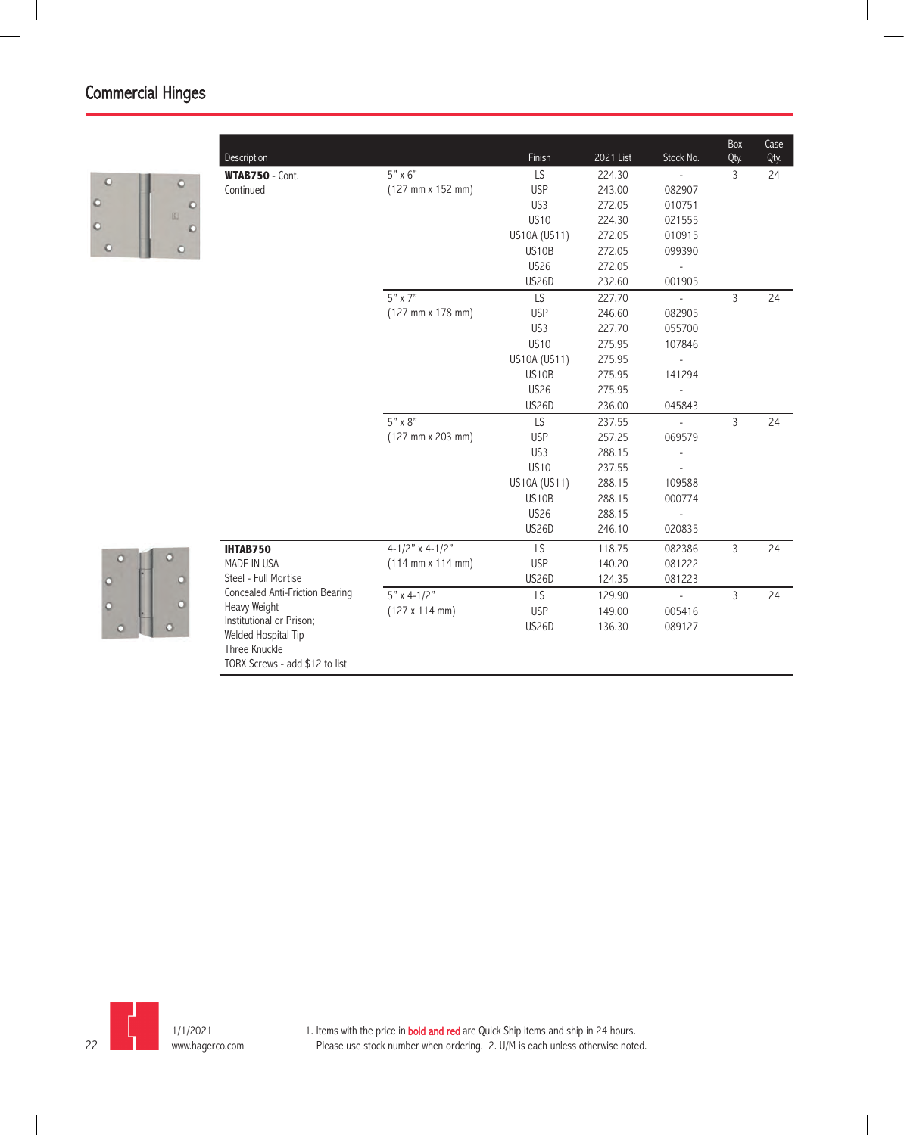

 $\circ$  $\circ$ 

| Description                                                            |                                              | Finish          | 2021 List | Stock No.                   | Box<br>Qty.    | $\overline{\text{Case}}$<br>Qty. |
|------------------------------------------------------------------------|----------------------------------------------|-----------------|-----------|-----------------------------|----------------|----------------------------------|
| WTAB750 - Cont.                                                        | $5" \times 6"$                               | LS              | 224.30    |                             | $\overline{3}$ | 24                               |
| Continued                                                              | (127 mm x 152 mm)                            | <b>USP</b>      | 243.00    | 082907                      |                |                                  |
|                                                                        |                                              | US <sub>3</sub> | 272.05    | 010751                      |                |                                  |
|                                                                        |                                              | <b>US10</b>     | 224.30    | 021555                      |                |                                  |
|                                                                        |                                              | US10A (US11)    | 272.05    | 010915                      |                |                                  |
|                                                                        |                                              | <b>US10B</b>    | 272.05    | 099390                      |                |                                  |
|                                                                        |                                              | <b>US26</b>     | 272.05    | $\overline{\phantom{a}}$    |                |                                  |
|                                                                        |                                              | US26D           | 232.60    | 001905                      |                |                                  |
|                                                                        | $5" \times 7"$                               | LS.             | 227.70    | $\mathcal{L}_{\mathcal{A}}$ | $\mathsf{3}$   | 24                               |
|                                                                        | $(127 \, \text{mm} \times 178 \, \text{mm})$ | <b>USP</b>      | 246.60    | 082905                      |                |                                  |
|                                                                        |                                              | US <sub>3</sub> | 227.70    | 055700                      |                |                                  |
|                                                                        |                                              | <b>US10</b>     | 275.95    | 107846                      |                |                                  |
|                                                                        |                                              | US10A (US11)    | 275.95    | $\overline{\phantom{a}}$    |                |                                  |
|                                                                        |                                              | <b>US10B</b>    | 275.95    | 141294                      |                |                                  |
|                                                                        |                                              | <b>US26</b>     | 275.95    | $\overline{\phantom{a}}$    |                |                                  |
|                                                                        |                                              | US26D           | 236.00    | 045843                      |                |                                  |
|                                                                        | 5" x 8"                                      | LS.             | 237.55    | $\sim$                      | $\overline{3}$ | 24                               |
|                                                                        | (127 mm x 203 mm)                            | <b>USP</b>      | 257.25    | 069579                      |                |                                  |
|                                                                        |                                              | US <sub>3</sub> | 288.15    | $\overline{\phantom{a}}$    |                |                                  |
|                                                                        |                                              | <b>US10</b>     | 237.55    |                             |                |                                  |
|                                                                        |                                              | US10A (US11)    | 288.15    | 109588                      |                |                                  |
|                                                                        |                                              | <b>US10B</b>    | 288.15    | 000774                      |                |                                  |
|                                                                        |                                              | <b>US26</b>     | 288.15    | $\overline{\phantom{a}}$    |                |                                  |
|                                                                        |                                              | <b>US26D</b>    | 246.10    | 020835                      |                |                                  |
| <b>IHTAB750</b>                                                        | $4 - 1/2"$ x 4-1/2"                          | LS              | 118.75    | 082386                      | 3              | 24                               |
| MADE IN USA                                                            | $(114 \, \text{mm} \times 114 \, \text{mm})$ | <b>USP</b>      | 140.20    | 081222                      |                |                                  |
| Steel - Full Mortise                                                   |                                              | <b>US26D</b>    | 124.35    | 081223                      |                |                                  |
| Concealed Anti-Friction Bearing                                        | $5"$ x 4-1/2"                                | LS              | 129.90    | $\overline{\phantom{a}}$    | $\overline{3}$ | 24                               |
| Heavy Weight                                                           | (127 x 114 mm)                               | <b>USP</b>      | 149.00    | 005416                      |                |                                  |
| Institutional or Prison;                                               |                                              | <b>US26D</b>    | 136.30    | 089127                      |                |                                  |
| Welded Hospital Tip<br>Three Knuckle<br>TORX Screws - add \$12 to list |                                              |                 |           |                             |                |                                  |

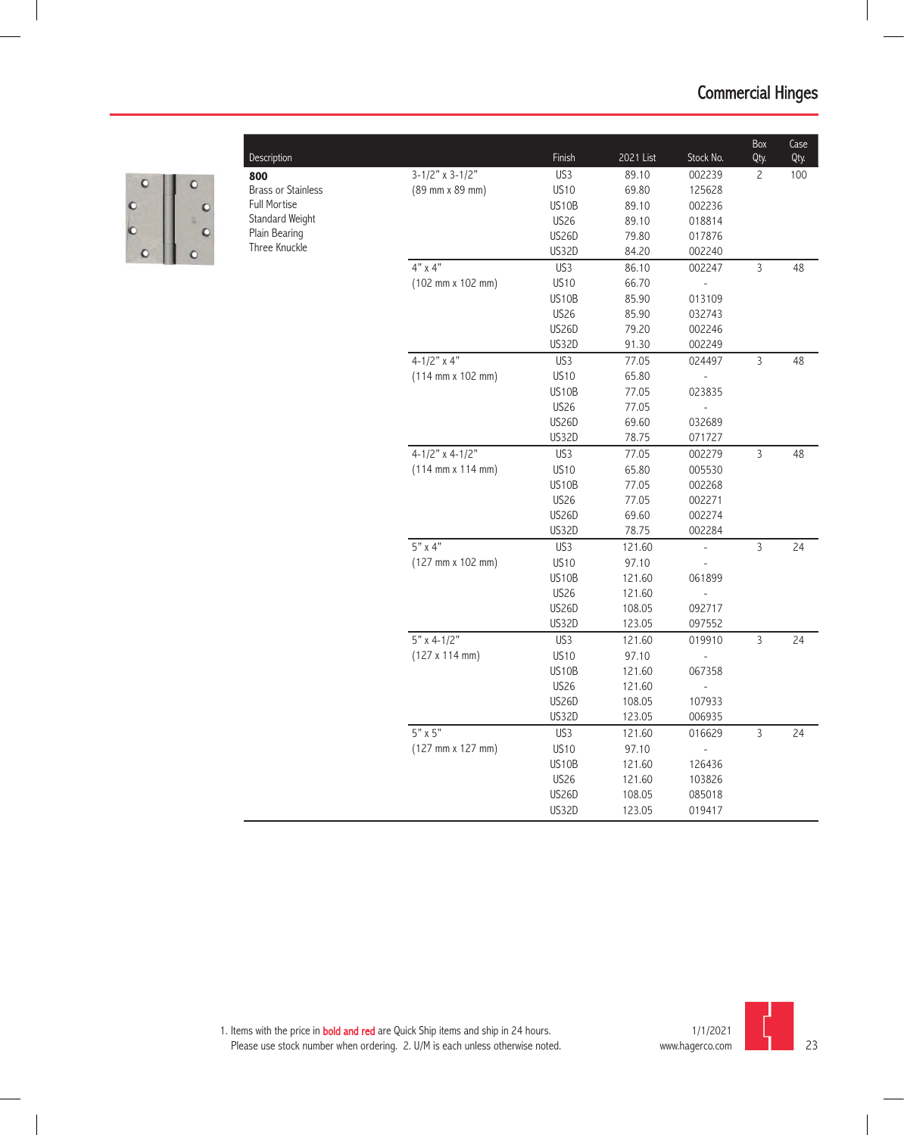

**800** Brass or Stainless Full Mortise Standard Weight Plain Bearing Three Knuckle

| Description                    |                                              | Finish       | 2021 List | Stock No.                | Box<br>Qty.    | Case<br>Qty. |
|--------------------------------|----------------------------------------------|--------------|-----------|--------------------------|----------------|--------------|
| 800                            | $3-1/2"$ x 3-1/2"                            | US3          | 89.10     | 002239                   | $\overline{c}$ | 100          |
| <b>Brass or Stainless</b>      | (89 mm x 89 mm)                              | <b>US10</b>  | 69.80     | 125628                   |                |              |
| <b>Full Mortise</b>            |                                              | US10B        | 89.10     | 002236                   |                |              |
| Standard Weight                |                                              | <b>US26</b>  | 89.10     | 018814                   |                |              |
| Plain Bearing<br>Three Knuckle |                                              | <b>US26D</b> | 79.80     | 017876                   |                |              |
|                                |                                              | US32D        | 84.20     | 002240                   |                |              |
|                                | $4"$ x $4"$                                  | US3          | 86.10     | 002247                   | $\overline{3}$ | 48           |
|                                | (102 mm x 102 mm)                            | <b>US10</b>  | 66.70     |                          |                |              |
|                                |                                              | US10B        | 85.90     | 013109                   |                |              |
|                                |                                              | <b>US26</b>  | 85.90     | 032743                   |                |              |
|                                |                                              | <b>US26D</b> | 79.20     | 002246                   |                |              |
|                                |                                              | <b>US32D</b> | 91.30     | 002249                   |                |              |
|                                | $4 - 1/2"$ x 4"                              | US3          | 77.05     | 024497                   | $\mathsf{3}$   | 48           |
|                                | $(114 \, \text{mm} \times 102 \, \text{mm})$ | <b>US10</b>  | 65.80     |                          |                |              |
|                                |                                              | US10B        | 77.05     | 023835                   |                |              |
|                                |                                              | US26         | 77.05     |                          |                |              |
|                                |                                              | <b>US26D</b> | 69.60     | 032689                   |                |              |
|                                |                                              | <b>US32D</b> | 78.75     | 071727                   |                |              |
|                                | $4-1/2"$ x 4-1/2"                            | US3          | 77.05     | 002279                   | 3              | 48           |
|                                | $(114 \, \text{mm} \times 114 \, \text{mm})$ | <b>US10</b>  | 65.80     | 005530                   |                |              |
|                                |                                              | <b>US10B</b> | 77.05     | 002268                   |                |              |
|                                |                                              | <b>US26</b>  | 77.05     | 002271                   |                |              |
|                                |                                              | <b>US26D</b> | 69.60     | 002274                   |                |              |
|                                |                                              | <b>US32D</b> | 78.75     | 002284                   |                |              |
|                                | $5"$ x 4"                                    | US3          | 121.60    | $\overline{\phantom{a}}$ | $\overline{3}$ | 24           |
|                                | $(127 \, \text{mm} \times 102 \, \text{mm})$ | <b>US10</b>  | 97.10     |                          |                |              |
|                                |                                              | US10B        | 121.60    | 061899                   |                |              |
|                                |                                              | <b>US26</b>  | 121.60    |                          |                |              |
|                                |                                              | <b>US26D</b> | 108.05    | 092717                   |                |              |
|                                |                                              | <b>US32D</b> | 123.05    | 097552                   |                |              |
|                                | $5"$ x 4-1/2"                                | US3          | 121.60    | 019910                   | $\overline{3}$ | 24           |
|                                | (127 x 114 mm)                               | <b>US10</b>  | 97.10     |                          |                |              |
|                                |                                              | <b>US10B</b> | 121.60    | 067358                   |                |              |
|                                |                                              | <b>US26</b>  | 121.60    |                          |                |              |
|                                |                                              | <b>US26D</b> | 108.05    | 107933                   |                |              |
|                                |                                              | US32D        | 123.05    | 006935                   |                |              |
|                                | $5" \times 5"$                               | US3          | 121.60    | 016629                   | $\overline{3}$ | 24           |
|                                | $(127 \, \text{mm} \times 127 \, \text{mm})$ | <b>US10</b>  | 97.10     |                          |                |              |
|                                |                                              | US10B        | 121.60    | 126436                   |                |              |
|                                |                                              | <b>US26</b>  | 121.60    | 103826                   |                |              |
|                                |                                              | <b>US26D</b> | 108.05    | 085018                   |                |              |
|                                |                                              | US32D        | 123.05    | 019417                   |                |              |
|                                |                                              |              |           |                          |                |              |

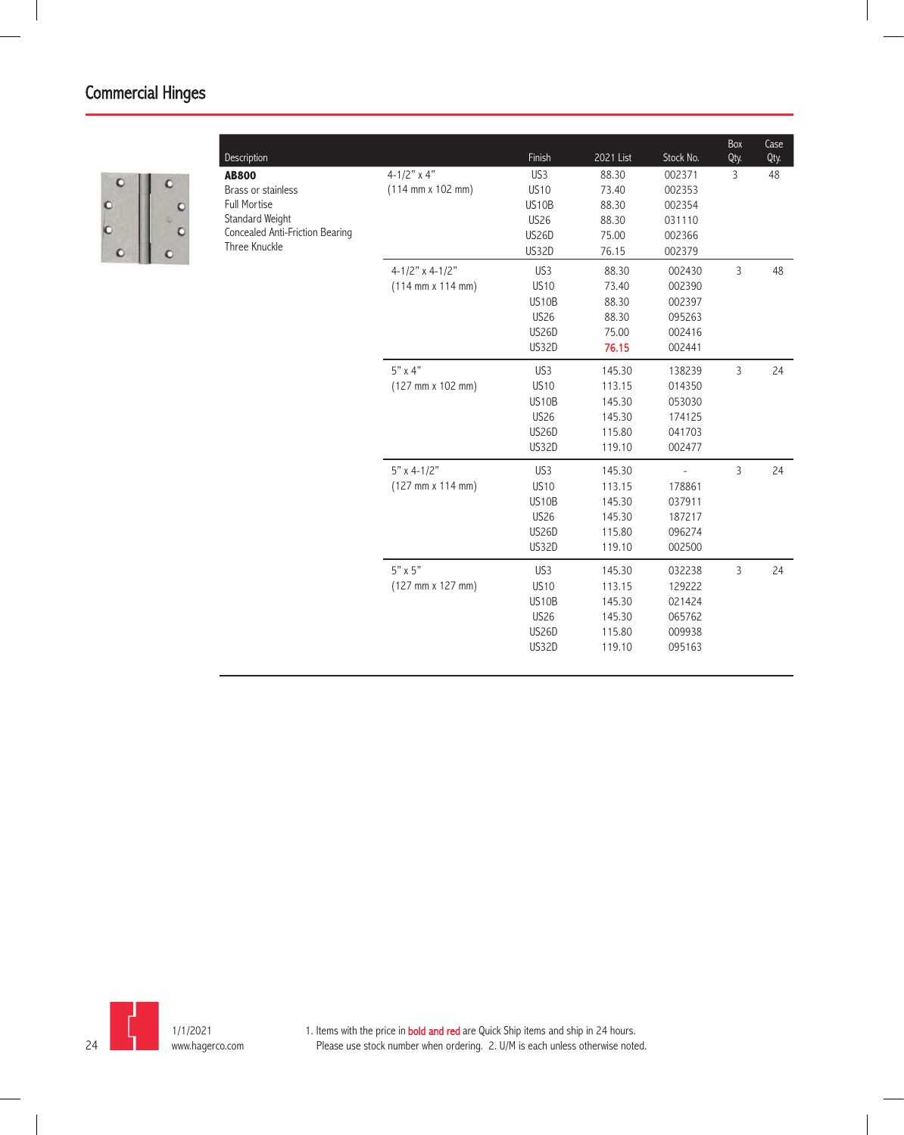

| Description                     |                                              | Finish          | 2021 List | Stock No.      | Box<br>Qty. | Case<br>Qty. |
|---------------------------------|----------------------------------------------|-----------------|-----------|----------------|-------------|--------------|
| <b>AB800</b>                    | $4 - 1/2"$ x 4"                              | US <sub>3</sub> | 88.30     | 002371         | 3           | 48           |
| <b>Brass or stainless</b>       | $(114 \, \text{mm} \times 102 \, \text{mm})$ | <b>US10</b>     | 73.40     | 002353         |             |              |
| <b>Full Mortise</b>             |                                              | US10B           | 88.30     | 002354         |             |              |
| Standard Weight                 |                                              | <b>US26</b>     | 88.30     | 031110         |             |              |
| Concealed Anti-Friction Bearing |                                              | <b>US26D</b>    | 75.00     | 002366         |             |              |
| Three Knuckle                   |                                              | <b>US32D</b>    | 76.15     | 002379         |             |              |
|                                 | 4-1/2" x 4-1/2"                              | US3             | 88.30     | 002430         | 3           | 48           |
|                                 | $(114 \, \text{mm} \times 114 \, \text{mm})$ | <b>US10</b>     | 73.40     | 002390         |             |              |
|                                 |                                              | US10B           | 88.30     | 002397         |             |              |
|                                 |                                              | <b>US26</b>     | 88.30     | 095263         |             |              |
|                                 |                                              | <b>US26D</b>    | 75.00     | 002416         |             |              |
|                                 |                                              | US32D           | 76.15     | 002441         |             |              |
|                                 | $5"$ x 4"                                    | US3             | 145.30    | 138239         | 3           | 24           |
|                                 | (127 mm x 102 mm)                            | <b>US10</b>     | 113.15    | 014350         |             |              |
|                                 |                                              | US10B           | 145.30    | 053030         |             |              |
|                                 |                                              | <b>US26</b>     | 145.30    | 174125         |             |              |
|                                 |                                              | <b>US26D</b>    | 115.80    | 041703         |             |              |
|                                 |                                              | US32D           | 119.10    | 002477         |             |              |
|                                 | $5"$ x 4-1/2"                                | US <sub>3</sub> | 145.30    | $\overline{a}$ | 3           | 24           |
|                                 | (127 mm x 114 mm)                            | <b>US10</b>     | 113.15    | 178861         |             |              |
|                                 |                                              | US10B           | 145.30    | 037911         |             |              |
|                                 |                                              | <b>US26</b>     | 145.30    | 187217         |             |              |
|                                 |                                              | US26D           | 115.80    | 096274         |             |              |
|                                 |                                              | US32D           | 119.10    | 002500         |             |              |
|                                 | $5" \times 5"$                               | US <sub>3</sub> | 145.30    | 032238         | 3           | 24           |
|                                 | $(127 \, \text{mm} \times 127 \, \text{mm})$ | <b>US10</b>     | 113.15    | 129222         |             |              |
|                                 |                                              | US10B           | 145.30    | 021424         |             |              |
|                                 |                                              | <b>US26</b>     | 145.30    | 065762         |             |              |
|                                 |                                              | <b>US26D</b>    | 115.80    | 009938         |             |              |
|                                 |                                              | US32D           | 119.10    | 095163         |             |              |
|                                 |                                              |                 |           |                |             |              |

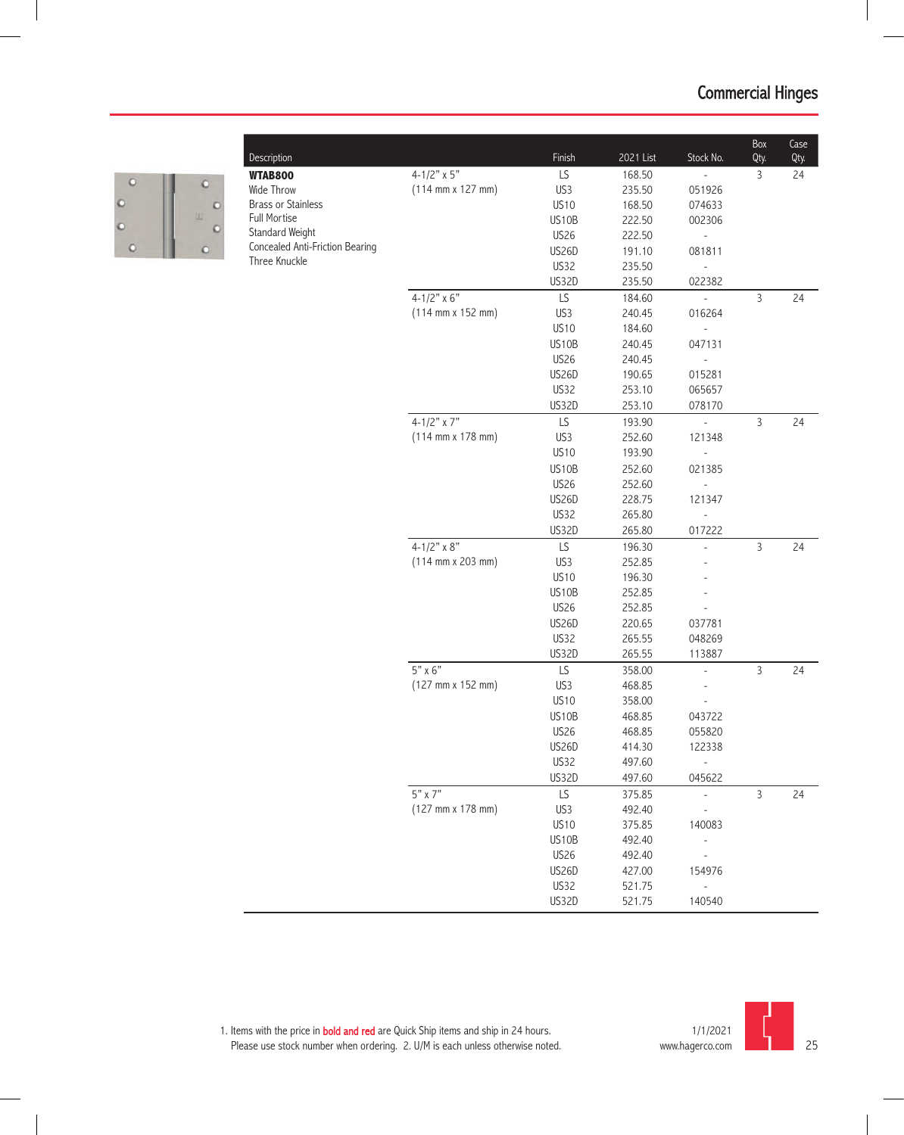

| Description                     |                                              | Finish       | 2021 List | Stock No.                    | Box<br>Qty.    | Case |
|---------------------------------|----------------------------------------------|--------------|-----------|------------------------------|----------------|------|
|                                 | 4-1/2" $\times$ 5"                           | LS           | 168.50    | $\overline{\phantom{a}}$     | 3              | Qty. |
| <b>WTAB800</b><br>Wide Throw    | $(114 \, \text{mm} \times 127 \, \text{mm})$ | US3          | 235.50    | 051926                       |                | 24   |
| <b>Brass or Stainless</b>       |                                              | <b>US10</b>  | 168.50    | 074633                       |                |      |
| <b>Full Mortise</b>             |                                              | US10B        | 222.50    | 002306                       |                |      |
| Standard Weight                 |                                              | <b>US26</b>  | 222.50    | $\frac{1}{2}$                |                |      |
| Concealed Anti-Friction Bearing |                                              | <b>US26D</b> | 191.10    | 081811                       |                |      |
| Three Knuckle                   |                                              | US32         | 235.50    |                              |                |      |
|                                 |                                              | US32D        | 235.50    | 022382                       |                |      |
|                                 | $4 - 1/2" \times 6"$                         | LS           | 184.60    | $\blacksquare$               | $\mathsf{3}$   | 24   |
|                                 | $(114 \, \text{mm} \times 152 \, \text{mm})$ | US3          | 240.45    | 016264                       |                |      |
|                                 |                                              | <b>US10</b>  | 184.60    | $\overline{\phantom{a}}$     |                |      |
|                                 |                                              | US10B        | 240.45    | 047131                       |                |      |
|                                 |                                              | <b>US26</b>  | 240.45    | $\qquad \qquad \blacksquare$ |                |      |
|                                 |                                              | <b>US26D</b> | 190.65    | 015281                       |                |      |
|                                 |                                              | <b>US32</b>  | 253.10    | 065657                       |                |      |
|                                 |                                              | US32D        | 253.10    | 078170                       |                |      |
|                                 | $4 - 1/2"$ x 7"                              | LS           | 193.90    |                              | $\mathsf{3}$   | 24   |
|                                 | $(114 \, \text{mm} \times 178 \, \text{mm})$ | US3          | 252.60    | 121348                       |                |      |
|                                 |                                              | <b>US10</b>  | 193.90    |                              |                |      |
|                                 |                                              | US10B        | 252.60    | 021385                       |                |      |
|                                 |                                              | <b>US26</b>  | 252.60    |                              |                |      |
|                                 |                                              | <b>US26D</b> | 228.75    | 121347                       |                |      |
|                                 |                                              | <b>US32</b>  | 265.80    |                              |                |      |
|                                 |                                              | US32D        | 265.80    | 017222                       |                |      |
|                                 | $4 - 1/2" \times 8"$                         | LS           | 196.30    | $\overline{a}$               | $\overline{3}$ | 24   |
|                                 | $(114 \, \text{mm} \times 203 \, \text{mm})$ | US3          | 252.85    |                              |                |      |
|                                 |                                              | <b>US10</b>  | 196.30    |                              |                |      |
|                                 |                                              | US10B        | 252.85    |                              |                |      |
|                                 |                                              | <b>US26</b>  | 252.85    |                              |                |      |
|                                 |                                              | <b>US26D</b> | 220.65    | 037781                       |                |      |
|                                 |                                              | <b>US32</b>  | 265.55    | 048269                       |                |      |
|                                 |                                              | <b>US32D</b> | 265.55    | 113887                       |                |      |
|                                 | $5" \times 6"$                               | LS           | 358.00    | $\overline{\phantom{a}}$     | $\overline{3}$ | 24   |
|                                 | (127 mm x 152 mm)                            | US3          | 468.85    | $\overline{\phantom{a}}$     |                |      |
|                                 |                                              | <b>US10</b>  | 358.00    | $\overline{\phantom{a}}$     |                |      |
|                                 |                                              | US10B        | 468.85    | 043722                       |                |      |
|                                 |                                              | <b>US26</b>  | 468.85    | 055820                       |                |      |
|                                 |                                              | <b>US26D</b> | 414.30    | 122338                       |                |      |
|                                 |                                              | <b>US32</b>  | 497.60    |                              |                |      |
|                                 |                                              | US32D        | 497.60    | 045622                       |                |      |
|                                 | 5" x 7"                                      | LS           | 375.85    | ÷,                           | $\mathsf{3}$   | 24   |
|                                 | $(127 \, \text{mm} \times 178 \, \text{mm})$ | US3          | 492.40    |                              |                |      |
|                                 |                                              | <b>US10</b>  | 375.85    | 140083                       |                |      |
|                                 |                                              | US10B        | 492.40    |                              |                |      |
|                                 |                                              | <b>US26</b>  | 492.40    |                              |                |      |
|                                 |                                              | US26D        | 427.00    | 154976                       |                |      |
|                                 |                                              | US32         | 521.75    |                              |                |      |
|                                 |                                              | US32D        | 521.75    | 140540                       |                |      |

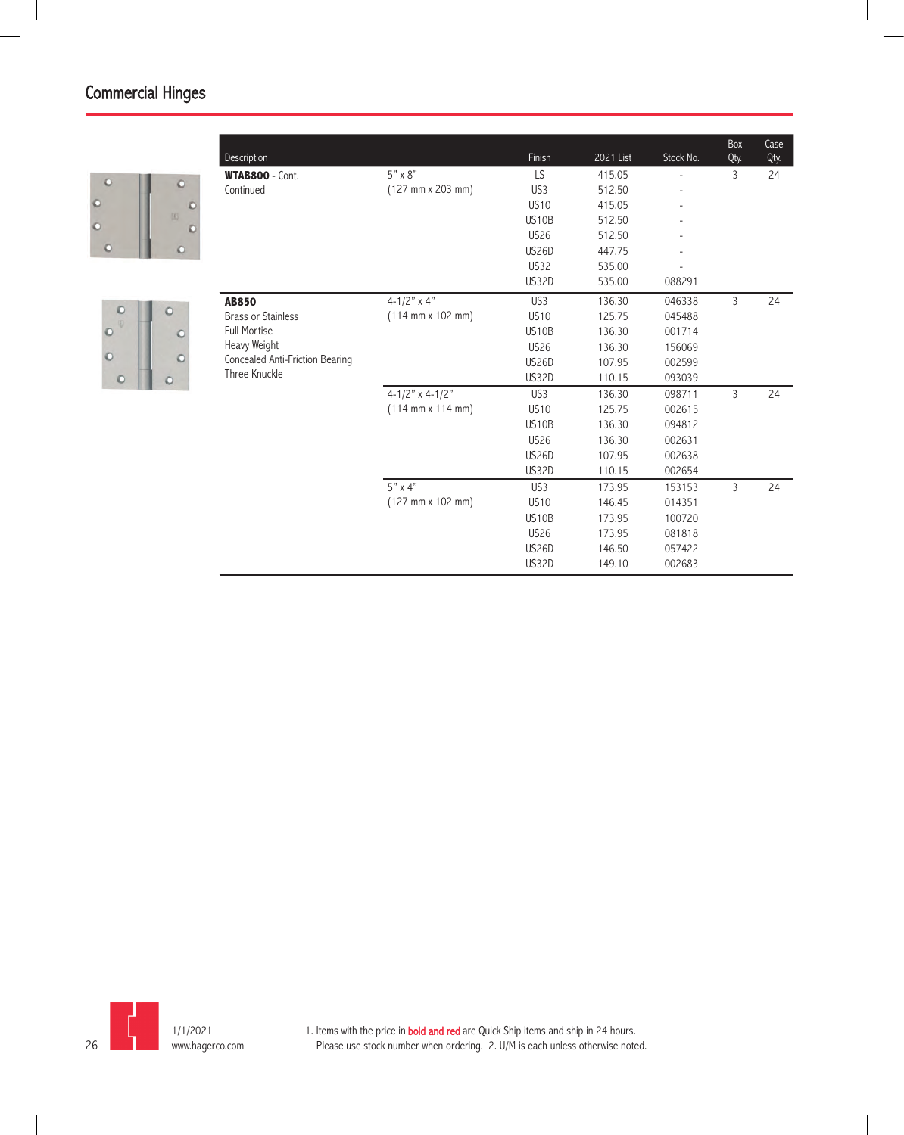



|                                 |                                              |                 |           |           | Box            | Case |
|---------------------------------|----------------------------------------------|-----------------|-----------|-----------|----------------|------|
| Description                     |                                              | Finish          | 2021 List | Stock No. | Qty.           | Qty. |
| <b>WTAB800 - Cont.</b>          | $5" \times 8"$                               | LS              | 415.05    |           | 3              | 24   |
| Continued                       | $(127 \, \text{mm} \times 203 \, \text{mm})$ | US <sub>3</sub> | 512.50    |           |                |      |
|                                 |                                              | <b>US10</b>     | 415.05    |           |                |      |
|                                 |                                              | US10B           | 512.50    |           |                |      |
|                                 |                                              | <b>US26</b>     | 512.50    |           |                |      |
|                                 |                                              | <b>US26D</b>    | 447.75    |           |                |      |
|                                 |                                              | <b>US32</b>     | 535.00    |           |                |      |
|                                 |                                              | <b>US32D</b>    | 535.00    | 088291    |                |      |
| <b>AB850</b>                    | 4-1/2" $x 4"$                                | US <sub>3</sub> | 136.30    | 046338    | $\mathsf{3}$   | 24   |
| <b>Brass or Stainless</b>       | $(114 \, \text{mm} \times 102 \, \text{mm})$ | <b>US10</b>     | 125.75    | 045488    |                |      |
| <b>Full Mortise</b>             |                                              | US10B           | 136.30    | 001714    |                |      |
| Heavy Weight                    |                                              | <b>US26</b>     | 136.30    | 156069    |                |      |
| Concealed Anti-Friction Bearing |                                              | <b>US26D</b>    | 107.95    | 002599    |                |      |
| Three Knuckle                   |                                              | <b>US32D</b>    | 110.15    | 093039    |                |      |
|                                 | 4-1/2" x 4-1/2"                              | US <sub>3</sub> | 136.30    | 098711    | $\overline{3}$ | 24   |
|                                 | $(114 \text{ mm} \times 114 \text{ mm})$     | <b>US10</b>     | 125.75    | 002615    |                |      |
|                                 |                                              | US10B           | 136.30    | 094812    |                |      |
|                                 |                                              | <b>US26</b>     | 136.30    | 002631    |                |      |
|                                 |                                              | <b>US26D</b>    | 107.95    | 002638    |                |      |
|                                 |                                              | <b>US32D</b>    | 110.15    | 002654    |                |      |
|                                 | $5" \times 4"$                               | US <sub>3</sub> | 173.95    | 153153    | 3              | 24   |
|                                 | $(127 \, \text{mm} \times 102 \, \text{mm})$ | <b>US10</b>     | 146.45    | 014351    |                |      |
|                                 |                                              | US10B           | 173.95    | 100720    |                |      |
|                                 |                                              | <b>US26</b>     | 173.95    | 081818    |                |      |
|                                 |                                              | <b>US26D</b>    | 146.50    | 057422    |                |      |
|                                 |                                              | <b>US32D</b>    | 149.10    | 002683    |                |      |

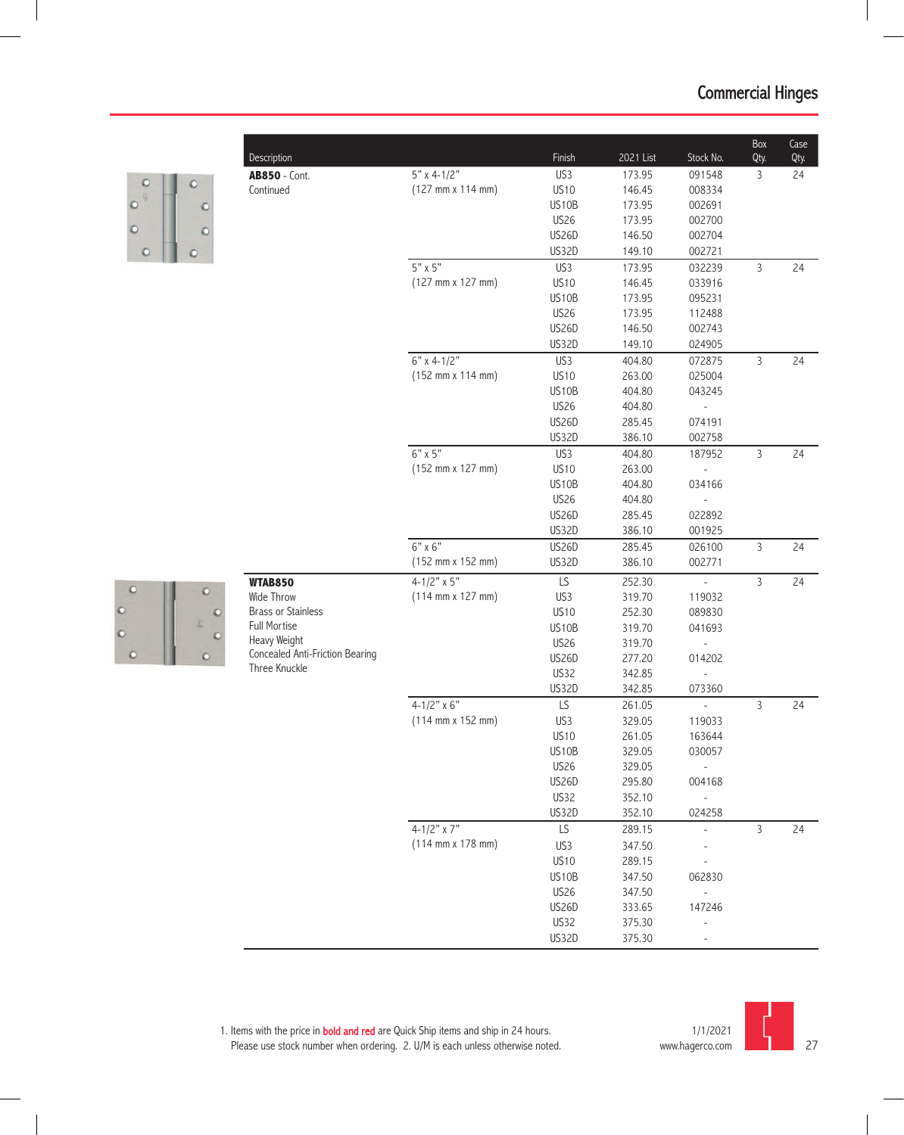

 $\circ$ 

 $\circ$ 

 $\circ$ 

| Description                     |                                              | Finish       | 2021 List | Stock No.                | Box<br>Qty.    | Case<br>Qty. |  |
|---------------------------------|----------------------------------------------|--------------|-----------|--------------------------|----------------|--------------|--|
| <b>AB850</b> - Cont.            | $5"$ x 4-1/2"                                | US3          | 173.95    | 091548                   | 3              | 24           |  |
| Continued                       | $(127 \, \text{mm} \times 114 \, \text{mm})$ | <b>US10</b>  | 146.45    | 008334                   |                |              |  |
|                                 |                                              | US10B        | 173.95    | 002691                   |                |              |  |
|                                 |                                              | <b>US26</b>  | 173.95    | 002700                   |                |              |  |
|                                 |                                              | <b>US26D</b> | 146.50    | 002704                   |                |              |  |
|                                 |                                              | US32D        | 149.10    | 002721                   |                |              |  |
|                                 | $5" \times 5"$                               | US3          | 173.95    | 032239                   | $\overline{3}$ | 24           |  |
|                                 | $(127 \, \text{mm} \times 127 \, \text{mm})$ | <b>US10</b>  | 146.45    | 033916                   |                |              |  |
|                                 |                                              | US10B        | 173.95    | 095231                   |                |              |  |
|                                 |                                              | <b>US26</b>  | 173.95    | 112488                   |                |              |  |
|                                 |                                              | <b>US26D</b> | 146.50    | 002743                   |                |              |  |
|                                 |                                              | US32D        | 149.10    | 024905                   |                |              |  |
|                                 | $6"$ x 4-1/2"                                | US3          | 404.80    | 072875                   | $\mathsf{3}$   | 24           |  |
|                                 | (152 mm x 114 mm)                            | <b>US10</b>  | 263.00    | 025004                   |                |              |  |
|                                 |                                              | US10B        | 404.80    | 043245                   |                |              |  |
|                                 |                                              | <b>US26</b>  | 404.80    |                          |                |              |  |
|                                 |                                              | <b>US26D</b> | 285.45    | 074191                   |                |              |  |
|                                 |                                              | US32D        | 386.10    | 002758                   |                |              |  |
|                                 | $6"$ x 5"                                    | US3          | 404.80    | 187952                   | $\overline{3}$ | 24           |  |
|                                 | (152 mm x 127 mm)                            | <b>US10</b>  | 263.00    |                          |                |              |  |
|                                 |                                              | US10B        | 404.80    | 034166                   |                |              |  |
|                                 |                                              | <b>US26</b>  | 404.80    |                          |                |              |  |
|                                 |                                              | US26D        | 285.45    | 022892                   |                |              |  |
|                                 |                                              | US32D        | 386.10    | 001925                   |                |              |  |
|                                 | $6"$ x $6"$                                  | US26D        | 285.45    | 026100                   | $\mathsf{3}$   | 24           |  |
|                                 | (152 mm x 152 mm)                            | US32D        | 386.10    | 002771                   |                |              |  |
| <b>WTAB850</b>                  | $4 - 1/2" \times 5"$                         | LS           | 252.30    |                          | $\mathsf{3}$   | 24           |  |
| Wide Throw                      | $(114 \, \text{mm} \times 127 \, \text{mm})$ | US3          | 319.70    | 119032                   |                |              |  |
| <b>Brass or Stainless</b>       |                                              | <b>US10</b>  | 252.30    | 089830                   |                |              |  |
| <b>Full Mortise</b>             |                                              | US10B        | 319.70    | 041693                   |                |              |  |
| Heavy Weight                    |                                              | <b>US26</b>  | 319.70    |                          |                |              |  |
| Concealed Anti-Friction Bearing |                                              | <b>US26D</b> | 277.20    | 014202                   |                |              |  |
| Three Knuckle                   |                                              | US32         | 342.85    |                          |                |              |  |
|                                 |                                              | US32D        | 342.85    | 073360                   |                |              |  |
|                                 | $4 - 1/2" \times 6"$                         | LS           | 261.05    |                          | 3              | 24           |  |
|                                 | $(114 \, \text{mm} \times 152 \, \text{mm})$ | US3          | 329.05    | 119033                   |                |              |  |
|                                 |                                              | <b>US10</b>  | 261.05    | 163644                   |                |              |  |
|                                 |                                              | US10B        | 329.05    | 030057                   |                |              |  |
|                                 |                                              | US26         | 329.05    |                          |                |              |  |
|                                 |                                              | US26D        | 295.80    | 004168                   |                |              |  |
|                                 |                                              | US32         | 352.10    | $\overline{\phantom{a}}$ |                |              |  |
|                                 |                                              | US32D        | 352.10    | 024258                   |                |              |  |
|                                 | $4 - 1/2" \times 7"$                         | LS           | 289.15    | $\overline{\phantom{a}}$ | $\mathsf{3}$   | 24           |  |
|                                 | $(114 \, \text{mm} \times 178 \, \text{mm})$ | US3          | 347.50    |                          |                |              |  |
|                                 |                                              | <b>US10</b>  | 289.15    |                          |                |              |  |
|                                 |                                              | US10B        | 347.50    | 062830                   |                |              |  |
|                                 |                                              | <b>US26</b>  | 347.50    |                          |                |              |  |
|                                 |                                              | <b>US26D</b> | 333.65    | 147246                   |                |              |  |
|                                 |                                              | US32         | 375.30    |                          |                |              |  |
|                                 |                                              |              |           |                          |                |              |  |

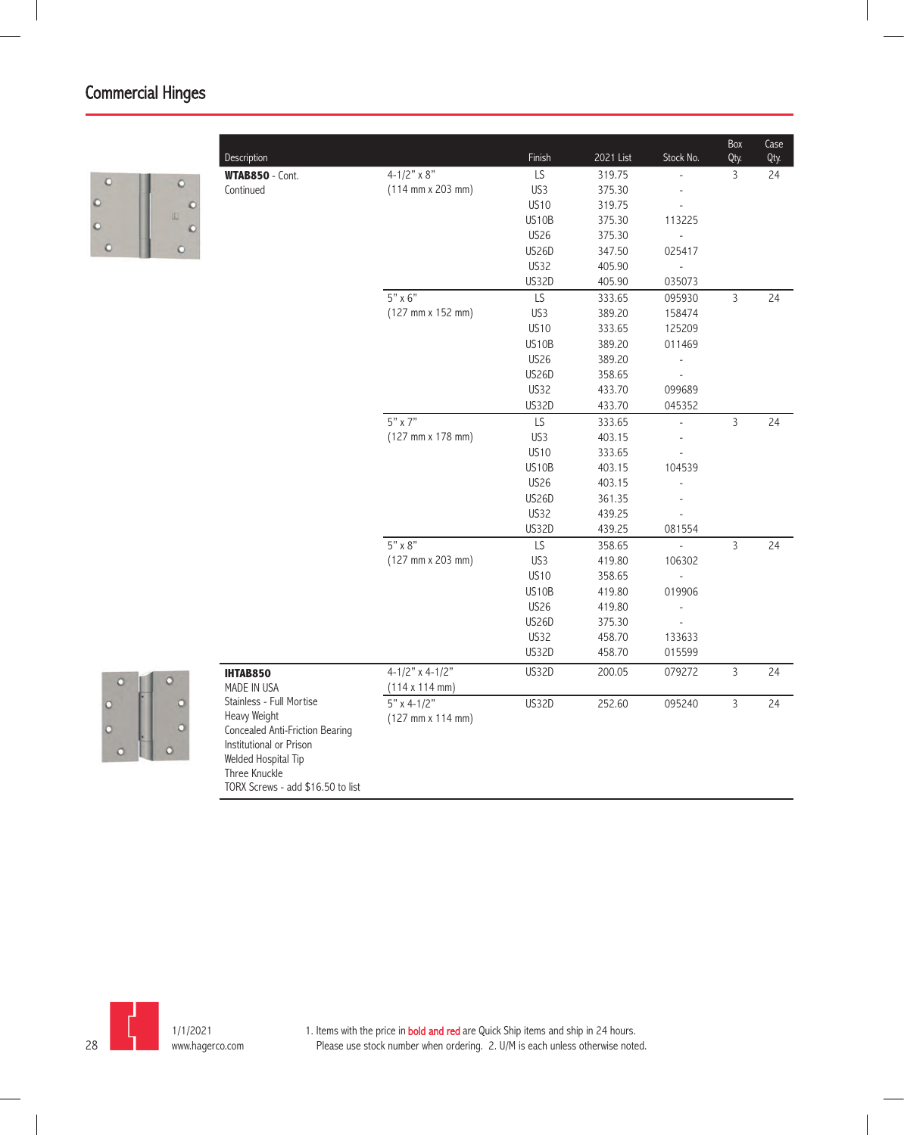

|                                   |                                              | Finish             | 2021 List        | Stock No.                | Box            | Case |
|-----------------------------------|----------------------------------------------|--------------------|------------------|--------------------------|----------------|------|
| Description                       | 4-1/2" $\times$ 8"                           | LS                 |                  | $\overline{a}$           | Qty.           | Qty. |
| WTAB850 - Cont.<br>Continued      | $(114 \, \text{mm} \times 203 \, \text{mm})$ | US3                | 319.75<br>375.30 |                          | 3              | 24   |
|                                   |                                              | <b>US10</b>        |                  |                          |                |      |
|                                   |                                              |                    | 319.75           |                          |                |      |
|                                   |                                              | US <sub>10</sub> B | 375.30           | 113225                   |                |      |
|                                   |                                              | <b>US26</b>        | 375.30           | $\overline{\phantom{a}}$ |                |      |
|                                   |                                              | <b>US26D</b>       | 347.50           | 025417                   |                |      |
|                                   |                                              | US32               | 405.90           | $\frac{1}{2}$            |                |      |
|                                   | $5" \times 6"$                               | <b>US32D</b><br>LS | 405.90           | 035073                   |                |      |
|                                   |                                              |                    | 333.65           | 095930                   | $\overline{3}$ | 24   |
|                                   | $(127 \, \text{mm} \times 152 \, \text{mm})$ | US3                | 389.20           | 158474                   |                |      |
|                                   |                                              | <b>US10</b>        | 333.65           | 125209                   |                |      |
|                                   |                                              | <b>US10B</b>       | 389.20           | 011469                   |                |      |
|                                   |                                              | <b>US26</b>        | 389.20           | $\overline{a}$           |                |      |
|                                   |                                              | <b>US26D</b>       | 358.65           | $\overline{a}$           |                |      |
|                                   |                                              | <b>US32</b>        | 433.70           | 099689                   |                |      |
|                                   |                                              | <b>US32D</b>       | 433.70           | 045352                   |                |      |
|                                   | $5"$ x 7"                                    | LS                 | 333.65           | $\overline{\phantom{a}}$ | $\overline{3}$ | 24   |
|                                   | (127 mm x 178 mm)                            | US3                | 403.15           | $\overline{a}$           |                |      |
|                                   |                                              | <b>US10</b>        | 333.65           | L,                       |                |      |
|                                   |                                              | US10B              | 403.15           | 104539                   |                |      |
|                                   |                                              | <b>US26</b>        | 403.15           |                          |                |      |
|                                   |                                              | US26D              | 361.35           |                          |                |      |
|                                   |                                              | <b>US32</b>        | 439.25           |                          |                |      |
|                                   |                                              | US32D              | 439.25           | 081554                   |                |      |
|                                   | $5" \times 8"$                               | $\overline{LS}$    | 358.65           |                          | $\overline{3}$ | 24   |
|                                   | $(127 \, \text{mm} \times 203 \, \text{mm})$ | US3                | 419.80           | 106302                   |                |      |
|                                   |                                              | <b>US10</b>        | 358.65           |                          |                |      |
|                                   |                                              | US10B              | 419.80           | 019906                   |                |      |
|                                   |                                              | <b>US26</b>        | 419.80           | $\overline{a}$           |                |      |
|                                   |                                              | <b>US26D</b>       | 375.30           |                          |                |      |
|                                   |                                              | <b>US32</b>        | 458.70           | 133633                   |                |      |
|                                   |                                              | <b>US32D</b>       | 458.70           | 015599                   |                |      |
| <b>IHTAB850</b>                   | $4-1/2$ " x $4-1/2$ "                        | US32D              | 200.05           | 079272                   | 3              | 24   |
| MADE IN USA                       | $(114 \times 114 \text{ mm})$                |                    |                  |                          |                |      |
| Stainless - Full Mortise          | $5"$ x 4-1/2"                                | <b>US32D</b>       | 252.60           | 095240                   | 3              | 24   |
| Heavy Weight                      | $(127 \, \text{mm} \times 114 \, \text{mm})$ |                    |                  |                          |                |      |
| Concealed Anti-Friction Bearing   |                                              |                    |                  |                          |                |      |
| Institutional or Prison           |                                              |                    |                  |                          |                |      |
| Welded Hospital Tip               |                                              |                    |                  |                          |                |      |
| Three Knuckle                     |                                              |                    |                  |                          |                |      |
| TORX Screws - add \$16.50 to list |                                              |                    |                  |                          |                |      |



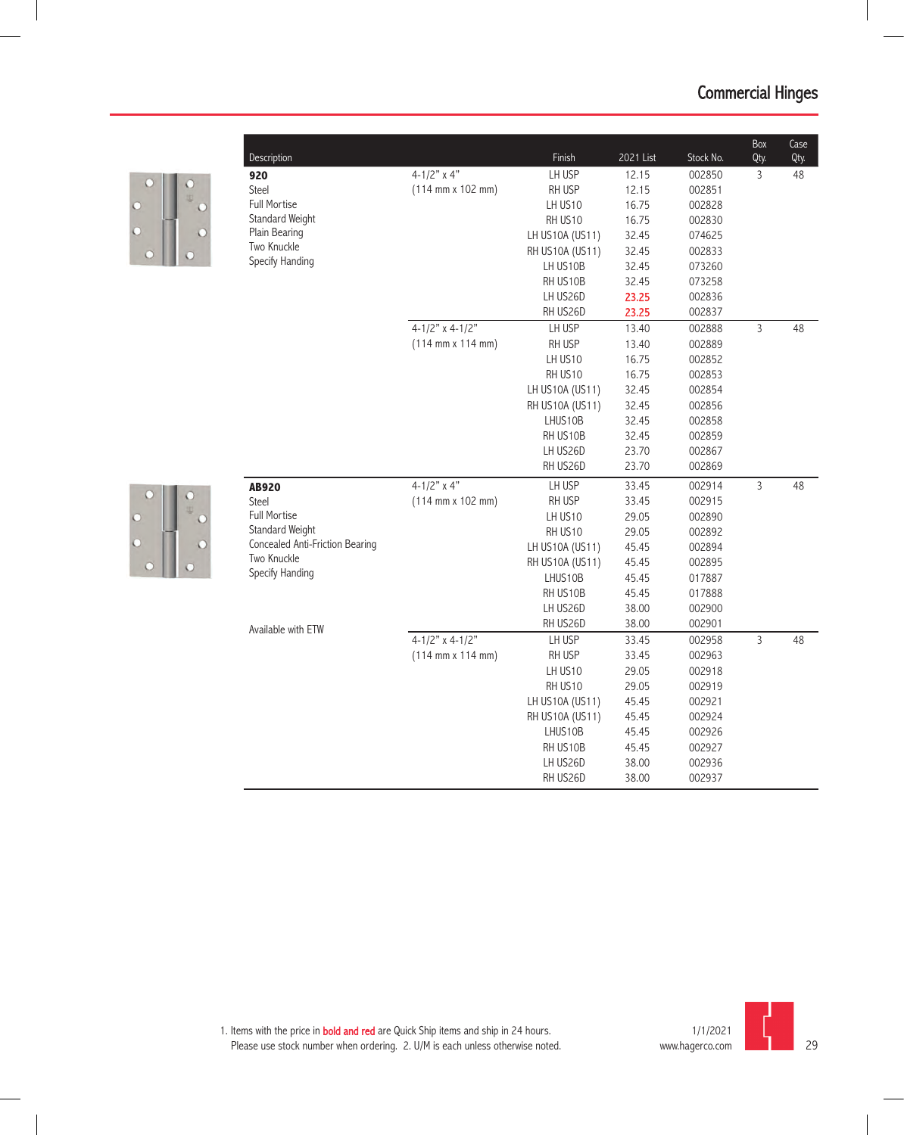|   | Description                     |                                              | Finish          | 2021 List | Stock No. | Box<br>Qty.    | Case<br>Qty. |
|---|---------------------------------|----------------------------------------------|-----------------|-----------|-----------|----------------|--------------|
|   | 920                             | $4 - 1/2"$ x 4"                              | LH USP          | 12.15     | 002850    | 3              | 48           |
| C | <b>Steel</b>                    | $(114 \, \text{mm} \times 102 \, \text{mm})$ | RH USP          | 12.15     | 002851    |                |              |
| D | <b>Full Mortise</b>             |                                              | LH US10         | 16.75     | 002828    |                |              |
|   | Standard Weight                 |                                              | RH US10         | 16.75     | 002830    |                |              |
| ō | Plain Bearing                   |                                              | LH US10A (US11) | 32.45     | 074625    |                |              |
| C | Two Knuckle                     |                                              | RH US10A (US11) | 32.45     | 002833    |                |              |
|   | Specify Handing                 |                                              | LH US10B        | 32.45     | 073260    |                |              |
|   |                                 |                                              | RH US10B        | 32.45     | 073258    |                |              |
|   |                                 |                                              | LH US26D        | 23.25     | 002836    |                |              |
|   |                                 |                                              | RH US26D        | 23.25     | 002837    |                |              |
|   |                                 | $4-1/2$ " x $4-1/2$ "                        | LH USP          | 13.40     | 002888    | 3              | 48           |
|   |                                 | $(114 \text{ mm} \times 114 \text{ mm})$     | RH USP          | 13.40     | 002889    |                |              |
|   |                                 |                                              | LH US10         | 16.75     | 002852    |                |              |
|   |                                 |                                              | RH US10         | 16.75     | 002853    |                |              |
|   |                                 |                                              | LH US10A (US11) | 32.45     | 002854    |                |              |
|   |                                 |                                              | RH US10A (US11) | 32.45     | 002856    |                |              |
|   |                                 |                                              | LHUS10B         | 32.45     | 002858    |                |              |
|   |                                 |                                              | RH US10B        | 32.45     | 002859    |                |              |
|   |                                 |                                              | LH US26D        | 23.70     | 002867    |                |              |
|   |                                 |                                              | RH US26D        | 23.70     | 002869    |                |              |
|   | <b>AB920</b>                    | $4-1/2"$ x 4"                                | LH USP          | 33.45     | 002914    | $\mathsf{3}$   | 48           |
| С | <b>Steel</b>                    | $(114 \, \text{mm} \times 102 \, \text{mm})$ | RH USP          | 33.45     | 002915    |                |              |
| D | <b>Full Mortise</b>             |                                              | LH US10         | 29.05     | 002890    |                |              |
|   | Standard Weight                 |                                              | RH US10         | 29.05     | 002892    |                |              |
|   | Concealed Anti-Friction Bearing |                                              | LH US10A (US11) | 45.45     | 002894    |                |              |
|   | Two Knuckle                     |                                              | RH US10A (US11) | 45.45     | 002895    |                |              |
|   | Specify Handing                 |                                              | LHUS10B         | 45.45     | 017887    |                |              |
|   |                                 |                                              | RH US10B        | 45.45     | 017888    |                |              |
|   |                                 |                                              | LH US26D        | 38.00     | 002900    |                |              |
|   | Available with ETW              |                                              | RH US26D        | 38.00     | 002901    |                |              |
|   |                                 | $4-1/2"$ x 4-1/2"                            | LH USP          | 33.45     | 002958    | $\overline{3}$ | 48           |
|   |                                 | $(114 \text{ mm} \times 114 \text{ mm})$     | RH USP          | 33.45     | 002963    |                |              |
|   |                                 |                                              | LH US10         | 29.05     | 002918    |                |              |
|   |                                 |                                              | RH US10         | 29.05     | 002919    |                |              |
|   |                                 |                                              | LH US10A (US11) | 45.45     | 002921    |                |              |
|   |                                 |                                              | RH US10A (US11) | 45.45     | 002924    |                |              |
|   |                                 |                                              | LHUS10B         | 45.45     | 002926    |                |              |
|   |                                 |                                              | RH US10B        | 45.45     | 002927    |                |              |
|   |                                 |                                              | LH US26D        | 38.00     | 002936    |                |              |
|   |                                 |                                              | RH US26D        | 38.00     | 002937    |                |              |
|   |                                 |                                              |                 |           |           |                |              |

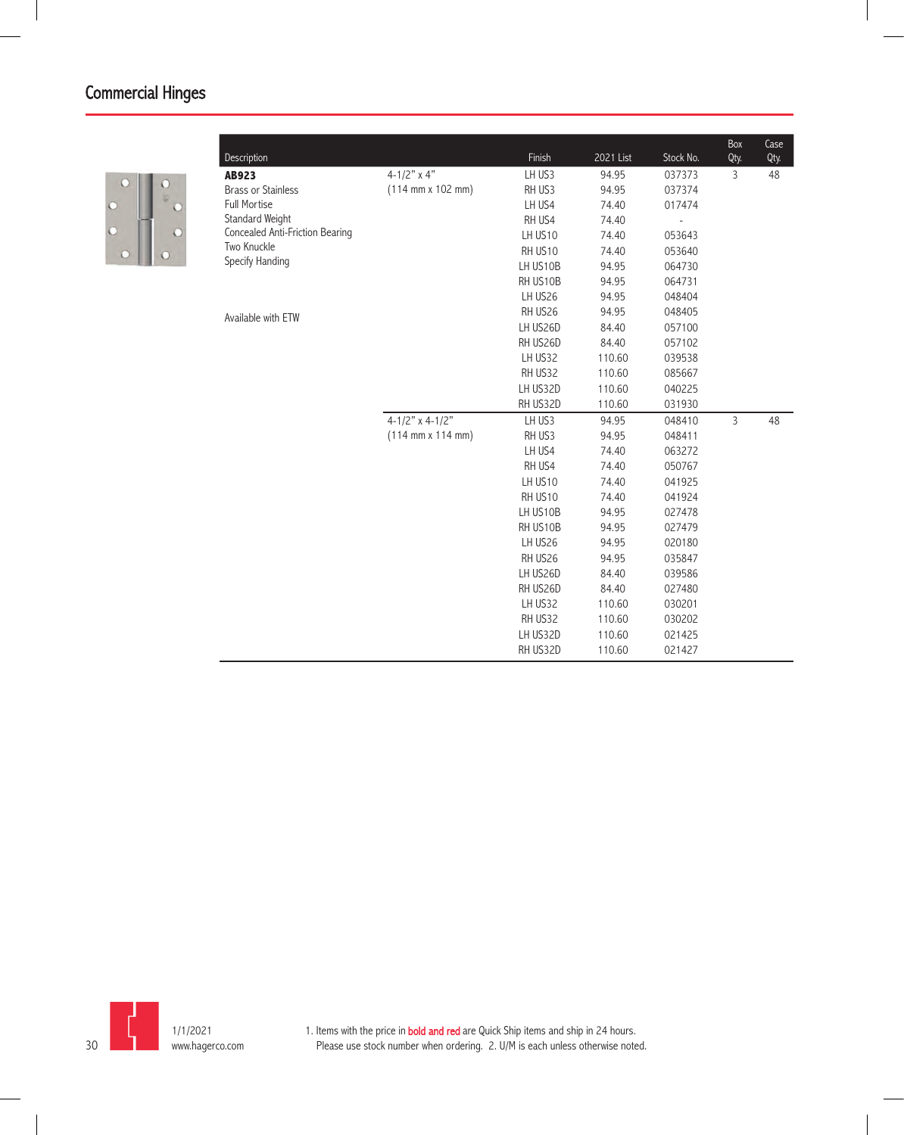

|                                 |                                              |          |           |           | Box            | Case |
|---------------------------------|----------------------------------------------|----------|-----------|-----------|----------------|------|
| Description                     |                                              | Finish   | 2021 List | Stock No. | Qty.           | Qty. |
| AB923                           | 4-1/2" $\times$ 4"                           | LH US3   | 94.95     | 037373    | 3              | 48   |
| <b>Brass or Stainless</b>       | $(114 \, \text{mm} \times 102 \, \text{mm})$ | RH US3   | 94.95     | 037374    |                |      |
| <b>Full Mortise</b>             |                                              | LH US4   | 74.40     | 017474    |                |      |
| Standard Weight                 |                                              | RH US4   | 74.40     |           |                |      |
| Concealed Anti-Friction Bearing |                                              | LH US10  | 74.40     | 053643    |                |      |
| Two Knuckle                     |                                              | RH US10  | 74.40     | 053640    |                |      |
| Specify Handing                 |                                              | LH US10B | 94.95     | 064730    |                |      |
|                                 |                                              | RH US10B | 94.95     | 064731    |                |      |
|                                 |                                              | LH US26  | 94.95     | 048404    |                |      |
| Available with ETW              |                                              | RH US26  | 94.95     | 048405    |                |      |
|                                 |                                              | LH US26D | 84.40     | 057100    |                |      |
|                                 |                                              | RH US26D | 84.40     | 057102    |                |      |
|                                 |                                              | LH US32  | 110.60    | 039538    |                |      |
|                                 |                                              | RH US32  | 110.60    | 085667    |                |      |
|                                 |                                              | LH US32D | 110.60    | 040225    |                |      |
|                                 |                                              | RH US32D | 110.60    | 031930    |                |      |
|                                 | $4 - 1/2"$ x 4-1/2"                          | LH US3   | 94.95     | 048410    | $\overline{3}$ | 48   |
|                                 | $(114 \, \text{mm} \times 114 \, \text{mm})$ | RH US3   | 94.95     | 048411    |                |      |
|                                 |                                              | LH US4   | 74.40     | 063272    |                |      |
|                                 |                                              | RH US4   | 74.40     | 050767    |                |      |
|                                 |                                              | LH US10  | 74.40     | 041925    |                |      |
|                                 |                                              | RH US10  | 74.40     | 041924    |                |      |
|                                 |                                              | LH US10B | 94.95     | 027478    |                |      |
|                                 |                                              | RH US10B | 94.95     | 027479    |                |      |
|                                 |                                              | LH US26  | 94.95     | 020180    |                |      |
|                                 |                                              | RH US26  | 94.95     | 035847    |                |      |
|                                 |                                              | LH US26D | 84.40     | 039586    |                |      |
|                                 |                                              | RH US26D | 84.40     | 027480    |                |      |
|                                 |                                              | LH US32  | 110.60    | 030201    |                |      |
|                                 |                                              | RH US32  | 110.60    | 030202    |                |      |
|                                 |                                              | LH US32D | 110.60    | 021425    |                |      |
|                                 |                                              | RH US32D | 110.60    | 021427    |                |      |

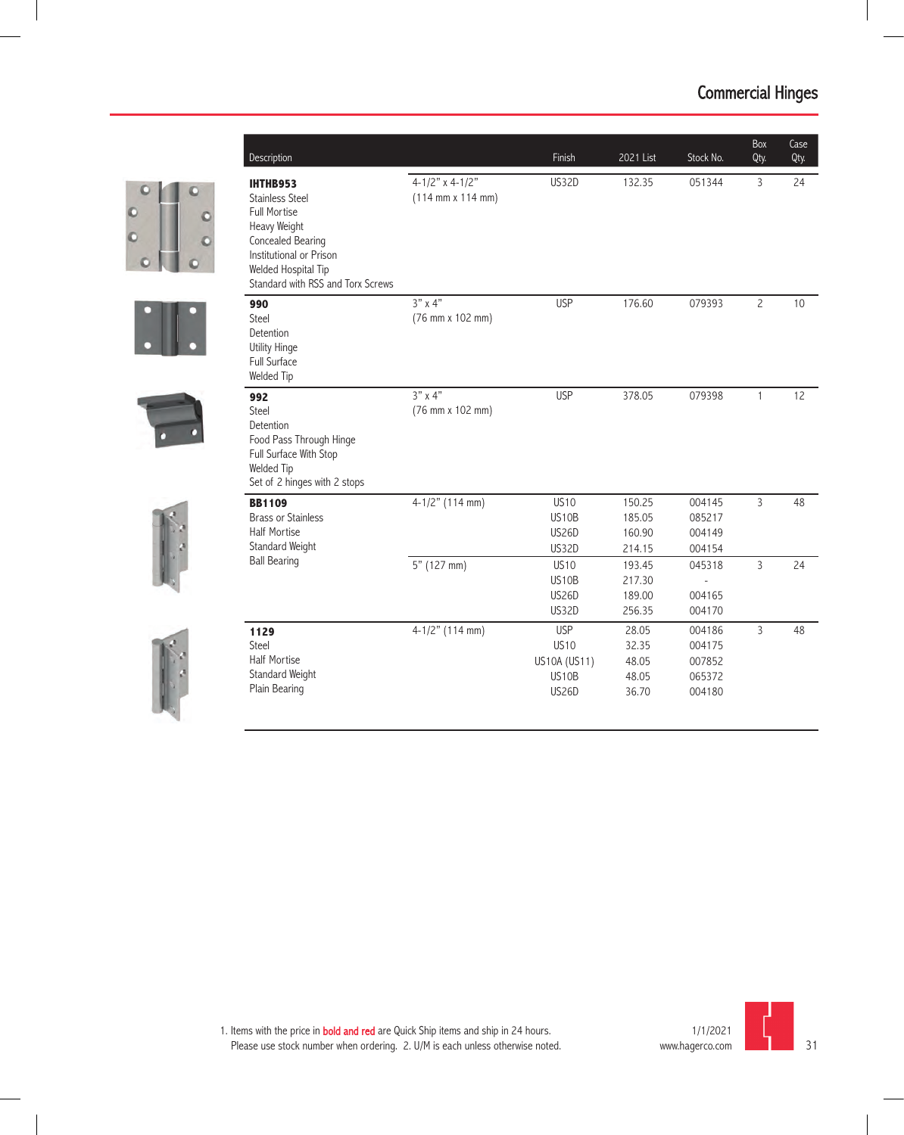|  | Description                                                                                                                                                                                  |                                                                   | Finish                                                             | 2021 List                                 | Stock No.                                      | Box<br>Qty.    | Case<br>Qty. |
|--|----------------------------------------------------------------------------------------------------------------------------------------------------------------------------------------------|-------------------------------------------------------------------|--------------------------------------------------------------------|-------------------------------------------|------------------------------------------------|----------------|--------------|
|  | <b>IHTHB953</b><br><b>Stainless Steel</b><br><b>Full Mortise</b><br>Heavy Weight<br>Concealed Bearing<br>Institutional or Prison<br>Welded Hospital Tip<br>Standard with RSS and Torx Screws | $4-1/2"$ x 4-1/2"<br>$(114 \, \text{mm} \times 114 \, \text{mm})$ | <b>US32D</b>                                                       | 132.35                                    | 051344                                         | 3              | 24           |
|  | 990<br>Steel<br>Detention<br><b>Utility Hinge</b><br>Full Surface<br>Welded Tip                                                                                                              | $3"$ x 4"<br>(76 mm x 102 mm)                                     | <b>USP</b>                                                         | 176.60                                    | 079393                                         | $\overline{c}$ | 10           |
|  | 992<br>Steel<br>Detention<br>Food Pass Through Hinge<br>Full Surface With Stop<br>Welded Tip<br>Set of 2 hinges with 2 stops                                                                 | $3" \times 4"$<br>(76 mm x 102 mm)                                | <b>USP</b>                                                         | 378.05                                    | 079398                                         | $\mathbf{1}$   | 12           |
|  | <b>BB1109</b><br><b>Brass or Stainless</b><br><b>Half Mortise</b><br>Standard Weight                                                                                                         | $4-1/2"$ (114 mm)                                                 | <b>US10</b><br>US10B<br><b>US26D</b><br><b>US32D</b>               | 150.25<br>185.05<br>160.90<br>214.15      | 004145<br>085217<br>004149<br>004154           | $\overline{3}$ | 48           |
|  | <b>Ball Bearing</b>                                                                                                                                                                          | 5" (127 mm)                                                       | <b>US10</b><br>US10B<br><b>US26D</b><br>US32D                      | 193.45<br>217.30<br>189.00<br>256.35      | 045318<br>004165<br>004170                     | $\overline{3}$ | 24           |
|  | 1129<br>Steel<br><b>Half Mortise</b><br>Standard Weight<br>Plain Bearing                                                                                                                     | $4-1/2"$ (114 mm)                                                 | <b>USP</b><br><b>US10</b><br>US10A (US11)<br>US10B<br><b>US26D</b> | 28.05<br>32.35<br>48.05<br>48.05<br>36.70 | 004186<br>004175<br>007852<br>065372<br>004180 | 3              | 48           |

S<sub>O</sub>



1. Items with the price in **bold and red** are Quick Ship items and ship in 24 hours. Please use stock number when ordering. 2. U/M is each unless otherwise noted.

31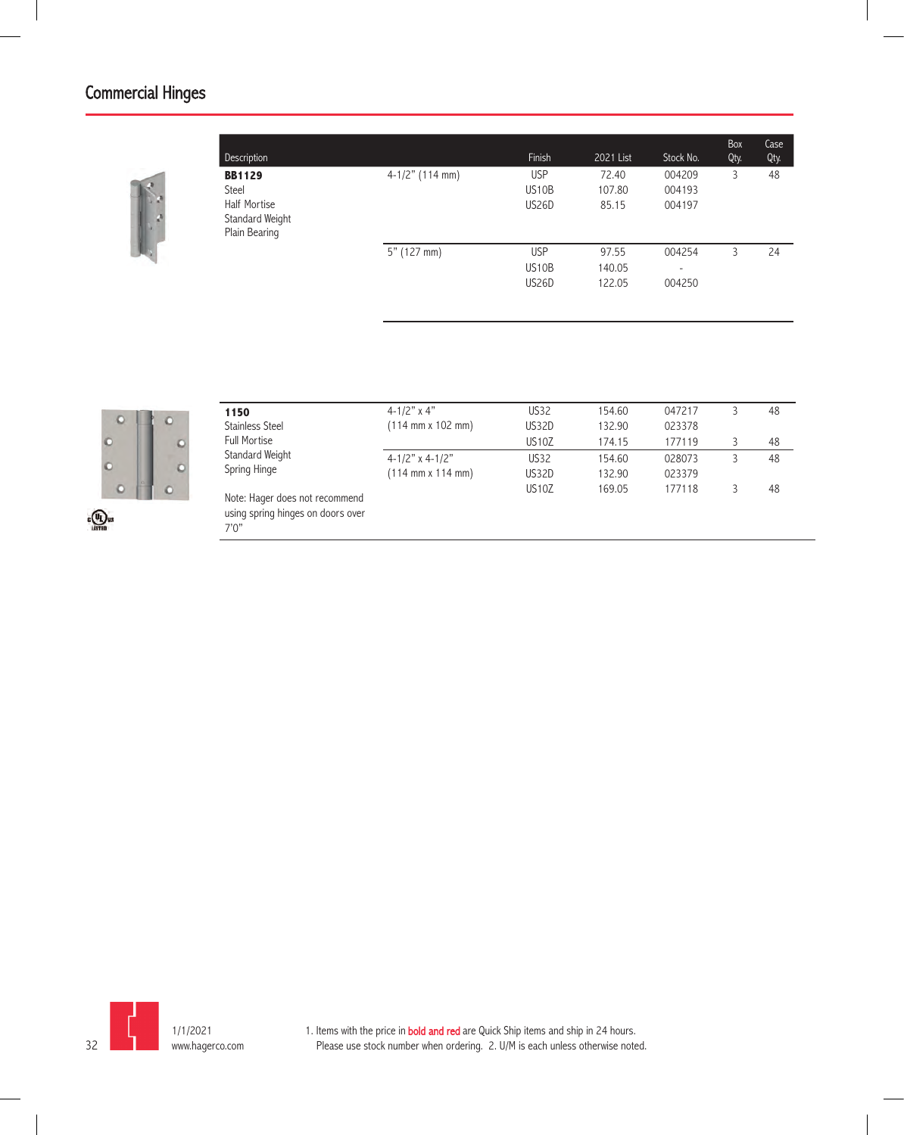| Description         |                   | Finish             | 2021 List | Stock No. | Box<br>Qty. | Case<br>Qty. |
|---------------------|-------------------|--------------------|-----------|-----------|-------------|--------------|
| <b>BB1129</b>       | $4-1/2"$ (114 mm) | <b>USP</b>         | 72.40     | 004209    | 3           | 48           |
| Steel               |                   | US <sub>10</sub> B | 107.80    | 004193    |             |              |
| <b>Half Mortise</b> |                   | US26D              | 85.15     | 004197    |             |              |
| Standard Weight     |                   |                    |           |           |             |              |
| Plain Bearing       |                   |                    |           |           |             |              |
|                     | $5"$ (127 mm)     | <b>USP</b>         | 97.55     | 004254    | 3           | 24           |
|                     |                   | US <sub>10</sub> B | 140.05    | ۰         |             |              |
|                     |                   | US26D              | 122.05    | 004250    |             |              |



|                                          | 1150                                                                         | $4 - 1/2$ " x 4"                                                    | <b>US32</b>           | 154.60           | 047217           | 48 |
|------------------------------------------|------------------------------------------------------------------------------|---------------------------------------------------------------------|-----------------------|------------------|------------------|----|
|                                          | <b>Stainless Steel</b><br><b>Full Mortise</b>                                | $(114 \, \text{mm} \times 102 \, \text{mm})$                        | US32D<br><b>US10Z</b> | 132.90<br>174.15 | 023378<br>177119 | 48 |
|                                          | Standard Weight<br>Spring Hinge                                              | $4 - 1/2"$ x 4-1/2"<br>$(114 \, \text{mm} \times 114 \, \text{mm})$ | <b>US32</b><br>US32D  | 154.60<br>132.90 | 028073<br>023379 | 48 |
| $\epsilon$ <sup>(U<sub>U</sub>) us</sup> | Note: Hager does not recommend<br>using spring hinges on doors over<br>7'0'' |                                                                     | <b>US10Z</b>          | 169.05           | 177118           | 48 |

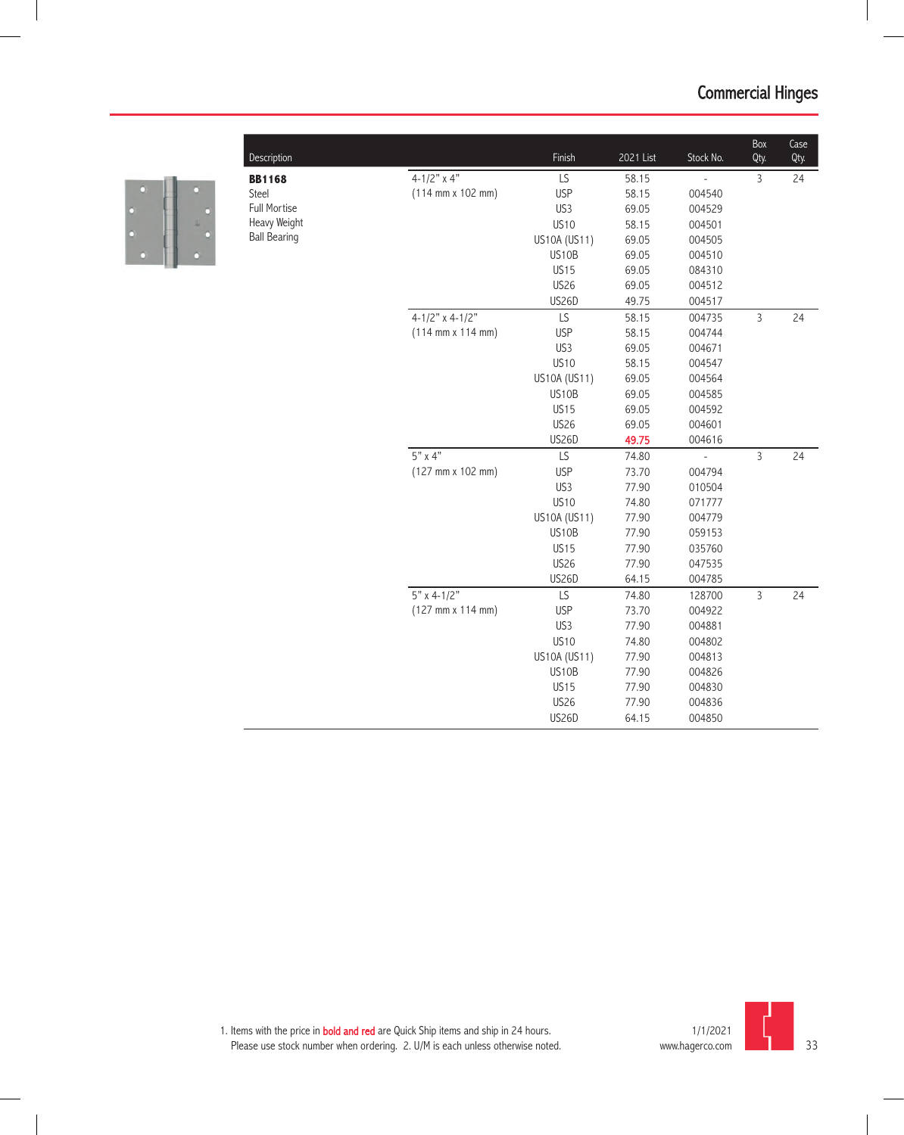

|                     |                                              |              |           |                | Box            | Case |
|---------------------|----------------------------------------------|--------------|-----------|----------------|----------------|------|
| Description         |                                              | Finish       | 2021 List | Stock No.      | Qty.           | Qty. |
| <b>BB1168</b>       | $4 - 1/2"$ x 4"                              | LS           | 58.15     | Ĭ,             | $\overline{3}$ | 24   |
| Steel               | $(114 \, \text{mm} \times 102 \, \text{mm})$ | <b>USP</b>   | 58.15     | 004540         |                |      |
| <b>Full Mortise</b> |                                              | US3          | 69.05     | 004529         |                |      |
| Heavy Weight        |                                              | <b>US10</b>  | 58.15     | 004501         |                |      |
| <b>Ball Bearing</b> |                                              | US10A (US11) | 69.05     | 004505         |                |      |
|                     |                                              | US10B        | 69.05     | 004510         |                |      |
|                     |                                              | <b>US15</b>  | 69.05     | 084310         |                |      |
|                     |                                              | <b>US26</b>  | 69.05     | 004512         |                |      |
|                     |                                              | US26D        | 49.75     | 004517         |                |      |
|                     | $4 - 1/2"$ x 4-1/2"                          | LS           | 58.15     | 004735         | $\overline{3}$ | 24   |
|                     | $(114 \, \text{mm} \times 114 \, \text{mm})$ | <b>USP</b>   | 58.15     | 004744         |                |      |
|                     |                                              | US3          | 69.05     | 004671         |                |      |
|                     |                                              | <b>US10</b>  | 58.15     | 004547         |                |      |
|                     |                                              | US10A (US11) | 69.05     | 004564         |                |      |
|                     |                                              | US10B        | 69.05     | 004585         |                |      |
|                     |                                              | <b>US15</b>  | 69.05     | 004592         |                |      |
|                     |                                              | <b>US26</b>  | 69.05     | 004601         |                |      |
|                     |                                              | US26D        | 49.75     | 004616         |                |      |
|                     | $5"$ x 4"                                    | LS           | 74.80     | $\overline{a}$ | $\overline{3}$ | 24   |
|                     | (127 mm x 102 mm)                            | <b>USP</b>   | 73.70     | 004794         |                |      |
|                     |                                              | US3          | 77.90     | 010504         |                |      |
|                     |                                              | <b>US10</b>  | 74.80     | 071777         |                |      |
|                     |                                              | US10A (US11) | 77.90     | 004779         |                |      |
|                     |                                              | US10B        | 77.90     | 059153         |                |      |
|                     |                                              | <b>US15</b>  | 77.90     | 035760         |                |      |
|                     |                                              | <b>US26</b>  | 77.90     | 047535         |                |      |
|                     |                                              | US26D        | 64.15     | 004785         |                |      |
|                     | $5"$ x 4-1/2"                                | LS           | 74.80     | 128700         | $\overline{3}$ | 24   |
|                     | (127 mm x 114 mm)                            | <b>USP</b>   | 73.70     | 004922         |                |      |
|                     |                                              | US3          | 77.90     | 004881         |                |      |
|                     |                                              | <b>US10</b>  | 74.80     | 004802         |                |      |
|                     |                                              | US10A (US11) | 77.90     | 004813         |                |      |
|                     |                                              | US10B        | 77.90     | 004826         |                |      |
|                     |                                              | <b>US15</b>  | 77.90     | 004830         |                |      |
|                     |                                              | <b>US26</b>  | 77.90     | 004836         |                |      |
|                     |                                              | US26D        | 64.15     | 004850         |                |      |

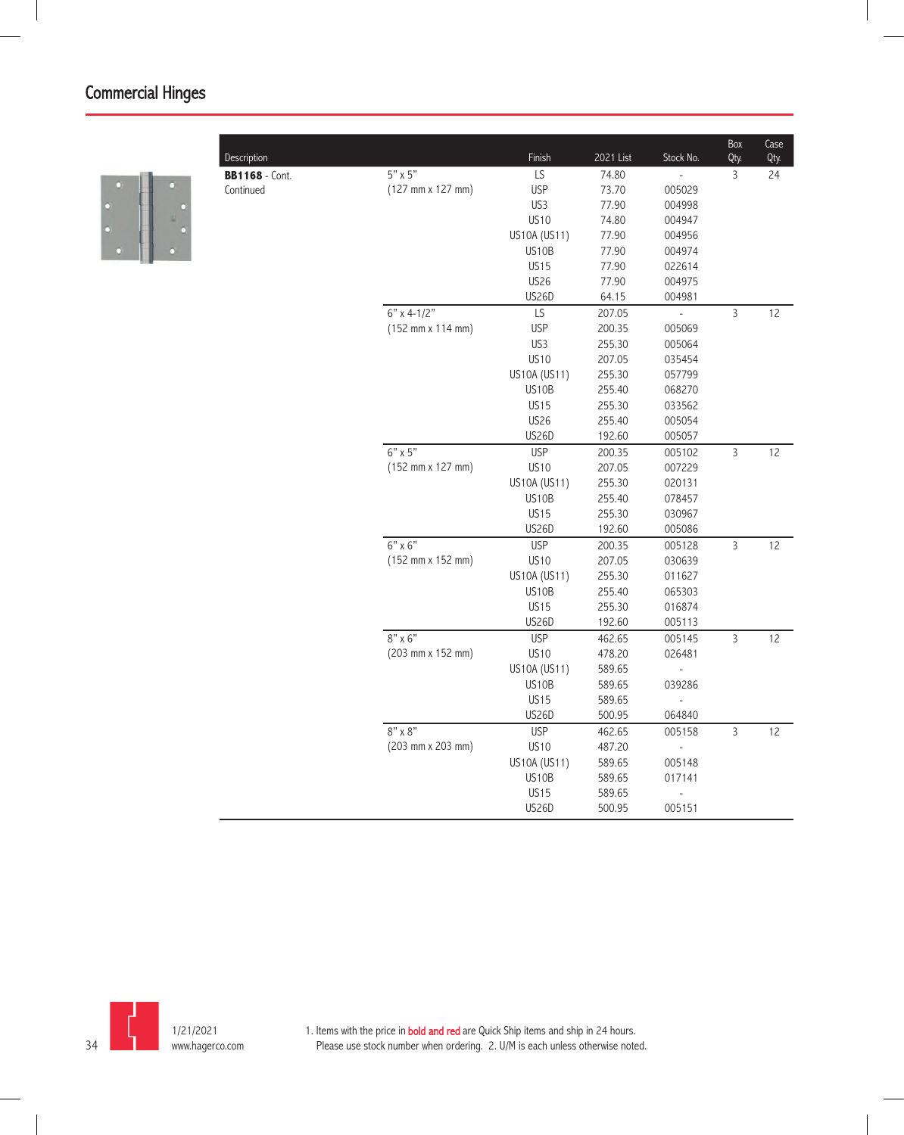

| Description           |                                              | Finish       | 2021 List | Stock No.      | Box<br>Qty.    | Case<br>Qty. |
|-----------------------|----------------------------------------------|--------------|-----------|----------------|----------------|--------------|
| <b>BB1168</b> - Cont. | $5" \times 5"$                               | LS           | 74.80     | $\overline{a}$ | 3              | 24           |
| Continued             | $(127 \, \text{mm} \times 127 \, \text{mm})$ | <b>USP</b>   | 73.70     | 005029         |                |              |
|                       |                                              | US3          | 77.90     | 004998         |                |              |
|                       |                                              | <b>US10</b>  | 74.80     | 004947         |                |              |
|                       |                                              | US10A (US11) | 77.90     | 004956         |                |              |
|                       |                                              | US10B        | 77.90     | 004974         |                |              |
|                       |                                              | <b>US15</b>  | 77.90     | 022614         |                |              |
|                       |                                              | <b>US26</b>  | 77.90     | 004975         |                |              |
|                       |                                              | <b>US26D</b> | 64.15     | 004981         |                |              |
|                       | $6"$ x 4-1/2"                                | LS           | 207.05    | $\frac{1}{2}$  | 3              | 12           |
|                       | $(152 \, \text{mm} \times 114 \, \text{mm})$ | <b>USP</b>   | 200.35    | 005069         |                |              |
|                       |                                              | US3          | 255.30    | 005064         |                |              |
|                       |                                              | <b>US10</b>  | 207.05    | 035454         |                |              |
|                       |                                              | US10A (US11) | 255.30    | 057799         |                |              |
|                       |                                              | US10B        | 255.40    | 068270         |                |              |
|                       |                                              | <b>US15</b>  | 255.30    | 033562         |                |              |
|                       |                                              | <b>US26</b>  | 255.40    | 005054         |                |              |
|                       |                                              | <b>US26D</b> | 192.60    | 005057         |                |              |
|                       | $6" \times 5"$                               | <b>USP</b>   | 200.35    | 005102         | $\overline{3}$ | 12           |
|                       | (152 mm x 127 mm)                            | <b>US10</b>  | 207.05    | 007229         |                |              |
|                       |                                              | US10A (US11) | 255.30    | 020131         |                |              |
|                       |                                              | US10B        | 255.40    | 078457         |                |              |
|                       |                                              | <b>US15</b>  | 255.30    | 030967         |                |              |
|                       |                                              | <b>US26D</b> | 192.60    | 005086         |                |              |
|                       | 6" x 6"                                      | <b>USP</b>   | 200.35    | 005128         | $\overline{3}$ | 12           |
|                       | $(152 \, \text{mm} \times 152 \, \text{mm})$ | <b>US10</b>  | 207.05    | 030639         |                |              |
|                       |                                              | US10A (US11) | 255.30    | 011627         |                |              |
|                       |                                              | US10B        | 255.40    | 065303         |                |              |
|                       |                                              | <b>US15</b>  | 255.30    | 016874         |                |              |
|                       |                                              | <b>US26D</b> | 192.60    | 005113         |                |              |
|                       | $8" \times 6"$                               | <b>USP</b>   | 462.65    | 005145         | $\overline{3}$ | 12           |
|                       | (203 mm x 152 mm)                            | <b>US10</b>  | 478.20    | 026481         |                |              |
|                       |                                              | US10A (US11) | 589.65    |                |                |              |
|                       |                                              | US10B        | 589.65    | 039286         |                |              |
|                       |                                              | <b>US15</b>  | 589.65    |                |                |              |
|                       |                                              | <b>US26D</b> | 500.95    | 064840         |                |              |
|                       | $8" \times 8"$                               | <b>USP</b>   | 462.65    | 005158         | 3              | 12           |
|                       | (203 mm x 203 mm)                            | <b>US10</b>  | 487.20    | $\overline{a}$ |                |              |
|                       |                                              | US10A (US11) | 589.65    | 005148         |                |              |
|                       |                                              | US10B        | 589.65    | 017141         |                |              |
|                       |                                              | <b>US15</b>  | 589.65    |                |                |              |
|                       |                                              | <b>US26D</b> | 500.95    | 005151         |                |              |
|                       |                                              |              |           |                |                |              |

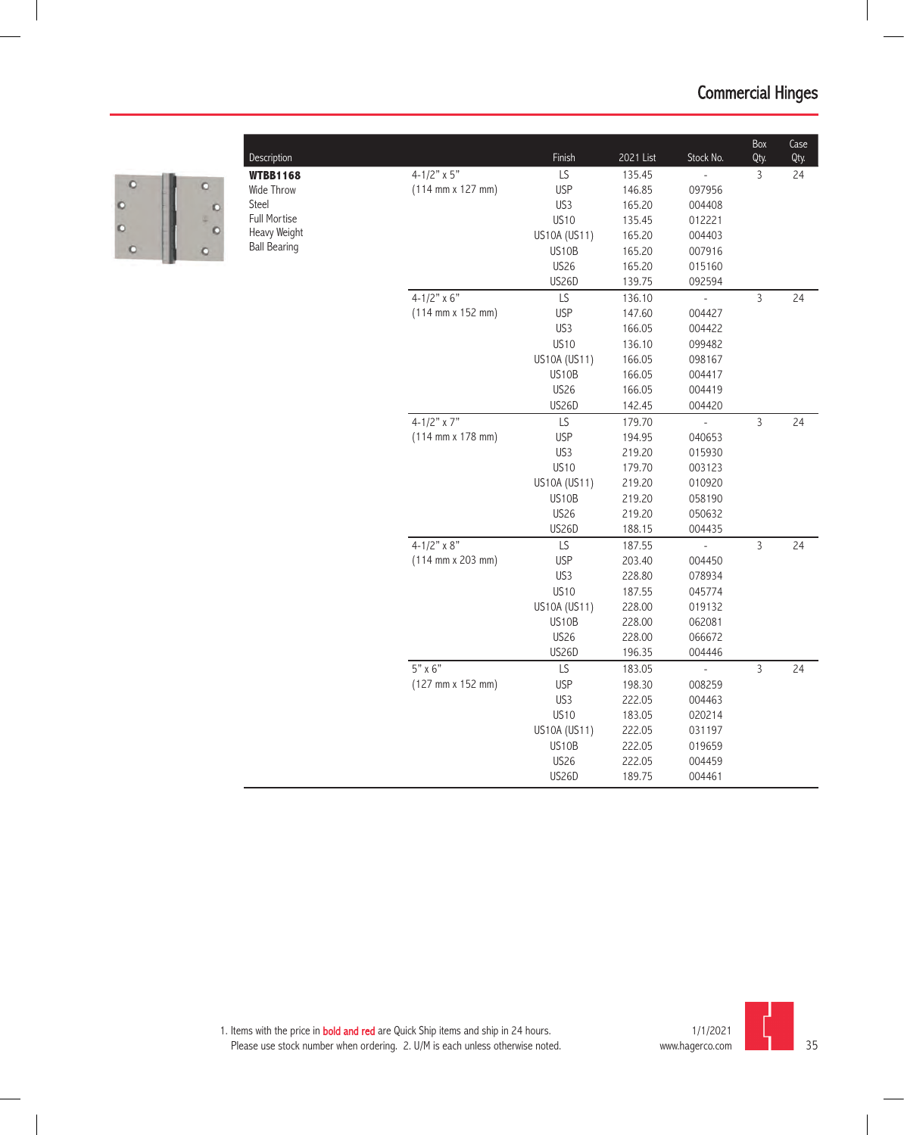

| Description         |                                              | Finish       | 2021 List | Stock No.      | Box<br>Qty.    | Case<br>Qty. |
|---------------------|----------------------------------------------|--------------|-----------|----------------|----------------|--------------|
| <b>WTBB1168</b>     | $4 - 1/2" \times 5"$                         | LS           | 135.45    |                | 3              | 24           |
| Wide Throw          | $(114 \, \text{mm} \times 127 \, \text{mm})$ | <b>USP</b>   | 146.85    | 097956         |                |              |
| Steel               |                                              | US3          | 165.20    | 004408         |                |              |
| Full Mortise        |                                              | <b>US10</b>  | 135.45    | 012221         |                |              |
| Heavy Weight        |                                              | US10A (US11) | 165.20    | 004403         |                |              |
| <b>Ball Bearing</b> |                                              | US10B        | 165.20    | 007916         |                |              |
|                     |                                              | <b>US26</b>  | 165.20    | 015160         |                |              |
|                     |                                              | US26D        | 139.75    | 092594         |                |              |
|                     | $4 - 1/2" \times 6"$                         | LS           | 136.10    | L              | $\overline{3}$ | 24           |
|                     | $(114 \, \text{mm} \times 152 \, \text{mm})$ | <b>USP</b>   | 147.60    | 004427         |                |              |
|                     |                                              | US3          | 166.05    | 004422         |                |              |
|                     |                                              | <b>US10</b>  | 136.10    | 099482         |                |              |
|                     |                                              | US10A (US11) | 166.05    | 098167         |                |              |
|                     |                                              | US10B        | 166.05    | 004417         |                |              |
|                     |                                              | <b>US26</b>  | 166.05    | 004419         |                |              |
|                     |                                              | <b>US26D</b> | 142.45    | 004420         |                |              |
|                     | $4 - 1/2"$ x 7"                              | LS           | 179.70    | $\overline{a}$ | $\overline{3}$ | 24           |
|                     | $(114 \, \text{mm} \times 178 \, \text{mm})$ | <b>USP</b>   | 194.95    | 040653         |                |              |
|                     |                                              | US3          | 219.20    | 015930         |                |              |
|                     |                                              | <b>US10</b>  | 179.70    | 003123         |                |              |
|                     |                                              | US10A (US11) | 219.20    | 010920         |                |              |
|                     |                                              | US10B        | 219.20    | 058190         |                |              |
|                     |                                              | <b>US26</b>  | 219.20    | 050632         |                |              |
|                     |                                              | US26D        | 188.15    | 004435         |                |              |
|                     | $4 - 1/2" \times 8"$                         | LS           | 187.55    | $\overline{a}$ | 3              | 24           |
|                     | $(114 \, \text{mm} \times 203 \, \text{mm})$ | <b>USP</b>   | 203.40    | 004450         |                |              |
|                     |                                              | US3          | 228.80    | 078934         |                |              |
|                     |                                              | <b>US10</b>  | 187.55    | 045774         |                |              |
|                     |                                              | US10A (US11) | 228.00    | 019132         |                |              |
|                     |                                              | US10B        | 228.00    | 062081         |                |              |
|                     |                                              | <b>US26</b>  | 228.00    | 066672         |                |              |
|                     |                                              | <b>US26D</b> | 196.35    | 004446         |                |              |
|                     | $5" \times 6"$                               | LS           | 183.05    | $\overline{a}$ | 3              | 24           |
|                     | (127 mm x 152 mm)                            | <b>USP</b>   | 198.30    | 008259         |                |              |
|                     |                                              | US3          | 222.05    | 004463         |                |              |
|                     |                                              | <b>US10</b>  | 183.05    | 020214         |                |              |
|                     |                                              | US10A (US11) | 222.05    | 031197         |                |              |
|                     |                                              | US10B        | 222.05    | 019659         |                |              |
|                     |                                              | <b>US26</b>  | 222.05    | 004459         |                |              |
|                     |                                              | US26D        | 189.75    | 004461         |                |              |

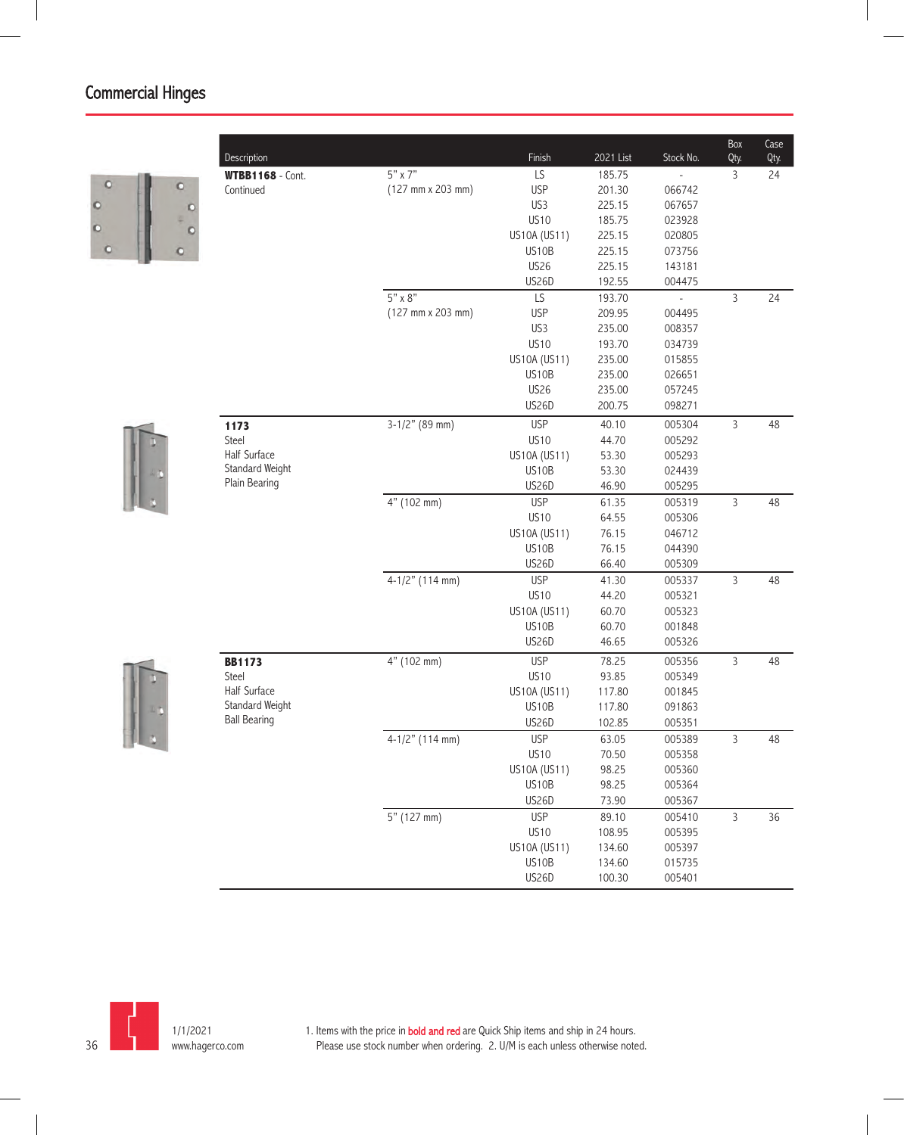$\circ$ Ò  $\circ$  $\circ$ 

|         | Description             |                                              | Finish       | 2021 List | Stock No.                | Box<br>Qty.    | Case<br>Qty. |
|---------|-------------------------|----------------------------------------------|--------------|-----------|--------------------------|----------------|--------------|
|         | <b>WTBB1168</b> - Cont. | 5" x 7"                                      | LS           | 185.75    |                          | 3              | 24           |
| $\circ$ | Continued               | (127 mm x 203 mm)                            | <b>USP</b>   | 201.30    | 066742                   |                |              |
|         |                         |                                              | US3          | 225.15    | 067657                   |                |              |
|         |                         |                                              | <b>US10</b>  | 185.75    | 023928                   |                |              |
|         |                         |                                              | US10A (US11) | 225.15    | 020805                   |                |              |
|         |                         |                                              | US10B        | 225.15    | 073756                   |                |              |
|         |                         |                                              | <b>US26</b>  | 225.15    | 143181                   |                |              |
|         |                         |                                              | US26D        | 192.55    | 004475                   |                |              |
|         |                         | $5" \times 8"$                               | LS           | 193.70    | $\overline{\phantom{a}}$ | 3              | 24           |
|         |                         | $(127 \, \text{mm} \times 203 \, \text{mm})$ | <b>USP</b>   | 209.95    | 004495                   |                |              |
|         |                         |                                              | US3          | 235.00    | 008357                   |                |              |
|         |                         |                                              | <b>US10</b>  | 193.70    | 034739                   |                |              |
|         |                         |                                              | US10A (US11) | 235.00    | 015855                   |                |              |
|         |                         |                                              | US10B        | 235.00    | 026651                   |                |              |
|         |                         |                                              | <b>US26</b>  | 235.00    | 057245                   |                |              |
|         |                         |                                              | <b>US26D</b> | 200.75    | 098271                   |                |              |
|         | 1173                    | $3-1/2"$ (89 mm)                             | <b>USP</b>   | 40.10     | 005304                   | 3              | 48           |
|         | Steel                   |                                              | <b>US10</b>  | 44.70     | 005292                   |                |              |
|         | Half Surface            |                                              | US10A (US11) | 53.30     | 005293                   |                |              |
|         | Standard Weight         |                                              | US10B        | 53.30     | 024439                   |                |              |
|         | Plain Bearing           |                                              | US26D        | 46.90     | 005295                   |                |              |
|         |                         | 4" (102 mm)                                  | <b>USP</b>   | 61.35     | 005319                   | $\mathsf{3}$   | 48           |
|         |                         |                                              | <b>US10</b>  | 64.55     | 005306                   |                |              |
|         |                         |                                              | US10A (US11) | 76.15     | 046712                   |                |              |
|         |                         |                                              | US10B        | 76.15     | 044390                   |                |              |
|         |                         |                                              | US26D        | 66.40     | 005309                   |                |              |
|         |                         | $4-1/2"$ (114 mm)                            | <b>USP</b>   | 41.30     | 005337                   | $\mathsf{3}$   | 48           |
|         |                         |                                              | <b>US10</b>  | 44.20     | 005321                   |                |              |
|         |                         |                                              | US10A (US11) | 60.70     | 005323                   |                |              |
|         |                         |                                              | US10B        | 60.70     | 001848                   |                |              |
|         |                         |                                              | <b>US26D</b> | 46.65     | 005326                   |                |              |
|         | <b>BB1173</b>           | 4" (102 mm)                                  | <b>USP</b>   | 78.25     | 005356                   | $\mathsf{3}$   | 48           |
|         | Steel                   |                                              | <b>US10</b>  | 93.85     | 005349                   |                |              |
|         | Half Surface            |                                              | US10A (US11) | 117.80    | 001845                   |                |              |
|         | Standard Weight         |                                              | US10B        | 117.80    | 091863                   |                |              |
|         | <b>Ball Bearing</b>     |                                              | US26D        | 102.85    | 005351                   |                |              |
|         |                         | 4-1/2" (114 mm)                              | <b>USP</b>   | 63.05     | 005389                   | 3              | 48           |
|         |                         |                                              | <b>US10</b>  | 70.50     | 005358                   |                |              |
|         |                         |                                              | US10A (US11) | 98.25     | 005360                   |                |              |
|         |                         |                                              | US10B        | 98.25     | 005364                   |                |              |
|         |                         |                                              | US26D        | 73.90     | 005367                   |                |              |
|         |                         | 5" (127 mm)                                  | <b>USP</b>   | 89.10     | 005410                   | $\overline{3}$ | 36           |
|         |                         |                                              | <b>US10</b>  | 108.95    | 005395                   |                |              |
|         |                         |                                              | US10A (US11) | 134.60    | 005397                   |                |              |
|         |                         |                                              | US10B        | 134.60    | 015735                   |                |              |
|         |                         |                                              | US26D        | 100.30    | 005401                   |                |              |
|         |                         |                                              |              |           |                          |                |              |

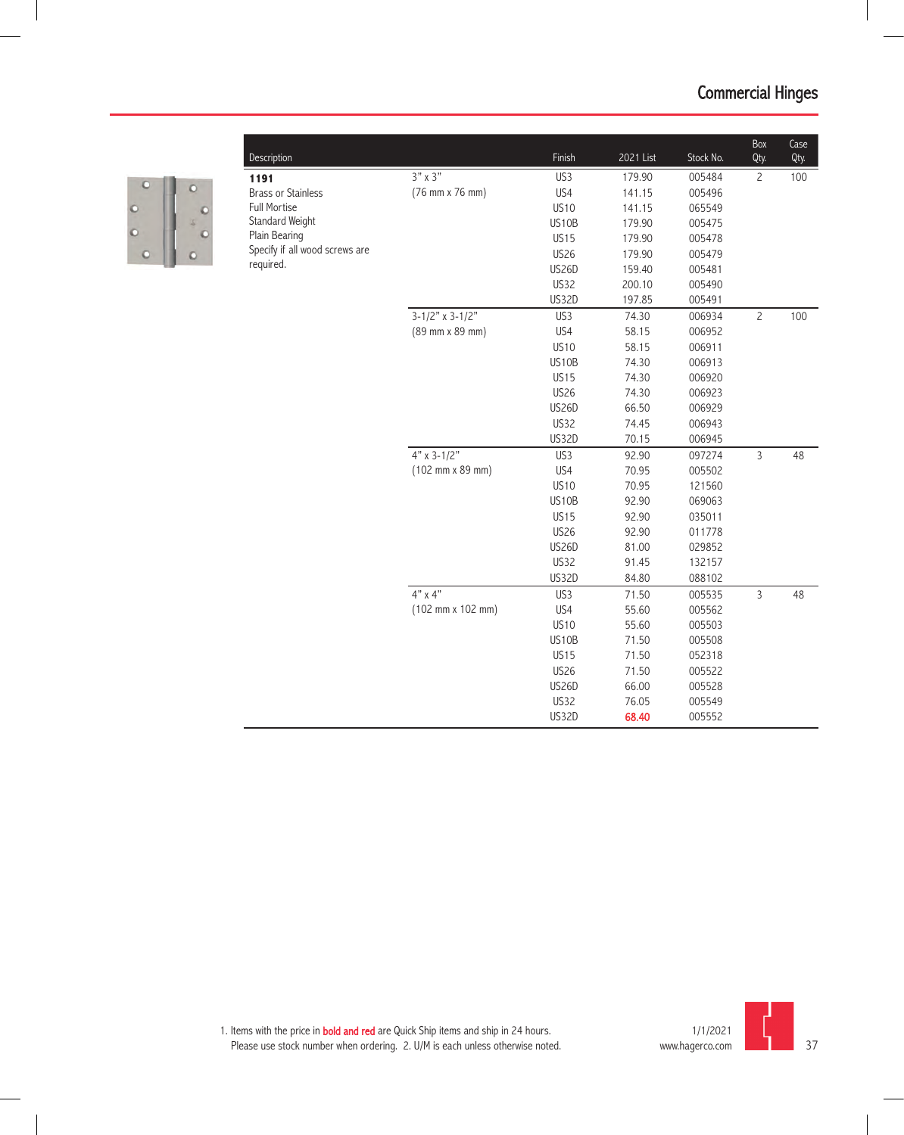

|                                |                            |              |           |           | Box            | Case |
|--------------------------------|----------------------------|--------------|-----------|-----------|----------------|------|
| Description                    |                            | Finish       | 2021 List | Stock No. | Qty.           | Qty. |
| 1191                           | $3" \times 3"$             | US3          | 179.90    | 005484    | $\overline{c}$ | 100  |
| <b>Brass or Stainless</b>      | (76 mm x 76 mm)            | US4          | 141.15    | 005496    |                |      |
| <b>Full Mortise</b>            |                            | <b>US10</b>  | 141.15    | 065549    |                |      |
| Standard Weight                |                            | US10B        | 179.90    | 005475    |                |      |
| Plain Bearing                  |                            | <b>US15</b>  | 179.90    | 005478    |                |      |
| Specify if all wood screws are |                            | <b>US26</b>  | 179.90    | 005479    |                |      |
| required.                      |                            | <b>US26D</b> | 159.40    | 005481    |                |      |
|                                |                            | US32         | 200.10    | 005490    |                |      |
|                                |                            | <b>US32D</b> | 197.85    | 005491    |                |      |
|                                | $3 - 1/2" \times 3 - 1/2"$ | US3          | 74.30     | 006934    | $\overline{c}$ | 100  |
|                                | (89 mm x 89 mm)            | US4          | 58.15     | 006952    |                |      |
|                                |                            | <b>US10</b>  | 58.15     | 006911    |                |      |
|                                |                            | US10B        | 74.30     | 006913    |                |      |
|                                |                            | <b>US15</b>  | 74.30     | 006920    |                |      |
|                                |                            | <b>US26</b>  | 74.30     | 006923    |                |      |
|                                |                            | <b>US26D</b> | 66.50     | 006929    |                |      |
|                                |                            | US32         | 74.45     | 006943    |                |      |
|                                |                            | <b>US32D</b> | 70.15     | 006945    |                |      |
|                                | $4" \times 3 - 1/2"$       | US3          | 92.90     | 097274    | $\overline{3}$ | 48   |
|                                | (102 mm x 89 mm)           | US4          | 70.95     | 005502    |                |      |
|                                |                            | <b>US10</b>  | 70.95     | 121560    |                |      |
|                                |                            | US10B        | 92.90     | 069063    |                |      |
|                                |                            | <b>US15</b>  | 92.90     | 035011    |                |      |
|                                |                            | <b>US26</b>  | 92.90     | 011778    |                |      |
|                                |                            | <b>US26D</b> | 81.00     | 029852    |                |      |
|                                |                            | US32         | 91.45     | 132157    |                |      |
|                                |                            | US32D        | 84.80     | 088102    |                |      |
|                                | $4" \times 4"$             | US3          | 71.50     | 005535    | $\overline{3}$ | 48   |
|                                | (102 mm x 102 mm)          | US4          | 55.60     | 005562    |                |      |
|                                |                            | <b>US10</b>  | 55.60     | 005503    |                |      |
|                                |                            | US10B        | 71.50     | 005508    |                |      |
|                                |                            | <b>US15</b>  | 71.50     | 052318    |                |      |
|                                |                            | <b>US26</b>  | 71.50     | 005522    |                |      |
|                                |                            | <b>US26D</b> | 66.00     | 005528    |                |      |
|                                |                            | <b>US32</b>  | 76.05     | 005549    |                |      |
|                                |                            | US32D        | 68.40     | 005552    |                |      |

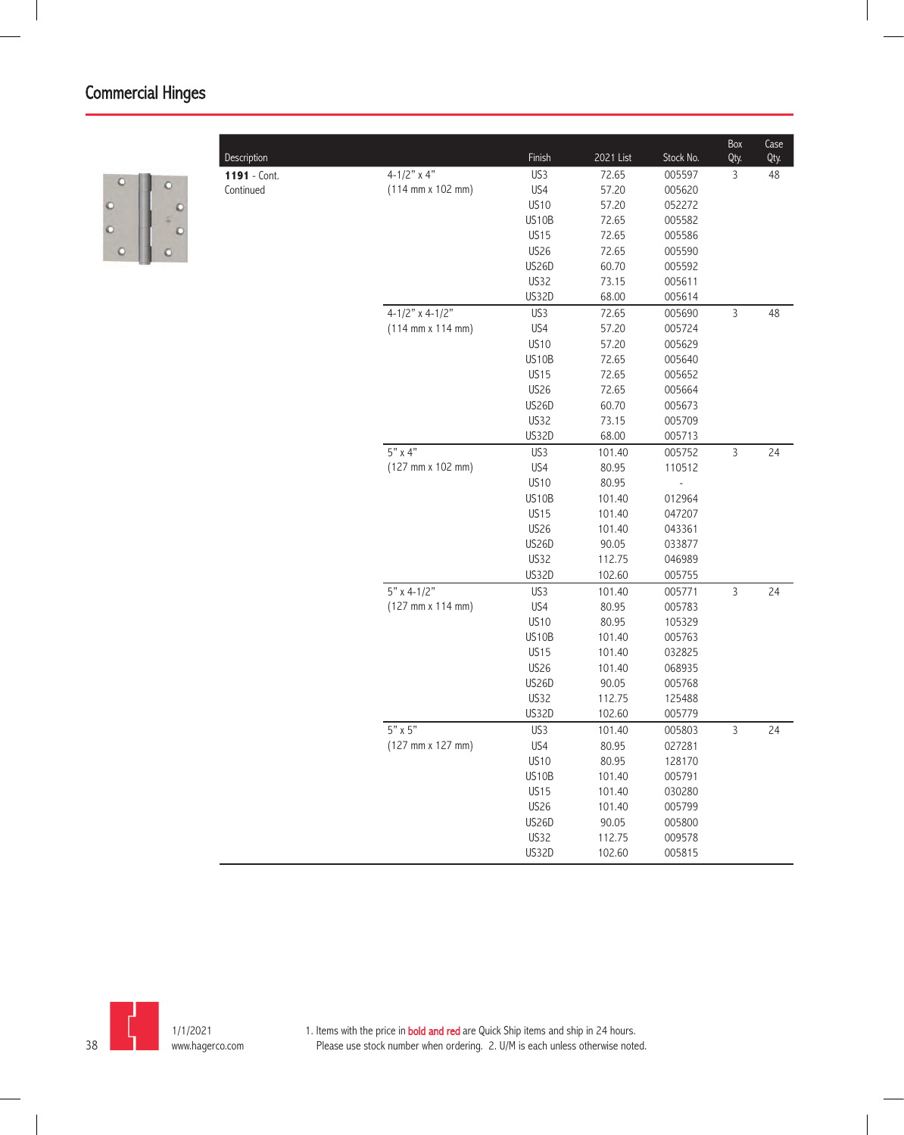

|              |                                              |             |           |           | Box            | Case |
|--------------|----------------------------------------------|-------------|-----------|-----------|----------------|------|
| Description  |                                              | Finish      | 2021 List | Stock No. | Qty.           | Qty. |
| 1191 - Cont. | $4 - 1/2"$ x 4"                              | US3         | 72.65     | 005597    | 3              | 48   |
| Continued    | $(114 \text{ mm} \times 102 \text{ mm})$     | US4         | 57.20     | 005620    |                |      |
|              |                                              | <b>US10</b> | 57.20     | 052272    |                |      |
|              |                                              | US10B       | 72.65     | 005582    |                |      |
|              |                                              | <b>US15</b> | 72.65     | 005586    |                |      |
|              |                                              | <b>US26</b> | 72.65     | 005590    |                |      |
|              |                                              | US26D       | 60.70     | 005592    |                |      |
|              |                                              | <b>US32</b> | 73.15     | 005611    |                |      |
|              |                                              | US32D       | 68.00     | 005614    |                |      |
|              | $4-1/2"$ x 4-1/2"                            | US3         | 72.65     | 005690    | $\mathsf{3}$   | 48   |
|              | $(114 \, \text{mm} \times 114 \, \text{mm})$ | US4         | 57.20     | 005724    |                |      |
|              |                                              | <b>US10</b> | 57.20     | 005629    |                |      |
|              |                                              | US10B       | 72.65     | 005640    |                |      |
|              |                                              | <b>US15</b> | 72.65     | 005652    |                |      |
|              |                                              | <b>US26</b> | 72.65     | 005664    |                |      |
|              |                                              | US26D       | 60.70     | 005673    |                |      |
|              |                                              | <b>US32</b> | 73.15     | 005709    |                |      |
|              |                                              | US32D       | 68.00     | 005713    |                |      |
|              | $5"$ x 4"                                    | US3         | 101.40    | 005752    | $\mathsf 3$    | 24   |
|              | (127 mm x 102 mm)                            | US4         | 80.95     | 110512    |                |      |
|              |                                              | <b>US10</b> | 80.95     |           |                |      |
|              |                                              | US10B       | 101.40    | 012964    |                |      |
|              |                                              | <b>US15</b> | 101.40    | 047207    |                |      |
|              |                                              | <b>US26</b> | 101.40    | 043361    |                |      |
|              |                                              | US26D       | 90.05     | 033877    |                |      |
|              |                                              | US32        | 112.75    | 046989    |                |      |
|              |                                              | US32D       | 102.60    | 005755    |                |      |
|              | $5'' \times 4 - 1/2''$                       | US3         | 101.40    | 005771    | $\overline{3}$ | 24   |
|              | (127 mm x 114 mm)                            | US4         | 80.95     | 005783    |                |      |
|              |                                              | <b>US10</b> | 80.95     | 105329    |                |      |
|              |                                              | US10B       | 101.40    | 005763    |                |      |
|              |                                              | <b>US15</b> | 101.40    | 032825    |                |      |
|              |                                              | <b>US26</b> | 101.40    | 068935    |                |      |
|              |                                              | US26D       | 90.05     | 005768    |                |      |
|              |                                              | US32        | 112.75    | 125488    |                |      |
|              |                                              | US32D       | 102.60    | 005779    |                |      |
|              | $5" \times 5"$                               | US3         | 101.40    | 005803    | $\overline{3}$ | 24   |
|              | $(127 \, \text{mm} \times 127 \, \text{mm})$ | US4         | 80.95     | 027281    |                |      |
|              |                                              | <b>US10</b> | 80.95     | 128170    |                |      |
|              |                                              | US10B       | 101.40    | 005791    |                |      |
|              |                                              | <b>US15</b> | 101.40    | 030280    |                |      |
|              |                                              | <b>US26</b> | 101.40    | 005799    |                |      |
|              |                                              | US26D       | 90.05     | 005800    |                |      |
|              |                                              | US32        | 112.75    | 009578    |                |      |
|              |                                              | US32D       | 102.60    | 005815    |                |      |
|              |                                              |             |           |           |                |      |

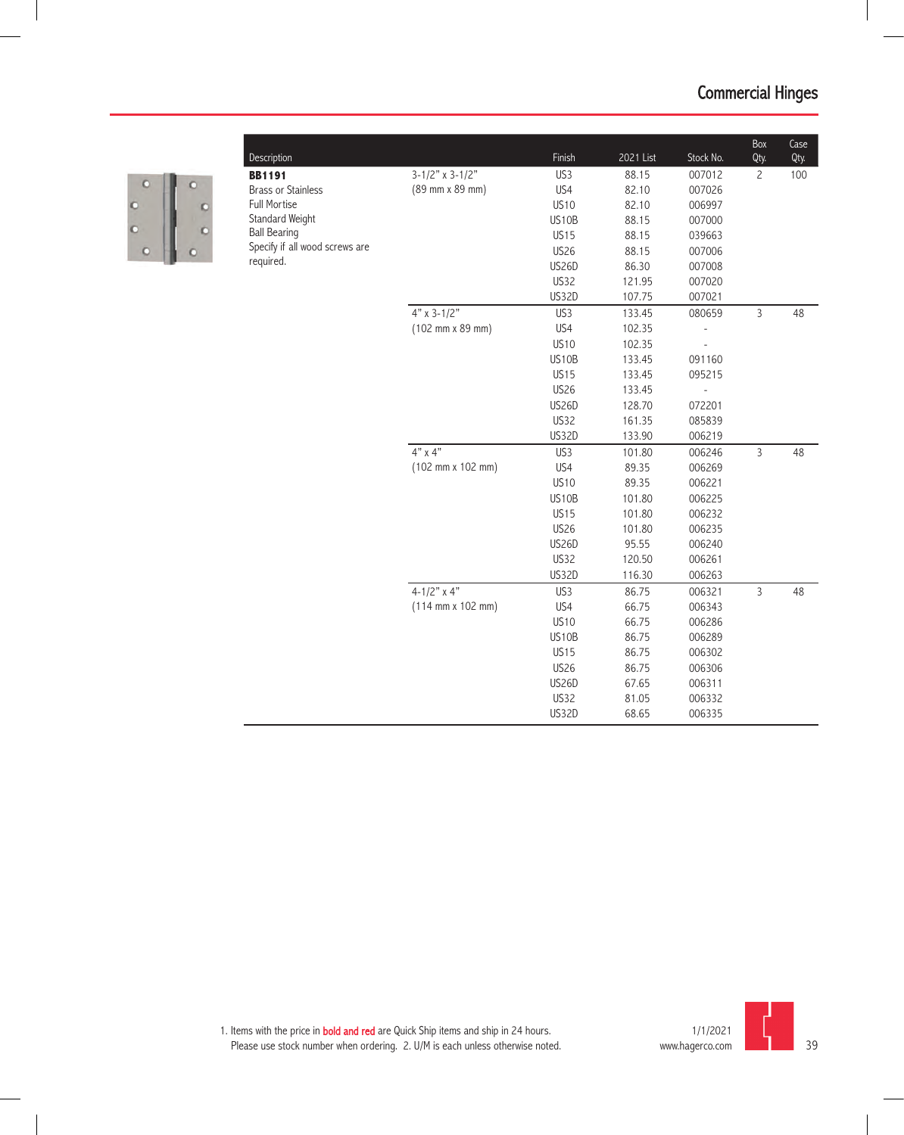

| $3-1/2"$ x 3-1/2"<br>US3<br>88.15<br>007012<br>$\overline{c}$<br>100<br><b>BB1191</b><br>(89 mm x 89 mm)<br>US4<br><b>Brass or Stainless</b><br>82.10<br>007026<br><b>Full Mortise</b><br><b>US10</b><br>82.10<br>006997<br>Standard Weight<br>US10B<br>88.15<br>007000<br><b>Ball Bearing</b><br><b>US15</b><br>88.15<br>039663<br>Specify if all wood screws are<br><b>US26</b><br>88.15<br>007006<br>required.<br>US26D<br>86.30<br>007008<br>US32<br>121.95<br>007020<br>US32D<br>007021<br>107.75<br>$4"$ x 3-1/2"<br>$\overline{3}$<br>US3<br>133.45<br>080659<br>48<br>(102 mm x 89 mm)<br>US4<br>102.35<br>$\overline{a}$<br><b>US10</b><br>102.35<br>$\overline{a}$<br>US10B<br>133.45<br>091160<br><b>US15</b><br>133.45<br>095215<br><b>US26</b><br>133.45<br>US26D<br>128.70<br>072201<br>US32<br>161.35<br>085839<br>US32D<br>133.90<br>006219<br>$4" \times 4"$<br>$\overline{3}$<br>US3<br>101.80<br>006246<br>48<br>US4<br>$(102 \, \text{mm} \times 102 \, \text{mm})$<br>89.35<br>006269<br><b>US10</b><br>89.35<br>006221<br><b>US10B</b><br>101.80<br>006225<br><b>US15</b><br>006232<br>101.80<br><b>US26</b><br>006235<br>101.80<br>US26D<br>95.55<br>006240<br><b>US32</b><br>120.50<br>006261<br><b>US32D</b><br>116.30<br>006263<br>$4 - 1/2"$ x 4"<br>US3<br>3<br>86.75<br>006321<br>48<br>$(114 \, \text{mm} \times 102 \, \text{mm})$<br>US4<br>66.75<br>006343<br><b>US10</b><br>66.75<br>006286<br>US10B<br>86.75<br>006289<br><b>US15</b><br>86.75<br>006302<br><b>US26</b><br>86.75<br>006306<br>US26D<br>67.65<br>006311<br><b>US32</b><br>006332<br>81.05<br>US32D<br>68.65<br>006335 |             |        |           |           | Box  | Case |
|-------------------------------------------------------------------------------------------------------------------------------------------------------------------------------------------------------------------------------------------------------------------------------------------------------------------------------------------------------------------------------------------------------------------------------------------------------------------------------------------------------------------------------------------------------------------------------------------------------------------------------------------------------------------------------------------------------------------------------------------------------------------------------------------------------------------------------------------------------------------------------------------------------------------------------------------------------------------------------------------------------------------------------------------------------------------------------------------------------------------------------------------------------------------------------------------------------------------------------------------------------------------------------------------------------------------------------------------------------------------------------------------------------------------------------------------------------------------------------------------------------------------------------------------------------------------------------------------------------------------------|-------------|--------|-----------|-----------|------|------|
|                                                                                                                                                                                                                                                                                                                                                                                                                                                                                                                                                                                                                                                                                                                                                                                                                                                                                                                                                                                                                                                                                                                                                                                                                                                                                                                                                                                                                                                                                                                                                                                                                         | Description | Finish | 2021 List | Stock No. | Qty. | Qty. |
|                                                                                                                                                                                                                                                                                                                                                                                                                                                                                                                                                                                                                                                                                                                                                                                                                                                                                                                                                                                                                                                                                                                                                                                                                                                                                                                                                                                                                                                                                                                                                                                                                         |             |        |           |           |      |      |
|                                                                                                                                                                                                                                                                                                                                                                                                                                                                                                                                                                                                                                                                                                                                                                                                                                                                                                                                                                                                                                                                                                                                                                                                                                                                                                                                                                                                                                                                                                                                                                                                                         |             |        |           |           |      |      |
|                                                                                                                                                                                                                                                                                                                                                                                                                                                                                                                                                                                                                                                                                                                                                                                                                                                                                                                                                                                                                                                                                                                                                                                                                                                                                                                                                                                                                                                                                                                                                                                                                         |             |        |           |           |      |      |
|                                                                                                                                                                                                                                                                                                                                                                                                                                                                                                                                                                                                                                                                                                                                                                                                                                                                                                                                                                                                                                                                                                                                                                                                                                                                                                                                                                                                                                                                                                                                                                                                                         |             |        |           |           |      |      |
|                                                                                                                                                                                                                                                                                                                                                                                                                                                                                                                                                                                                                                                                                                                                                                                                                                                                                                                                                                                                                                                                                                                                                                                                                                                                                                                                                                                                                                                                                                                                                                                                                         |             |        |           |           |      |      |
|                                                                                                                                                                                                                                                                                                                                                                                                                                                                                                                                                                                                                                                                                                                                                                                                                                                                                                                                                                                                                                                                                                                                                                                                                                                                                                                                                                                                                                                                                                                                                                                                                         |             |        |           |           |      |      |
|                                                                                                                                                                                                                                                                                                                                                                                                                                                                                                                                                                                                                                                                                                                                                                                                                                                                                                                                                                                                                                                                                                                                                                                                                                                                                                                                                                                                                                                                                                                                                                                                                         |             |        |           |           |      |      |
|                                                                                                                                                                                                                                                                                                                                                                                                                                                                                                                                                                                                                                                                                                                                                                                                                                                                                                                                                                                                                                                                                                                                                                                                                                                                                                                                                                                                                                                                                                                                                                                                                         |             |        |           |           |      |      |
|                                                                                                                                                                                                                                                                                                                                                                                                                                                                                                                                                                                                                                                                                                                                                                                                                                                                                                                                                                                                                                                                                                                                                                                                                                                                                                                                                                                                                                                                                                                                                                                                                         |             |        |           |           |      |      |
|                                                                                                                                                                                                                                                                                                                                                                                                                                                                                                                                                                                                                                                                                                                                                                                                                                                                                                                                                                                                                                                                                                                                                                                                                                                                                                                                                                                                                                                                                                                                                                                                                         |             |        |           |           |      |      |
|                                                                                                                                                                                                                                                                                                                                                                                                                                                                                                                                                                                                                                                                                                                                                                                                                                                                                                                                                                                                                                                                                                                                                                                                                                                                                                                                                                                                                                                                                                                                                                                                                         |             |        |           |           |      |      |
|                                                                                                                                                                                                                                                                                                                                                                                                                                                                                                                                                                                                                                                                                                                                                                                                                                                                                                                                                                                                                                                                                                                                                                                                                                                                                                                                                                                                                                                                                                                                                                                                                         |             |        |           |           |      |      |
|                                                                                                                                                                                                                                                                                                                                                                                                                                                                                                                                                                                                                                                                                                                                                                                                                                                                                                                                                                                                                                                                                                                                                                                                                                                                                                                                                                                                                                                                                                                                                                                                                         |             |        |           |           |      |      |
|                                                                                                                                                                                                                                                                                                                                                                                                                                                                                                                                                                                                                                                                                                                                                                                                                                                                                                                                                                                                                                                                                                                                                                                                                                                                                                                                                                                                                                                                                                                                                                                                                         |             |        |           |           |      |      |
|                                                                                                                                                                                                                                                                                                                                                                                                                                                                                                                                                                                                                                                                                                                                                                                                                                                                                                                                                                                                                                                                                                                                                                                                                                                                                                                                                                                                                                                                                                                                                                                                                         |             |        |           |           |      |      |
|                                                                                                                                                                                                                                                                                                                                                                                                                                                                                                                                                                                                                                                                                                                                                                                                                                                                                                                                                                                                                                                                                                                                                                                                                                                                                                                                                                                                                                                                                                                                                                                                                         |             |        |           |           |      |      |
|                                                                                                                                                                                                                                                                                                                                                                                                                                                                                                                                                                                                                                                                                                                                                                                                                                                                                                                                                                                                                                                                                                                                                                                                                                                                                                                                                                                                                                                                                                                                                                                                                         |             |        |           |           |      |      |
|                                                                                                                                                                                                                                                                                                                                                                                                                                                                                                                                                                                                                                                                                                                                                                                                                                                                                                                                                                                                                                                                                                                                                                                                                                                                                                                                                                                                                                                                                                                                                                                                                         |             |        |           |           |      |      |
|                                                                                                                                                                                                                                                                                                                                                                                                                                                                                                                                                                                                                                                                                                                                                                                                                                                                                                                                                                                                                                                                                                                                                                                                                                                                                                                                                                                                                                                                                                                                                                                                                         |             |        |           |           |      |      |
|                                                                                                                                                                                                                                                                                                                                                                                                                                                                                                                                                                                                                                                                                                                                                                                                                                                                                                                                                                                                                                                                                                                                                                                                                                                                                                                                                                                                                                                                                                                                                                                                                         |             |        |           |           |      |      |
|                                                                                                                                                                                                                                                                                                                                                                                                                                                                                                                                                                                                                                                                                                                                                                                                                                                                                                                                                                                                                                                                                                                                                                                                                                                                                                                                                                                                                                                                                                                                                                                                                         |             |        |           |           |      |      |
|                                                                                                                                                                                                                                                                                                                                                                                                                                                                                                                                                                                                                                                                                                                                                                                                                                                                                                                                                                                                                                                                                                                                                                                                                                                                                                                                                                                                                                                                                                                                                                                                                         |             |        |           |           |      |      |
|                                                                                                                                                                                                                                                                                                                                                                                                                                                                                                                                                                                                                                                                                                                                                                                                                                                                                                                                                                                                                                                                                                                                                                                                                                                                                                                                                                                                                                                                                                                                                                                                                         |             |        |           |           |      |      |
|                                                                                                                                                                                                                                                                                                                                                                                                                                                                                                                                                                                                                                                                                                                                                                                                                                                                                                                                                                                                                                                                                                                                                                                                                                                                                                                                                                                                                                                                                                                                                                                                                         |             |        |           |           |      |      |
|                                                                                                                                                                                                                                                                                                                                                                                                                                                                                                                                                                                                                                                                                                                                                                                                                                                                                                                                                                                                                                                                                                                                                                                                                                                                                                                                                                                                                                                                                                                                                                                                                         |             |        |           |           |      |      |
|                                                                                                                                                                                                                                                                                                                                                                                                                                                                                                                                                                                                                                                                                                                                                                                                                                                                                                                                                                                                                                                                                                                                                                                                                                                                                                                                                                                                                                                                                                                                                                                                                         |             |        |           |           |      |      |
|                                                                                                                                                                                                                                                                                                                                                                                                                                                                                                                                                                                                                                                                                                                                                                                                                                                                                                                                                                                                                                                                                                                                                                                                                                                                                                                                                                                                                                                                                                                                                                                                                         |             |        |           |           |      |      |
|                                                                                                                                                                                                                                                                                                                                                                                                                                                                                                                                                                                                                                                                                                                                                                                                                                                                                                                                                                                                                                                                                                                                                                                                                                                                                                                                                                                                                                                                                                                                                                                                                         |             |        |           |           |      |      |
|                                                                                                                                                                                                                                                                                                                                                                                                                                                                                                                                                                                                                                                                                                                                                                                                                                                                                                                                                                                                                                                                                                                                                                                                                                                                                                                                                                                                                                                                                                                                                                                                                         |             |        |           |           |      |      |
|                                                                                                                                                                                                                                                                                                                                                                                                                                                                                                                                                                                                                                                                                                                                                                                                                                                                                                                                                                                                                                                                                                                                                                                                                                                                                                                                                                                                                                                                                                                                                                                                                         |             |        |           |           |      |      |
|                                                                                                                                                                                                                                                                                                                                                                                                                                                                                                                                                                                                                                                                                                                                                                                                                                                                                                                                                                                                                                                                                                                                                                                                                                                                                                                                                                                                                                                                                                                                                                                                                         |             |        |           |           |      |      |
|                                                                                                                                                                                                                                                                                                                                                                                                                                                                                                                                                                                                                                                                                                                                                                                                                                                                                                                                                                                                                                                                                                                                                                                                                                                                                                                                                                                                                                                                                                                                                                                                                         |             |        |           |           |      |      |
|                                                                                                                                                                                                                                                                                                                                                                                                                                                                                                                                                                                                                                                                                                                                                                                                                                                                                                                                                                                                                                                                                                                                                                                                                                                                                                                                                                                                                                                                                                                                                                                                                         |             |        |           |           |      |      |
|                                                                                                                                                                                                                                                                                                                                                                                                                                                                                                                                                                                                                                                                                                                                                                                                                                                                                                                                                                                                                                                                                                                                                                                                                                                                                                                                                                                                                                                                                                                                                                                                                         |             |        |           |           |      |      |
|                                                                                                                                                                                                                                                                                                                                                                                                                                                                                                                                                                                                                                                                                                                                                                                                                                                                                                                                                                                                                                                                                                                                                                                                                                                                                                                                                                                                                                                                                                                                                                                                                         |             |        |           |           |      |      |
|                                                                                                                                                                                                                                                                                                                                                                                                                                                                                                                                                                                                                                                                                                                                                                                                                                                                                                                                                                                                                                                                                                                                                                                                                                                                                                                                                                                                                                                                                                                                                                                                                         |             |        |           |           |      |      |

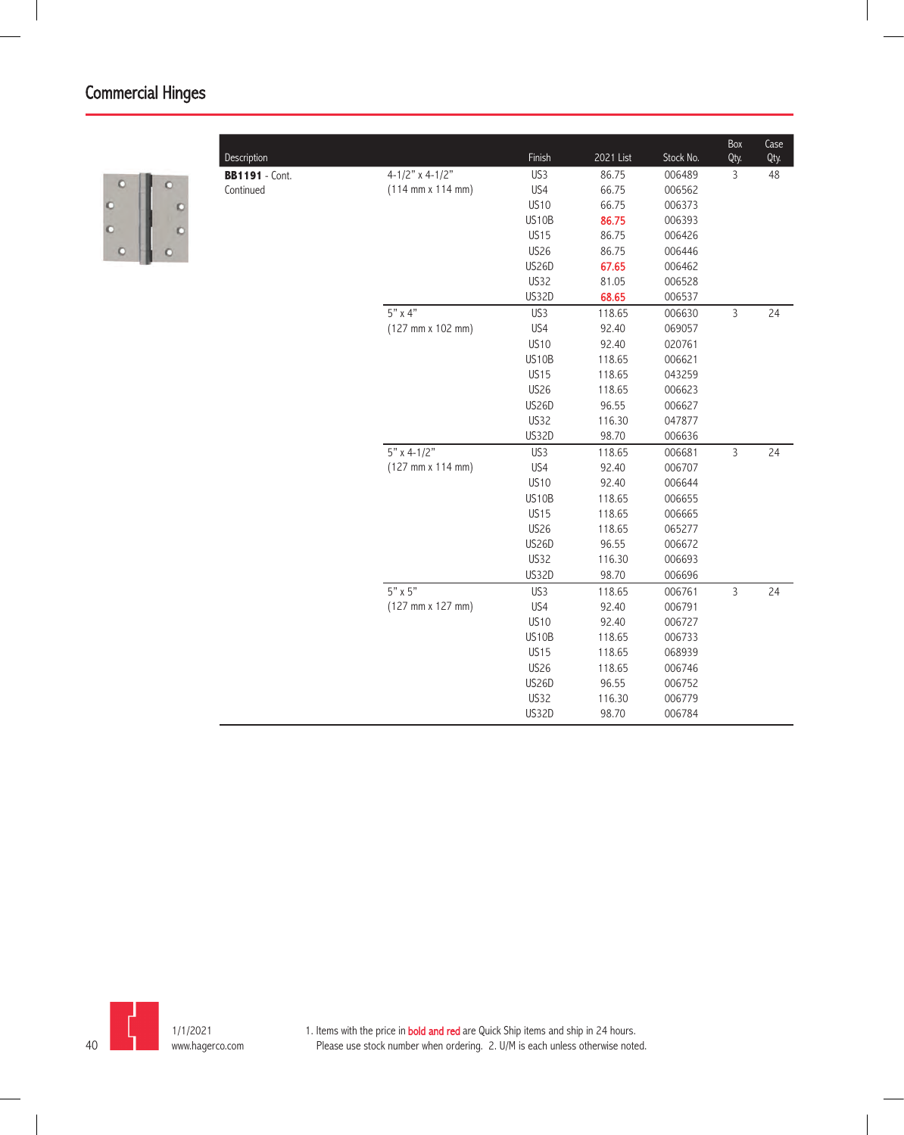

|                       |                                              |              |           |           | Box            | Case |
|-----------------------|----------------------------------------------|--------------|-----------|-----------|----------------|------|
| Description           |                                              | Finish       | 2021 List | Stock No. | Qty.           | Qty. |
| <b>BB1191</b> - Cont. | 4-1/2" x 4-1/2"                              | US3          | 86.75     | 006489    | 3              | 48   |
| Continued             | $(114 \, \text{mm} \times 114 \, \text{mm})$ | US4          | 66.75     | 006562    |                |      |
|                       |                                              | <b>US10</b>  | 66.75     | 006373    |                |      |
|                       |                                              | US10B        | 86.75     | 006393    |                |      |
|                       |                                              | <b>US15</b>  | 86.75     | 006426    |                |      |
|                       |                                              | <b>US26</b>  | 86.75     | 006446    |                |      |
|                       |                                              | <b>US26D</b> | 67.65     | 006462    |                |      |
|                       |                                              | US32         | 81.05     | 006528    |                |      |
|                       |                                              | US32D        | 68.65     | 006537    |                |      |
|                       | 5" x 4"                                      | US3          | 118.65    | 006630    | $\overline{3}$ | 24   |
|                       | (127 mm x 102 mm)                            | US4          | 92.40     | 069057    |                |      |
|                       |                                              | <b>US10</b>  | 92.40     | 020761    |                |      |
|                       |                                              | US10B        | 118.65    | 006621    |                |      |
|                       |                                              | <b>US15</b>  | 118.65    | 043259    |                |      |
|                       |                                              | <b>US26</b>  | 118.65    | 006623    |                |      |
|                       |                                              | US26D        | 96.55     | 006627    |                |      |
|                       |                                              | US32         | 116.30    | 047877    |                |      |
|                       |                                              | <b>US32D</b> | 98.70     | 006636    |                |      |
|                       | $5"$ x 4-1/2"                                | US3          | 118.65    | 006681    | $\overline{3}$ | 24   |
|                       | $(127 \, \text{mm} \times 114 \, \text{mm})$ | US4          | 92.40     | 006707    |                |      |
|                       |                                              | <b>US10</b>  | 92.40     | 006644    |                |      |
|                       |                                              | US10B        | 118.65    | 006655    |                |      |
|                       |                                              | <b>US15</b>  | 118.65    | 006665    |                |      |
|                       |                                              | <b>US26</b>  | 118.65    | 065277    |                |      |
|                       |                                              | US26D        | 96.55     | 006672    |                |      |
|                       |                                              | US32         | 116.30    | 006693    |                |      |
|                       |                                              | <b>US32D</b> | 98.70     | 006696    |                |      |
|                       | $5" \times 5"$                               | US3          | 118.65    | 006761    | $\overline{3}$ | 24   |
|                       | $(127 \, \text{mm} \times 127 \, \text{mm})$ | US4          | 92.40     | 006791    |                |      |
|                       |                                              | <b>US10</b>  | 92.40     | 006727    |                |      |
|                       |                                              | US10B        | 118.65    | 006733    |                |      |
|                       |                                              | <b>US15</b>  | 118.65    | 068939    |                |      |
|                       |                                              | <b>US26</b>  | 118.65    | 006746    |                |      |
|                       |                                              | <b>US26D</b> | 96.55     | 006752    |                |      |
|                       |                                              | US32         | 116.30    | 006779    |                |      |
|                       |                                              | US32D        | 98.70     | 006784    |                |      |
|                       |                                              |              |           |           |                |      |

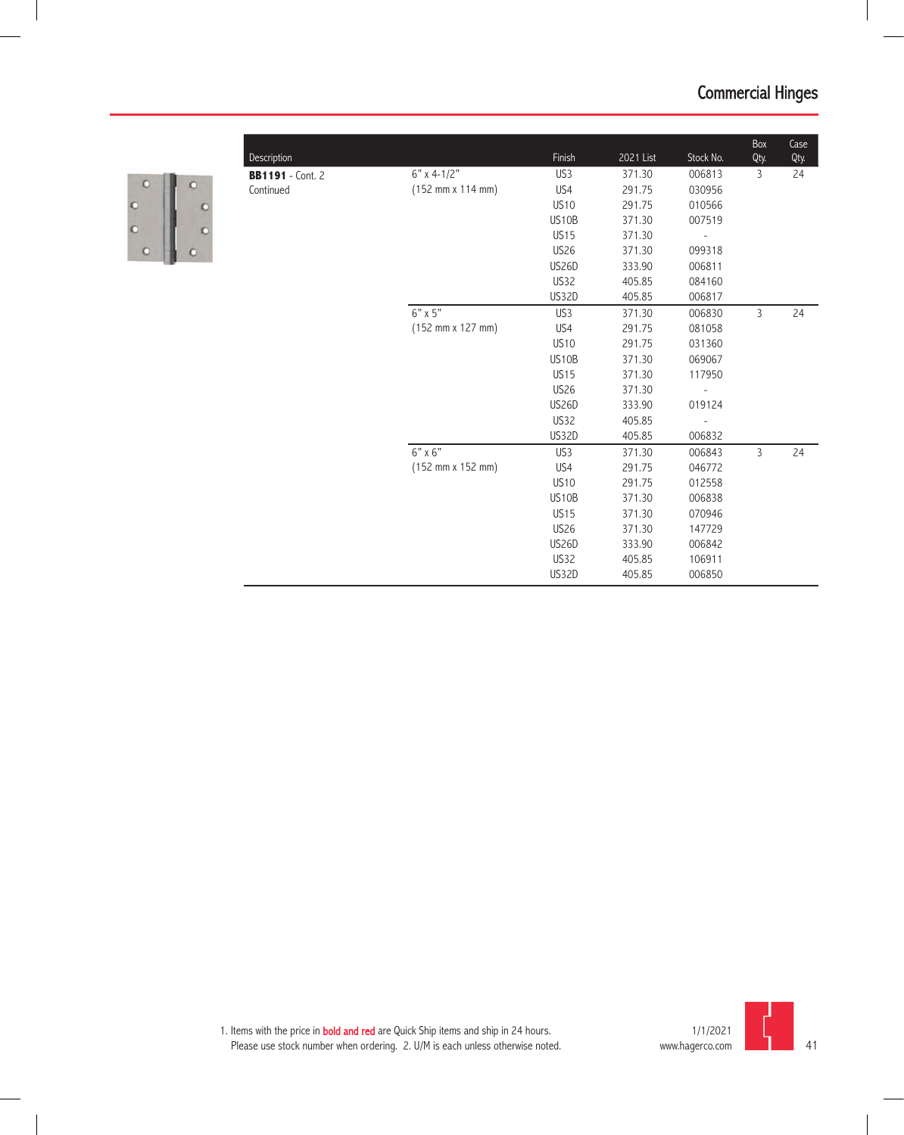

| Description             |                                              | Finish          | 2021 List | Stock No.                | Box<br>Qty. | Case<br>Qty. |
|-------------------------|----------------------------------------------|-----------------|-----------|--------------------------|-------------|--------------|
| <b>BB1191</b> - Cont. 2 | $6"$ x 4-1/2"                                | US <sub>3</sub> | 371.30    | 006813                   | 3           | 24           |
| Continued               | (152 mm x 114 mm)                            | US4             | 291.75    | 030956                   |             |              |
|                         |                                              | <b>US10</b>     | 291.75    | 010566                   |             |              |
|                         |                                              | US10B           | 371.30    | 007519                   |             |              |
|                         |                                              | <b>US15</b>     | 371.30    | $\overline{\phantom{a}}$ |             |              |
|                         |                                              | <b>US26</b>     | 371.30    | 099318                   |             |              |
|                         |                                              | <b>US26D</b>    | 333.90    | 006811                   |             |              |
|                         |                                              | <b>US32</b>     | 405.85    | 084160                   |             |              |
|                         |                                              | US32D           | 405.85    | 006817                   |             |              |
|                         | $6"$ x $5"$                                  | US <sub>3</sub> | 371.30    | 006830                   | 3           | 24           |
|                         | $(152 \, \text{mm} \times 127 \, \text{mm})$ | US4             | 291.75    | 081058                   |             |              |
|                         |                                              | <b>US10</b>     | 291.75    | 031360                   |             |              |
|                         |                                              | US10B           | 371.30    | 069067                   |             |              |
|                         |                                              | <b>US15</b>     | 371.30    | 117950                   |             |              |
|                         |                                              | <b>US26</b>     | 371.30    |                          |             |              |
|                         |                                              | <b>US26D</b>    | 333.90    | 019124                   |             |              |
|                         |                                              | <b>US32</b>     | 405.85    |                          |             |              |
|                         |                                              | US32D           | 405.85    | 006832                   |             |              |
|                         | $6" \times 6"$                               | US <sub>3</sub> | 371.30    | 006843                   | 3           | 24           |
|                         | (152 mm x 152 mm)                            | US4             | 291.75    | 046772                   |             |              |
|                         |                                              | <b>US10</b>     | 291.75    | 012558                   |             |              |
|                         |                                              | US10B           | 371.30    | 006838                   |             |              |
|                         |                                              | <b>US15</b>     | 371.30    | 070946                   |             |              |
|                         |                                              | <b>US26</b>     | 371.30    | 147729                   |             |              |
|                         |                                              | <b>US26D</b>    | 333.90    | 006842                   |             |              |
|                         |                                              | US32            | 405.85    | 106911                   |             |              |
|                         |                                              | <b>US32D</b>    | 405.85    | 006850                   |             |              |

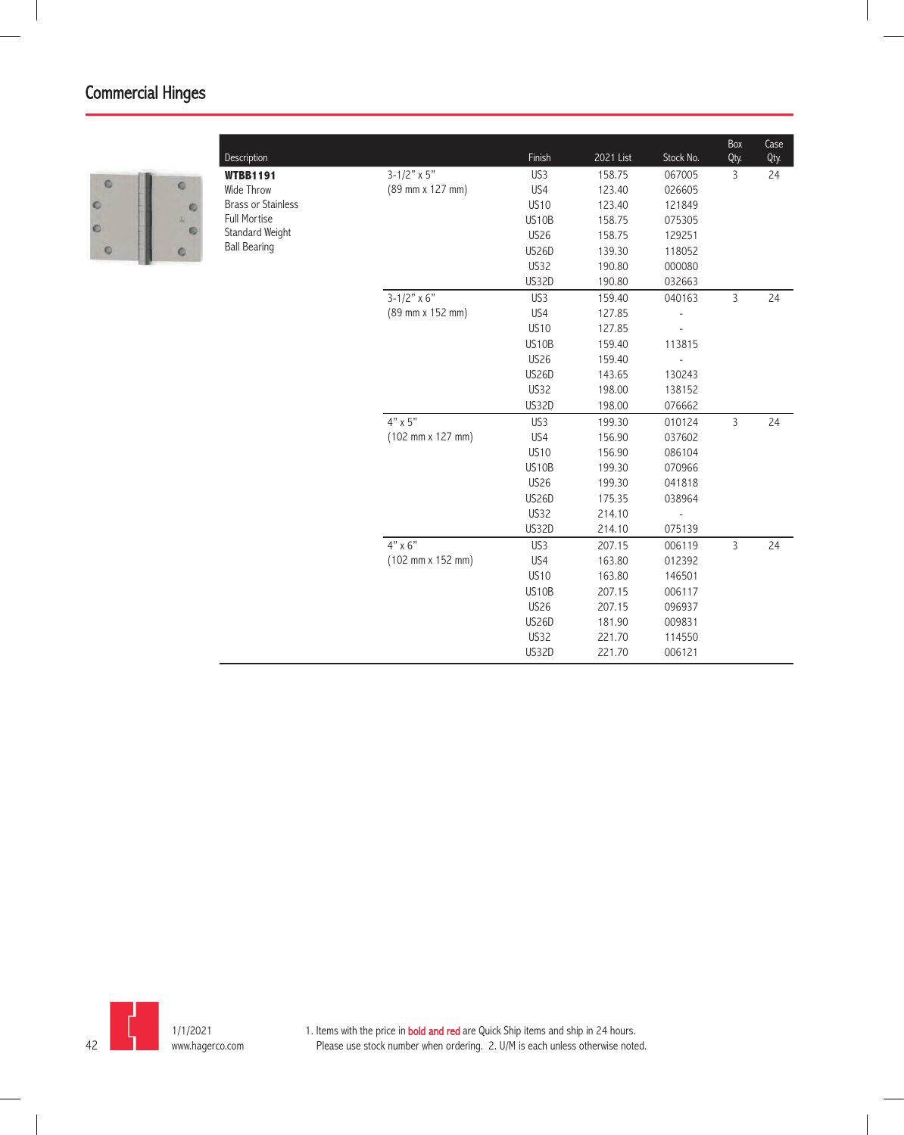

| $3 - 1/2" \times 5"$<br>US3<br>158.75<br>067005<br>3<br>24<br><b>WTBB1191</b><br>(89 mm x 127 mm)<br>US4<br>Wide Throw<br>123.40<br>026605<br><b>Brass or Stainless</b><br><b>US10</b><br>123.40<br>121849<br><b>Full Mortise</b><br>US10B<br>158.75<br>075305<br>Standard Weight<br><b>US26</b><br>158.75<br>129251<br><b>Ball Bearing</b><br><b>US26D</b><br>139.30<br>118052<br><b>US32</b><br>190.80<br>000080<br><b>US32D</b><br>190.80<br>032663<br>$3 - 1/2"$ x 6"<br>US3<br>040163<br>3<br>159.40<br>24<br>(89 mm x 152 mm)<br>US4<br>127.85<br><b>US10</b><br>127.85<br>US10B<br>159.40<br>113815<br><b>US26</b><br>159.40<br>$\overline{\phantom{a}}$<br><b>US26D</b><br>143.65<br>130243<br><b>US32</b><br>198.00<br>138152<br><b>US32D</b><br>198.00<br>076662<br>$4" \times 5"$<br>US <sub>3</sub><br>3<br>199.30<br>010124<br>24<br>$(102 \, \text{mm} \times 127 \, \text{mm})$<br>US4<br>156.90<br>037602<br><b>US10</b><br>156.90<br>086104<br>US10B<br>070966<br>199.30<br><b>US26</b><br>199.30<br>041818<br><b>US26D</b><br>175.35<br>038964<br>US32<br>214.10<br><b>US32D</b><br>214.10<br>075139<br>$4" \times 6"$<br>US3<br>207.15<br>3<br>24<br>006119<br>(102 mm x 152 mm)<br>US4<br>163.80<br>012392<br><b>US10</b><br>163.80<br>146501<br>US10B<br>207.15<br>006117<br><b>US26</b><br>207.15<br>096937<br><b>US26D</b><br>181.90<br>009831<br>US32<br>221.70<br>114550<br>US32D<br>006121<br>221.70 | <b>Description</b> | Finish | 2021 List | Stock No. | Box<br>Qty. | Case<br>Qty. |
|--------------------------------------------------------------------------------------------------------------------------------------------------------------------------------------------------------------------------------------------------------------------------------------------------------------------------------------------------------------------------------------------------------------------------------------------------------------------------------------------------------------------------------------------------------------------------------------------------------------------------------------------------------------------------------------------------------------------------------------------------------------------------------------------------------------------------------------------------------------------------------------------------------------------------------------------------------------------------------------------------------------------------------------------------------------------------------------------------------------------------------------------------------------------------------------------------------------------------------------------------------------------------------------------------------------------------------------------------------------------------------------------------------------------------------|--------------------|--------|-----------|-----------|-------------|--------------|
|                                                                                                                                                                                                                                                                                                                                                                                                                                                                                                                                                                                                                                                                                                                                                                                                                                                                                                                                                                                                                                                                                                                                                                                                                                                                                                                                                                                                                                |                    |        |           |           |             |              |
|                                                                                                                                                                                                                                                                                                                                                                                                                                                                                                                                                                                                                                                                                                                                                                                                                                                                                                                                                                                                                                                                                                                                                                                                                                                                                                                                                                                                                                |                    |        |           |           |             |              |
|                                                                                                                                                                                                                                                                                                                                                                                                                                                                                                                                                                                                                                                                                                                                                                                                                                                                                                                                                                                                                                                                                                                                                                                                                                                                                                                                                                                                                                |                    |        |           |           |             |              |
|                                                                                                                                                                                                                                                                                                                                                                                                                                                                                                                                                                                                                                                                                                                                                                                                                                                                                                                                                                                                                                                                                                                                                                                                                                                                                                                                                                                                                                |                    |        |           |           |             |              |
|                                                                                                                                                                                                                                                                                                                                                                                                                                                                                                                                                                                                                                                                                                                                                                                                                                                                                                                                                                                                                                                                                                                                                                                                                                                                                                                                                                                                                                |                    |        |           |           |             |              |
|                                                                                                                                                                                                                                                                                                                                                                                                                                                                                                                                                                                                                                                                                                                                                                                                                                                                                                                                                                                                                                                                                                                                                                                                                                                                                                                                                                                                                                |                    |        |           |           |             |              |
|                                                                                                                                                                                                                                                                                                                                                                                                                                                                                                                                                                                                                                                                                                                                                                                                                                                                                                                                                                                                                                                                                                                                                                                                                                                                                                                                                                                                                                |                    |        |           |           |             |              |
|                                                                                                                                                                                                                                                                                                                                                                                                                                                                                                                                                                                                                                                                                                                                                                                                                                                                                                                                                                                                                                                                                                                                                                                                                                                                                                                                                                                                                                |                    |        |           |           |             |              |
|                                                                                                                                                                                                                                                                                                                                                                                                                                                                                                                                                                                                                                                                                                                                                                                                                                                                                                                                                                                                                                                                                                                                                                                                                                                                                                                                                                                                                                |                    |        |           |           |             |              |
|                                                                                                                                                                                                                                                                                                                                                                                                                                                                                                                                                                                                                                                                                                                                                                                                                                                                                                                                                                                                                                                                                                                                                                                                                                                                                                                                                                                                                                |                    |        |           |           |             |              |
|                                                                                                                                                                                                                                                                                                                                                                                                                                                                                                                                                                                                                                                                                                                                                                                                                                                                                                                                                                                                                                                                                                                                                                                                                                                                                                                                                                                                                                |                    |        |           |           |             |              |
|                                                                                                                                                                                                                                                                                                                                                                                                                                                                                                                                                                                                                                                                                                                                                                                                                                                                                                                                                                                                                                                                                                                                                                                                                                                                                                                                                                                                                                |                    |        |           |           |             |              |
|                                                                                                                                                                                                                                                                                                                                                                                                                                                                                                                                                                                                                                                                                                                                                                                                                                                                                                                                                                                                                                                                                                                                                                                                                                                                                                                                                                                                                                |                    |        |           |           |             |              |
|                                                                                                                                                                                                                                                                                                                                                                                                                                                                                                                                                                                                                                                                                                                                                                                                                                                                                                                                                                                                                                                                                                                                                                                                                                                                                                                                                                                                                                |                    |        |           |           |             |              |
|                                                                                                                                                                                                                                                                                                                                                                                                                                                                                                                                                                                                                                                                                                                                                                                                                                                                                                                                                                                                                                                                                                                                                                                                                                                                                                                                                                                                                                |                    |        |           |           |             |              |
|                                                                                                                                                                                                                                                                                                                                                                                                                                                                                                                                                                                                                                                                                                                                                                                                                                                                                                                                                                                                                                                                                                                                                                                                                                                                                                                                                                                                                                |                    |        |           |           |             |              |
|                                                                                                                                                                                                                                                                                                                                                                                                                                                                                                                                                                                                                                                                                                                                                                                                                                                                                                                                                                                                                                                                                                                                                                                                                                                                                                                                                                                                                                |                    |        |           |           |             |              |
|                                                                                                                                                                                                                                                                                                                                                                                                                                                                                                                                                                                                                                                                                                                                                                                                                                                                                                                                                                                                                                                                                                                                                                                                                                                                                                                                                                                                                                |                    |        |           |           |             |              |
|                                                                                                                                                                                                                                                                                                                                                                                                                                                                                                                                                                                                                                                                                                                                                                                                                                                                                                                                                                                                                                                                                                                                                                                                                                                                                                                                                                                                                                |                    |        |           |           |             |              |
|                                                                                                                                                                                                                                                                                                                                                                                                                                                                                                                                                                                                                                                                                                                                                                                                                                                                                                                                                                                                                                                                                                                                                                                                                                                                                                                                                                                                                                |                    |        |           |           |             |              |
|                                                                                                                                                                                                                                                                                                                                                                                                                                                                                                                                                                                                                                                                                                                                                                                                                                                                                                                                                                                                                                                                                                                                                                                                                                                                                                                                                                                                                                |                    |        |           |           |             |              |
|                                                                                                                                                                                                                                                                                                                                                                                                                                                                                                                                                                                                                                                                                                                                                                                                                                                                                                                                                                                                                                                                                                                                                                                                                                                                                                                                                                                                                                |                    |        |           |           |             |              |
|                                                                                                                                                                                                                                                                                                                                                                                                                                                                                                                                                                                                                                                                                                                                                                                                                                                                                                                                                                                                                                                                                                                                                                                                                                                                                                                                                                                                                                |                    |        |           |           |             |              |
|                                                                                                                                                                                                                                                                                                                                                                                                                                                                                                                                                                                                                                                                                                                                                                                                                                                                                                                                                                                                                                                                                                                                                                                                                                                                                                                                                                                                                                |                    |        |           |           |             |              |
|                                                                                                                                                                                                                                                                                                                                                                                                                                                                                                                                                                                                                                                                                                                                                                                                                                                                                                                                                                                                                                                                                                                                                                                                                                                                                                                                                                                                                                |                    |        |           |           |             |              |
|                                                                                                                                                                                                                                                                                                                                                                                                                                                                                                                                                                                                                                                                                                                                                                                                                                                                                                                                                                                                                                                                                                                                                                                                                                                                                                                                                                                                                                |                    |        |           |           |             |              |
|                                                                                                                                                                                                                                                                                                                                                                                                                                                                                                                                                                                                                                                                                                                                                                                                                                                                                                                                                                                                                                                                                                                                                                                                                                                                                                                                                                                                                                |                    |        |           |           |             |              |
|                                                                                                                                                                                                                                                                                                                                                                                                                                                                                                                                                                                                                                                                                                                                                                                                                                                                                                                                                                                                                                                                                                                                                                                                                                                                                                                                                                                                                                |                    |        |           |           |             |              |
|                                                                                                                                                                                                                                                                                                                                                                                                                                                                                                                                                                                                                                                                                                                                                                                                                                                                                                                                                                                                                                                                                                                                                                                                                                                                                                                                                                                                                                |                    |        |           |           |             |              |
|                                                                                                                                                                                                                                                                                                                                                                                                                                                                                                                                                                                                                                                                                                                                                                                                                                                                                                                                                                                                                                                                                                                                                                                                                                                                                                                                                                                                                                |                    |        |           |           |             |              |
|                                                                                                                                                                                                                                                                                                                                                                                                                                                                                                                                                                                                                                                                                                                                                                                                                                                                                                                                                                                                                                                                                                                                                                                                                                                                                                                                                                                                                                |                    |        |           |           |             |              |
|                                                                                                                                                                                                                                                                                                                                                                                                                                                                                                                                                                                                                                                                                                                                                                                                                                                                                                                                                                                                                                                                                                                                                                                                                                                                                                                                                                                                                                |                    |        |           |           |             |              |

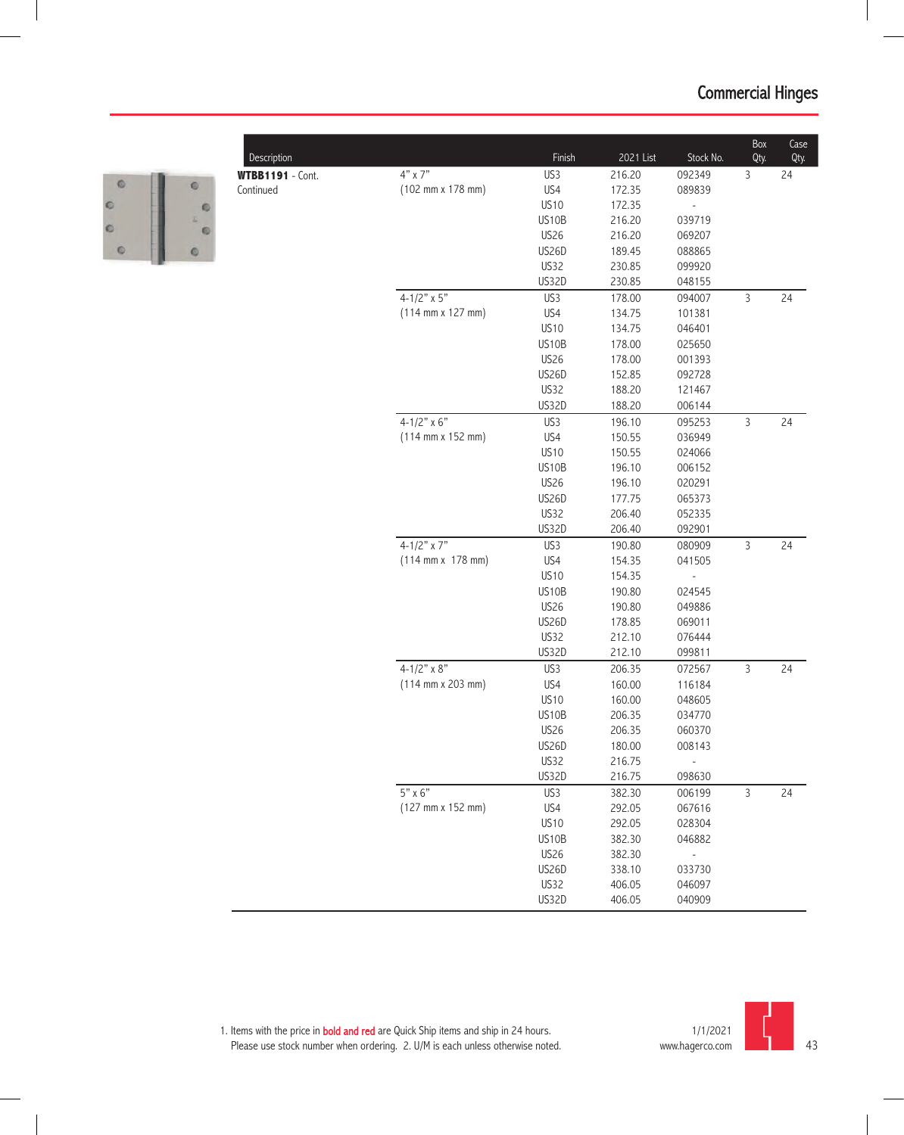

| Description             |                                              | Finish      | 2021 List | Stock No.                | Box<br>Qty.    | Case<br>Qty. |
|-------------------------|----------------------------------------------|-------------|-----------|--------------------------|----------------|--------------|
| <b>WTBB1191</b> - Cont. | 4" x 7"                                      | US3         | 216.20    | 092349                   | 3              | 24           |
| Continued               | (102 mm x 178 mm)                            | US4         | 172.35    | 089839                   |                |              |
|                         |                                              | <b>US10</b> | 172.35    |                          |                |              |
|                         |                                              | US10B       | 216.20    | 039719                   |                |              |
|                         |                                              | <b>US26</b> | 216.20    | 069207                   |                |              |
|                         |                                              | US26D       | 189.45    | 088865                   |                |              |
|                         |                                              | US32        | 230.85    | 099920                   |                |              |
|                         |                                              | US32D       | 230.85    | 048155                   |                |              |
|                         | $4 - 1/2" \times 5"$                         | US3         | 178.00    | 094007                   | 3              | 24           |
|                         | $(114 \, \text{mm} \times 127 \, \text{mm})$ | US4         | 134.75    | 101381                   |                |              |
|                         |                                              | <b>US10</b> | 134.75    | 046401                   |                |              |
|                         |                                              | US10B       | 178.00    | 025650                   |                |              |
|                         |                                              | <b>US26</b> | 178.00    | 001393                   |                |              |
|                         |                                              | US26D       | 152.85    | 092728                   |                |              |
|                         |                                              | US32        | 188.20    | 121467                   |                |              |
|                         |                                              | US32D       | 188.20    | 006144                   |                |              |
|                         | 4-1/2" $\times$ 6"                           | US3         | 196.10    | 095253                   | 3              | 24           |
|                         | $(114 \, \text{mm} \times 152 \, \text{mm})$ | US4         | 150.55    | 036949                   |                |              |
|                         |                                              | <b>US10</b> | 150.55    | 024066                   |                |              |
|                         |                                              | US10B       | 196.10    | 006152                   |                |              |
|                         |                                              | <b>US26</b> | 196.10    | 020291                   |                |              |
|                         |                                              | US26D       | 177.75    | 065373                   |                |              |
|                         |                                              | US32        | 206.40    | 052335                   |                |              |
|                         |                                              | US32D       | 206.40    | 092901                   |                |              |
|                         | $4 - 1/2" \times 7"$                         | US3         | 190.80    | 080909                   | 3              | 24           |
|                         | $(114 \text{ mm} \times 178 \text{ mm})$     | US4         | 154.35    | 041505                   |                |              |
|                         |                                              | <b>US10</b> | 154.35    | $\overline{\phantom{a}}$ |                |              |
|                         |                                              | US10B       | 190.80    | 024545                   |                |              |
|                         |                                              | <b>US26</b> | 190.80    | 049886                   |                |              |
|                         |                                              | US26D       | 178.85    | 069011                   |                |              |
|                         |                                              | <b>US32</b> | 212.10    | 076444                   |                |              |
|                         |                                              | US32D       | 212.10    | 099811                   |                |              |
|                         | 4-1/2" $x \overline{8"}$                     | US3         | 206.35    | 072567                   | $\mathsf 3$    | 24           |
|                         | $(114 \, \text{mm} \times 203 \, \text{mm})$ | US4         | 160.00    | 116184                   |                |              |
|                         |                                              | <b>US10</b> | 160.00    | 048605                   |                |              |
|                         |                                              | US10B       | 206.35    | 034770                   |                |              |
|                         |                                              | <b>US26</b> | 206.35    | 060370                   |                |              |
|                         |                                              | US26D       | 180.00    | 008143                   |                |              |
|                         |                                              | <b>US32</b> | 216.75    |                          |                |              |
|                         |                                              | US32D       | 216.75    | 098630                   |                |              |
|                         | $5" \times 6"$                               | US3         | 382.30    | 006199                   | $\overline{3}$ | 24           |
|                         | (127 mm x 152 mm)                            | US4         | 292.05    | 067616                   |                |              |
|                         |                                              | <b>US10</b> | 292.05    | 028304                   |                |              |
|                         |                                              | US10B       | 382.30    | 046882                   |                |              |
|                         |                                              | <b>US26</b> | 382.30    |                          |                |              |
|                         |                                              | US26D       | 338.10    | 033730                   |                |              |
|                         |                                              | US32        | 406.05    | 046097                   |                |              |
|                         |                                              | US32D       | 406.05    | 040909                   |                |              |

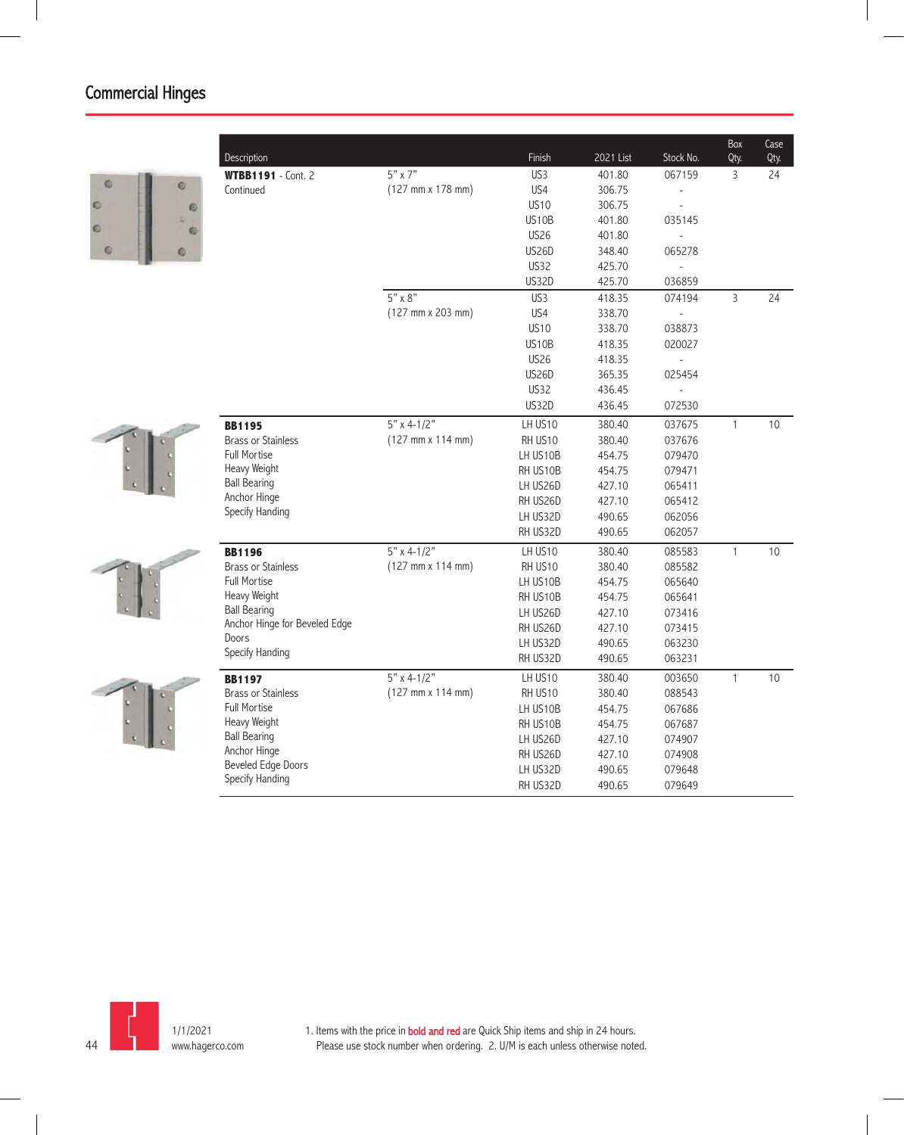| $5"$ x 7"<br>US3<br>401.80<br>067159<br>3<br><b>WTBB1191</b> - Cont. 2<br>$\circ$<br>$\circ$<br>(127 mm x 178 mm)<br>US4<br>306.75<br>Continued<br><b>US10</b><br>306.75<br>$\circ$<br>۰<br>US10B<br>401.80<br>035145<br>$\circ$<br>O<br><b>US26</b><br>401.80<br>$\circ$<br><b>US26D</b><br>348.40<br>065278<br>$\circ$ | 24 |
|--------------------------------------------------------------------------------------------------------------------------------------------------------------------------------------------------------------------------------------------------------------------------------------------------------------------------|----|
|                                                                                                                                                                                                                                                                                                                          |    |
|                                                                                                                                                                                                                                                                                                                          |    |
|                                                                                                                                                                                                                                                                                                                          |    |
|                                                                                                                                                                                                                                                                                                                          |    |
|                                                                                                                                                                                                                                                                                                                          |    |
|                                                                                                                                                                                                                                                                                                                          |    |
| <b>US32</b><br>425.70<br>$\overline{\phantom{a}}$                                                                                                                                                                                                                                                                        |    |
| <b>US32D</b><br>425.70<br>036859                                                                                                                                                                                                                                                                                         |    |
| $5" \times 8"$<br>US3<br>418.35<br>074194<br>3                                                                                                                                                                                                                                                                           | 24 |
| (127 mm x 203 mm)<br>US4<br>338.70                                                                                                                                                                                                                                                                                       |    |
| <b>US10</b><br>338.70<br>038873                                                                                                                                                                                                                                                                                          |    |
| US10B<br>418.35<br>020027                                                                                                                                                                                                                                                                                                |    |
| <b>US26</b><br>418.35                                                                                                                                                                                                                                                                                                    |    |
| <b>US26D</b><br>365.35<br>025454                                                                                                                                                                                                                                                                                         |    |
| <b>US32</b><br>436.45<br>L.                                                                                                                                                                                                                                                                                              |    |
| <b>US32D</b><br>436.45<br>072530                                                                                                                                                                                                                                                                                         |    |
| $5" \times 4-1/2"$<br>LH US10<br>380.40<br>037675<br>$\mathbf{1}$<br><b>BB1195</b>                                                                                                                                                                                                                                       | 10 |
| <b>Brass or Stainless</b><br>$(127 \, \text{mm} \times 114 \, \text{mm})$<br>RH US10<br>380.40<br>037676                                                                                                                                                                                                                 |    |
| <b>Full Mortise</b><br>454.75<br>LH US10B<br>079470                                                                                                                                                                                                                                                                      |    |
| Heavy Weight<br>454.75<br>079471<br>RH US10B                                                                                                                                                                                                                                                                             |    |
| <b>Ball Bearing</b><br>LH US26D<br>427.10<br>065411                                                                                                                                                                                                                                                                      |    |
| Anchor Hinge<br>RH US26D<br>427.10<br>065412                                                                                                                                                                                                                                                                             |    |
| Specify Handing<br>LH US32D<br>490.65<br>062056                                                                                                                                                                                                                                                                          |    |
| RH US32D<br>490.65<br>062057                                                                                                                                                                                                                                                                                             |    |
| $5"$ x 4-1/2"<br>LH US10<br>380.40<br>085583<br>$\mathbf{1}$<br><b>BB1196</b>                                                                                                                                                                                                                                            | 10 |
| $(127 \, \text{mm} \times 114 \, \text{mm})$<br><b>Brass or Stainless</b><br>RH US10<br>380.40<br>085582                                                                                                                                                                                                                 |    |
| <b>Full Mortise</b><br>LH US10B<br>454.75<br>065640                                                                                                                                                                                                                                                                      |    |
| Heavy Weight<br>RH US10B<br>454.75<br>065641                                                                                                                                                                                                                                                                             |    |
| <b>Ball Bearing</b><br>427.10<br>LH US26D<br>073416                                                                                                                                                                                                                                                                      |    |
| Anchor Hinge for Beveled Edge<br>427.10<br>RH US26D<br>073415                                                                                                                                                                                                                                                            |    |
| Doors<br>490.65<br>LH US32D<br>063230<br>Specify Handing                                                                                                                                                                                                                                                                 |    |
| RH US32D<br>490.65<br>063231                                                                                                                                                                                                                                                                                             |    |
| $5"$ x 4-1/2"<br>LH US10<br>380.40<br>003650<br>$\mathbf{1}$<br><b>BB1197</b>                                                                                                                                                                                                                                            | 10 |
| <b>Brass or Stainless</b><br>$(127 \, \text{mm} \times 114 \, \text{mm})$<br>RH US10<br>380.40<br>088543                                                                                                                                                                                                                 |    |
| <b>Full Mortise</b><br>LH US10B<br>454.75<br>067686                                                                                                                                                                                                                                                                      |    |
| Heavy Weight<br>454.75<br>RH US10B<br>067687                                                                                                                                                                                                                                                                             |    |
| <b>Ball Bearing</b><br>LH US26D<br>427.10<br>074907                                                                                                                                                                                                                                                                      |    |
| Anchor Hinge<br>RH US26D<br>427.10<br>074908                                                                                                                                                                                                                                                                             |    |
| <b>Beveled Edge Doors</b><br>LH US32D<br>490.65<br>079648<br>Specify Handing                                                                                                                                                                                                                                             |    |
| RH US32D<br>490.65<br>079649                                                                                                                                                                                                                                                                                             |    |

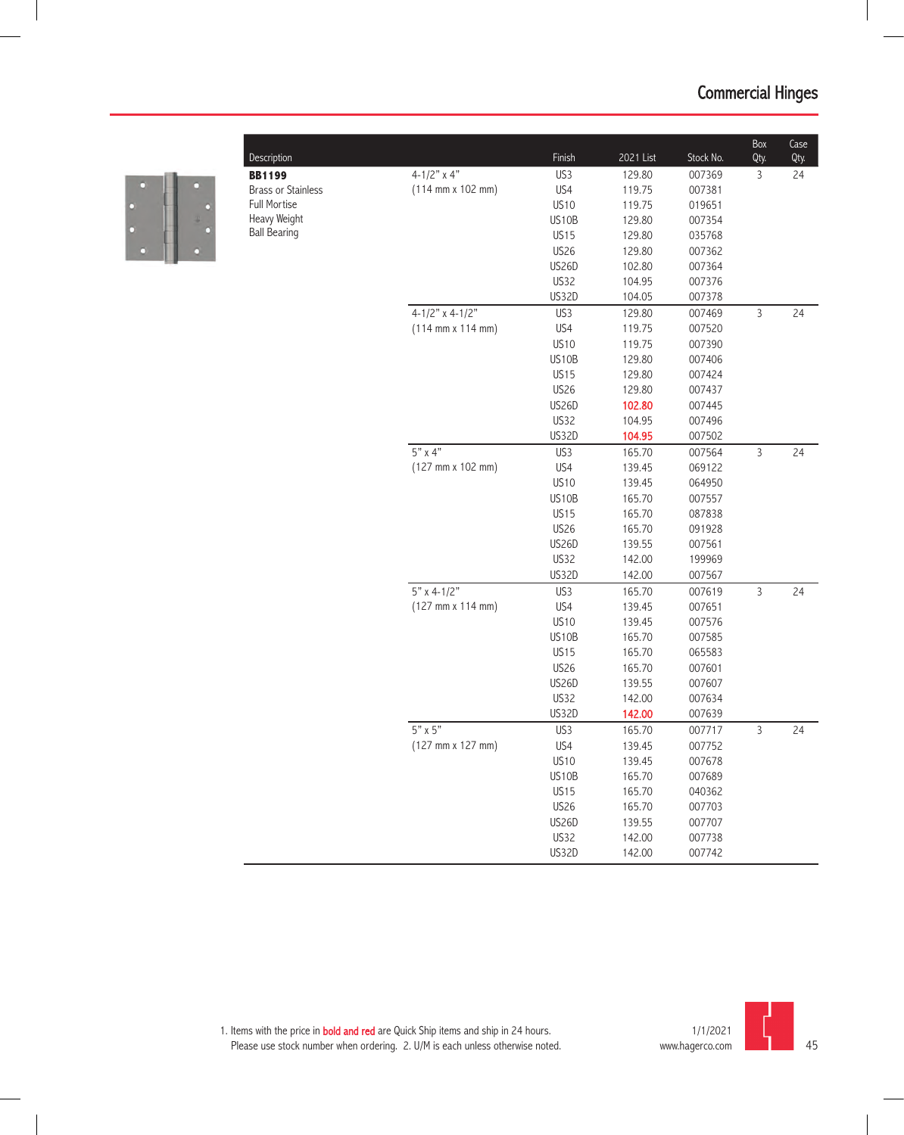

| Description               |                                              | Finish       | 2021 List | Stock No. | Box<br>Qty.  | Case<br>Qty. |
|---------------------------|----------------------------------------------|--------------|-----------|-----------|--------------|--------------|
| <b>BB1199</b>             | 4-1/2" $\times$ 4"                           | US3          | 129.80    | 007369    | 3            | 24           |
| <b>Brass or Stainless</b> | $(114 \, \text{mm} \times 102 \, \text{mm})$ | US4          | 119.75    | 007381    |              |              |
| <b>Full Mortise</b>       |                                              | <b>US10</b>  | 119.75    | 019651    |              |              |
| Heavy Weight              |                                              | US10B        | 129.80    | 007354    |              |              |
| <b>Ball Bearing</b>       |                                              | <b>US15</b>  | 129.80    | 035768    |              |              |
|                           |                                              | <b>US26</b>  | 129.80    | 007362    |              |              |
|                           |                                              | US26D        | 102.80    | 007364    |              |              |
|                           |                                              | US32         | 104.95    | 007376    |              |              |
|                           |                                              | US32D        | 104.05    | 007378    |              |              |
|                           | $4 - 1/2"$ x 4-1/2"                          | US3          | 129.80    | 007469    | $\mathsf{3}$ | 24           |
|                           | $(114 \, \text{mm} \times 114 \, \text{mm})$ | US4          | 119.75    | 007520    |              |              |
|                           |                                              | <b>US10</b>  | 119.75    | 007390    |              |              |
|                           |                                              | US10B        | 129.80    | 007406    |              |              |
|                           |                                              | <b>US15</b>  | 129.80    | 007424    |              |              |
|                           |                                              | <b>US26</b>  | 129.80    | 007437    |              |              |
|                           |                                              | US26D        | 102.80    | 007445    |              |              |
|                           |                                              | US32         | 104.95    | 007496    |              |              |
|                           |                                              | US32D        | 104.95    | 007502    |              |              |
|                           | $5"$ x 4"                                    | US3          | 165.70    | 007564    | 3            | 24           |
|                           | $(127 \, \text{mm} \times 102 \, \text{mm})$ | US4          | 139.45    | 069122    |              |              |
|                           |                                              | <b>US10</b>  | 139.45    | 064950    |              |              |
|                           |                                              | US10B        | 165.70    | 007557    |              |              |
|                           |                                              | <b>US15</b>  | 165.70    | 087838    |              |              |
|                           |                                              | <b>US26</b>  | 165.70    | 091928    |              |              |
|                           |                                              | <b>US26D</b> | 139.55    | 007561    |              |              |
|                           |                                              | US32         | 142.00    | 199969    |              |              |
|                           |                                              | US32D        | 142.00    | 007567    |              |              |
|                           | $5"$ x 4-1/2"                                | US3          | 165.70    | 007619    | $\mathsf{3}$ | 24           |
|                           | $(127 \, \text{mm} \times 114 \, \text{mm})$ | US4          | 139.45    | 007651    |              |              |
|                           |                                              | <b>US10</b>  | 139.45    | 007576    |              |              |
|                           |                                              | US10B        | 165.70    | 007585    |              |              |
|                           |                                              | <b>US15</b>  | 165.70    | 065583    |              |              |
|                           |                                              | <b>US26</b>  | 165.70    | 007601    |              |              |
|                           |                                              | US26D        | 139.55    | 007607    |              |              |
|                           |                                              | US32         | 142.00    | 007634    |              |              |
|                           |                                              | US32D        | 142.00    | 007639    |              |              |
|                           | $5" \times 5"$                               | US3          | 165.70    | 007717    | 3            | 24           |
|                           | $(127 \, \text{mm} \times 127 \, \text{mm})$ | US4          | 139.45    | 007752    |              |              |
|                           |                                              | <b>US10</b>  | 139.45    | 007678    |              |              |
|                           |                                              | US10B        | 165.70    | 007689    |              |              |
|                           |                                              | <b>US15</b>  | 165.70    | 040362    |              |              |
|                           |                                              | <b>US26</b>  | 165.70    | 007703    |              |              |
|                           |                                              | <b>US26D</b> | 139.55    | 007707    |              |              |
|                           |                                              | <b>US32</b>  | 142.00    | 007738    |              |              |
|                           |                                              | US32D        | 142.00    | 007742    |              |              |
|                           |                                              |              |           |           |              |              |



 $\overline{\phantom{0}}$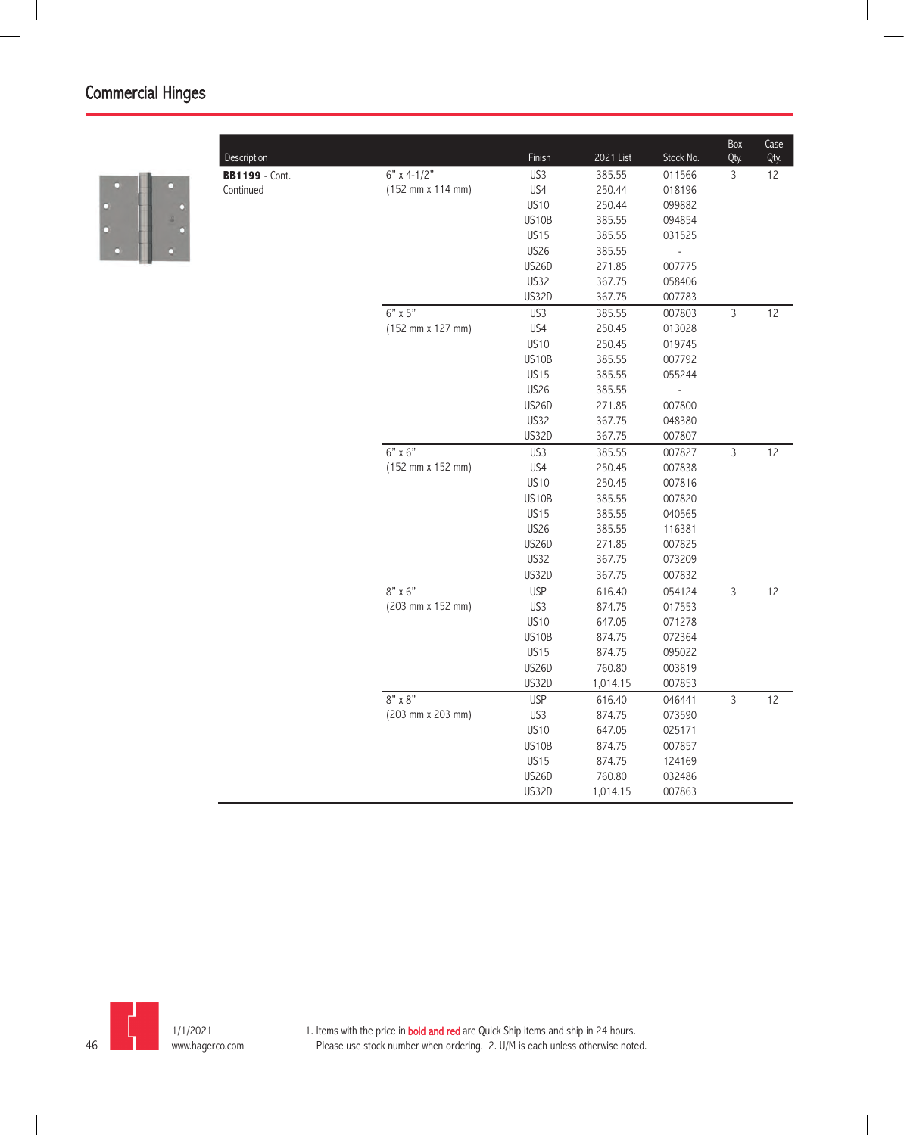

| Description           |                   | Finish       | 2021 List | Stock No.      | Box<br>Qty.    | Case<br>Qty. |
|-----------------------|-------------------|--------------|-----------|----------------|----------------|--------------|
| <b>BB1199</b> - Cont. | $6"$ x 4-1/2"     | US3          | 385.55    | 011566         | 3              | 12           |
| Continued             | (152 mm x 114 mm) | US4          | 250.44    | 018196         |                |              |
|                       |                   | <b>US10</b>  | 250.44    | 099882         |                |              |
|                       |                   | US10B        | 385.55    | 094854         |                |              |
|                       |                   | <b>US15</b>  | 385.55    | 031525         |                |              |
|                       |                   | <b>US26</b>  | 385.55    | $\frac{1}{2}$  |                |              |
|                       |                   | <b>US26D</b> | 271.85    | 007775         |                |              |
|                       |                   | <b>US32</b>  | 367.75    | 058406         |                |              |
|                       |                   | <b>US32D</b> | 367.75    | 007783         |                |              |
|                       | $6"$ x $5"$       | US3          | 385.55    | 007803         | $\overline{3}$ | 12           |
|                       | (152 mm x 127 mm) | US4          | 250.45    | 013028         |                |              |
|                       |                   | <b>US10</b>  | 250.45    | 019745         |                |              |
|                       |                   | US10B        | 385.55    | 007792         |                |              |
|                       |                   | <b>US15</b>  | 385.55    | 055244         |                |              |
|                       |                   | <b>US26</b>  | 385.55    | $\overline{a}$ |                |              |
|                       |                   | US26D        | 271.85    | 007800         |                |              |
|                       |                   | <b>US32</b>  | 367.75    | 048380         |                |              |
|                       |                   | US32D        | 367.75    | 007807         |                |              |
|                       | $6"$ x $6"$       | US3          | 385.55    | 007827         | $\overline{3}$ | 12           |
|                       | (152 mm x 152 mm) | US4          | 250.45    | 007838         |                |              |
|                       |                   | <b>US10</b>  | 250.45    | 007816         |                |              |
|                       |                   | US10B        | 385.55    | 007820         |                |              |
|                       |                   | <b>US15</b>  | 385.55    | 040565         |                |              |
|                       |                   | <b>US26</b>  | 385.55    | 116381         |                |              |
|                       |                   | <b>US26D</b> | 271.85    | 007825         |                |              |
|                       |                   | US32         | 367.75    | 073209         |                |              |
|                       |                   | US32D        | 367.75    | 007832         |                |              |
|                       | $8"$ x 6"         | <b>USP</b>   | 616.40    | 054124         | $\overline{3}$ | 12           |
|                       | (203 mm x 152 mm) | US3          | 874.75    | 017553         |                |              |
|                       |                   | <b>US10</b>  | 647.05    | 071278         |                |              |
|                       |                   | US10B        | 874.75    | 072364         |                |              |
|                       |                   | <b>US15</b>  | 874.75    | 095022         |                |              |
|                       |                   | <b>US26D</b> | 760.80    | 003819         |                |              |
|                       |                   | US32D        | 1,014.15  | 007853         |                |              |
|                       | $8" \times 8"$    | <b>USP</b>   | 616.40    | 046441         | $\overline{3}$ | 12           |
|                       | (203 mm x 203 mm) | US3          | 874.75    | 073590         |                |              |
|                       |                   | <b>US10</b>  | 647.05    | 025171         |                |              |
|                       |                   | US10B        | 874.75    | 007857         |                |              |
|                       |                   | <b>US15</b>  | 874.75    | 124169         |                |              |
|                       |                   | US26D        | 760.80    | 032486         |                |              |
|                       |                   | US32D        | 1,014.15  | 007863         |                |              |
|                       |                   |              |           |                |                |              |

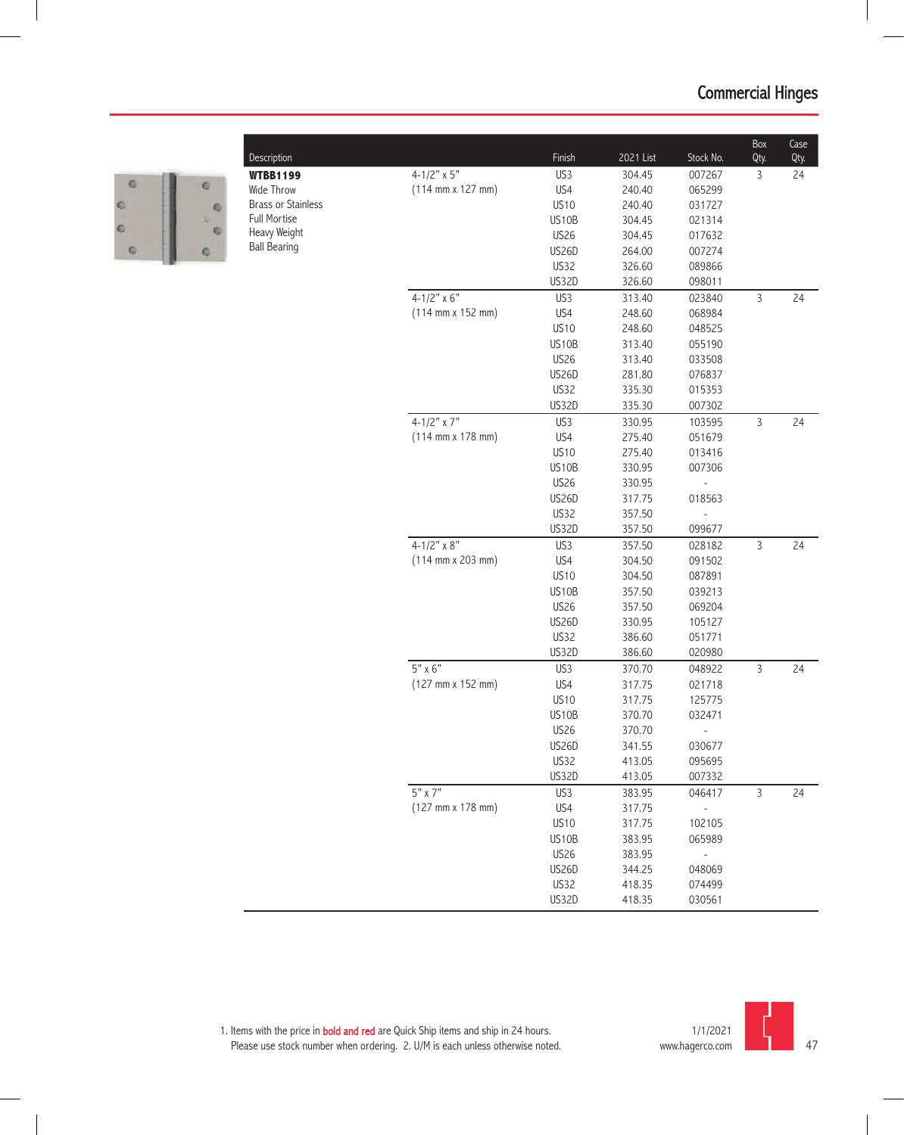

| Description               |                                              | Finish                      | 2021 List        | Stock No.           | Box<br>Qty.    | Case<br>Qty. |
|---------------------------|----------------------------------------------|-----------------------------|------------------|---------------------|----------------|--------------|
| <b>WTBB1199</b>           | $4 - 1/2" \times 5"$                         | US3                         | 304.45           | 007267              | 3              | 24           |
| <b>Wide Throw</b>         | $(114 \, \text{mm} \times 127 \, \text{mm})$ | US4                         | 240.40           | 065299              |                |              |
| <b>Brass or Stainless</b> |                                              | <b>US10</b>                 | 240.40           | 031727              |                |              |
| Full Mortise              |                                              | US10B                       | 304.45           | 021314              |                |              |
| Heavy Weight              |                                              | <b>US26</b>                 | 304.45           | 017632              |                |              |
| <b>Ball Bearing</b>       |                                              | US26D                       | 264.00           | 007274              |                |              |
|                           |                                              | <b>US32</b>                 | 326.60           | 089866              |                |              |
|                           |                                              | US32D                       | 326.60           | 098011              |                |              |
|                           | 4-1/2" $\times$ 6"                           | US3                         | 313.40           | 023840              | 3              | 24           |
|                           | $(114 \, \text{mm} \times 152 \, \text{mm})$ | US4                         | 248.60           | 068984              |                |              |
|                           |                                              | <b>US10</b>                 | 248.60           | 048525              |                |              |
|                           |                                              | US10B                       | 313.40           | 055190              |                |              |
|                           |                                              | <b>US26</b>                 | 313.40           | 033508              |                |              |
|                           |                                              | US26D                       | 281.80           | 076837              |                |              |
|                           |                                              | US32                        | 335.30           | 015353              |                |              |
|                           |                                              | US32D                       | 335.30           | 007302              |                |              |
|                           | 4-1/2" $\times$ 7"                           | US3                         |                  |                     | $\overline{3}$ | 24           |
|                           | $(114 \text{ mm} \times 178 \text{ mm})$     | US4                         | 330.95           | 103595<br>051679    |                |              |
|                           |                                              | <b>US10</b>                 | 275.40           |                     |                |              |
|                           |                                              | US10B                       | 275.40<br>330.95 | 013416<br>007306    |                |              |
|                           |                                              | <b>US26</b>                 | 330.95           |                     |                |              |
|                           |                                              | US26D                       | 317.75           | 018563              |                |              |
|                           |                                              | US32                        | 357.50           |                     |                |              |
|                           |                                              | US32D                       | 357.50           | 099677              |                |              |
|                           | $4 - 1/2" \times 8"$                         | US3                         |                  |                     | $\mathsf{3}$   | 24           |
|                           | $(114 \, \text{mm} \times 203 \, \text{mm})$ | US4                         | 357.50           | 028182              |                |              |
|                           |                                              | <b>US10</b>                 | 304.50<br>304.50 | 091502<br>087891    |                |              |
|                           |                                              | US10B                       | 357.50           | 039213              |                |              |
|                           |                                              | <b>US26</b>                 | 357.50           | 069204              |                |              |
|                           |                                              | <b>US26D</b>                | 330.95           | 105127              |                |              |
|                           |                                              | <b>US32</b>                 | 386.60           | 051771              |                |              |
|                           |                                              | US32D                       | 386.60           |                     |                |              |
|                           | $5" \times 6"$                               | US3                         | 370.70           | 020980<br>048922    | $\mathsf{3}$   | 24           |
|                           | (127 mm x 152 mm)                            | US4                         | 317.75           | 021718              |                |              |
|                           |                                              | <b>US10</b>                 | 317.75           |                     |                |              |
|                           |                                              | US10B                       | 370.70           | 125775<br>032471    |                |              |
|                           |                                              | <b>US26</b>                 | 370.70           |                     |                |              |
|                           |                                              | <b>US26D</b>                | 341.55           | 030677              |                |              |
|                           |                                              | <b>US32</b>                 | 413.05           | 095695              |                |              |
|                           |                                              | US32D                       | 413.05           | 007332              |                |              |
|                           | $5"$ x 7"                                    | US3                         |                  | 046417              | $\overline{3}$ | 24           |
|                           | (127 mm x 178 mm)                            |                             | 383.95           |                     |                |              |
|                           |                                              | US4<br><b>US10</b>          | 317.75           |                     |                |              |
|                           |                                              |                             | 317.75           | 102105              |                |              |
|                           |                                              | US10B                       | 383.95           | 065989              |                |              |
|                           |                                              | <b>US26</b><br><b>US26D</b> | 383.95           | $\bar{\phantom{a}}$ |                |              |
|                           |                                              |                             | 344.25           | 048069              |                |              |
|                           |                                              | <b>US32</b>                 | 418.35           | 074499              |                |              |
|                           |                                              | US32D                       | 418.35           | 030561              |                |              |

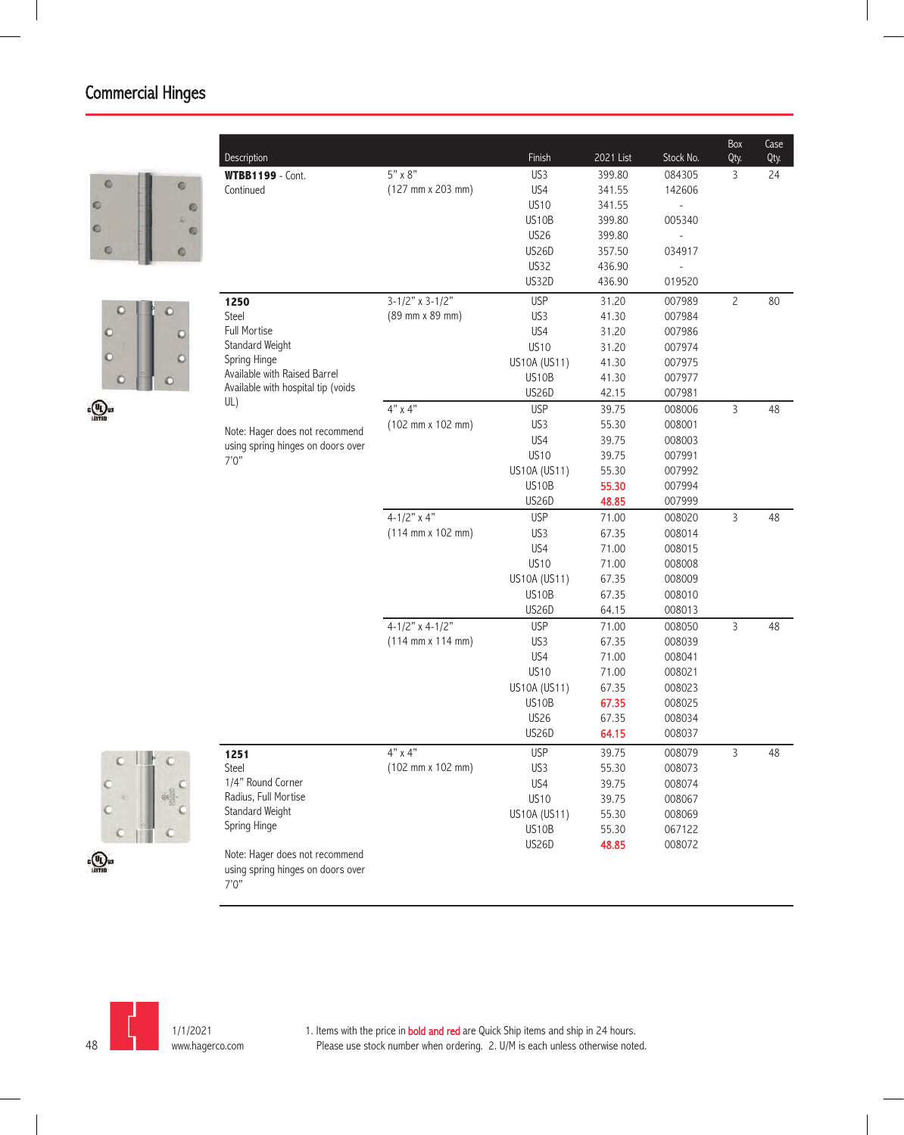



| Description                                |                                              | Finish                       | 2021 List      | Stock No.        | Box<br>Qty.    | Case<br>Qty. |
|--------------------------------------------|----------------------------------------------|------------------------------|----------------|------------------|----------------|--------------|
| <b>WTBB1199</b> - Cont.                    | 5" x 8"                                      | US3                          | 399.80         | 084305           | 3              | 24           |
| Continued                                  | (127 mm x 203 mm)                            | US4                          | 341.55         | 142606           |                |              |
|                                            |                                              | <b>US10</b>                  | 341.55         | L,               |                |              |
|                                            |                                              | US10B                        | 399.80         | 005340           |                |              |
|                                            |                                              | <b>US26</b>                  | 399.80         |                  |                |              |
|                                            |                                              | <b>US26D</b>                 | 357.50         | 034917           |                |              |
|                                            |                                              | <b>US32</b>                  | 436.90         |                  |                |              |
|                                            |                                              | US32D                        | 436.90         | 019520           |                |              |
| 1250                                       | $3-1/2"$ x 3-1/2"                            | <b>USP</b>                   | 31.20          | 007989           | $\overline{c}$ | 80           |
| Steel                                      | (89 mm x 89 mm)                              | US3                          | 41.30          | 007984           |                |              |
| <b>Full Mortise</b>                        |                                              | US4                          | 31.20          | 007986           |                |              |
| Standard Weight                            |                                              | <b>US10</b>                  | 31.20          | 007974           |                |              |
| Spring Hinge                               |                                              | US10A (US11)                 | 41.30          | 007975           |                |              |
| Available with Raised Barrel               |                                              | US10B                        | 41.30          | 007977           |                |              |
| Available with hospital tip (voids         |                                              | <b>US26D</b>                 | 42.15          | 007981           |                |              |
| UL)                                        | $4"$ x $4"$                                  | <b>USP</b>                   | 39.75          | 008006           | $\overline{3}$ | 48           |
| Note: Hager does not recommend             | (102 mm x 102 mm)                            | US3                          | 55.30          | 008001           |                |              |
| using spring hinges on doors over          |                                              | US4                          | 39.75          | 008003           |                |              |
| 7'0''                                      |                                              | <b>US10</b>                  | 39.75          | 007991           |                |              |
|                                            |                                              | US10A (US11)                 | 55.30          | 007992           |                |              |
|                                            |                                              | US10B                        | 55.30          | 007994           |                |              |
|                                            |                                              | <b>US26D</b>                 | 48.85          | 007999           |                |              |
|                                            | $4 - 1/2"$ x 4"                              | <b>USP</b>                   | 71.00          | 008020           | $\overline{3}$ | 48           |
|                                            | $(114 \, \text{mm} \times 102 \, \text{mm})$ | US3                          | 67.35          | 008014           |                |              |
|                                            |                                              | US4                          | 71.00          | 008015           |                |              |
|                                            |                                              | <b>US10</b>                  | 71.00          | 008008           |                |              |
|                                            |                                              | US10A (US11)                 | 67.35          | 008009           |                |              |
|                                            |                                              | US10B                        | 67.35          | 008010           |                |              |
|                                            |                                              | <b>US26D</b>                 | 64.15          | 008013           |                |              |
|                                            | $4-1/2"$ x 4-1/2"                            | <b>USP</b>                   | 71.00          | 008050           | $\overline{3}$ | 48           |
|                                            | $(114 \, \text{mm} \times 114 \, \text{mm})$ | US3                          | 67.35          | 008039           |                |              |
|                                            |                                              | US4                          | 71.00          | 008041           |                |              |
|                                            |                                              | <b>US10</b>                  | 71.00          | 008021           |                |              |
|                                            |                                              | US10A (US11)<br><b>US10B</b> | 67.35          | 008023           |                |              |
|                                            |                                              | <b>US26</b>                  | 67.35<br>67.35 | 008025<br>008034 |                |              |
|                                            |                                              | US26D                        | 64.15          | 008037           |                |              |
|                                            |                                              |                              |                |                  |                |              |
| 1251                                       | 4" x 4"                                      | <b>USP</b>                   | 39.75          | 008079           | $\mathfrak{Z}$ | 48           |
| Steel                                      | $(102 \, \text{mm} \times 102 \, \text{mm})$ | US3                          | 55.30          | 008073           |                |              |
| 1/4" Round Corner                          |                                              | US4                          | 39.75          | 008074           |                |              |
| Radius, Full Mortise<br>Standard Weight    |                                              | <b>US10</b>                  | 39.75          | 008067           |                |              |
| Spring Hinge                               |                                              | US10A (US11)                 | 55.30          | 008069           |                |              |
|                                            |                                              | US10B                        | 55.30          | 067122           |                |              |
| Note: Hager does not recommend             |                                              | US26D                        | 48.85          | 008072           |                |              |
| using spring hinges on doors over<br>7'0'' |                                              |                              |                |                  |                |              |



1/1/2021 www.hagerco.com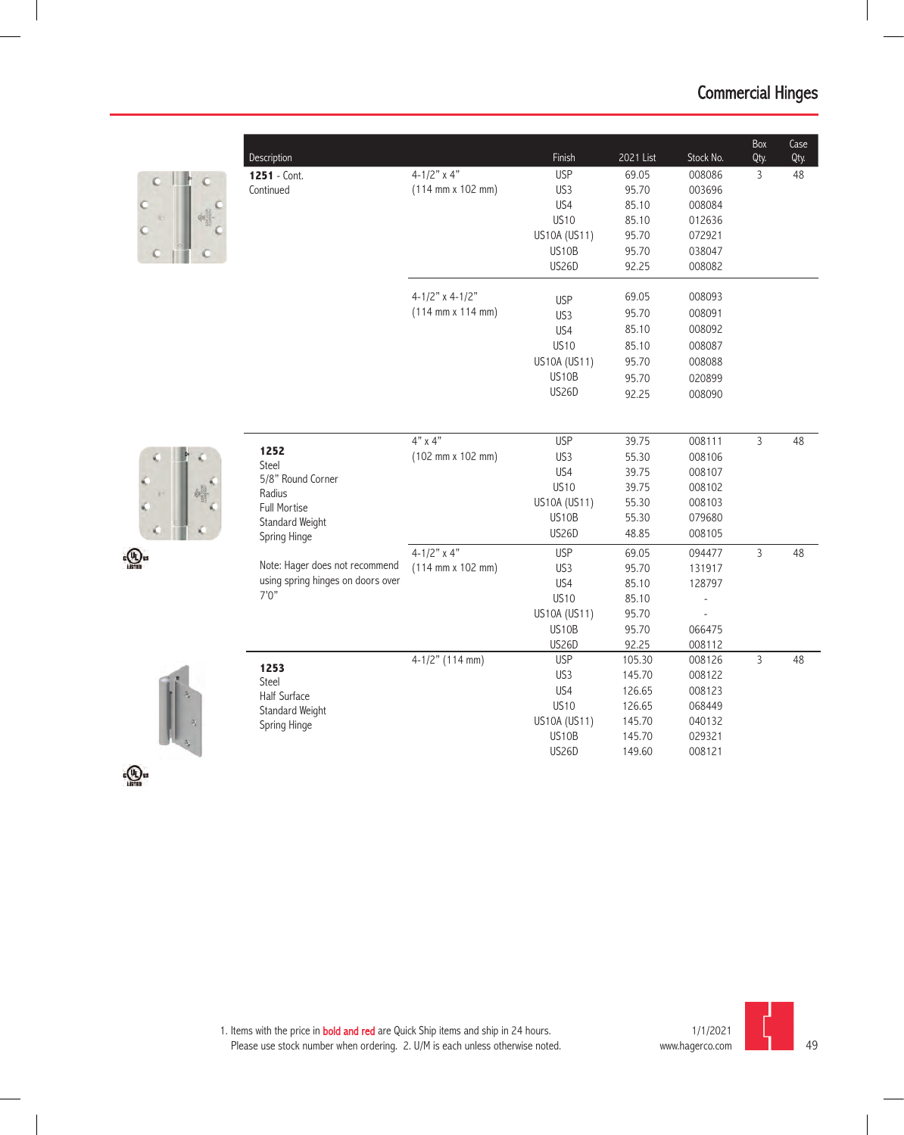| Description                       |                                              | Finish             | 2021 List | Stock No. | Box<br>Qty.    | Case<br>Qty. |
|-----------------------------------|----------------------------------------------|--------------------|-----------|-----------|----------------|--------------|
| 1251 - Cont.                      | $4 - 1/2"$ x 4"                              | <b>USP</b>         | 69.05     | 008086    | 3              | 48           |
| Continued                         | $(114 \, \text{mm} \times 102 \, \text{mm})$ | US3                | 95.70     | 003696    |                |              |
|                                   |                                              | US4                | 85.10     | 008084    |                |              |
|                                   |                                              | <b>US10</b>        | 85.10     | 012636    |                |              |
|                                   |                                              | US10A (US11)       | 95.70     | 072921    |                |              |
|                                   |                                              | US10B              | 95.70     | 038047    |                |              |
|                                   |                                              | <b>US26D</b>       | 92.25     | 008082    |                |              |
|                                   | $4-1/2$ " x $4-1/2$ "                        | <b>USP</b>         | 69.05     | 008093    |                |              |
|                                   | $(114 \, \text{mm} \times 114 \, \text{mm})$ | US3                | 95.70     | 008091    |                |              |
|                                   |                                              | US4                | 85.10     | 008092    |                |              |
|                                   |                                              | <b>US10</b>        | 85.10     | 008087    |                |              |
|                                   |                                              | US10A (US11)       | 95.70     | 008088    |                |              |
|                                   |                                              | US10B              | 95.70     | 020899    |                |              |
|                                   |                                              | <b>US26D</b>       | 92.25     | 008090    |                |              |
|                                   |                                              |                    |           |           |                |              |
|                                   | $4"$ x $4"$                                  | <b>USP</b>         | 39.75     | 008111    | $\overline{3}$ | 48           |
| 1252<br>Steel                     | $(102 \, \text{mm} \times 102 \, \text{mm})$ | US3                | 55.30     | 008106    |                |              |
| 5/8" Round Corner                 |                                              | US4                | 39.75     | 008107    |                |              |
| Radius                            |                                              | <b>US10</b>        | 39.75     | 008102    |                |              |
| Full Mortise                      |                                              | US10A (US11)       | 55.30     | 008103    |                |              |
| Standard Weight                   |                                              | US10B              | 55.30     | 079680    |                |              |
| Spring Hinge                      |                                              | <b>US26D</b>       | 48.85     | 008105    |                |              |
|                                   | $4-1/2"$ x 4"                                | <b>USP</b>         | 69.05     | 094477    | $\overline{3}$ | 48           |
| Note: Hager does not recommend    | $(114 \, \text{mm} \times 102 \, \text{mm})$ | US3                | 95.70     | 131917    |                |              |
| using spring hinges on doors over |                                              | US4                | 85.10     | 128797    |                |              |
| 7'0''                             |                                              | <b>US10</b>        | 85.10     |           |                |              |
|                                   |                                              | US10A (US11)       | 95.70     |           |                |              |
|                                   |                                              | US <sub>10</sub> B | 95.70     | 066475    |                |              |
|                                   |                                              | <b>US26D</b>       | 92.25     | 008112    |                |              |
| 1253                              | $4-1/2"$ (114 mm)                            | <b>USP</b>         | 105.30    | 008126    | $\overline{3}$ | 48           |
| Steel                             |                                              | US3                | 145.70    | 008122    |                |              |
| Half Surface                      |                                              | US4                | 126.65    | 008123    |                |              |
| Standard Weight                   |                                              | <b>US10</b>        | 126.65    | 068449    |                |              |
| Spring Hinge                      |                                              | US10A (US11)       | 145.70    | 040132    |                |              |
|                                   |                                              | US10B              | 145.70    | 029321    |                |              |
|                                   |                                              | <b>US26D</b>       | 149.60    | 008121    |                |              |

 $\epsilon$ <sup>(h</sup>)<sup>us</sup>

 $\epsilon$  (U) as

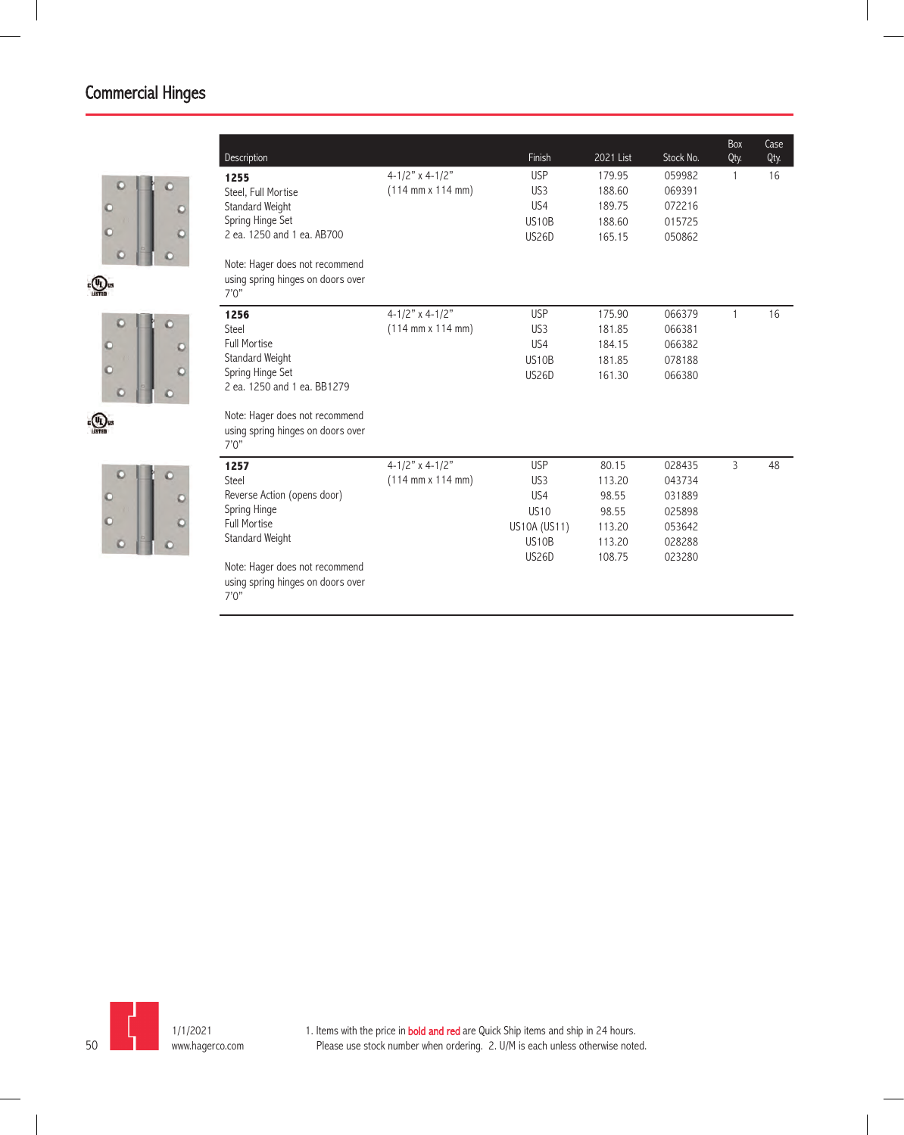

 $\epsilon$ (UL) us





| Description                                                                                                                                                                                         |                                                                     | Finish                                                                                                   | 2021 List                                                       | Stock No.                                                          | Box<br>Qty.    | Case<br>Qty. |
|-----------------------------------------------------------------------------------------------------------------------------------------------------------------------------------------------------|---------------------------------------------------------------------|----------------------------------------------------------------------------------------------------------|-----------------------------------------------------------------|--------------------------------------------------------------------|----------------|--------------|
| 1255<br>Steel, Full Mortise<br>Standard Weight<br>Spring Hinge Set<br>2 ea. 1250 and 1 ea. AB700<br>Note: Hager does not recommend<br>using spring hinges on doors over                             | $4 - 1/2"$ x 4-1/2"<br>$(114 \, \text{mm} \times 114 \, \text{mm})$ | <b>USP</b><br>US <sub>3</sub><br>US4<br><b>US10B</b><br><b>US26D</b>                                     | 179.95<br>188.60<br>189.75<br>188.60<br>165.15                  | 059982<br>069391<br>072216<br>015725<br>050862                     | 1              | 16           |
| 7'0''<br>1256<br>Steel<br><b>Full Mortise</b><br>Standard Weight<br>Spring Hinge Set<br>2 ea. 1250 and 1 ea. BB1279<br>Note: Hager does not recommend<br>using spring hinges on doors over<br>7'0'' | $4 - 1/2"$ x 4-1/2"<br>$(114 \, \text{mm} \times 114 \, \text{mm})$ | <b>USP</b><br>US <sub>3</sub><br>US <sub>4</sub><br><b>US10B</b><br><b>US26D</b>                         | 175.90<br>181.85<br>184.15<br>181.85<br>161.30                  | 066379<br>066381<br>066382<br>078188<br>066380                     | 1              | 16           |
| 1257<br><b>Steel</b><br>Reverse Action (opens door)<br>Spring Hinge<br><b>Full Mortise</b><br>Standard Weight<br>Note: Hager does not recommend<br>using spring hinges on doors over<br>7'0''       | $4-1/2"$ x 4-1/2"<br>$(114 \, \text{mm} \times 114 \, \text{mm})$   | <b>USP</b><br>US <sub>3</sub><br>US <sub>4</sub><br><b>US10</b><br>US10A (US11)<br>US10B<br><b>US26D</b> | 80.15<br>113.20<br>98.55<br>98.55<br>113.20<br>113.20<br>108.75 | 028435<br>043734<br>031889<br>025898<br>053642<br>028288<br>023280 | $\overline{3}$ | 48           |

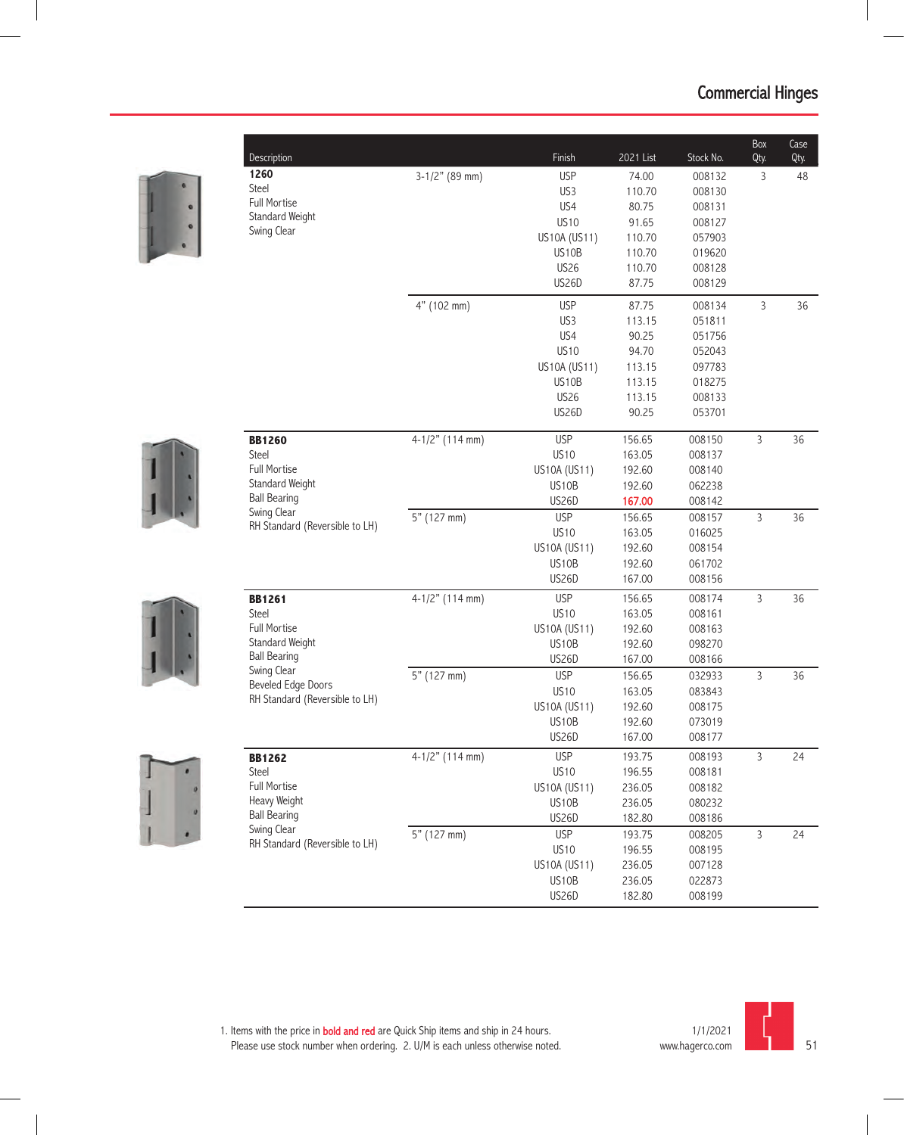

| Description                                   |                   | Finish       | 2021 List | Stock No. | Box<br>Qty.    | Case<br>Qty. |
|-----------------------------------------------|-------------------|--------------|-----------|-----------|----------------|--------------|
| 1260                                          | $3-1/2"$ (89 mm)  | <b>USP</b>   | 74.00     | 008132    | 3              | 48           |
| Steel                                         |                   | US3          | 110.70    | 008130    |                |              |
| <b>Full Mortise</b>                           |                   | US4          | 80.75     | 008131    |                |              |
| Standard Weight                               |                   | <b>US10</b>  | 91.65     | 008127    |                |              |
| Swing Clear                                   |                   | US10A (US11) | 110.70    | 057903    |                |              |
|                                               |                   | US10B        | 110.70    | 019620    |                |              |
|                                               |                   | <b>US26</b>  | 110.70    | 008128    |                |              |
|                                               |                   | <b>US26D</b> | 87.75     | 008129    |                |              |
|                                               | 4" (102 mm)       | <b>USP</b>   | 87.75     | 008134    | $\overline{3}$ | 36           |
|                                               |                   | US3          | 113.15    | 051811    |                |              |
|                                               |                   | US4          | 90.25     | 051756    |                |              |
|                                               |                   | <b>US10</b>  | 94.70     | 052043    |                |              |
|                                               |                   | US10A (US11) | 113.15    | 097783    |                |              |
|                                               |                   | US10B        | 113.15    | 018275    |                |              |
|                                               |                   | <b>US26</b>  | 113.15    | 008133    |                |              |
|                                               |                   | <b>US26D</b> | 90.25     | 053701    |                |              |
| <b>BB1260</b>                                 | $4-1/2"$ (114 mm) | <b>USP</b>   | 156.65    | 008150    | $\mathsf{3}$   | 36           |
| Steel                                         |                   | <b>US10</b>  | 163.05    | 008137    |                |              |
| <b>Full Mortise</b>                           |                   | US10A (US11) | 192.60    | 008140    |                |              |
| Standard Weight                               |                   | US10B        | 192.60    | 062238    |                |              |
| <b>Ball Bearing</b>                           |                   | <b>US26D</b> | 167.00    | 008142    |                |              |
| Swing Clear                                   | 5" (127 mm)       | <b>USP</b>   | 156.65    | 008157    | $\overline{3}$ | 36           |
| RH Standard (Reversible to LH)                |                   | <b>US10</b>  | 163.05    | 016025    |                |              |
|                                               |                   | US10A (US11) | 192.60    | 008154    |                |              |
|                                               |                   | US10B        | 192.60    | 061702    |                |              |
|                                               |                   | <b>US26D</b> | 167.00    | 008156    |                |              |
| <b>BB1261</b>                                 | $4-1/2"$ (114 mm) | <b>USP</b>   | 156.65    | 008174    | $\overline{3}$ | 36           |
| Steel                                         |                   | <b>US10</b>  | 163.05    | 008161    |                |              |
| <b>Full Mortise</b>                           |                   | US10A (US11) | 192.60    | 008163    |                |              |
| Standard Weight                               |                   | US10B        | 192.60    | 098270    |                |              |
| <b>Ball Bearing</b>                           |                   | US26D        | 167.00    | 008166    |                |              |
| Swing Clear<br><b>Beveled Edge Doors</b>      | 5" (127 mm)       | <b>USP</b>   | 156.65    | 032933    | $\mathsf{3}$   | 36           |
| RH Standard (Reversible to LH)                |                   | <b>US10</b>  | 163.05    | 083843    |                |              |
|                                               |                   | US10A (US11) | 192.60    | 008175    |                |              |
|                                               |                   | US10B        | 192.60    | 073019    |                |              |
|                                               |                   | <b>US26D</b> | 167.00    | 008177    |                |              |
| <b>BB1262</b>                                 | 4-1/2" (114 mm)   | <b>USP</b>   | 193.75    | 008193    | $\mathsf{3}$   | 24           |
| Steel                                         |                   | <b>US10</b>  | 196.55    | 008181    |                |              |
| Full Mortise                                  |                   | US10A (US11) | 236.05    | 008182    |                |              |
| Heavy Weight                                  |                   | US10B        | 236.05    | 080232    |                |              |
| <b>Ball Bearing</b>                           |                   | US26D        | 182.80    | 008186    |                |              |
| Swing Clear<br>RH Standard (Reversible to LH) | 5" (127 mm)       | <b>USP</b>   | 193.75    | 008205    | $\overline{3}$ | 24           |
|                                               |                   | <b>US10</b>  | 196.55    | 008195    |                |              |
|                                               |                   | US10A (US11) | 236.05    | 007128    |                |              |
|                                               |                   | US10B        | 236.05    | 022873    |                |              |
|                                               |                   | US26D        | 182.80    | 008199    |                |              |

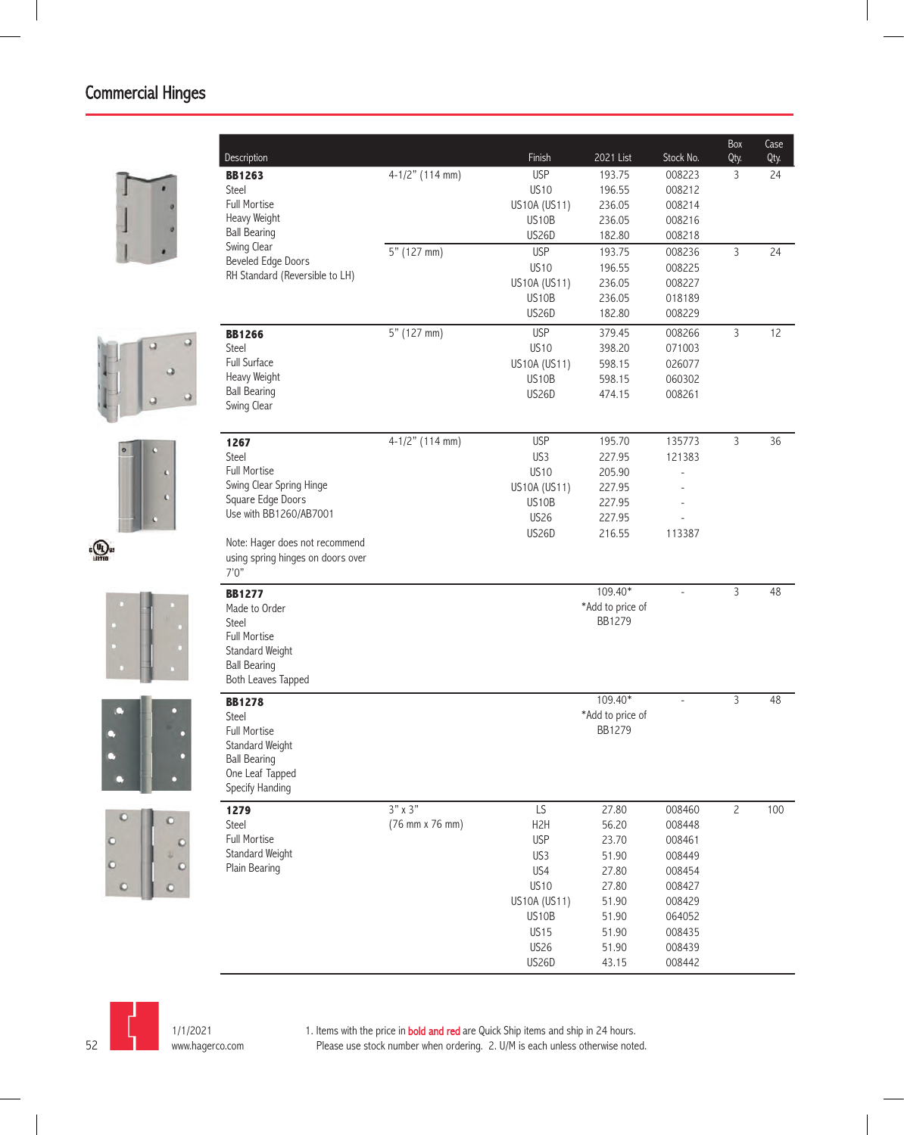













| Description                               |                 | Finish                | 2021 List        | Stock No.      | Box<br>Qty.    | Case<br>Qty. |
|-------------------------------------------|-----------------|-----------------------|------------------|----------------|----------------|--------------|
| <b>BB1263</b>                             | 4-1/2" (114 mm) | <b>USP</b>            | 193.75           | 008223         | 3              | 24           |
| Steel                                     |                 | <b>US10</b>           | 196.55           | 008212         |                |              |
| <b>Full Mortise</b>                       |                 | US10A (US11)          | 236.05           | 008214         |                |              |
| Heavy Weight                              |                 | US10B                 | 236.05           | 008216         |                |              |
| <b>Ball Bearing</b>                       |                 | <b>US26D</b>          | 182.80           | 008218         |                |              |
| Swing Clear                               | 5" (127 mm)     | <b>USP</b>            | 193.75           | 008236         | 3              | 24           |
| <b>Beveled Edge Doors</b>                 |                 | <b>US10</b>           | 196.55           | 008225         |                |              |
| RH Standard (Reversible to LH)            |                 | US10A (US11)          | 236.05           | 008227         |                |              |
|                                           |                 | US <sub>10</sub> B    | 236.05           | 018189         |                |              |
|                                           |                 | <b>US26D</b>          | 182.80           | 008229         |                |              |
| <b>BB1266</b>                             | 5" (127 mm)     | <b>USP</b>            | 379.45           | 008266         | 3              | 12           |
| <b>Steel</b>                              |                 | <b>US10</b>           | 398.20           | 071003         |                |              |
| <b>Full Surface</b>                       |                 | US10A (US11)          | 598.15           | 026077         |                |              |
| Heavy Weight                              |                 | US10B                 | 598.15           | 060302         |                |              |
| <b>Ball Bearing</b>                       |                 | <b>US26D</b>          | 474.15           | 008261         |                |              |
| Swing Clear                               |                 |                       |                  |                |                |              |
|                                           | 4-1/2" (114 mm) | <b>USP</b>            | 195.70           | 135773         | 3              | 36           |
| 1267<br>Steel                             |                 | US3                   | 227.95           | 121383         |                |              |
| <b>Full Mortise</b>                       |                 | <b>US10</b>           |                  |                |                |              |
| Swing Clear Spring Hinge                  |                 |                       | 205.90           |                |                |              |
| Square Edge Doors                         |                 | US10A (US11)<br>US10B | 227.95<br>227.95 |                |                |              |
| Use with BB1260/AB7001                    |                 | <b>US26</b>           | 227.95           |                |                |              |
|                                           |                 | <b>US26D</b>          | 216.55           | 113387         |                |              |
| Note: Hager does not recommend            |                 |                       |                  |                |                |              |
| using spring hinges on doors over         |                 |                       |                  |                |                |              |
| 7'0''                                     |                 |                       |                  |                |                |              |
| <b>BB1277</b>                             |                 |                       | 109.40*          | $\overline{a}$ | 3              | 48           |
| Made to Order                             |                 |                       | *Add to price of |                |                |              |
| <b>Steel</b>                              |                 |                       | <b>BB1279</b>    |                |                |              |
| <b>Full Mortise</b>                       |                 |                       |                  |                |                |              |
| Standard Weight                           |                 |                       |                  |                |                |              |
| <b>Ball Bearing</b><br>Both Leaves Tapped |                 |                       |                  |                |                |              |
|                                           |                 |                       | 109.40*          |                | 3              | 48           |
| <b>BB1278</b><br>Steel                    |                 |                       | *Add to price of |                |                |              |
| <b>Full Mortise</b>                       |                 |                       | <b>BB1279</b>    |                |                |              |
| Standard Weight                           |                 |                       |                  |                |                |              |
| <b>Ball Bearing</b>                       |                 |                       |                  |                |                |              |
| One Leaf Tapped                           |                 |                       |                  |                |                |              |
| Specify Handing                           |                 |                       |                  |                |                |              |
| 1279                                      | $3"$ x $3"$     | LS                    | 27.80            | 008460         | $\overline{c}$ | 100          |
| Steel                                     | (76 mm x 76 mm) | H <sub>2</sub> H      | 56.20            | 008448         |                |              |
| Full Mortise                              |                 | <b>USP</b>            | 23.70            | 008461         |                |              |
| Standard Weight                           |                 | US3                   | 51.90            | 008449         |                |              |
| Plain Bearing                             |                 | US4                   | 27.80            | 008454         |                |              |
|                                           |                 | <b>US10</b>           | 27.80            | 008427         |                |              |
|                                           |                 | US10A (US11)          | 51.90            | 008429         |                |              |
|                                           |                 | US10B                 | 51.90            | 064052         |                |              |
|                                           |                 | <b>US15</b>           | 51.90            | 008435         |                |              |
|                                           |                 | US26                  | 51.90            | 008439         |                |              |
|                                           |                 | US26D                 | 43.15            | 008442         |                |              |



1/1/2021 www.hagerco.com

1. Items with the price in **bold and red** are Quick Ship items and ship in 24 hours. Please use stock number when ordering. 2. U/M is each unless otherwise noted.

52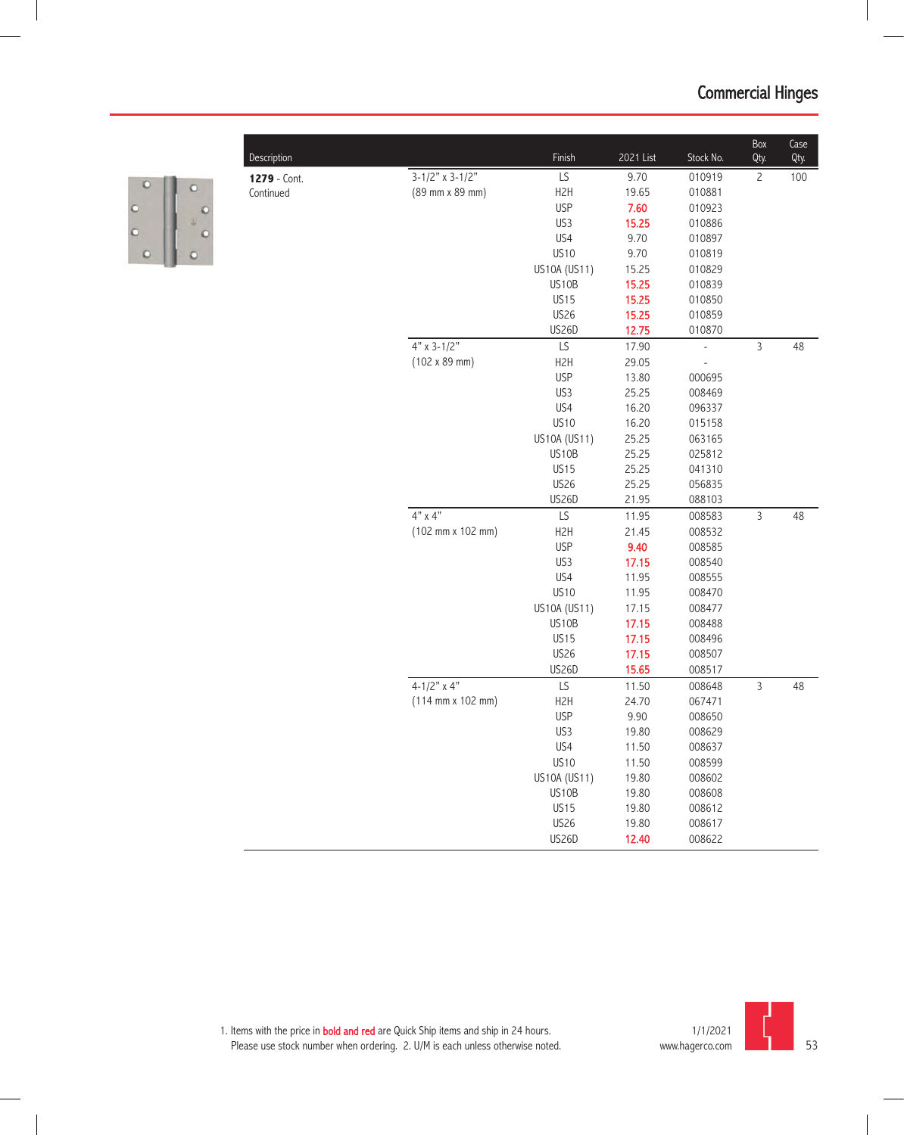| Description  |                                              | Finish           | 2021 List | Stock No.      | Box<br>Qty.    | Case<br>Qty. |
|--------------|----------------------------------------------|------------------|-----------|----------------|----------------|--------------|
| 1279 - Cont. | $3-1/2"$ x $3-1/2"$                          | LS               | 9.70      | 010919         | $\overline{c}$ | 100          |
| Continued    | (89 mm x 89 mm)                              | H <sub>2</sub> H | 19.65     | 010881         |                |              |
|              |                                              | <b>USP</b>       | 7.60      | 010923         |                |              |
|              |                                              | US3              | 15.25     | 010886         |                |              |
|              |                                              | US4              | 9.70      | 010897         |                |              |
|              |                                              | <b>US10</b>      | 9.70      | 010819         |                |              |
|              |                                              | US10A (US11)     | 15.25     | 010829         |                |              |
|              |                                              | US10B            | 15.25     | 010839         |                |              |
|              |                                              | <b>US15</b>      | 15.25     | 010850         |                |              |
|              |                                              | <b>US26</b>      | 15.25     | 010859         |                |              |
|              |                                              | US26D            | 12.75     | 010870         |                |              |
|              | $4"$ x 3-1/2"                                | LS               | 17.90     | $\overline{a}$ | $\overline{3}$ | 48           |
|              | $(102 \times 89 \text{ mm})$                 | H <sub>2</sub> H | 29.05     |                |                |              |
|              |                                              | <b>USP</b>       | 13.80     | 000695         |                |              |
|              |                                              | US3              | 25.25     | 008469         |                |              |
|              |                                              | US4              | 16.20     | 096337         |                |              |
|              |                                              | <b>US10</b>      | 16.20     | 015158         |                |              |
|              |                                              | US10A (US11)     | 25.25     | 063165         |                |              |
|              |                                              | US10B            | 25.25     | 025812         |                |              |
|              |                                              | <b>US15</b>      | 25.25     | 041310         |                |              |
|              |                                              | <b>US26</b>      | 25.25     | 056835         |                |              |
|              |                                              | US26D            | 21.95     | 088103         |                |              |
|              | $4"$ x $4"$                                  | LS               | 11.95     | 008583         | $\overline{3}$ | 48           |
|              | (102 mm x 102 mm)                            | H <sub>2</sub> H | 21.45     | 008532         |                |              |
|              |                                              | <b>USP</b>       | 9.40      | 008585         |                |              |
|              |                                              | US3              | 17.15     | 008540         |                |              |
|              |                                              | US4              | 11.95     | 008555         |                |              |
|              |                                              | <b>US10</b>      | 11.95     | 008470         |                |              |
|              |                                              | US10A (US11)     | 17.15     | 008477         |                |              |
|              |                                              | US10B            | 17.15     | 008488         |                |              |
|              |                                              | <b>US15</b>      | 17.15     | 008496         |                |              |
|              |                                              | <b>US26</b>      | 17.15     | 008507         |                |              |
|              |                                              | <b>US26D</b>     | 15.65     | 008517         |                |              |
|              | $4-1/2"$ x 4"                                | LS               | 11.50     | 008648         | $\overline{3}$ | 48           |
|              | $(114 \, \text{mm} \times 102 \, \text{mm})$ | H <sub>2</sub> H | 24.70     | 067471         |                |              |
|              |                                              | <b>USP</b>       | 9.90      | 008650         |                |              |
|              |                                              | US3              | 19.80     | 008629         |                |              |
|              |                                              | US4              | 11.50     | 00863/         |                |              |
|              |                                              | <b>US10</b>      | 11.50     | 008599         |                |              |
|              |                                              | US10A (US11)     | 19.80     | 008602         |                |              |
|              |                                              | US10B            | 19.80     | 008608         |                |              |
|              |                                              | <b>US15</b>      | 19.80     | 008612         |                |              |
|              |                                              | <b>US26</b>      | 19.80     | 008617         |                |              |
|              |                                              |                  |           |                |                |              |
|              |                                              | <b>US26D</b>     | 12.40     | 008622         |                |              |



 $\circ$ 

 $\circ$ 

 $\circ$ 

 $\circ$  0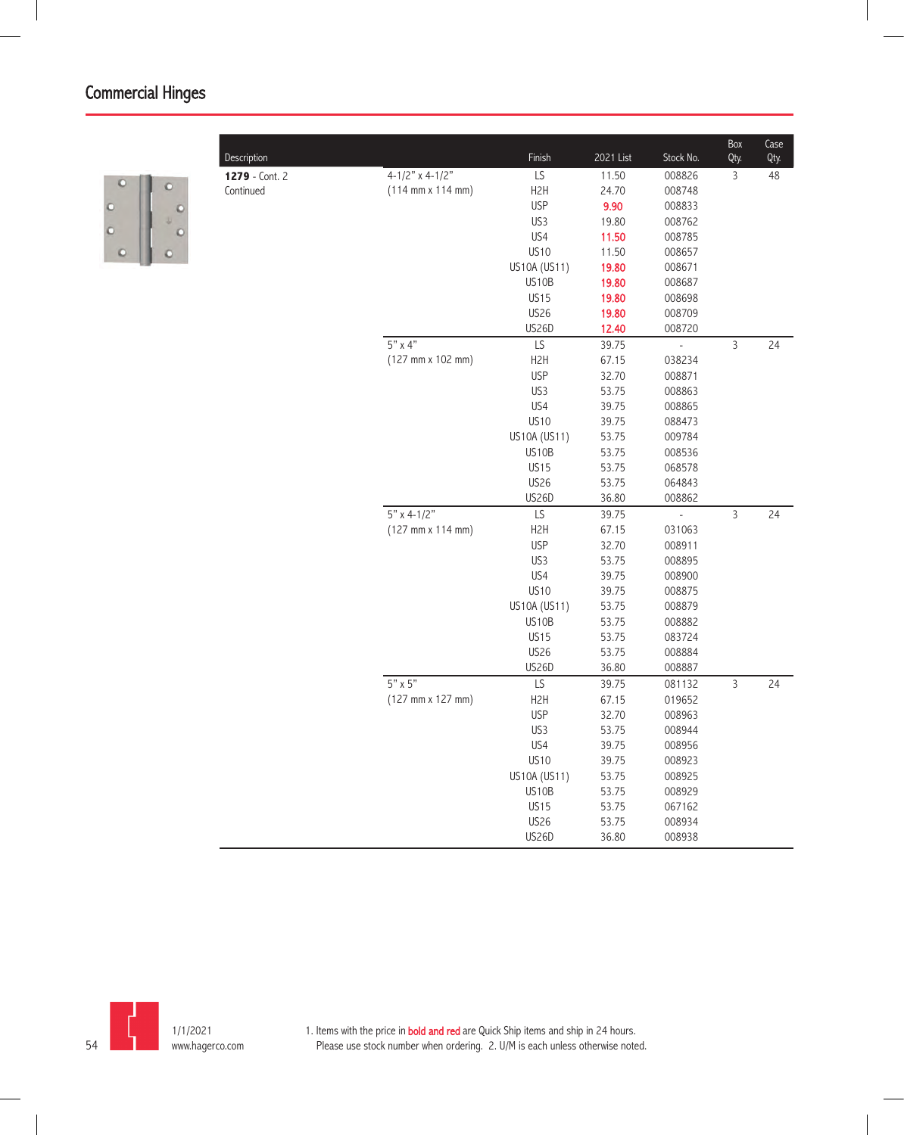

| Description    |                                              | Finish               | 2021 List      | Stock No.                | Box<br>Qty.    | Case<br>Qty. |
|----------------|----------------------------------------------|----------------------|----------------|--------------------------|----------------|--------------|
| 1279 - Cont. 2 | 4-1/2" x 4-1/2"                              | LS                   | 11.50          | 008826                   | $\mathsf{3}$   | 48           |
| Continued      | $(114 \, \text{mm} \times 114 \, \text{mm})$ | H <sub>2</sub> H     | 24.70          | 008748                   |                |              |
|                |                                              | <b>USP</b>           | 9.90           | 008833                   |                |              |
|                |                                              | US3                  | 19.80          | 008762                   |                |              |
|                |                                              | US4                  | 11.50          | 008785                   |                |              |
|                |                                              | <b>US10</b>          | 11.50          | 008657                   |                |              |
|                |                                              | US10A (US11)         | 19.80          | 008671                   |                |              |
|                |                                              | US10B                | 19.80          | 008687                   |                |              |
|                |                                              | <b>US15</b>          | 19.80          | 008698                   |                |              |
|                |                                              | <b>US26</b>          | 19.80          | 008709                   |                |              |
|                |                                              | US26D                | 12.40          | 008720                   |                |              |
|                | $5"$ x 4"                                    | LS                   | 39.75          | $\overline{\phantom{a}}$ | $\mathsf{3}$   | 24           |
|                | $(127 \, \text{mm} \times 102 \, \text{mm})$ | H <sub>2</sub> H     | 67.15          | 038234                   |                |              |
|                |                                              | <b>USP</b>           | 32.70          | 008871                   |                |              |
|                |                                              | US3                  | 53.75          | 008863                   |                |              |
|                |                                              | US4                  | 39.75          | 008865                   |                |              |
|                |                                              | <b>US10</b>          | 39.75          | 088473                   |                |              |
|                |                                              | US10A (US11)         | 53.75          | 009784                   |                |              |
|                |                                              | US10B                | 53.75          | 008536                   |                |              |
|                |                                              | <b>US15</b>          | 53.75          | 068578                   |                |              |
|                |                                              | <b>US26</b>          | 53.75          | 064843                   |                |              |
|                |                                              | US26D                | 36.80          | 008862                   |                |              |
|                | $5"$ x 4-1/2"                                | LS                   | 39.75          | $\frac{1}{2}$            | $\mathfrak{Z}$ | 24           |
|                | (127 mm x 114 mm)                            | H <sub>2</sub> H     | 67.15          | 031063                   |                |              |
|                |                                              | <b>USP</b>           | 32.70          | 008911                   |                |              |
|                |                                              | US3                  | 53.75          | 008895                   |                |              |
|                |                                              | US4                  | 39.75          | 008900                   |                |              |
|                |                                              | <b>US10</b>          | 39.75          | 008875                   |                |              |
|                |                                              | US10A (US11)         | 53.75          | 008879                   |                |              |
|                |                                              | US10B                | 53.75          | 008882                   |                |              |
|                |                                              | <b>US15</b>          | 53.75          | 083724                   |                |              |
|                |                                              | <b>US26</b><br>US26D | 53.75<br>36.80 | 008884<br>008887         |                |              |
|                | $5" \times 5"$                               | LS                   | 39.75          | 081132                   | $\mathsf 3$    | 24           |
|                | (127 mm x 127 mm)                            | H <sub>2</sub> H     | 67.15          | 019652                   |                |              |
|                |                                              | <b>USP</b>           | 32.70          | 008963                   |                |              |
|                |                                              | US3                  | 53.75          | 008944                   |                |              |
|                |                                              | US4                  | 39.75          | 008956                   |                |              |
|                |                                              | <b>US10</b>          | 39.75          | 008923                   |                |              |
|                |                                              | US10A (US11)         | 53.75          | 008925                   |                |              |
|                |                                              | US10B                | 53.75          | 008929                   |                |              |
|                |                                              | <b>US15</b>          | 53.75          | 067162                   |                |              |
|                |                                              | <b>US26</b>          | 53.75          | 008934                   |                |              |
|                |                                              | US26D                | 36.80          | 008938                   |                |              |
|                |                                              |                      |                |                          |                |              |

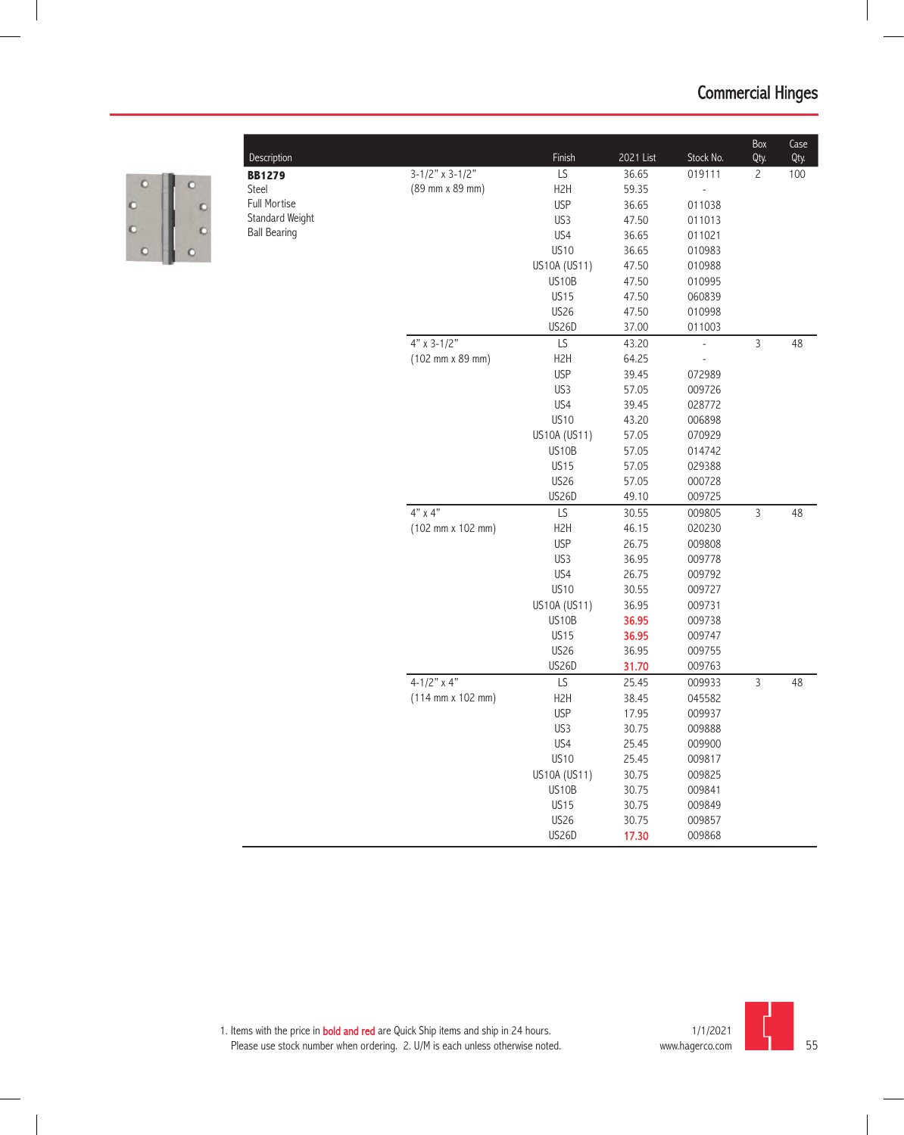

| Description         |                                              | Finish           | 2021 List | Stock No.                    | Box<br>Qty.    | Case<br>Qty. |
|---------------------|----------------------------------------------|------------------|-----------|------------------------------|----------------|--------------|
| <b>BB1279</b>       | $3-1/2"$ x 3-1/2"                            | LS               | 36.65     | 019111                       | $\overline{c}$ | 100          |
| Steel               | (89 mm x 89 mm)                              | H <sub>2</sub> H | 59.35     | $\overline{a}$               |                |              |
| Full Mortise        |                                              | <b>USP</b>       | 36.65     | 011038                       |                |              |
| Standard Weight     |                                              | US3              | 47.50     | 011013                       |                |              |
| <b>Ball Bearing</b> |                                              | US4              | 36.65     | 011021                       |                |              |
|                     |                                              | <b>US10</b>      | 36.65     | 010983                       |                |              |
|                     |                                              | US10A (US11)     | 47.50     | 010988                       |                |              |
|                     |                                              | US10B            | 47.50     | 010995                       |                |              |
|                     |                                              | <b>US15</b>      | 47.50     | 060839                       |                |              |
|                     |                                              | <b>US26</b>      | 47.50     | 010998                       |                |              |
|                     |                                              | <b>US26D</b>     | 37.00     | 011003                       |                |              |
|                     | $4"$ x 3-1/2"                                | LS               | 43.20     | $\overline{a}$               | $\overline{3}$ | 48           |
|                     | (102 mm x 89 mm)                             | H <sub>2</sub> H | 64.25     | $\qquad \qquad \blacksquare$ |                |              |
|                     |                                              | <b>USP</b>       | 39.45     | 072989                       |                |              |
|                     |                                              | US3              | 57.05     | 009726                       |                |              |
|                     |                                              | US4              | 39.45     | 028772                       |                |              |
|                     |                                              | <b>US10</b>      | 43.20     | 006898                       |                |              |
|                     |                                              | US10A (US11)     | 57.05     | 070929                       |                |              |
|                     |                                              | US10B            | 57.05     | 014742                       |                |              |
|                     |                                              | <b>US15</b>      | 57.05     | 029388                       |                |              |
|                     |                                              | <b>US26</b>      | 57.05     | 000728                       |                |              |
|                     |                                              | US26D            | 49.10     | 009725                       |                |              |
|                     | $4"$ x $4"$                                  | LS               | 30.55     | 009805                       | $\mathsf{3}$   | 48           |
|                     | $(102 \, \text{mm} \times 102 \, \text{mm})$ | H <sub>2</sub> H | 46.15     | 020230                       |                |              |
|                     |                                              | <b>USP</b>       | 26.75     | 009808                       |                |              |
|                     |                                              | US3              | 36.95     | 009778                       |                |              |
|                     |                                              | US4              | 26.75     | 009792                       |                |              |
|                     |                                              | <b>US10</b>      | 30.55     | 009727                       |                |              |
|                     |                                              | US10A (US11)     | 36.95     | 009731                       |                |              |
|                     |                                              | US10B            | 36.95     | 009738                       |                |              |
|                     |                                              | <b>US15</b>      | 36.95     | 009747                       |                |              |
|                     |                                              | <b>US26</b>      | 36.95     | 009755                       |                |              |
|                     |                                              | <b>US26D</b>     | 31.70     | 009763                       |                |              |
|                     | 4-1/2" $\times$ 4"                           | LS               | 25.45     | 009933                       | $\mathsf{3}$   | 48           |
|                     | $(114 \, \text{mm} \times 102 \, \text{mm})$ | H <sub>2</sub> H | 38.45     | 045582                       |                |              |
|                     |                                              | <b>USP</b>       | 17.95     | 009937                       |                |              |
|                     |                                              | US3              | 30.75     | 009888                       |                |              |
|                     |                                              | US4              | 25.45     | 009900                       |                |              |
|                     |                                              | <b>US10</b>      | 25.45     | 009817                       |                |              |
|                     |                                              | US10A (US11)     | 30.75     | 009825                       |                |              |
|                     |                                              | US10B            | 30.75     | 009841                       |                |              |
|                     |                                              | <b>US15</b>      | 30.75     | 009849                       |                |              |
|                     |                                              | <b>US26</b>      | 30.75     | 009857                       |                |              |
|                     |                                              | US26D            | 17.30     | 009868                       |                |              |

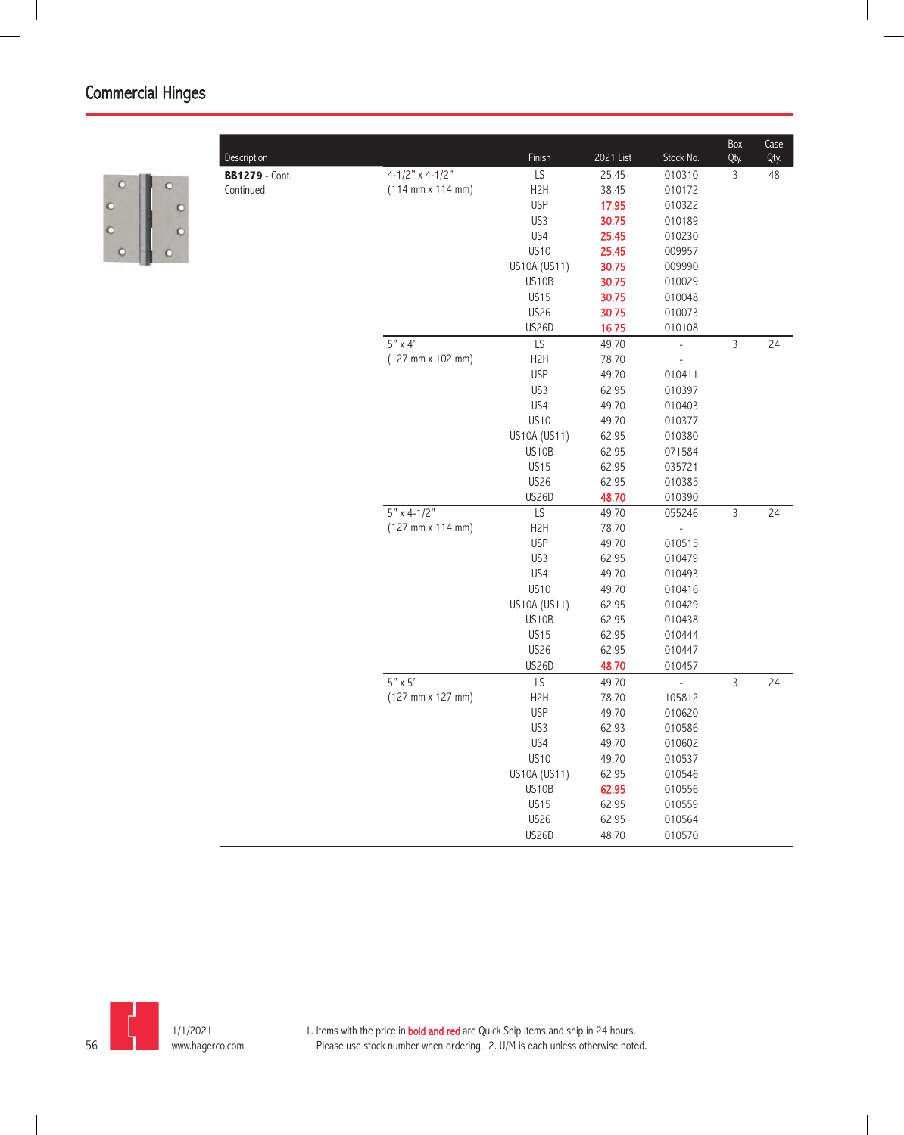

| $4 - 1/2"$ x 4-1/2"<br>LS<br>$\mathsf{3}$<br>25.45<br>010310<br>48<br><b>BB1279</b> - Cont.<br>$(114 \text{ mm} \times 114 \text{ mm})$<br>H <sub>2</sub> H<br>38.45<br>010172<br>Continued<br><b>USP</b><br>17.95<br>010322<br>US3<br>30.75<br>010189<br>US4<br>25.45<br>010230<br><b>US10</b><br>25.45<br>009957<br>US10A (US11)<br>30.75<br>009990<br>US10B<br>30.75<br>010029<br><b>US15</b><br>30.75<br>010048<br><b>US26</b><br>30.75<br>010073<br>US26D<br>16.75<br>010108<br>$5" \times 4"$<br>$\mathsf{3}$<br>LS<br>49.70<br>24<br>$\overline{\phantom{a}}$<br>$(127 \, \text{mm} \times 102 \, \text{mm})$<br>H <sub>2</sub> H<br>78.70<br><b>USP</b><br>49.70<br>010411<br>US3<br>62.95<br>010397<br>US4<br>49.70<br>010403<br><b>US10</b><br>49.70<br>010377<br>US10A (US11)<br>62.95<br>010380<br>US10B<br>62.95<br>071584<br><b>US15</b><br>62.95<br>035721<br><b>US26</b><br>62.95<br>010385<br><b>US26D</b><br>48.70<br>010390<br>$5" x 4-1/2"$<br>$\overline{LS}$<br>$\overline{3}$<br>24<br>49.70<br>055246<br>(127 mm x 114 mm)<br>H <sub>2</sub> H<br>78.70<br><b>USP</b><br>49.70<br>010515<br>US3<br>62.95<br>010479<br>US4<br>49.70<br>010493<br><b>US10</b><br>49.70<br>010416<br>US10A (US11)<br>62.95<br>010429<br>US10B<br>62.95<br>010438<br><b>US15</b><br>62.95<br>010444<br><b>US26</b><br>62.95<br>010447<br><b>US26D</b><br>48.70<br>010457<br>$5" \times 5"$<br>$\overline{3}$<br>LS<br>24<br>49.70<br>$\Box$<br>$(127 \, \text{mm} \times 127 \, \text{mm})$<br>H <sub>2</sub> H<br>78.70<br>105812<br><b>USP</b><br>49.70<br>010620<br>US3<br>62.93<br>010586<br>US4<br>49.70<br>010602<br><b>US10</b><br>49.70<br>010537<br>US10A (US11)<br>62.95<br>010546<br>US10B<br>62.95<br>010556<br><b>US15</b><br>62.95<br>010559<br><b>US26</b><br>62.95<br>010564 | Description | Finish       | 2021 List | Stock No. | Box<br>Qty. | Case<br>Qty. |
|--------------------------------------------------------------------------------------------------------------------------------------------------------------------------------------------------------------------------------------------------------------------------------------------------------------------------------------------------------------------------------------------------------------------------------------------------------------------------------------------------------------------------------------------------------------------------------------------------------------------------------------------------------------------------------------------------------------------------------------------------------------------------------------------------------------------------------------------------------------------------------------------------------------------------------------------------------------------------------------------------------------------------------------------------------------------------------------------------------------------------------------------------------------------------------------------------------------------------------------------------------------------------------------------------------------------------------------------------------------------------------------------------------------------------------------------------------------------------------------------------------------------------------------------------------------------------------------------------------------------------------------------------------------------------------------------------------------------------------------------------------------------------------------------------|-------------|--------------|-----------|-----------|-------------|--------------|
|                                                                                                                                                                                                                                                                                                                                                                                                                                                                                                                                                                                                                                                                                                                                                                                                                                                                                                                                                                                                                                                                                                                                                                                                                                                                                                                                                                                                                                                                                                                                                                                                                                                                                                                                                                                                  |             |              |           |           |             |              |
|                                                                                                                                                                                                                                                                                                                                                                                                                                                                                                                                                                                                                                                                                                                                                                                                                                                                                                                                                                                                                                                                                                                                                                                                                                                                                                                                                                                                                                                                                                                                                                                                                                                                                                                                                                                                  |             |              |           |           |             |              |
|                                                                                                                                                                                                                                                                                                                                                                                                                                                                                                                                                                                                                                                                                                                                                                                                                                                                                                                                                                                                                                                                                                                                                                                                                                                                                                                                                                                                                                                                                                                                                                                                                                                                                                                                                                                                  |             |              |           |           |             |              |
|                                                                                                                                                                                                                                                                                                                                                                                                                                                                                                                                                                                                                                                                                                                                                                                                                                                                                                                                                                                                                                                                                                                                                                                                                                                                                                                                                                                                                                                                                                                                                                                                                                                                                                                                                                                                  |             |              |           |           |             |              |
|                                                                                                                                                                                                                                                                                                                                                                                                                                                                                                                                                                                                                                                                                                                                                                                                                                                                                                                                                                                                                                                                                                                                                                                                                                                                                                                                                                                                                                                                                                                                                                                                                                                                                                                                                                                                  |             |              |           |           |             |              |
|                                                                                                                                                                                                                                                                                                                                                                                                                                                                                                                                                                                                                                                                                                                                                                                                                                                                                                                                                                                                                                                                                                                                                                                                                                                                                                                                                                                                                                                                                                                                                                                                                                                                                                                                                                                                  |             |              |           |           |             |              |
|                                                                                                                                                                                                                                                                                                                                                                                                                                                                                                                                                                                                                                                                                                                                                                                                                                                                                                                                                                                                                                                                                                                                                                                                                                                                                                                                                                                                                                                                                                                                                                                                                                                                                                                                                                                                  |             |              |           |           |             |              |
|                                                                                                                                                                                                                                                                                                                                                                                                                                                                                                                                                                                                                                                                                                                                                                                                                                                                                                                                                                                                                                                                                                                                                                                                                                                                                                                                                                                                                                                                                                                                                                                                                                                                                                                                                                                                  |             |              |           |           |             |              |
|                                                                                                                                                                                                                                                                                                                                                                                                                                                                                                                                                                                                                                                                                                                                                                                                                                                                                                                                                                                                                                                                                                                                                                                                                                                                                                                                                                                                                                                                                                                                                                                                                                                                                                                                                                                                  |             |              |           |           |             |              |
|                                                                                                                                                                                                                                                                                                                                                                                                                                                                                                                                                                                                                                                                                                                                                                                                                                                                                                                                                                                                                                                                                                                                                                                                                                                                                                                                                                                                                                                                                                                                                                                                                                                                                                                                                                                                  |             |              |           |           |             |              |
|                                                                                                                                                                                                                                                                                                                                                                                                                                                                                                                                                                                                                                                                                                                                                                                                                                                                                                                                                                                                                                                                                                                                                                                                                                                                                                                                                                                                                                                                                                                                                                                                                                                                                                                                                                                                  |             |              |           |           |             |              |
|                                                                                                                                                                                                                                                                                                                                                                                                                                                                                                                                                                                                                                                                                                                                                                                                                                                                                                                                                                                                                                                                                                                                                                                                                                                                                                                                                                                                                                                                                                                                                                                                                                                                                                                                                                                                  |             |              |           |           |             |              |
|                                                                                                                                                                                                                                                                                                                                                                                                                                                                                                                                                                                                                                                                                                                                                                                                                                                                                                                                                                                                                                                                                                                                                                                                                                                                                                                                                                                                                                                                                                                                                                                                                                                                                                                                                                                                  |             |              |           |           |             |              |
|                                                                                                                                                                                                                                                                                                                                                                                                                                                                                                                                                                                                                                                                                                                                                                                                                                                                                                                                                                                                                                                                                                                                                                                                                                                                                                                                                                                                                                                                                                                                                                                                                                                                                                                                                                                                  |             |              |           |           |             |              |
|                                                                                                                                                                                                                                                                                                                                                                                                                                                                                                                                                                                                                                                                                                                                                                                                                                                                                                                                                                                                                                                                                                                                                                                                                                                                                                                                                                                                                                                                                                                                                                                                                                                                                                                                                                                                  |             |              |           |           |             |              |
|                                                                                                                                                                                                                                                                                                                                                                                                                                                                                                                                                                                                                                                                                                                                                                                                                                                                                                                                                                                                                                                                                                                                                                                                                                                                                                                                                                                                                                                                                                                                                                                                                                                                                                                                                                                                  |             |              |           |           |             |              |
|                                                                                                                                                                                                                                                                                                                                                                                                                                                                                                                                                                                                                                                                                                                                                                                                                                                                                                                                                                                                                                                                                                                                                                                                                                                                                                                                                                                                                                                                                                                                                                                                                                                                                                                                                                                                  |             |              |           |           |             |              |
|                                                                                                                                                                                                                                                                                                                                                                                                                                                                                                                                                                                                                                                                                                                                                                                                                                                                                                                                                                                                                                                                                                                                                                                                                                                                                                                                                                                                                                                                                                                                                                                                                                                                                                                                                                                                  |             |              |           |           |             |              |
|                                                                                                                                                                                                                                                                                                                                                                                                                                                                                                                                                                                                                                                                                                                                                                                                                                                                                                                                                                                                                                                                                                                                                                                                                                                                                                                                                                                                                                                                                                                                                                                                                                                                                                                                                                                                  |             |              |           |           |             |              |
|                                                                                                                                                                                                                                                                                                                                                                                                                                                                                                                                                                                                                                                                                                                                                                                                                                                                                                                                                                                                                                                                                                                                                                                                                                                                                                                                                                                                                                                                                                                                                                                                                                                                                                                                                                                                  |             |              |           |           |             |              |
|                                                                                                                                                                                                                                                                                                                                                                                                                                                                                                                                                                                                                                                                                                                                                                                                                                                                                                                                                                                                                                                                                                                                                                                                                                                                                                                                                                                                                                                                                                                                                                                                                                                                                                                                                                                                  |             |              |           |           |             |              |
|                                                                                                                                                                                                                                                                                                                                                                                                                                                                                                                                                                                                                                                                                                                                                                                                                                                                                                                                                                                                                                                                                                                                                                                                                                                                                                                                                                                                                                                                                                                                                                                                                                                                                                                                                                                                  |             |              |           |           |             |              |
|                                                                                                                                                                                                                                                                                                                                                                                                                                                                                                                                                                                                                                                                                                                                                                                                                                                                                                                                                                                                                                                                                                                                                                                                                                                                                                                                                                                                                                                                                                                                                                                                                                                                                                                                                                                                  |             |              |           |           |             |              |
|                                                                                                                                                                                                                                                                                                                                                                                                                                                                                                                                                                                                                                                                                                                                                                                                                                                                                                                                                                                                                                                                                                                                                                                                                                                                                                                                                                                                                                                                                                                                                                                                                                                                                                                                                                                                  |             |              |           |           |             |              |
|                                                                                                                                                                                                                                                                                                                                                                                                                                                                                                                                                                                                                                                                                                                                                                                                                                                                                                                                                                                                                                                                                                                                                                                                                                                                                                                                                                                                                                                                                                                                                                                                                                                                                                                                                                                                  |             |              |           |           |             |              |
|                                                                                                                                                                                                                                                                                                                                                                                                                                                                                                                                                                                                                                                                                                                                                                                                                                                                                                                                                                                                                                                                                                                                                                                                                                                                                                                                                                                                                                                                                                                                                                                                                                                                                                                                                                                                  |             |              |           |           |             |              |
|                                                                                                                                                                                                                                                                                                                                                                                                                                                                                                                                                                                                                                                                                                                                                                                                                                                                                                                                                                                                                                                                                                                                                                                                                                                                                                                                                                                                                                                                                                                                                                                                                                                                                                                                                                                                  |             |              |           |           |             |              |
|                                                                                                                                                                                                                                                                                                                                                                                                                                                                                                                                                                                                                                                                                                                                                                                                                                                                                                                                                                                                                                                                                                                                                                                                                                                                                                                                                                                                                                                                                                                                                                                                                                                                                                                                                                                                  |             |              |           |           |             |              |
|                                                                                                                                                                                                                                                                                                                                                                                                                                                                                                                                                                                                                                                                                                                                                                                                                                                                                                                                                                                                                                                                                                                                                                                                                                                                                                                                                                                                                                                                                                                                                                                                                                                                                                                                                                                                  |             |              |           |           |             |              |
|                                                                                                                                                                                                                                                                                                                                                                                                                                                                                                                                                                                                                                                                                                                                                                                                                                                                                                                                                                                                                                                                                                                                                                                                                                                                                                                                                                                                                                                                                                                                                                                                                                                                                                                                                                                                  |             |              |           |           |             |              |
|                                                                                                                                                                                                                                                                                                                                                                                                                                                                                                                                                                                                                                                                                                                                                                                                                                                                                                                                                                                                                                                                                                                                                                                                                                                                                                                                                                                                                                                                                                                                                                                                                                                                                                                                                                                                  |             |              |           |           |             |              |
|                                                                                                                                                                                                                                                                                                                                                                                                                                                                                                                                                                                                                                                                                                                                                                                                                                                                                                                                                                                                                                                                                                                                                                                                                                                                                                                                                                                                                                                                                                                                                                                                                                                                                                                                                                                                  |             |              |           |           |             |              |
|                                                                                                                                                                                                                                                                                                                                                                                                                                                                                                                                                                                                                                                                                                                                                                                                                                                                                                                                                                                                                                                                                                                                                                                                                                                                                                                                                                                                                                                                                                                                                                                                                                                                                                                                                                                                  |             |              |           |           |             |              |
|                                                                                                                                                                                                                                                                                                                                                                                                                                                                                                                                                                                                                                                                                                                                                                                                                                                                                                                                                                                                                                                                                                                                                                                                                                                                                                                                                                                                                                                                                                                                                                                                                                                                                                                                                                                                  |             |              |           |           |             |              |
|                                                                                                                                                                                                                                                                                                                                                                                                                                                                                                                                                                                                                                                                                                                                                                                                                                                                                                                                                                                                                                                                                                                                                                                                                                                                                                                                                                                                                                                                                                                                                                                                                                                                                                                                                                                                  |             |              |           |           |             |              |
|                                                                                                                                                                                                                                                                                                                                                                                                                                                                                                                                                                                                                                                                                                                                                                                                                                                                                                                                                                                                                                                                                                                                                                                                                                                                                                                                                                                                                                                                                                                                                                                                                                                                                                                                                                                                  |             |              |           |           |             |              |
|                                                                                                                                                                                                                                                                                                                                                                                                                                                                                                                                                                                                                                                                                                                                                                                                                                                                                                                                                                                                                                                                                                                                                                                                                                                                                                                                                                                                                                                                                                                                                                                                                                                                                                                                                                                                  |             |              |           |           |             |              |
|                                                                                                                                                                                                                                                                                                                                                                                                                                                                                                                                                                                                                                                                                                                                                                                                                                                                                                                                                                                                                                                                                                                                                                                                                                                                                                                                                                                                                                                                                                                                                                                                                                                                                                                                                                                                  |             |              |           |           |             |              |
|                                                                                                                                                                                                                                                                                                                                                                                                                                                                                                                                                                                                                                                                                                                                                                                                                                                                                                                                                                                                                                                                                                                                                                                                                                                                                                                                                                                                                                                                                                                                                                                                                                                                                                                                                                                                  |             |              |           |           |             |              |
|                                                                                                                                                                                                                                                                                                                                                                                                                                                                                                                                                                                                                                                                                                                                                                                                                                                                                                                                                                                                                                                                                                                                                                                                                                                                                                                                                                                                                                                                                                                                                                                                                                                                                                                                                                                                  |             |              |           |           |             |              |
|                                                                                                                                                                                                                                                                                                                                                                                                                                                                                                                                                                                                                                                                                                                                                                                                                                                                                                                                                                                                                                                                                                                                                                                                                                                                                                                                                                                                                                                                                                                                                                                                                                                                                                                                                                                                  |             |              |           |           |             |              |
|                                                                                                                                                                                                                                                                                                                                                                                                                                                                                                                                                                                                                                                                                                                                                                                                                                                                                                                                                                                                                                                                                                                                                                                                                                                                                                                                                                                                                                                                                                                                                                                                                                                                                                                                                                                                  |             |              |           |           |             |              |
|                                                                                                                                                                                                                                                                                                                                                                                                                                                                                                                                                                                                                                                                                                                                                                                                                                                                                                                                                                                                                                                                                                                                                                                                                                                                                                                                                                                                                                                                                                                                                                                                                                                                                                                                                                                                  |             | <b>US26D</b> | 48.70     | 010570    |             |              |

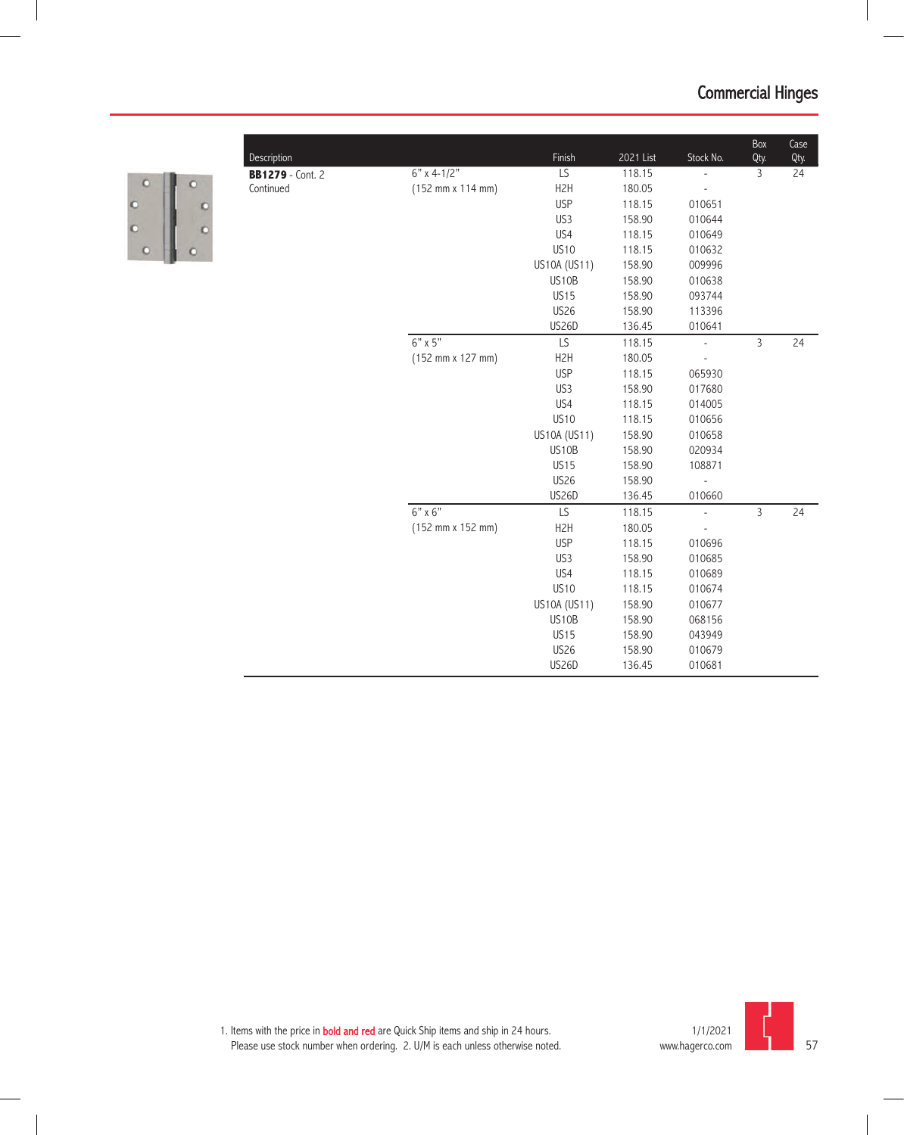| F |  |
|---|--|
| ð |  |
| 9 |  |
|   |  |

| <b>BB1279</b> - Cont. 2 |                                              | Finish           | 2021 List | Stock No.                | Qty. | Qty. |
|-------------------------|----------------------------------------------|------------------|-----------|--------------------------|------|------|
|                         | $6"$ x 4-1/2"                                | LS               | 118.15    | $\overline{\phantom{a}}$ | 3    | 24   |
| Continued               | (152 mm x 114 mm)                            | H <sub>2</sub> H | 180.05    |                          |      |      |
|                         |                                              | <b>USP</b>       | 118.15    | 010651                   |      |      |
|                         |                                              | US3              | 158.90    | 010644                   |      |      |
|                         |                                              | US4              | 118.15    | 010649                   |      |      |
|                         |                                              | <b>US10</b>      | 118.15    | 010632                   |      |      |
|                         |                                              | US10A (US11)     | 158.90    | 009996                   |      |      |
|                         |                                              | US10B            | 158.90    | 010638                   |      |      |
|                         |                                              | <b>US15</b>      | 158.90    | 093744                   |      |      |
|                         |                                              | <b>US26</b>      | 158.90    | 113396                   |      |      |
|                         |                                              | US26D            | 136.45    | 010641                   |      |      |
|                         | 6" x 5"                                      | LS               | 118.15    | $\Box$                   | 3    | 24   |
|                         | $(152 \, \text{mm} \times 127 \, \text{mm})$ | H <sub>2</sub> H | 180.05    |                          |      |      |
|                         |                                              | <b>USP</b>       | 118.15    | 065930                   |      |      |
|                         |                                              | US3              | 158.90    | 017680                   |      |      |
|                         |                                              | US4              | 118.15    | 014005                   |      |      |
|                         |                                              | <b>US10</b>      | 118.15    | 010656                   |      |      |
|                         |                                              | US10A (US11)     | 158.90    | 010658                   |      |      |
|                         |                                              | US10B            | 158.90    | 020934                   |      |      |
|                         |                                              | <b>US15</b>      | 158.90    | 108871                   |      |      |
|                         |                                              | <b>US26</b>      | 158.90    | $\overline{a}$           |      |      |
|                         |                                              | <b>US26D</b>     | 136.45    | 010660                   |      |      |
|                         | $6" \times 6"$                               | LS               | 118.15    | $\overline{\phantom{a}}$ | 3    | 24   |
|                         | (152 mm x 152 mm)                            | H <sub>2</sub> H | 180.05    | $\frac{1}{2}$            |      |      |
|                         |                                              | <b>USP</b>       | 118.15    | 010696                   |      |      |
|                         |                                              | US3              | 158.90    | 010685                   |      |      |
|                         |                                              | US4              | 118.15    | 010689                   |      |      |
|                         |                                              | <b>US10</b>      | 118.15    | 010674                   |      |      |
|                         |                                              | US10A (US11)     | 158.90    | 010677                   |      |      |
|                         |                                              | US10B            | 158.90    | 068156                   |      |      |
|                         |                                              | <b>US15</b>      | 158.90    | 043949                   |      |      |
|                         |                                              | <b>US26</b>      | 158.90    | 010679                   |      |      |
|                         |                                              | <b>US26D</b>     | 136.45    | 010681                   |      |      |

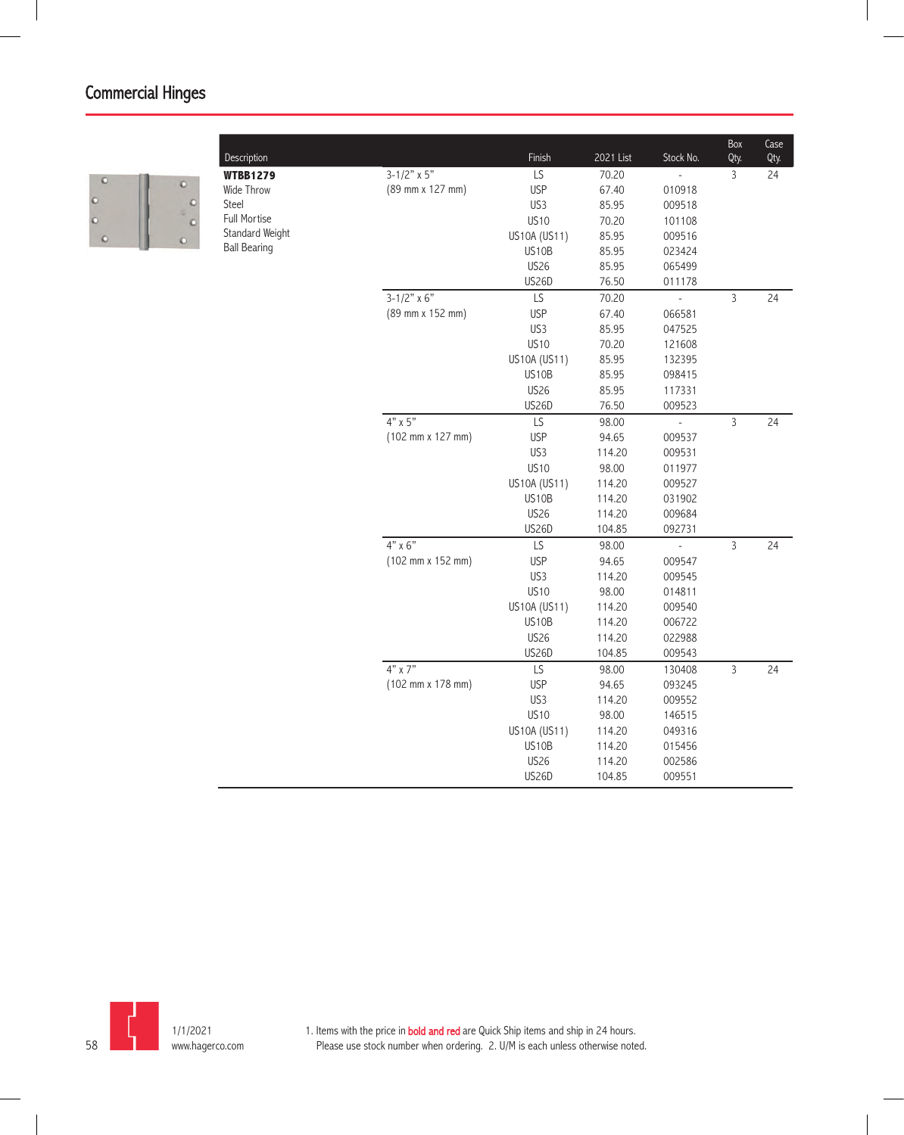

| Description         |                      | Finish       | 2021 List | Stock No.      | Box<br>Qty.    | Case<br>Qty. |
|---------------------|----------------------|--------------|-----------|----------------|----------------|--------------|
| <b>WTBB1279</b>     | $3 - 1/2" \times 5"$ | LS           | 70.20     | $\overline{a}$ | 3              | 24           |
| Wide Throw          | (89 mm x 127 mm)     | <b>USP</b>   | 67.40     | 010918         |                |              |
| Steel               |                      | US3          | 85.95     | 009518         |                |              |
| Full Mortise        |                      | <b>US10</b>  | 70.20     | 101108         |                |              |
| Standard Weight     |                      | US10A (US11) | 85.95     | 009516         |                |              |
| <b>Ball Bearing</b> |                      | US10B        | 85.95     | 023424         |                |              |
|                     |                      | <b>US26</b>  | 85.95     | 065499         |                |              |
|                     |                      | US26D        | 76.50     | 011178         |                |              |
|                     | $3 - 1/2"$ x 6"      | LS           | 70.20     |                | $\overline{3}$ | 24           |
|                     | (89 mm x 152 mm)     | <b>USP</b>   | 67.40     | 066581         |                |              |
|                     |                      | US3          | 85.95     | 047525         |                |              |
|                     |                      | <b>US10</b>  | 70.20     | 121608         |                |              |
|                     |                      | US10A (US11) | 85.95     | 132395         |                |              |
|                     |                      | US10B        | 85.95     | 098415         |                |              |
|                     |                      | <b>US26</b>  | 85.95     | 117331         |                |              |
|                     |                      | US26D        | 76.50     | 009523         |                |              |
|                     | $4" \times 5"$       | LS           | 98.00     |                | $\overline{3}$ | 24           |
|                     | (102 mm x 127 mm)    | <b>USP</b>   | 94.65     | 009537         |                |              |
|                     |                      | US3          | 114.20    | 009531         |                |              |
|                     |                      | <b>US10</b>  | 98.00     | 011977         |                |              |
|                     |                      | US10A (US11) | 114.20    | 009527         |                |              |
|                     |                      | US10B        | 114.20    | 031902         |                |              |
|                     |                      | <b>US26</b>  | 114.20    | 009684         |                |              |
|                     |                      | US26D        | 104.85    | 092731         |                |              |
|                     | $4" \times 6"$       | LS           | 98.00     |                | $\overline{3}$ | 24           |
|                     | (102 mm x 152 mm)    | <b>USP</b>   | 94.65     | 009547         |                |              |
|                     |                      | US3          | 114.20    | 009545         |                |              |
|                     |                      | <b>US10</b>  | 98.00     | 014811         |                |              |
|                     |                      | US10A (US11) | 114.20    | 009540         |                |              |
|                     |                      | US10B        | 114.20    | 006722         |                |              |
|                     |                      | <b>US26</b>  | 114.20    | 022988         |                |              |
|                     |                      | US26D        | 104.85    | 009543         |                |              |
|                     | $4"$ x $7"$          | LS           | 98.00     | 130408         | 3              | 24           |
|                     | (102 mm x 178 mm)    | <b>USP</b>   | 94.65     | 093245         |                |              |
|                     |                      | US3          | 114.20    | 009552         |                |              |
|                     |                      | <b>US10</b>  | 98.00     | 146515         |                |              |
|                     |                      | US10A (US11) | 114.20    | 049316         |                |              |
|                     |                      | US10B        | 114.20    | 015456         |                |              |
|                     |                      | <b>US26</b>  | 114.20    | 002586         |                |              |
|                     |                      | <b>US26D</b> | 104.85    | 009551         |                |              |
|                     |                      |              |           |                |                |              |



-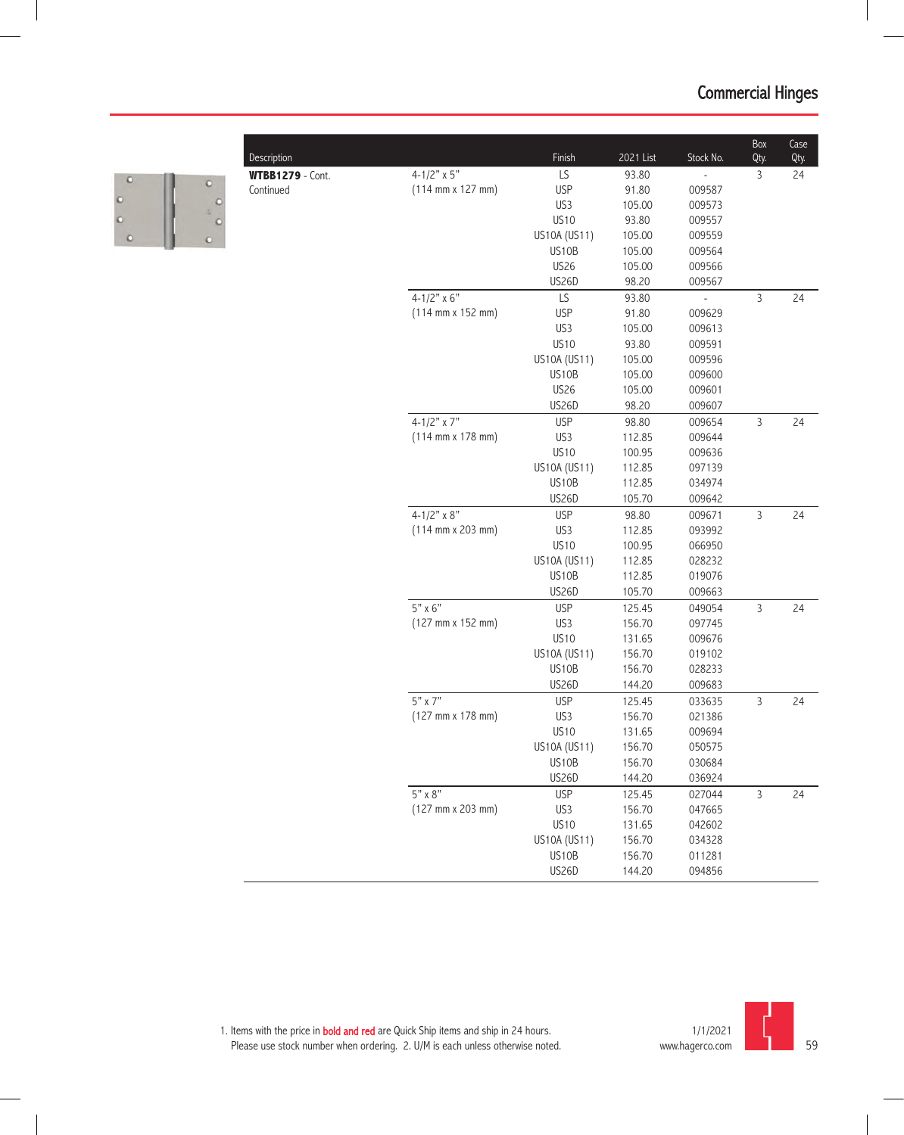| Description             |                                              | Finish       | 2021 List        | Stock No.                | Box<br>Qty.  | Case<br>Qty. |
|-------------------------|----------------------------------------------|--------------|------------------|--------------------------|--------------|--------------|
| <b>WTBB1279</b> - Cont. | 4-1/2" $\times$ 5"                           | LS           | 93.80            |                          | 3            | 24           |
| Continued               | $(114 \, \text{mm} \times 127 \, \text{mm})$ | <b>USP</b>   | 91.80            | 009587                   |              |              |
|                         |                                              | US3          | 105.00           | 009573                   |              |              |
|                         |                                              | <b>US10</b>  | 93.80            | 009557                   |              |              |
|                         |                                              | US10A (US11) | 105.00           | 009559                   |              |              |
|                         |                                              | US10B        | 105.00           | 009564                   |              |              |
|                         |                                              | <b>US26</b>  | 105.00           | 009566                   |              |              |
|                         |                                              | US26D        | 98.20            | 009567                   |              |              |
|                         | $4 - 1/2" \times 6"$                         | LS           | 93.80            | $\overline{\phantom{a}}$ | 3            | 24           |
|                         | $(114 \, \text{mm} \times 152 \, \text{mm})$ | <b>USP</b>   | 91.80            | 009629                   |              |              |
|                         |                                              | US3          | 105.00           | 009613                   |              |              |
|                         |                                              | <b>US10</b>  | 93.80            | 009591                   |              |              |
|                         |                                              | US10A (US11) | 105.00           | 009596                   |              |              |
|                         |                                              | US10B        | 105.00           | 009600                   |              |              |
|                         |                                              | <b>US26</b>  | 105.00           | 009601                   |              |              |
|                         |                                              | US26D        | 98.20            | 009607                   |              |              |
|                         | $4 - 1/2"$ x 7"                              | <b>USP</b>   | 98.80            | 009654                   | $\mathsf{3}$ | 24           |
|                         | $(114 \text{ mm} \times 178 \text{ mm})$     | US3          | 112.85           | 009644                   |              |              |
|                         |                                              | <b>US10</b>  | 100.95           | 009636                   |              |              |
|                         |                                              | US10A (US11) | 112.85           | 097139                   |              |              |
|                         |                                              | US10B        | 112.85           | 034974                   |              |              |
|                         |                                              | <b>US26D</b> | 105.70           | 009642                   |              |              |
|                         | $4 - 1/2" \times 8"$                         | <b>USP</b>   | 98.80            | 009671                   | $\mathbf{3}$ | 24           |
|                         | $(114 \, \text{mm} \times 203 \, \text{mm})$ | US3          | 112.85           | 093992                   |              |              |
|                         |                                              | <b>US10</b>  | 100.95           | 066950                   |              |              |
|                         |                                              | US10A (US11) | 112.85           | 028232                   |              |              |
|                         |                                              | US10B        | 112.85           | 019076                   |              |              |
|                         |                                              | US26D        | 105.70           | 009663                   |              |              |
|                         | $5" \times 6"$                               | <b>USP</b>   | 125.45           | 049054                   | $\mathsf{3}$ | 24           |
|                         | (127 mm x 152 mm)                            | US3          | 156.70           | 097745                   |              |              |
|                         |                                              | <b>US10</b>  | 131.65           | 009676                   |              |              |
|                         |                                              | US10A (US11) | 156.70           | 019102                   |              |              |
|                         |                                              | US10B        | 156.70           | 028233                   |              |              |
|                         |                                              | US26D        | 144.20           | 009683                   |              |              |
|                         | $5" \times 7"$                               | <b>USP</b>   | 125.45           | 033635                   | $\mathsf{3}$ | 24           |
|                         | (127 mm x 178 mm)                            | US3          | 156.70           | 021386                   |              |              |
|                         |                                              | <b>US10</b>  | 131.65           | 009694                   |              |              |
|                         |                                              | US10A (US11) | 156.70           | 050575                   |              |              |
|                         |                                              | US10B        | 156.70           | 030684                   |              |              |
|                         |                                              | <b>US26D</b> | 144.20           | 036924                   |              |              |
|                         | $5" \times 8"$                               | <b>USP</b>   | 125.45           | 027044                   | $\mathsf{3}$ | 24           |
|                         | $(127 \, \text{mm} \times 203 \, \text{mm})$ | US3          | 156.70           | 047665                   |              |              |
|                         |                                              | <b>US10</b>  | 131.65           | 042602                   |              |              |
|                         |                                              |              |                  |                          |              |              |
|                         |                                              | US10A (US11) | 156.70<br>156.70 | 034328                   |              |              |
|                         |                                              | US10B        |                  | 011281                   |              |              |
|                         |                                              | <b>US26D</b> | 144.20           | 094856                   |              |              |



c

 $\begin{matrix} 0 \\ 0 \end{matrix}$ 

 $\circ$  $\ddot{\circ}$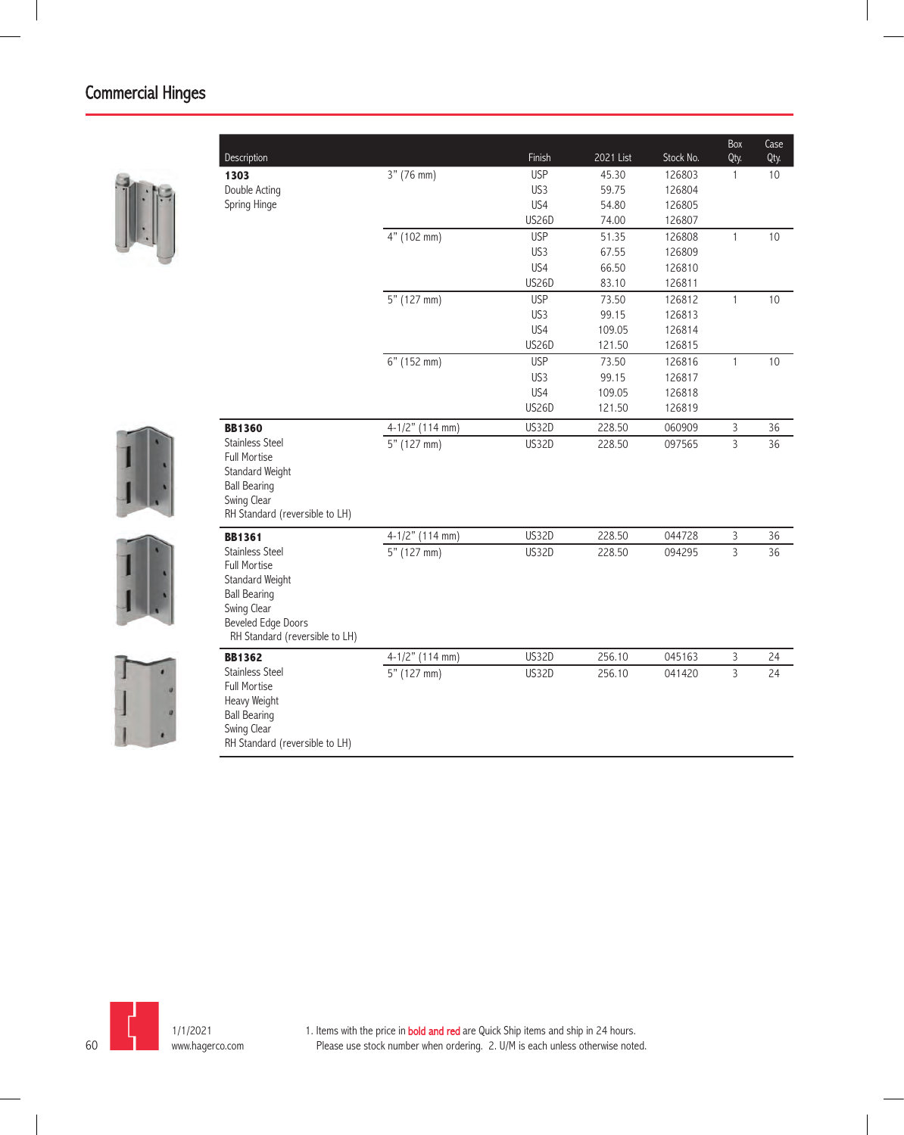| Description                                                                                                                                                           |                   | Finish          | 2021 List | Stock No. | Box<br>Qty.    | Case<br>Qty. |
|-----------------------------------------------------------------------------------------------------------------------------------------------------------------------|-------------------|-----------------|-----------|-----------|----------------|--------------|
| 1303                                                                                                                                                                  | 3" (76 mm)        | <b>USP</b>      | 45.30     | 126803    | $\mathbf{1}$   | 10           |
| Double Acting                                                                                                                                                         |                   | US3             | 59.75     | 126804    |                |              |
| Spring Hinge                                                                                                                                                          |                   | US4             | 54.80     | 126805    |                |              |
|                                                                                                                                                                       |                   | <b>US26D</b>    | 74.00     | 126807    |                |              |
|                                                                                                                                                                       | 4" (102 mm)       | <b>USP</b>      | 51.35     | 126808    | $\mathbf{1}$   | 10           |
|                                                                                                                                                                       |                   | US <sub>3</sub> | 67.55     | 126809    |                |              |
|                                                                                                                                                                       |                   | US4             | 66.50     | 126810    |                |              |
|                                                                                                                                                                       |                   | <b>US26D</b>    | 83.10     | 126811    |                |              |
|                                                                                                                                                                       | 5" (127 mm)       | <b>USP</b>      | 73.50     | 126812    | $\mathbf{1}$   | $10$         |
|                                                                                                                                                                       |                   | US <sub>3</sub> | 99.15     | 126813    |                |              |
|                                                                                                                                                                       |                   | US4             | 109.05    | 126814    |                |              |
|                                                                                                                                                                       |                   | <b>US26D</b>    | 121.50    | 126815    |                |              |
|                                                                                                                                                                       | 6" (152 mm)       | <b>USP</b>      | 73.50     | 126816    | $\mathbf{1}$   | 10           |
|                                                                                                                                                                       |                   | US3             | 99.15     | 126817    |                |              |
|                                                                                                                                                                       |                   | US4             | 109.05    | 126818    |                |              |
|                                                                                                                                                                       |                   | <b>US26D</b>    | 121.50    | 126819    |                |              |
| <b>BB1360</b>                                                                                                                                                         | $4-1/2"$ (114 mm) | <b>US32D</b>    | 228.50    | 060909    | $\mathsf{3}$   | 36           |
| <b>Stainless Steel</b><br><b>Full Mortise</b><br>Standard Weight<br><b>Ball Bearing</b><br>Swing Clear<br>RH Standard (reversible to LH)                              | $5"$ (127 mm)     | <b>US32D</b>    | 228.50    | 097565    | $\overline{3}$ | 36           |
| <b>BB1361</b>                                                                                                                                                         | 4-1/2" (114 mm)   | <b>US32D</b>    | 228.50    | 044728    | $\mathsf{3}$   | 36           |
| <b>Stainless Steel</b><br><b>Full Mortise</b><br>Standard Weight<br><b>Ball Bearing</b><br>Swing Clear<br><b>Beveled Edge Doors</b><br>RH Standard (reversible to LH) | 5" (127 mm)       | <b>US32D</b>    | 228.50    | 094295    | $\overline{3}$ | 36           |
| <b>BB1362</b>                                                                                                                                                         | 4-1/2" (114 mm)   | <b>US32D</b>    | 256.10    | 045163    | 3              | 24           |
| <b>Stainless Steel</b><br><b>Full Mortise</b><br>Heavy Weight<br><b>Ball Bearing</b><br>Swing Clear<br>RH Standard (reversible to LH)                                 | 5" (127 mm)       | <b>US32D</b>    | 256.10    | 041420    | $\overline{3}$ | 24           |

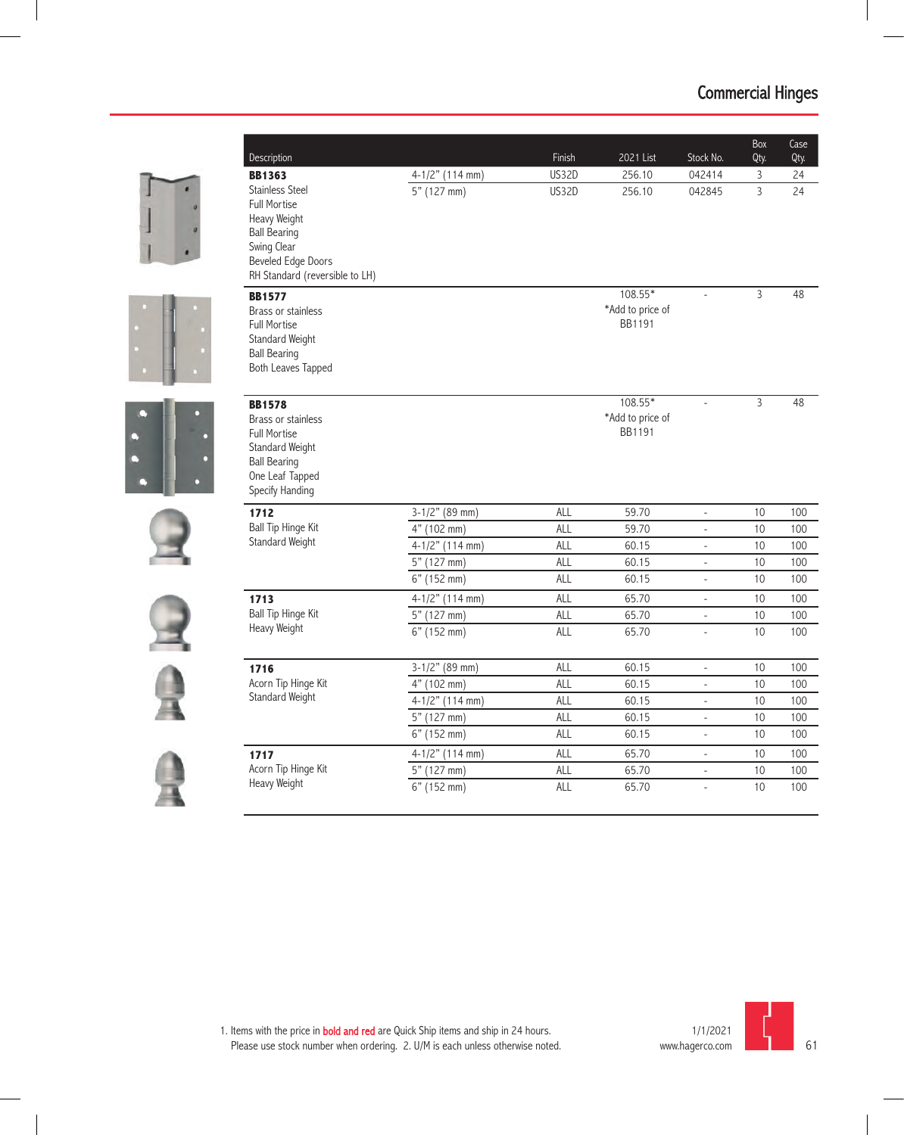|  | Description                                                                                                                                                        |                   | Finish       | 2021 List                                      | Stock No.                | Box<br>Qty.    | Case<br>Qty.    |
|--|--------------------------------------------------------------------------------------------------------------------------------------------------------------------|-------------------|--------------|------------------------------------------------|--------------------------|----------------|-----------------|
|  | <b>BB1363</b>                                                                                                                                                      | 4-1/2" (114 mm)   | <b>US32D</b> | 256.10                                         | 042414                   | 3              | 24              |
|  | <b>Stainless Steel</b><br><b>Full Mortise</b><br>Heavy Weight<br><b>Ball Bearing</b><br>Swing Clear<br><b>Beveled Edge Doors</b><br>RH Standard (reversible to LH) | 5" (127 mm)       | <b>US32D</b> | 256.10                                         | 042845                   | $\overline{3}$ | $\overline{24}$ |
|  | <b>BB1577</b><br>Brass or stainless<br><b>Full Mortise</b><br>Standard Weight<br><b>Ball Bearing</b><br><b>Both Leaves Tapped</b>                                  |                   |              | $108.55*$<br>*Add to price of<br><b>BB1191</b> | $\overline{a}$           | 3              | 48              |
|  | <b>BB1578</b><br>Brass or stainless<br><b>Full Mortise</b><br><b>Standard Weight</b><br><b>Ball Bearing</b><br>One Leaf Tapped<br>Specify Handing                  |                   |              | $108.55*$<br>*Add to price of<br>BB1191        | $\overline{a}$           | 3              | 48              |
|  | 1712                                                                                                                                                               | $3-1/2"$ (89 mm)  | <b>ALL</b>   | 59.70                                          | $\overline{\phantom{a}}$ | 10             | 100             |
|  | <b>Ball Tip Hinge Kit</b>                                                                                                                                          | 4" (102 mm)       | <b>ALL</b>   | 59.70                                          | $\overline{\phantom{a}}$ | 10             | 100             |
|  | Standard Weight                                                                                                                                                    | $4-1/2"$ (114 mm) | ALL          | 60.15                                          | $\omega$                 | 10             | 100             |
|  |                                                                                                                                                                    | 5" (127 mm)       | ALL          | 60.15                                          | $\bar{\phantom{a}}$      | 10             | 100             |
|  |                                                                                                                                                                    | 6" (152 mm)       | <b>ALL</b>   | 60.15                                          | $\blacksquare$           | 10             | 100             |
|  | 1713                                                                                                                                                               | $4-1/2"$ (114 mm) | ALL          | 65.70                                          | $\overline{\phantom{a}}$ | 10             | 100             |
|  | <b>Ball Tip Hinge Kit</b>                                                                                                                                          | $5"$ (127 mm)     | ALL          | 65.70                                          | $\overline{\phantom{a}}$ | 10             | 100             |
|  | Heavy Weight                                                                                                                                                       | 6" (152 mm)       | <b>ALL</b>   | 65.70                                          | $\overline{\phantom{a}}$ | 10             | 100             |
|  | 1716                                                                                                                                                               | $3-1/2"$ (89 mm)  | ALL          | 60.15                                          | $\overline{\phantom{a}}$ | 10             | 100             |
|  | Acorn Tip Hinge Kit                                                                                                                                                | 4" (102 mm)       | <b>ALL</b>   | 60.15                                          | $\overline{\phantom{a}}$ | 10             | 100             |
|  | Standard Weight                                                                                                                                                    | 4-1/2" (114 mm)   | ALL          | 60.15                                          | $\overline{\phantom{a}}$ | 10             | 100             |
|  |                                                                                                                                                                    | 5" (127 mm)       | ALL          | 60.15                                          | $\overline{\phantom{a}}$ | 10             | 100             |
|  |                                                                                                                                                                    | 6" (152 mm)       | <b>ALL</b>   | 60.15                                          | $\overline{\phantom{a}}$ | 10             | 100             |
|  | 1717                                                                                                                                                               | 4-1/2" (114 mm)   | <b>ALL</b>   | 65.70                                          | $\overline{\phantom{a}}$ | 10             | 100             |
|  | Acorn Tip Hinge Kit                                                                                                                                                | 5" (127 mm)       | ALL          | 65.70                                          | $\overline{a}$           | 10             | 100             |
|  | Heavy Weight                                                                                                                                                       | 6" (152 mm)       | ALL          | 65.70                                          | $\overline{a}$           | 10             | 100             |

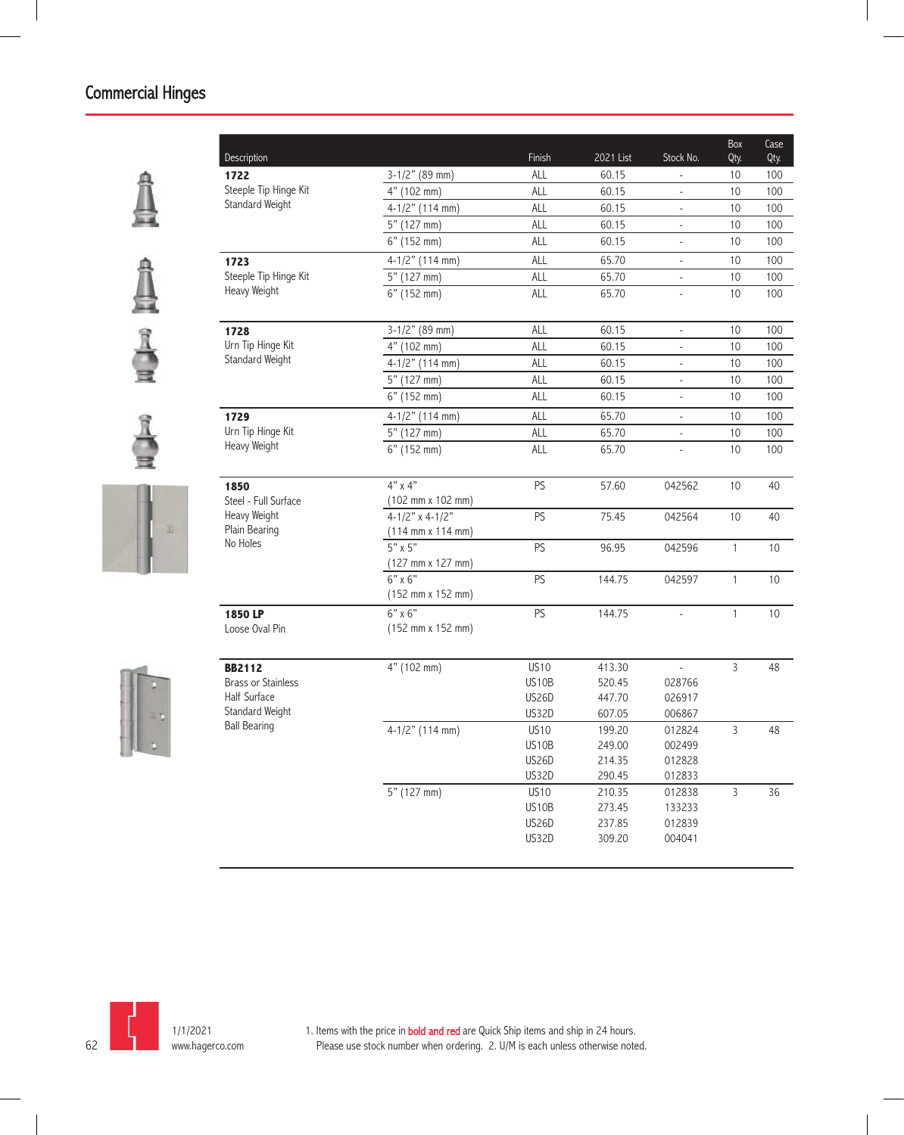











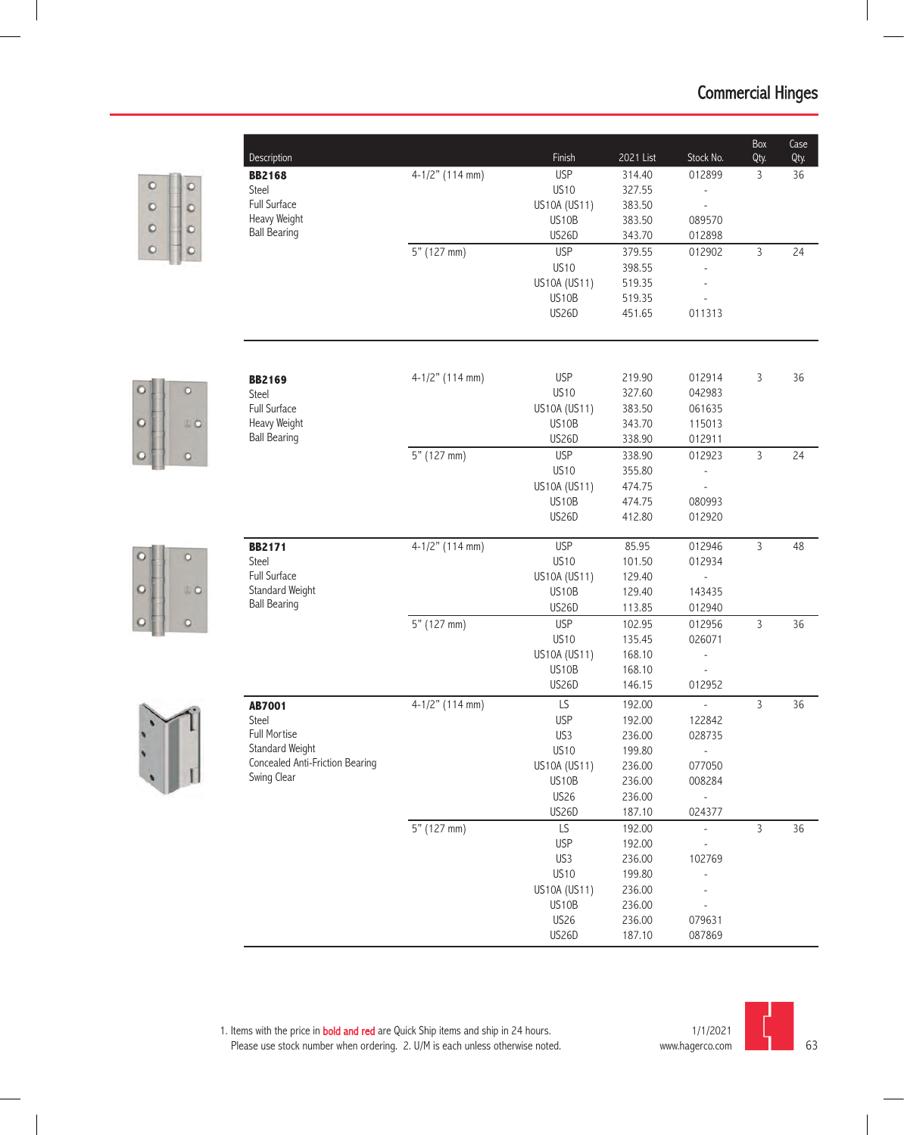|                | Description                     |                   | Finish                    | 2021 List        | Stock No.                    | Box<br>Qty.    | Case<br>Qty. |
|----------------|---------------------------------|-------------------|---------------------------|------------------|------------------------------|----------------|--------------|
|                | <b>BB2168</b>                   | $4-1/2"$ (114 mm) | <b>USP</b>                | 314.40           | 012899                       | $\mathsf{3}$   | 36           |
| O<br>o         | Steel                           |                   | <b>US10</b>               | 327.55           |                              |                |              |
| O<br>$\circ$   | Full Surface                    |                   | US10A (US11)              | 383.50           | $\frac{1}{2}$                |                |              |
| O<br>$\circ$   | Heavy Weight                    |                   | US10B                     | 383.50           | 089570                       |                |              |
|                | <b>Ball Bearing</b>             |                   | US26D                     | 343.70           | 012898                       |                |              |
| O<br>Ю         |                                 | 5" (127 mm)       | <b>USP</b>                | 379.55           | 012902                       | $\overline{3}$ | 24           |
|                |                                 |                   | <b>US10</b>               | 398.55           |                              |                |              |
|                |                                 |                   | US10A (US11)              | 519.35           |                              |                |              |
|                |                                 |                   | US10B                     | 519.35           |                              |                |              |
|                |                                 |                   | US26D                     | 451.65           | 011313                       |                |              |
|                |                                 |                   |                           |                  |                              |                |              |
| o              | <b>BB2169</b>                   | 4-1/2" (114 mm)   | <b>USP</b><br><b>US10</b> | 219.90           | 012914                       | 3              | 36           |
|                | Steel                           |                   |                           | 327.60           | 042983                       |                |              |
| D<br><b>SO</b> | Full Surface<br>Heavy Weight    |                   | US10A (US11)<br>US10B     | 383.50<br>343.70 | 061635<br>115013             |                |              |
|                | <b>Ball Bearing</b>             |                   | US26D                     | 338.90           | 012911                       |                |              |
|                |                                 | 5" (127 mm)       | <b>USP</b>                | 338.90           | 012923                       | $\overline{3}$ | 24           |
| o              |                                 |                   | <b>US10</b>               | 355.80           |                              |                |              |
|                |                                 |                   | US10A (US11)              | 474.75           |                              |                |              |
|                |                                 |                   | US10B                     | 474.75           | 080993                       |                |              |
|                |                                 |                   | US26D                     | 412.80           | 012920                       |                |              |
|                | <b>BB2171</b>                   | $4-1/2"$ (114 mm) | <b>USP</b>                | 85.95            | 012946                       | $\mathsf{3}$   | 48           |
| D              | Steel                           |                   | <b>US10</b>               | 101.50           | 012934                       |                |              |
|                | Full Surface                    |                   | US10A (US11)              | 129.40           |                              |                |              |
| D<br><b>SO</b> | Standard Weight                 |                   | US10B                     | 129.40           | 143435                       |                |              |
|                | <b>Ball Bearing</b>             |                   | US26D                     | 113.85           | 012940                       |                |              |
| o              |                                 | 5" (127 mm)       | <b>USP</b>                | 102.95           | 012956                       | $\mathsf{3}$   | 36           |
|                |                                 |                   | <b>US10</b>               | 135.45           | 026071                       |                |              |
|                |                                 |                   | US10A (US11)              | 168.10           | $\frac{1}{2}$                |                |              |
|                |                                 |                   | US10B                     | 168.10           | $\overline{a}$               |                |              |
|                |                                 |                   | US26D                     | 146.15           | 012952                       |                |              |
|                | <b>AB7001</b>                   | $4-1/2"$ (114 mm) | LS                        | 192.00           | $\overline{\phantom{a}}$     | $\mathsf{3}$   | 36           |
|                | Steel                           |                   | <b>USP</b>                | 192.00           | 122842                       |                |              |
|                | Full Mortise                    |                   | US3                       | 236.00           | 028735                       |                |              |
|                | Standard Weight                 |                   | <b>US10</b>               | 199.80           | $\overline{\phantom{a}}$     |                |              |
|                | Concealed Anti-Friction Bearing |                   | US10A (US11)              | 236.00           | 077050                       |                |              |
|                | Swing Clear                     |                   | US10B                     | 236.00           | 008284                       |                |              |
|                |                                 |                   | <b>US26</b>               | 236.00           |                              |                |              |
|                |                                 |                   | US26D                     | 187.10           | 024377                       |                |              |
|                |                                 | 5" (127 mm)       | LS                        | 192.00           | $\qquad \qquad \blacksquare$ | $\mathsf{3}$   | 36           |
|                |                                 |                   | <b>USP</b>                | 192.00           |                              |                |              |
|                |                                 |                   | US3                       | 236.00           | 102769                       |                |              |
|                |                                 |                   | <b>US10</b>               | 199.80           |                              |                |              |
|                |                                 |                   | US10A (US11)              | 236.00           |                              |                |              |
|                |                                 |                   | US10B                     | 236.00           |                              |                |              |
|                |                                 |                   | US26                      | 236.00           | 079631                       |                |              |
|                |                                 |                   | US26D                     | 187.10           | 087869                       |                |              |

 $\circ$ 

 $\circ$ 

 $\circ$ 

 $\circ$ 

 $\circ$ 

 $\circ$ 

 $\ddot{\cdot}$ 

1. Items with the price in **bold and red** are Quick Ship items and ship in 24 hours. Please use stock number when ordering. 2. U/M is each unless otherwise noted.



63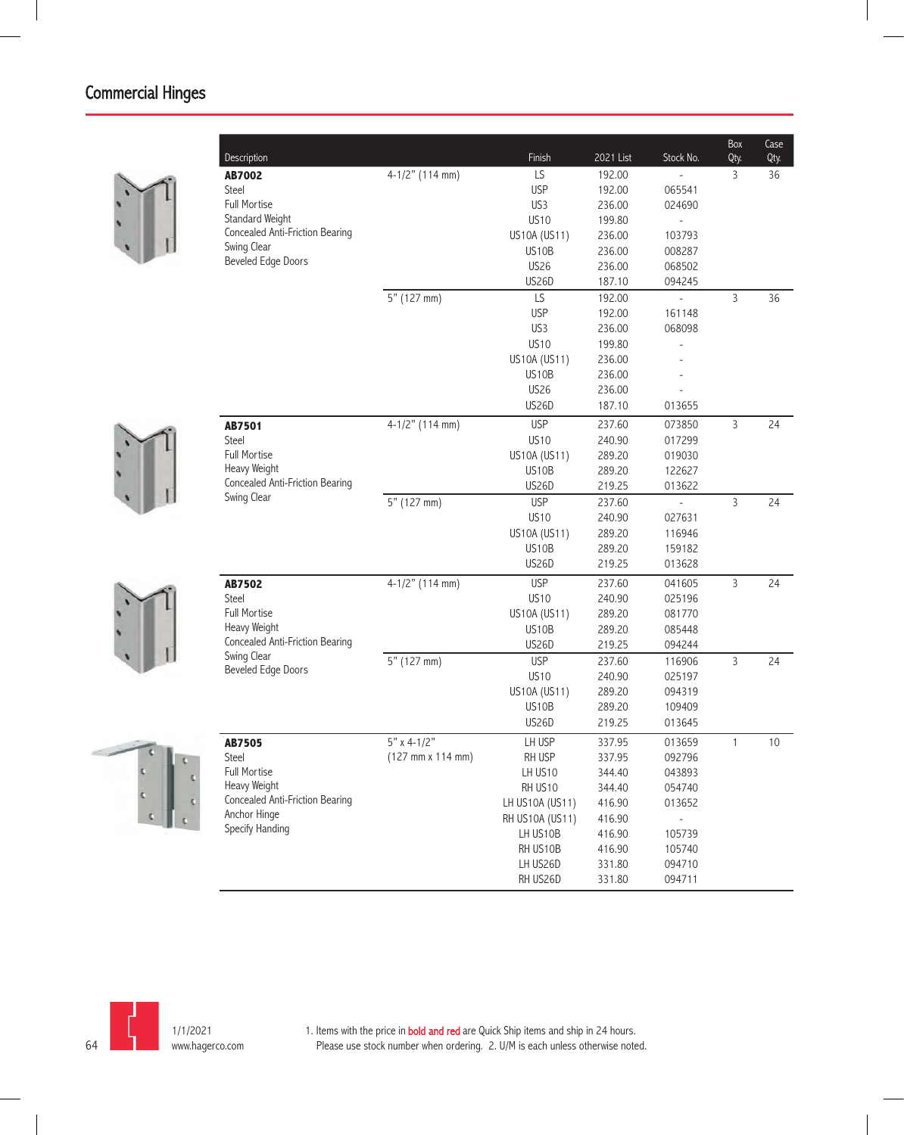| Description                                    |                   | Finish          | 2021 List | Stock No.      | Box<br>Qty.    | Case<br>Qty. |
|------------------------------------------------|-------------------|-----------------|-----------|----------------|----------------|--------------|
| <b>AB7002</b>                                  | $4-1/2"$ (114 mm) | LS              | 192.00    |                | 3              | 36           |
| Steel                                          |                   | <b>USP</b>      | 192.00    | 065541         |                |              |
| Full Mortise                                   |                   | US3             | 236.00    | 024690         |                |              |
| Standard Weight                                |                   | <b>US10</b>     | 199.80    | L,             |                |              |
| Concealed Anti-Friction Bearing                |                   | US10A (US11)    | 236.00    | 103793         |                |              |
| Swing Clear<br>Beveled Edge Doors              |                   | US10B           | 236.00    | 008287         |                |              |
|                                                |                   | <b>US26</b>     | 236.00    | 068502         |                |              |
|                                                |                   | US26D           | 187.10    | 094245         |                |              |
|                                                | 5" (127 mm)       | LS              | 192.00    | $\overline{a}$ | 3              | 36           |
|                                                |                   | <b>USP</b>      | 192.00    | 161148         |                |              |
|                                                |                   | US3             | 236.00    | 068098         |                |              |
|                                                |                   | <b>US10</b>     | 199.80    |                |                |              |
|                                                |                   | US10A (US11)    | 236.00    |                |                |              |
|                                                |                   | US10B           | 236.00    |                |                |              |
|                                                |                   | <b>US26</b>     | 236.00    |                |                |              |
|                                                |                   | <b>US26D</b>    | 187.10    | 013655         |                |              |
| <b>AB7501</b>                                  | $4-1/2"$ (114 mm) | <b>USP</b>      | 237.60    | 073850         | $\overline{3}$ | 24           |
| Steel                                          |                   | <b>US10</b>     | 240.90    | 017299         |                |              |
| <b>Full Mortise</b>                            |                   | US10A (US11)    | 289.20    | 019030         |                |              |
| Heavy Weight                                   |                   | US10B           | 289.20    | 122627         |                |              |
| Concealed Anti-Friction Bearing<br>Swing Clear |                   | <b>US26D</b>    | 219.25    | 013622         |                |              |
|                                                | 5" (127 mm)       | <b>USP</b>      | 237.60    |                | 3              | 24           |
|                                                |                   | <b>US10</b>     | 240.90    | 027631         |                |              |
|                                                |                   | US10A (US11)    | 289.20    | 116946         |                |              |
|                                                |                   | US10B           | 289.20    | 159182         |                |              |
|                                                |                   | US26D           | 219.25    | 013628         |                |              |
| AB7502                                         | $4-1/2"$ (114 mm) | <b>USP</b>      | 237.60    | 041605         | $\mathsf{3}$   | 24           |
| <b>Steel</b>                                   |                   | <b>US10</b>     | 240.90    | 025196         |                |              |
| Full Mortise                                   |                   | US10A (US11)    | 289.20    | 081770         |                |              |
| Heavy Weight                                   |                   | US10B           | 289.20    | 085448         |                |              |
| Concealed Anti-Friction Bearing                |                   | <b>US26D</b>    | 219.25    | 094244         |                |              |
| Swing Clear                                    | 5" (127 mm)       | <b>USP</b>      | 237.60    | 116906         | 3              | 24           |
| <b>Beveled Edge Doors</b>                      |                   | <b>US10</b>     | 240.90    | 025197         |                |              |
|                                                |                   | US10A (US11)    | 289.20    | 094319         |                |              |
|                                                |                   | US10B           | 289.20    | 109409         |                |              |
|                                                |                   | <b>US26D</b>    | 219.25    | 013645         |                |              |
| <b>AB7505</b>                                  | $5"$ x 4-1/2"     | LH USP          | 337.95    | 013659         | $\mathbf{1}$   | 10           |
| Steel                                          | (127 mm x 114 mm) | RH USP          | 337.95    | 092796         |                |              |
| Full Mortise                                   |                   | LH US10         | 344.40    | 043893         |                |              |
| Heavy Weight                                   |                   | RH US10         | 344.40    | 054740         |                |              |
| Concealed Anti-Friction Bearing                |                   | LH US10A (US11) | 416.90    | 013652         |                |              |
| Anchor Hinge                                   |                   | RH US10A (US11) | 416.90    |                |                |              |
| Specify Handing                                |                   | LH US10B        | 416.90    | 105739         |                |              |
|                                                |                   | RH US10B        | 416.90    | 105740         |                |              |
|                                                |                   | LH US26D        | 331.80    | 094710         |                |              |
|                                                |                   | RH US26D        | 331.80    | 094711         |                |              |
|                                                |                   |                 |           |                |                |              |







64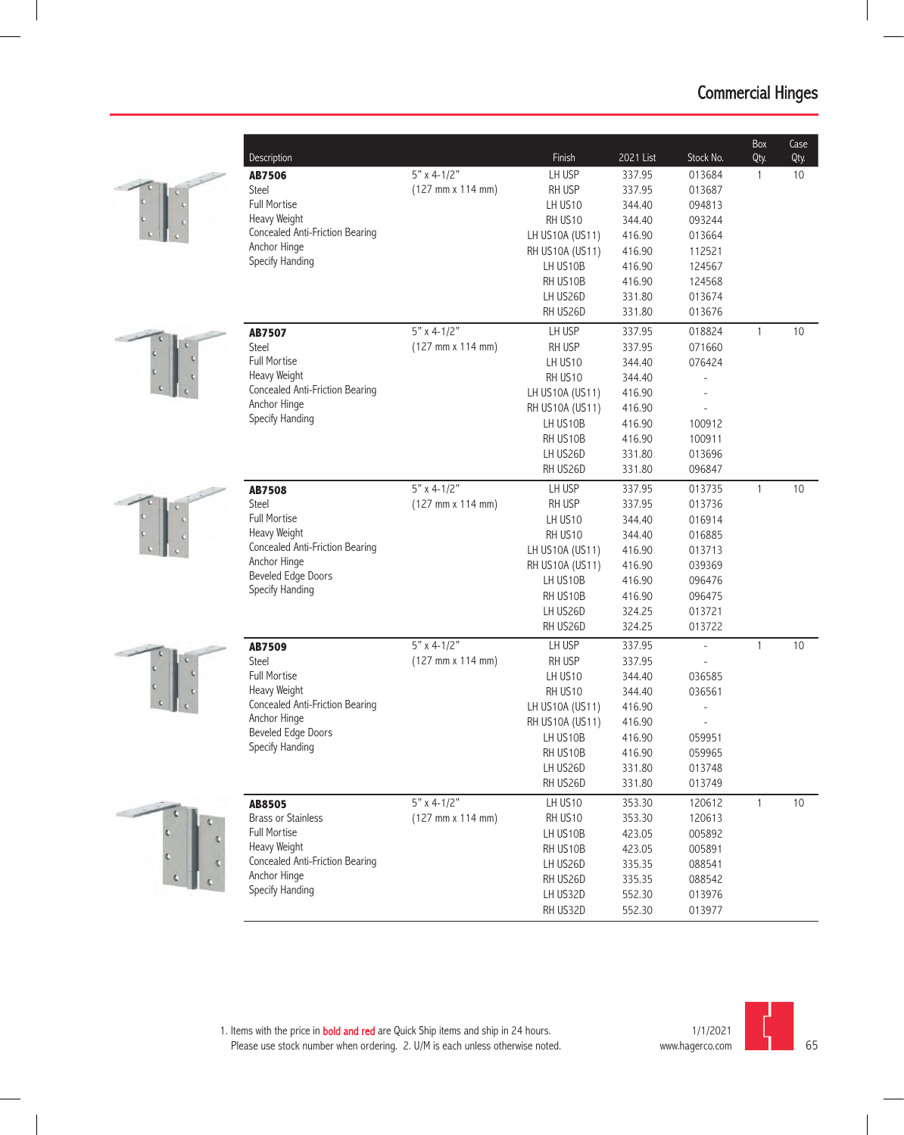









| Description                                     |                                              | Finish                      | 2021 List        | Stock No.        | Box<br>Qty.  | Case<br>Qty. |
|-------------------------------------------------|----------------------------------------------|-----------------------------|------------------|------------------|--------------|--------------|
| <b>AB7506</b>                                   | $5"$ x 4-1/2"                                | LH USP                      | 337.95           | 013684           | 1            | 10           |
| Steel                                           | (127 mm x 114 mm)                            | RH USP                      | 337.95           | 013687           |              |              |
| Full Mortise                                    |                                              | LH US <sub>10</sub>         | 344.40           | 094813           |              |              |
| Heavy Weight                                    |                                              | RH US10                     | 344.40           | 093244           |              |              |
| Concealed Anti-Friction Bearing                 |                                              | LH US10A (US11)             | 416.90           | 013664           |              |              |
| Anchor Hinge                                    |                                              | RH US10A (US11)             | 416.90           | 112521           |              |              |
| Specify Handing                                 |                                              | LH US10B                    | 416.90           | 124567           |              |              |
|                                                 |                                              | RH US10B                    | 416.90           | 124568           |              |              |
|                                                 |                                              | LH US26D                    | 331.80           | 013674           |              |              |
|                                                 |                                              | RH US26D                    | 331.80           | 013676           |              |              |
| AB7507                                          | $5"$ x 4-1/2"                                | LH USP                      | 337.95           | 018824           | $\mathbf{1}$ | 10           |
| Steel                                           | (127 mm x 114 mm)                            | RH USP                      | 337.95           | 071660           |              |              |
| Full Mortise                                    |                                              | LH US10                     | 344.40           | 076424           |              |              |
| Heavy Weight                                    |                                              | RH US10                     | 344.40           |                  |              |              |
| Concealed Anti-Friction Bearing                 |                                              | LH US10A (US11)             | 416.90           |                  |              |              |
| Anchor Hinge<br>Specify Handing                 |                                              | RH US10A (US11)             | 416.90           |                  |              |              |
|                                                 |                                              | LH US10B                    | 416.90           | 100912           |              |              |
|                                                 |                                              | RH US10B                    | 416.90           | 100911           |              |              |
|                                                 |                                              | LH US26D                    | 331.80           | 013696           |              |              |
|                                                 |                                              | RH US26D                    | 331.80           | 096847           |              |              |
| <b>AB7508</b>                                   | $5"$ x 4-1/2"                                | LH USP                      | 337.95           | 013735           | 1            | 10           |
| <b>Steel</b>                                    | $(127 \, \text{mm} \times 114 \, \text{mm})$ | RH USP                      | 337.95           | 013736           |              |              |
| Full Mortise                                    |                                              | LH US10                     | 344.40           | 016914           |              |              |
| Heavy Weight                                    |                                              | RH US10                     | 344.40           | 016885           |              |              |
| Concealed Anti-Friction Bearing<br>Anchor Hinge |                                              | LH US10A (US11)             | 416.90           | 013713           |              |              |
| <b>Beveled Edge Doors</b>                       |                                              | RH US10A (US11)             | 416.90           | 039369           |              |              |
| Specify Handing                                 |                                              | LH US10B                    | 416.90           | 096476           |              |              |
|                                                 |                                              | RH US10B                    | 416.90           | 096475           |              |              |
|                                                 |                                              | LH US26D                    | 324.25           | 013721           |              |              |
|                                                 |                                              | RH US26D                    | 324.25           | 013722           |              |              |
| <b>AB7509</b>                                   | $5"$ x 4-1/2"                                | LH USP                      | 337.95           | $\overline{a}$   | 1            | 10           |
| Steel                                           | $(127$ mm x 114 mm)                          | RH USP                      | 337.95           |                  |              |              |
| Full Mortise<br>Heavy Weight                    |                                              | LH US10                     | 344.40           | 036585           |              |              |
| Concealed Anti-Friction Bearing                 |                                              | RH US10                     | 344.40           | 036561           |              |              |
| Anchor Hinge                                    |                                              | LH US10A (US11)             | 416.90<br>416.90 |                  |              |              |
| <b>Beveled Edge Doors</b>                       |                                              | RH US10A (US11)<br>LH US10B | 416.90           | 059951           |              |              |
| Specify Handing                                 |                                              | RH US10B                    | 416.90           |                  |              |              |
|                                                 |                                              | LH US26D                    | 331.80           | 059965<br>013748 |              |              |
|                                                 |                                              | RH US26D                    | 331.80           | 013749           |              |              |
| <b>AB8505</b>                                   | $5" \times 4-1/2"$                           | LH US10                     | 353.30           | 120612           | $\mathbf{1}$ | 10           |
| <b>Brass or Stainless</b>                       | (127 mm x 114 mm)                            | RH US10                     | 353.30           | 120613           |              |              |
| <b>Full Mortise</b>                             |                                              | LH US10B                    | 423.05           | 005892           |              |              |
| Heavy Weight                                    |                                              | RH US10B                    | 423.05           | 005891           |              |              |
| Concealed Anti-Friction Bearing                 |                                              | LH US26D                    | 335.35           | 088541           |              |              |
| Anchor Hinge                                    |                                              | RH US26D                    | 335.35           | 088542           |              |              |
| Specify Handing                                 |                                              | LH US32D                    | 552.30           | 013976           |              |              |
|                                                 |                                              | RH US32D                    | 552.30           | 013977           |              |              |

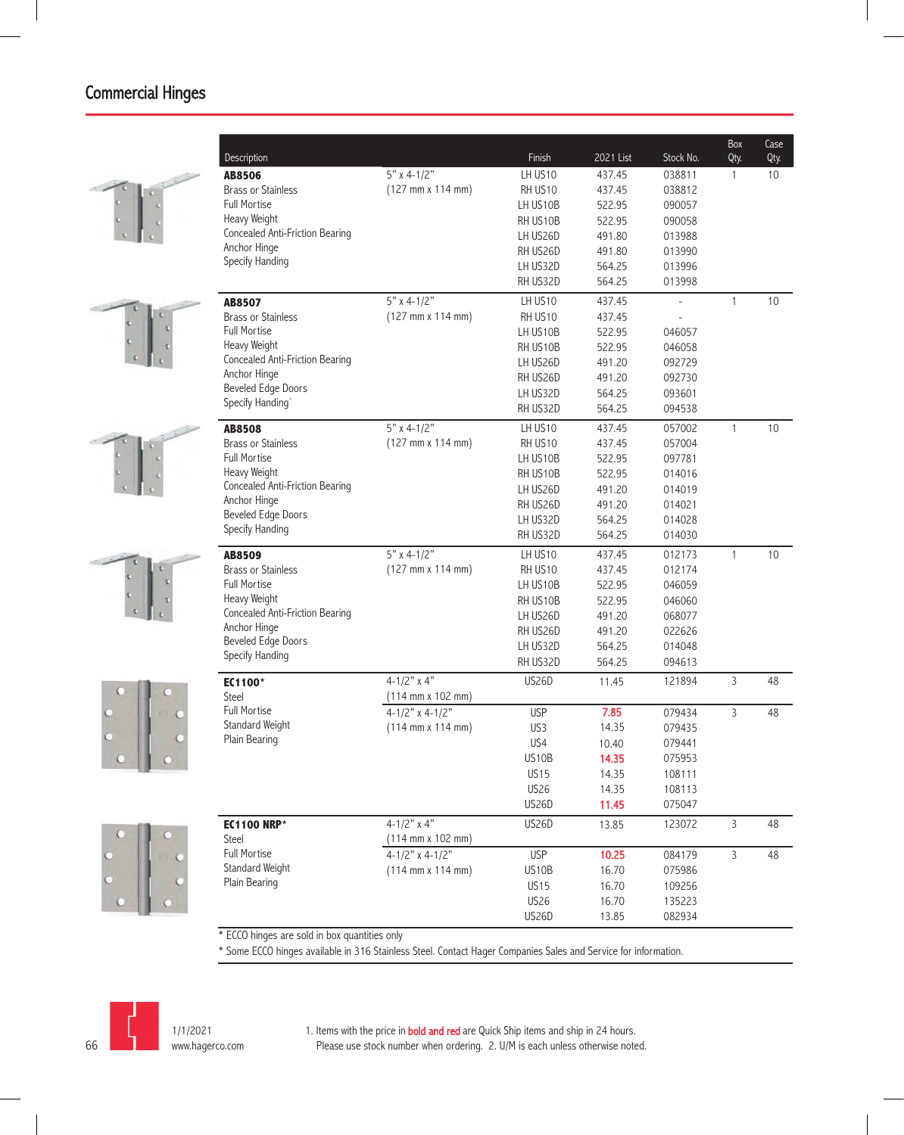











| $5"$ x 4-1/2"<br>LH US10<br>437.45<br>038811<br>10<br><b>AB8506</b><br>1<br>$(127 \, \text{mm} \times 114 \, \text{mm})$<br><b>Brass or Stainless</b><br>RH US10<br>038812<br>437.45<br><b>Full Mortise</b><br>LH US10B<br>522.95<br>090057<br>Heavy Weight<br>RH US10B<br>522.95<br>090058<br>Concealed Anti-Friction Bearing<br>LH US26D<br>491.80<br>013988<br>Anchor Hinge<br>RH US26D<br>491.80<br>013990<br>Specify Handing<br>LH US32D<br>564.25<br>013996<br>RH US32D<br>564.25<br>013998<br>$5"$ x 4-1/2"<br>LH US <sub>10</sub><br>437.45<br>1<br>10<br><b>AB8507</b><br>$(127 \, \text{mm} \times 114 \, \text{mm})$<br><b>Brass or Stainless</b><br>RH US10<br>437.45<br><b>Full Mortise</b><br>LH US10B<br>522.95<br>046057<br>Heavy Weight<br>RH US10B<br>522.95<br>046058<br>Concealed Anti-Friction Bearing<br>LH US26D<br>491.20<br>092729<br>Anchor Hinge<br>RH US26D<br>092730<br>491.20<br><b>Beveled Edge Doors</b><br>LH US32D<br>564.25<br>093601<br>Specify Handing`<br>RH US32D<br>564.25<br>094538<br>$5"$ x 4-1/2"<br>LH US10<br>437.45<br>057002<br>1<br>10<br><b>AB8508</b><br><b>Brass or Stainless</b><br>$(127 \, \text{mm} \times 114 \, \text{mm})$<br>437.45<br>057004<br>RH US10<br><b>Full Mortise</b><br>LH US10B<br>522.95<br>097781<br>Heavy Weight<br>RH US10B<br>522.95<br>014016<br>Concealed Anti-Friction Bearing<br>LH US26D<br>491.20<br>014019<br>Anchor Hinge<br>RH US26D<br>491.20<br>014021<br><b>Beveled Edge Doors</b><br>LH US32D<br>564.25<br>014028<br>Specify Handing<br>RH US32D<br>564.25<br>014030<br>$5"$ x 4-1/2"<br>$\mathbf{1}$<br>LH US10<br>012173<br>10<br>437.45<br><b>AB8509</b><br><b>Brass or Stainless</b><br>$(127 \, \text{mm} \times 114 \, \text{mm})$<br>RH US10<br>437.45<br>012174<br><b>Full Mortise</b><br>LH US10B<br>522.95<br>046059<br>Heavy Weight<br>RH US10B<br>522.95<br>046060<br><b>Concealed Anti-Friction Bearing</b><br>LH US26D<br>491.20<br>068077<br>Anchor Hinge<br>RH US26D<br>491.20<br>022626<br><b>Beveled Edge Doors</b><br>LH US32D<br>014048<br>564.25<br>Specify Handing<br>RH US32D<br>564.25<br>094613<br>$4 - 1/2"$ x 4"<br><b>US26D</b><br>3<br>121894<br>48<br>11.45<br>EC1100*<br>Steel<br>$(114 \, \text{mm} \times 102 \, \text{mm})$<br>Full Mortise<br>7.85<br>$4 - 1/2"$ x 4-1/2"<br><b>USP</b><br>079434<br>3<br>48<br><b>Standard Weight</b><br>$(114 \, \text{mm} \times 114 \, \text{mm})$<br>14.35<br>US <sub>3</sub><br>079435<br>Plain Bearing<br>US4<br>079441<br>10.40<br>US10B<br>14.35<br>075953<br><b>US15</b><br>14.35<br>108111<br><b>US26</b><br>14.35<br>108113<br><b>US26D</b><br>11.45<br>075047<br>$4-1/2"$ x 4"<br>3<br><b>US26D</b><br>123072<br>48<br><b>EC1100 NRP*</b><br>13.85<br>$(114 \, \text{mm} \times 102 \, \text{mm})$<br>Steel<br>Full Mortise<br>$4 - 1/2"$ x 4-1/2"<br><b>USP</b><br>10.25<br>3<br>084179<br>48<br>Standard Weight<br>$(114 \, \text{mm} \times 114 \, \text{mm})$<br>US10B<br>16.70<br>075986<br>Plain Bearing<br><b>US15</b><br>16.70<br>109256<br><b>US26</b><br>16.70<br>135223 | Description | Finish       | 2021 List | Stock No. | Box<br>Qty. | Case<br>Qty. |
|--------------------------------------------------------------------------------------------------------------------------------------------------------------------------------------------------------------------------------------------------------------------------------------------------------------------------------------------------------------------------------------------------------------------------------------------------------------------------------------------------------------------------------------------------------------------------------------------------------------------------------------------------------------------------------------------------------------------------------------------------------------------------------------------------------------------------------------------------------------------------------------------------------------------------------------------------------------------------------------------------------------------------------------------------------------------------------------------------------------------------------------------------------------------------------------------------------------------------------------------------------------------------------------------------------------------------------------------------------------------------------------------------------------------------------------------------------------------------------------------------------------------------------------------------------------------------------------------------------------------------------------------------------------------------------------------------------------------------------------------------------------------------------------------------------------------------------------------------------------------------------------------------------------------------------------------------------------------------------------------------------------------------------------------------------------------------------------------------------------------------------------------------------------------------------------------------------------------------------------------------------------------------------------------------------------------------------------------------------------------------------------------------------------------------------------------------------------------------------------------------------------------------------------------------------------------------------------------------------------------------------------------------------------------------------------------------------------------------------------------------------------------------------------------------------------------------------------------------------------------------------------------------------------------------------------------------------------------------------------------------------------------------------------------------------------|-------------|--------------|-----------|-----------|-------------|--------------|
|                                                                                                                                                                                                                                                                                                                                                                                                                                                                                                                                                                                                                                                                                                                                                                                                                                                                                                                                                                                                                                                                                                                                                                                                                                                                                                                                                                                                                                                                                                                                                                                                                                                                                                                                                                                                                                                                                                                                                                                                                                                                                                                                                                                                                                                                                                                                                                                                                                                                                                                                                                                                                                                                                                                                                                                                                                                                                                                                                                                                                                                              |             |              |           |           |             |              |
|                                                                                                                                                                                                                                                                                                                                                                                                                                                                                                                                                                                                                                                                                                                                                                                                                                                                                                                                                                                                                                                                                                                                                                                                                                                                                                                                                                                                                                                                                                                                                                                                                                                                                                                                                                                                                                                                                                                                                                                                                                                                                                                                                                                                                                                                                                                                                                                                                                                                                                                                                                                                                                                                                                                                                                                                                                                                                                                                                                                                                                                              |             |              |           |           |             |              |
|                                                                                                                                                                                                                                                                                                                                                                                                                                                                                                                                                                                                                                                                                                                                                                                                                                                                                                                                                                                                                                                                                                                                                                                                                                                                                                                                                                                                                                                                                                                                                                                                                                                                                                                                                                                                                                                                                                                                                                                                                                                                                                                                                                                                                                                                                                                                                                                                                                                                                                                                                                                                                                                                                                                                                                                                                                                                                                                                                                                                                                                              |             |              |           |           |             |              |
|                                                                                                                                                                                                                                                                                                                                                                                                                                                                                                                                                                                                                                                                                                                                                                                                                                                                                                                                                                                                                                                                                                                                                                                                                                                                                                                                                                                                                                                                                                                                                                                                                                                                                                                                                                                                                                                                                                                                                                                                                                                                                                                                                                                                                                                                                                                                                                                                                                                                                                                                                                                                                                                                                                                                                                                                                                                                                                                                                                                                                                                              |             |              |           |           |             |              |
|                                                                                                                                                                                                                                                                                                                                                                                                                                                                                                                                                                                                                                                                                                                                                                                                                                                                                                                                                                                                                                                                                                                                                                                                                                                                                                                                                                                                                                                                                                                                                                                                                                                                                                                                                                                                                                                                                                                                                                                                                                                                                                                                                                                                                                                                                                                                                                                                                                                                                                                                                                                                                                                                                                                                                                                                                                                                                                                                                                                                                                                              |             |              |           |           |             |              |
|                                                                                                                                                                                                                                                                                                                                                                                                                                                                                                                                                                                                                                                                                                                                                                                                                                                                                                                                                                                                                                                                                                                                                                                                                                                                                                                                                                                                                                                                                                                                                                                                                                                                                                                                                                                                                                                                                                                                                                                                                                                                                                                                                                                                                                                                                                                                                                                                                                                                                                                                                                                                                                                                                                                                                                                                                                                                                                                                                                                                                                                              |             |              |           |           |             |              |
|                                                                                                                                                                                                                                                                                                                                                                                                                                                                                                                                                                                                                                                                                                                                                                                                                                                                                                                                                                                                                                                                                                                                                                                                                                                                                                                                                                                                                                                                                                                                                                                                                                                                                                                                                                                                                                                                                                                                                                                                                                                                                                                                                                                                                                                                                                                                                                                                                                                                                                                                                                                                                                                                                                                                                                                                                                                                                                                                                                                                                                                              |             |              |           |           |             |              |
|                                                                                                                                                                                                                                                                                                                                                                                                                                                                                                                                                                                                                                                                                                                                                                                                                                                                                                                                                                                                                                                                                                                                                                                                                                                                                                                                                                                                                                                                                                                                                                                                                                                                                                                                                                                                                                                                                                                                                                                                                                                                                                                                                                                                                                                                                                                                                                                                                                                                                                                                                                                                                                                                                                                                                                                                                                                                                                                                                                                                                                                              |             |              |           |           |             |              |
|                                                                                                                                                                                                                                                                                                                                                                                                                                                                                                                                                                                                                                                                                                                                                                                                                                                                                                                                                                                                                                                                                                                                                                                                                                                                                                                                                                                                                                                                                                                                                                                                                                                                                                                                                                                                                                                                                                                                                                                                                                                                                                                                                                                                                                                                                                                                                                                                                                                                                                                                                                                                                                                                                                                                                                                                                                                                                                                                                                                                                                                              |             |              |           |           |             |              |
|                                                                                                                                                                                                                                                                                                                                                                                                                                                                                                                                                                                                                                                                                                                                                                                                                                                                                                                                                                                                                                                                                                                                                                                                                                                                                                                                                                                                                                                                                                                                                                                                                                                                                                                                                                                                                                                                                                                                                                                                                                                                                                                                                                                                                                                                                                                                                                                                                                                                                                                                                                                                                                                                                                                                                                                                                                                                                                                                                                                                                                                              |             |              |           |           |             |              |
|                                                                                                                                                                                                                                                                                                                                                                                                                                                                                                                                                                                                                                                                                                                                                                                                                                                                                                                                                                                                                                                                                                                                                                                                                                                                                                                                                                                                                                                                                                                                                                                                                                                                                                                                                                                                                                                                                                                                                                                                                                                                                                                                                                                                                                                                                                                                                                                                                                                                                                                                                                                                                                                                                                                                                                                                                                                                                                                                                                                                                                                              |             |              |           |           |             |              |
|                                                                                                                                                                                                                                                                                                                                                                                                                                                                                                                                                                                                                                                                                                                                                                                                                                                                                                                                                                                                                                                                                                                                                                                                                                                                                                                                                                                                                                                                                                                                                                                                                                                                                                                                                                                                                                                                                                                                                                                                                                                                                                                                                                                                                                                                                                                                                                                                                                                                                                                                                                                                                                                                                                                                                                                                                                                                                                                                                                                                                                                              |             |              |           |           |             |              |
|                                                                                                                                                                                                                                                                                                                                                                                                                                                                                                                                                                                                                                                                                                                                                                                                                                                                                                                                                                                                                                                                                                                                                                                                                                                                                                                                                                                                                                                                                                                                                                                                                                                                                                                                                                                                                                                                                                                                                                                                                                                                                                                                                                                                                                                                                                                                                                                                                                                                                                                                                                                                                                                                                                                                                                                                                                                                                                                                                                                                                                                              |             |              |           |           |             |              |
|                                                                                                                                                                                                                                                                                                                                                                                                                                                                                                                                                                                                                                                                                                                                                                                                                                                                                                                                                                                                                                                                                                                                                                                                                                                                                                                                                                                                                                                                                                                                                                                                                                                                                                                                                                                                                                                                                                                                                                                                                                                                                                                                                                                                                                                                                                                                                                                                                                                                                                                                                                                                                                                                                                                                                                                                                                                                                                                                                                                                                                                              |             |              |           |           |             |              |
|                                                                                                                                                                                                                                                                                                                                                                                                                                                                                                                                                                                                                                                                                                                                                                                                                                                                                                                                                                                                                                                                                                                                                                                                                                                                                                                                                                                                                                                                                                                                                                                                                                                                                                                                                                                                                                                                                                                                                                                                                                                                                                                                                                                                                                                                                                                                                                                                                                                                                                                                                                                                                                                                                                                                                                                                                                                                                                                                                                                                                                                              |             |              |           |           |             |              |
|                                                                                                                                                                                                                                                                                                                                                                                                                                                                                                                                                                                                                                                                                                                                                                                                                                                                                                                                                                                                                                                                                                                                                                                                                                                                                                                                                                                                                                                                                                                                                                                                                                                                                                                                                                                                                                                                                                                                                                                                                                                                                                                                                                                                                                                                                                                                                                                                                                                                                                                                                                                                                                                                                                                                                                                                                                                                                                                                                                                                                                                              |             |              |           |           |             |              |
|                                                                                                                                                                                                                                                                                                                                                                                                                                                                                                                                                                                                                                                                                                                                                                                                                                                                                                                                                                                                                                                                                                                                                                                                                                                                                                                                                                                                                                                                                                                                                                                                                                                                                                                                                                                                                                                                                                                                                                                                                                                                                                                                                                                                                                                                                                                                                                                                                                                                                                                                                                                                                                                                                                                                                                                                                                                                                                                                                                                                                                                              |             |              |           |           |             |              |
|                                                                                                                                                                                                                                                                                                                                                                                                                                                                                                                                                                                                                                                                                                                                                                                                                                                                                                                                                                                                                                                                                                                                                                                                                                                                                                                                                                                                                                                                                                                                                                                                                                                                                                                                                                                                                                                                                                                                                                                                                                                                                                                                                                                                                                                                                                                                                                                                                                                                                                                                                                                                                                                                                                                                                                                                                                                                                                                                                                                                                                                              |             |              |           |           |             |              |
|                                                                                                                                                                                                                                                                                                                                                                                                                                                                                                                                                                                                                                                                                                                                                                                                                                                                                                                                                                                                                                                                                                                                                                                                                                                                                                                                                                                                                                                                                                                                                                                                                                                                                                                                                                                                                                                                                                                                                                                                                                                                                                                                                                                                                                                                                                                                                                                                                                                                                                                                                                                                                                                                                                                                                                                                                                                                                                                                                                                                                                                              |             |              |           |           |             |              |
|                                                                                                                                                                                                                                                                                                                                                                                                                                                                                                                                                                                                                                                                                                                                                                                                                                                                                                                                                                                                                                                                                                                                                                                                                                                                                                                                                                                                                                                                                                                                                                                                                                                                                                                                                                                                                                                                                                                                                                                                                                                                                                                                                                                                                                                                                                                                                                                                                                                                                                                                                                                                                                                                                                                                                                                                                                                                                                                                                                                                                                                              |             |              |           |           |             |              |
|                                                                                                                                                                                                                                                                                                                                                                                                                                                                                                                                                                                                                                                                                                                                                                                                                                                                                                                                                                                                                                                                                                                                                                                                                                                                                                                                                                                                                                                                                                                                                                                                                                                                                                                                                                                                                                                                                                                                                                                                                                                                                                                                                                                                                                                                                                                                                                                                                                                                                                                                                                                                                                                                                                                                                                                                                                                                                                                                                                                                                                                              |             |              |           |           |             |              |
|                                                                                                                                                                                                                                                                                                                                                                                                                                                                                                                                                                                                                                                                                                                                                                                                                                                                                                                                                                                                                                                                                                                                                                                                                                                                                                                                                                                                                                                                                                                                                                                                                                                                                                                                                                                                                                                                                                                                                                                                                                                                                                                                                                                                                                                                                                                                                                                                                                                                                                                                                                                                                                                                                                                                                                                                                                                                                                                                                                                                                                                              |             |              |           |           |             |              |
|                                                                                                                                                                                                                                                                                                                                                                                                                                                                                                                                                                                                                                                                                                                                                                                                                                                                                                                                                                                                                                                                                                                                                                                                                                                                                                                                                                                                                                                                                                                                                                                                                                                                                                                                                                                                                                                                                                                                                                                                                                                                                                                                                                                                                                                                                                                                                                                                                                                                                                                                                                                                                                                                                                                                                                                                                                                                                                                                                                                                                                                              |             |              |           |           |             |              |
|                                                                                                                                                                                                                                                                                                                                                                                                                                                                                                                                                                                                                                                                                                                                                                                                                                                                                                                                                                                                                                                                                                                                                                                                                                                                                                                                                                                                                                                                                                                                                                                                                                                                                                                                                                                                                                                                                                                                                                                                                                                                                                                                                                                                                                                                                                                                                                                                                                                                                                                                                                                                                                                                                                                                                                                                                                                                                                                                                                                                                                                              |             |              |           |           |             |              |
|                                                                                                                                                                                                                                                                                                                                                                                                                                                                                                                                                                                                                                                                                                                                                                                                                                                                                                                                                                                                                                                                                                                                                                                                                                                                                                                                                                                                                                                                                                                                                                                                                                                                                                                                                                                                                                                                                                                                                                                                                                                                                                                                                                                                                                                                                                                                                                                                                                                                                                                                                                                                                                                                                                                                                                                                                                                                                                                                                                                                                                                              |             |              |           |           |             |              |
|                                                                                                                                                                                                                                                                                                                                                                                                                                                                                                                                                                                                                                                                                                                                                                                                                                                                                                                                                                                                                                                                                                                                                                                                                                                                                                                                                                                                                                                                                                                                                                                                                                                                                                                                                                                                                                                                                                                                                                                                                                                                                                                                                                                                                                                                                                                                                                                                                                                                                                                                                                                                                                                                                                                                                                                                                                                                                                                                                                                                                                                              |             |              |           |           |             |              |
|                                                                                                                                                                                                                                                                                                                                                                                                                                                                                                                                                                                                                                                                                                                                                                                                                                                                                                                                                                                                                                                                                                                                                                                                                                                                                                                                                                                                                                                                                                                                                                                                                                                                                                                                                                                                                                                                                                                                                                                                                                                                                                                                                                                                                                                                                                                                                                                                                                                                                                                                                                                                                                                                                                                                                                                                                                                                                                                                                                                                                                                              |             |              |           |           |             |              |
|                                                                                                                                                                                                                                                                                                                                                                                                                                                                                                                                                                                                                                                                                                                                                                                                                                                                                                                                                                                                                                                                                                                                                                                                                                                                                                                                                                                                                                                                                                                                                                                                                                                                                                                                                                                                                                                                                                                                                                                                                                                                                                                                                                                                                                                                                                                                                                                                                                                                                                                                                                                                                                                                                                                                                                                                                                                                                                                                                                                                                                                              |             |              |           |           |             |              |
|                                                                                                                                                                                                                                                                                                                                                                                                                                                                                                                                                                                                                                                                                                                                                                                                                                                                                                                                                                                                                                                                                                                                                                                                                                                                                                                                                                                                                                                                                                                                                                                                                                                                                                                                                                                                                                                                                                                                                                                                                                                                                                                                                                                                                                                                                                                                                                                                                                                                                                                                                                                                                                                                                                                                                                                                                                                                                                                                                                                                                                                              |             |              |           |           |             |              |
|                                                                                                                                                                                                                                                                                                                                                                                                                                                                                                                                                                                                                                                                                                                                                                                                                                                                                                                                                                                                                                                                                                                                                                                                                                                                                                                                                                                                                                                                                                                                                                                                                                                                                                                                                                                                                                                                                                                                                                                                                                                                                                                                                                                                                                                                                                                                                                                                                                                                                                                                                                                                                                                                                                                                                                                                                                                                                                                                                                                                                                                              |             |              |           |           |             |              |
|                                                                                                                                                                                                                                                                                                                                                                                                                                                                                                                                                                                                                                                                                                                                                                                                                                                                                                                                                                                                                                                                                                                                                                                                                                                                                                                                                                                                                                                                                                                                                                                                                                                                                                                                                                                                                                                                                                                                                                                                                                                                                                                                                                                                                                                                                                                                                                                                                                                                                                                                                                                                                                                                                                                                                                                                                                                                                                                                                                                                                                                              |             |              |           |           |             |              |
|                                                                                                                                                                                                                                                                                                                                                                                                                                                                                                                                                                                                                                                                                                                                                                                                                                                                                                                                                                                                                                                                                                                                                                                                                                                                                                                                                                                                                                                                                                                                                                                                                                                                                                                                                                                                                                                                                                                                                                                                                                                                                                                                                                                                                                                                                                                                                                                                                                                                                                                                                                                                                                                                                                                                                                                                                                                                                                                                                                                                                                                              |             |              |           |           |             |              |
|                                                                                                                                                                                                                                                                                                                                                                                                                                                                                                                                                                                                                                                                                                                                                                                                                                                                                                                                                                                                                                                                                                                                                                                                                                                                                                                                                                                                                                                                                                                                                                                                                                                                                                                                                                                                                                                                                                                                                                                                                                                                                                                                                                                                                                                                                                                                                                                                                                                                                                                                                                                                                                                                                                                                                                                                                                                                                                                                                                                                                                                              |             |              |           |           |             |              |
|                                                                                                                                                                                                                                                                                                                                                                                                                                                                                                                                                                                                                                                                                                                                                                                                                                                                                                                                                                                                                                                                                                                                                                                                                                                                                                                                                                                                                                                                                                                                                                                                                                                                                                                                                                                                                                                                                                                                                                                                                                                                                                                                                                                                                                                                                                                                                                                                                                                                                                                                                                                                                                                                                                                                                                                                                                                                                                                                                                                                                                                              |             |              |           |           |             |              |
|                                                                                                                                                                                                                                                                                                                                                                                                                                                                                                                                                                                                                                                                                                                                                                                                                                                                                                                                                                                                                                                                                                                                                                                                                                                                                                                                                                                                                                                                                                                                                                                                                                                                                                                                                                                                                                                                                                                                                                                                                                                                                                                                                                                                                                                                                                                                                                                                                                                                                                                                                                                                                                                                                                                                                                                                                                                                                                                                                                                                                                                              |             |              |           |           |             |              |
|                                                                                                                                                                                                                                                                                                                                                                                                                                                                                                                                                                                                                                                                                                                                                                                                                                                                                                                                                                                                                                                                                                                                                                                                                                                                                                                                                                                                                                                                                                                                                                                                                                                                                                                                                                                                                                                                                                                                                                                                                                                                                                                                                                                                                                                                                                                                                                                                                                                                                                                                                                                                                                                                                                                                                                                                                                                                                                                                                                                                                                                              |             |              |           |           |             |              |
|                                                                                                                                                                                                                                                                                                                                                                                                                                                                                                                                                                                                                                                                                                                                                                                                                                                                                                                                                                                                                                                                                                                                                                                                                                                                                                                                                                                                                                                                                                                                                                                                                                                                                                                                                                                                                                                                                                                                                                                                                                                                                                                                                                                                                                                                                                                                                                                                                                                                                                                                                                                                                                                                                                                                                                                                                                                                                                                                                                                                                                                              |             |              |           |           |             |              |
|                                                                                                                                                                                                                                                                                                                                                                                                                                                                                                                                                                                                                                                                                                                                                                                                                                                                                                                                                                                                                                                                                                                                                                                                                                                                                                                                                                                                                                                                                                                                                                                                                                                                                                                                                                                                                                                                                                                                                                                                                                                                                                                                                                                                                                                                                                                                                                                                                                                                                                                                                                                                                                                                                                                                                                                                                                                                                                                                                                                                                                                              |             |              |           |           |             |              |
|                                                                                                                                                                                                                                                                                                                                                                                                                                                                                                                                                                                                                                                                                                                                                                                                                                                                                                                                                                                                                                                                                                                                                                                                                                                                                                                                                                                                                                                                                                                                                                                                                                                                                                                                                                                                                                                                                                                                                                                                                                                                                                                                                                                                                                                                                                                                                                                                                                                                                                                                                                                                                                                                                                                                                                                                                                                                                                                                                                                                                                                              |             |              |           |           |             |              |
|                                                                                                                                                                                                                                                                                                                                                                                                                                                                                                                                                                                                                                                                                                                                                                                                                                                                                                                                                                                                                                                                                                                                                                                                                                                                                                                                                                                                                                                                                                                                                                                                                                                                                                                                                                                                                                                                                                                                                                                                                                                                                                                                                                                                                                                                                                                                                                                                                                                                                                                                                                                                                                                                                                                                                                                                                                                                                                                                                                                                                                                              |             |              |           |           |             |              |
|                                                                                                                                                                                                                                                                                                                                                                                                                                                                                                                                                                                                                                                                                                                                                                                                                                                                                                                                                                                                                                                                                                                                                                                                                                                                                                                                                                                                                                                                                                                                                                                                                                                                                                                                                                                                                                                                                                                                                                                                                                                                                                                                                                                                                                                                                                                                                                                                                                                                                                                                                                                                                                                                                                                                                                                                                                                                                                                                                                                                                                                              |             |              |           |           |             |              |
|                                                                                                                                                                                                                                                                                                                                                                                                                                                                                                                                                                                                                                                                                                                                                                                                                                                                                                                                                                                                                                                                                                                                                                                                                                                                                                                                                                                                                                                                                                                                                                                                                                                                                                                                                                                                                                                                                                                                                                                                                                                                                                                                                                                                                                                                                                                                                                                                                                                                                                                                                                                                                                                                                                                                                                                                                                                                                                                                                                                                                                                              |             |              |           |           |             |              |
|                                                                                                                                                                                                                                                                                                                                                                                                                                                                                                                                                                                                                                                                                                                                                                                                                                                                                                                                                                                                                                                                                                                                                                                                                                                                                                                                                                                                                                                                                                                                                                                                                                                                                                                                                                                                                                                                                                                                                                                                                                                                                                                                                                                                                                                                                                                                                                                                                                                                                                                                                                                                                                                                                                                                                                                                                                                                                                                                                                                                                                                              |             |              |           |           |             |              |
|                                                                                                                                                                                                                                                                                                                                                                                                                                                                                                                                                                                                                                                                                                                                                                                                                                                                                                                                                                                                                                                                                                                                                                                                                                                                                                                                                                                                                                                                                                                                                                                                                                                                                                                                                                                                                                                                                                                                                                                                                                                                                                                                                                                                                                                                                                                                                                                                                                                                                                                                                                                                                                                                                                                                                                                                                                                                                                                                                                                                                                                              |             |              |           |           |             |              |
|                                                                                                                                                                                                                                                                                                                                                                                                                                                                                                                                                                                                                                                                                                                                                                                                                                                                                                                                                                                                                                                                                                                                                                                                                                                                                                                                                                                                                                                                                                                                                                                                                                                                                                                                                                                                                                                                                                                                                                                                                                                                                                                                                                                                                                                                                                                                                                                                                                                                                                                                                                                                                                                                                                                                                                                                                                                                                                                                                                                                                                                              |             |              |           |           |             |              |
|                                                                                                                                                                                                                                                                                                                                                                                                                                                                                                                                                                                                                                                                                                                                                                                                                                                                                                                                                                                                                                                                                                                                                                                                                                                                                                                                                                                                                                                                                                                                                                                                                                                                                                                                                                                                                                                                                                                                                                                                                                                                                                                                                                                                                                                                                                                                                                                                                                                                                                                                                                                                                                                                                                                                                                                                                                                                                                                                                                                                                                                              |             |              |           |           |             |              |
|                                                                                                                                                                                                                                                                                                                                                                                                                                                                                                                                                                                                                                                                                                                                                                                                                                                                                                                                                                                                                                                                                                                                                                                                                                                                                                                                                                                                                                                                                                                                                                                                                                                                                                                                                                                                                                                                                                                                                                                                                                                                                                                                                                                                                                                                                                                                                                                                                                                                                                                                                                                                                                                                                                                                                                                                                                                                                                                                                                                                                                                              |             |              |           |           |             |              |
|                                                                                                                                                                                                                                                                                                                                                                                                                                                                                                                                                                                                                                                                                                                                                                                                                                                                                                                                                                                                                                                                                                                                                                                                                                                                                                                                                                                                                                                                                                                                                                                                                                                                                                                                                                                                                                                                                                                                                                                                                                                                                                                                                                                                                                                                                                                                                                                                                                                                                                                                                                                                                                                                                                                                                                                                                                                                                                                                                                                                                                                              |             | <b>US26D</b> | 13.85     | 082934    |             |              |

\* ECCO hinges are sold in box quantities only

\* Some ECCO hinges available in 316 Stainless Steel. Contact Hager Companies Sales and Service for information.

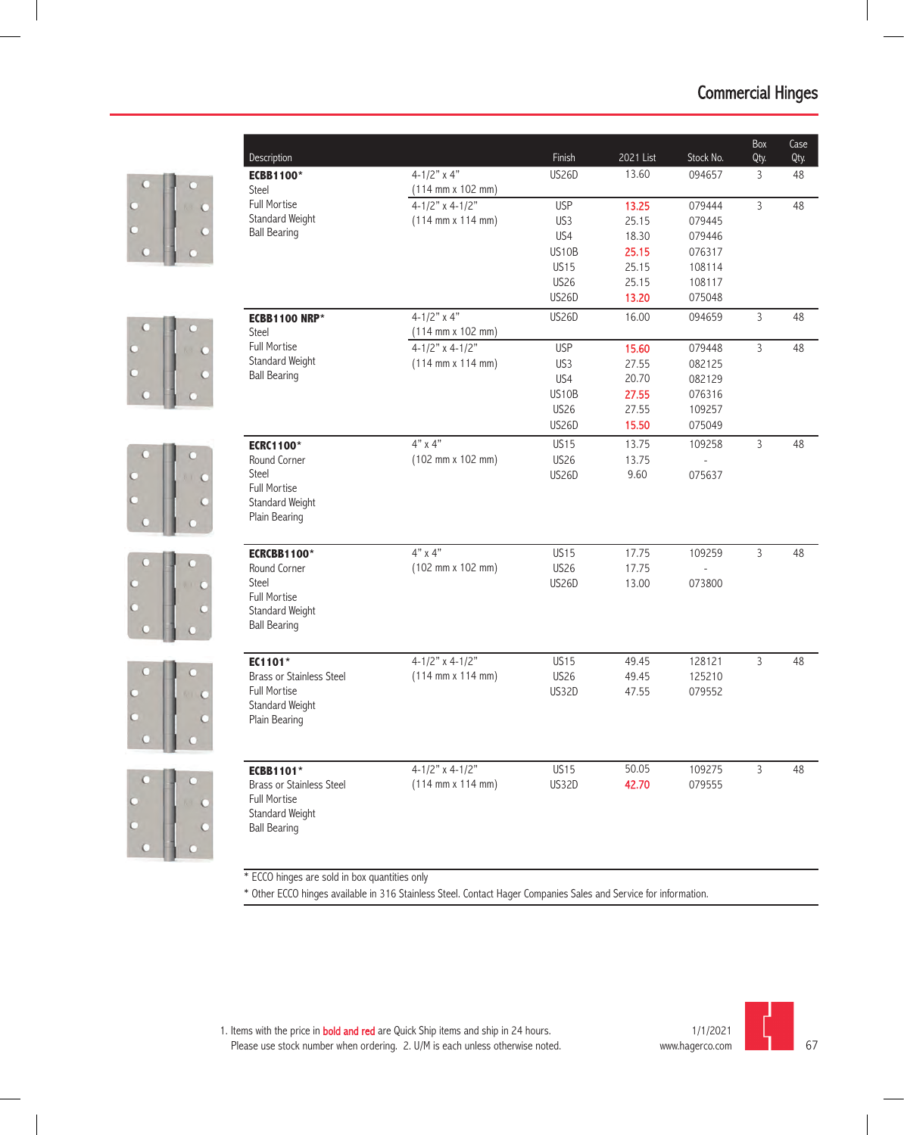

\* ECCO hinges are sold in box quantities only

\* Other ECCO hinges available in 316 Stainless Steel. Contact Hager Companies Sales and Service for information.

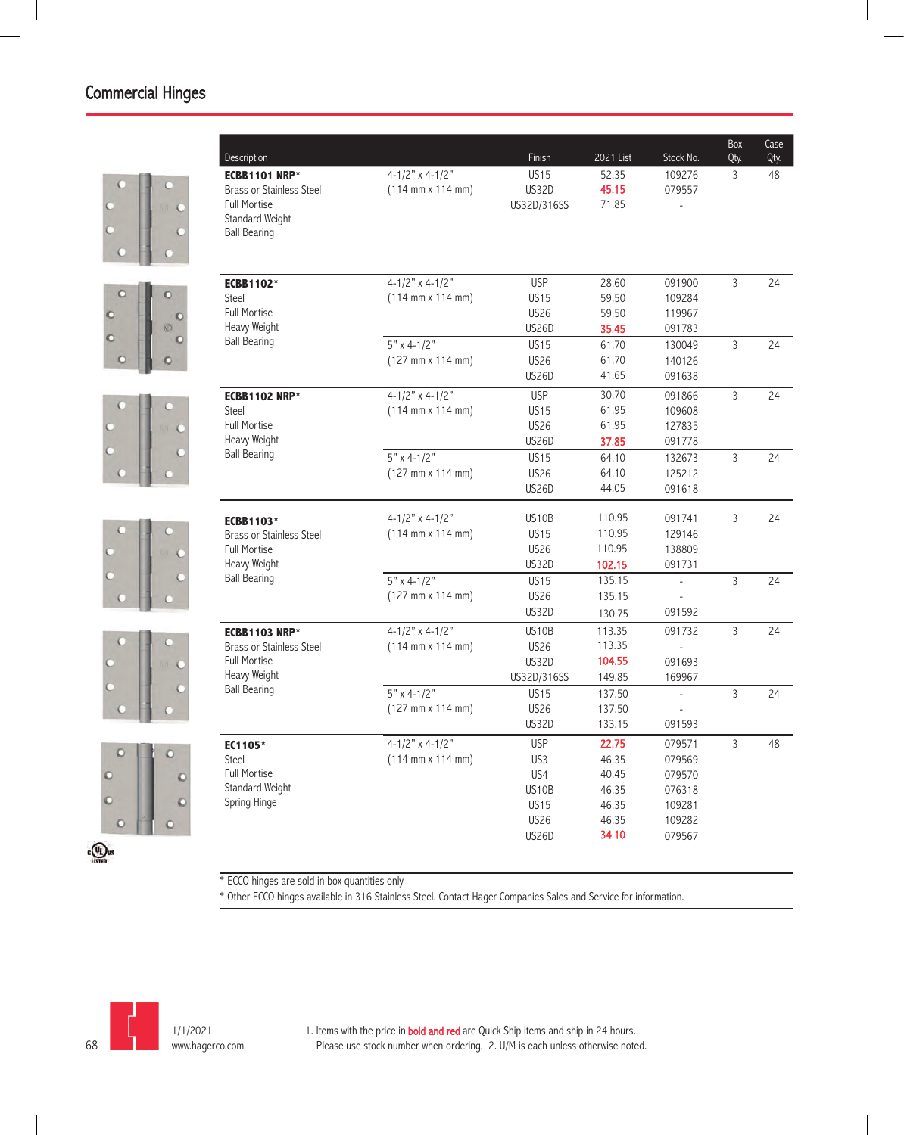











| <b>ECBB1101 NRP*</b><br><b>Brass or Stainless Steel</b><br><b>Full Mortise</b> | $4-1/2"$ x 4-1/2"<br>$(114 \, \text{mm} \times 114 \, \text{mm})$ | <b>US15</b><br>US32D<br>US32D/316SS | 52.35<br>45.15 | 109276<br>079557         | 3              | 48 |
|--------------------------------------------------------------------------------|-------------------------------------------------------------------|-------------------------------------|----------------|--------------------------|----------------|----|
|                                                                                |                                                                   |                                     |                |                          |                |    |
|                                                                                |                                                                   |                                     |                |                          |                |    |
| Standard Weight<br><b>Ball Bearing</b>                                         |                                                                   |                                     | 71.85          |                          |                |    |
| <b>ECBB1102*</b>                                                               | $4 - 1/2"$ x 4-1/2"                                               | <b>USP</b>                          | 28.60          | 091900                   | 3              | 24 |
| Steel                                                                          | $(114 \, \text{mm} \times 114 \, \text{mm})$                      | <b>US15</b>                         | 59.50          | 109284                   |                |    |
| <b>Full Mortise</b>                                                            |                                                                   | <b>US26</b>                         | 59.50          | 119967                   |                |    |
| Heavy Weight                                                                   |                                                                   | <b>US26D</b>                        | 35.45          | 091783                   |                |    |
| <b>Ball Bearing</b>                                                            | $5"$ x 4-1/2"                                                     | <b>US15</b>                         | 61.70          | 130049                   | 3              | 24 |
|                                                                                | $(127 \, \text{mm} \times 114 \, \text{mm})$                      | <b>US26</b>                         | 61.70          | 140126                   |                |    |
|                                                                                |                                                                   | <b>US26D</b>                        | 41.65          | 091638                   |                |    |
| <b>ECBB1102 NRP*</b>                                                           | $4 - 1/2"$ x 4-1/2"                                               | <b>USP</b>                          | 30.70          | 091866                   | $\overline{3}$ | 24 |
| Steel                                                                          | $(114 \, \text{mm} \times 114 \, \text{mm})$                      | <b>US15</b>                         | 61.95          | 109608                   |                |    |
| <b>Full Mortise</b>                                                            |                                                                   | <b>US26</b>                         | 61.95          | 127835                   |                |    |
| Heavy Weight                                                                   |                                                                   | <b>US26D</b>                        | 37.85          | 091778                   |                |    |
| <b>Ball Bearing</b>                                                            | $5"$ x 4-1/2"                                                     | <b>US15</b>                         | 64.10          | 132673                   | 3              | 24 |
|                                                                                | $(127 \, \text{mm} \times 114 \, \text{mm})$                      | <b>US26</b>                         | 64.10          | 125212                   |                |    |
|                                                                                |                                                                   | <b>US26D</b>                        | 44.05          | 091618                   |                |    |
| <b>ECBB1103*</b>                                                               | $4 - 1/2"$ x 4-1/2"                                               | US <sub>10</sub> B                  | 110.95         | 091741                   | 3              | 24 |
| <b>Brass or Stainless Steel</b>                                                | $(114 \, \text{mm} \times 114 \, \text{mm})$                      | <b>US15</b>                         | 110.95         | 129146                   |                |    |
| <b>Full Mortise</b>                                                            |                                                                   | <b>US26</b>                         | 110.95         | 138809                   |                |    |
| Heavy Weight                                                                   |                                                                   | US32D                               | 102.15         | 091731                   |                |    |
| <b>Ball Bearing</b>                                                            | $5" \times 4-1/2"$                                                | <b>US15</b>                         | 135.15         | $\overline{a}$           | 3              | 24 |
|                                                                                | (127 mm x 114 mm)                                                 | <b>US26</b>                         | 135.15         |                          |                |    |
|                                                                                |                                                                   | <b>US32D</b>                        | 130.75         | 091592                   |                |    |
| <b>ECBB1103 NRP*</b>                                                           | $4-1/2"$ x 4-1/2"                                                 | US10B                               | 113.35         | 091732                   | $\overline{3}$ | 24 |
| <b>Brass or Stainless Steel</b>                                                | $(114 \, \text{mm} \times 114 \, \text{mm})$                      | <b>US26</b>                         | 113.35         |                          |                |    |
| <b>Full Mortise</b>                                                            |                                                                   | <b>US32D</b>                        | 104.55         | 091693                   |                |    |
| Heavy Weight                                                                   |                                                                   | US32D/316SS                         | 149.85         | 169967                   |                |    |
| <b>Ball Bearing</b>                                                            | $5"$ x 4-1/2"                                                     | <b>US15</b>                         | 137.50         | $\overline{\phantom{a}}$ | 3              | 24 |
|                                                                                | (127 mm x 114 mm)                                                 | <b>US26</b>                         | 137.50         |                          |                |    |
|                                                                                |                                                                   | US32D                               | 133.15         | 091593                   |                |    |
| EC1105*                                                                        | 4-1/2" x 4-1/2"                                                   | <b>USP</b>                          | 22.75          | 079571                   | 3              | 48 |
| Steel                                                                          | $(114 \, \text{mm} \times 114 \, \text{mm})$                      | US <sub>3</sub>                     | 46.35          | 079569                   |                |    |
| <b>Full Mortise</b>                                                            |                                                                   | US4                                 | 40.45          | 079570                   |                |    |
| Standard Weight<br>Spring Hinge                                                |                                                                   | US10B                               | 46.35          | 076318                   |                |    |
|                                                                                |                                                                   | <b>US15</b>                         | 46.35          | 109281                   |                |    |
|                                                                                |                                                                   | <b>US26</b>                         | 46.35          | 109282                   |                |    |
|                                                                                |                                                                   | US26D                               | 34.10          | 079567                   |                |    |

\* ECCO hinges are sold in box quantities only

\* Other ECCO hinges available in 316 Stainless Steel. Contact Hager Companies Sales and Service for information.

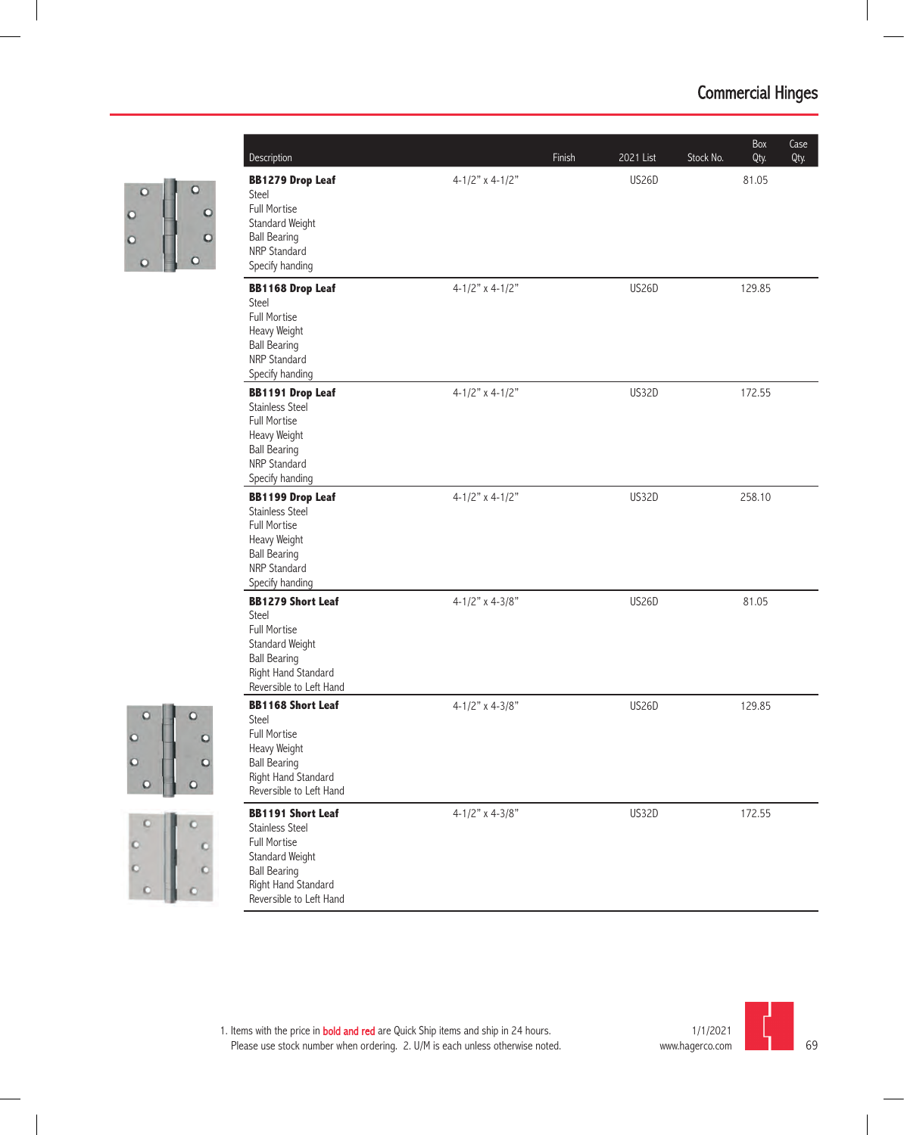

| Description                                                                                                                                                    |                         | Finish | 2021 List    | Stock No. | Box<br>Qty. | Case<br>Qty. |
|----------------------------------------------------------------------------------------------------------------------------------------------------------------|-------------------------|--------|--------------|-----------|-------------|--------------|
| <b>BB1279 Drop Leaf</b><br>Steel<br><b>Full Mortise</b><br>Standard Weight<br><b>Ball Bearing</b><br>NRP Standard<br>Specify handing                           | 4-1/2" x 4-1/2"         |        | <b>US26D</b> |           | 81.05       |              |
| <b>BB1168 Drop Leaf</b><br>Steel<br><b>Full Mortise</b><br>Heavy Weight<br><b>Ball Bearing</b><br>NRP Standard<br>Specify handing                              | $4-1/2$ " x $4-1/2$ "   |        | <b>US26D</b> |           | 129.85      |              |
| <b>BB1191 Drop Leaf</b><br>Stainless Steel<br><b>Full Mortise</b><br>Heavy Weight<br><b>Ball Bearing</b><br>NRP Standard<br>Specify handing                    | $4-1/2$ " x $4-1/2$ "   |        | US32D        |           | 172.55      |              |
| <b>BB1199 Drop Leaf</b><br>Stainless Steel<br><b>Full Mortise</b><br>Heavy Weight<br><b>Ball Bearing</b><br>NRP Standard<br>Specify handing                    | $4-1/2$ " x $4-1/2$ "   |        | US32D        |           | 258.10      |              |
| <b>BB1279 Short Leaf</b><br>Steel<br><b>Full Mortise</b><br>Standard Weight<br><b>Ball Bearing</b><br>Right Hand Standard<br>Reversible to Left Hand           | $4-1/2"$ x $4-3/8"$     |        | <b>US26D</b> |           | 81.05       |              |
| <b>BB1168 Short Leaf</b><br>Steel<br>Full Mortise<br>Heavy Weight<br><b>Ball Bearing</b><br>Right Hand Standard<br>Reversible to Left Hand                     | 4-1/2" x 4-3/8"         |        | <b>US26D</b> |           | 129.85      |              |
| <b>BB1191 Short Leaf</b><br><b>Stainless Steel</b><br>Full Mortise<br>Standard Weight<br><b>Ball Bearing</b><br>Right Hand Standard<br>Reversible to Left Hand | $4 - 1/2"$ x $4 - 3/8"$ |        | <b>US32D</b> |           | 172.55      |              |